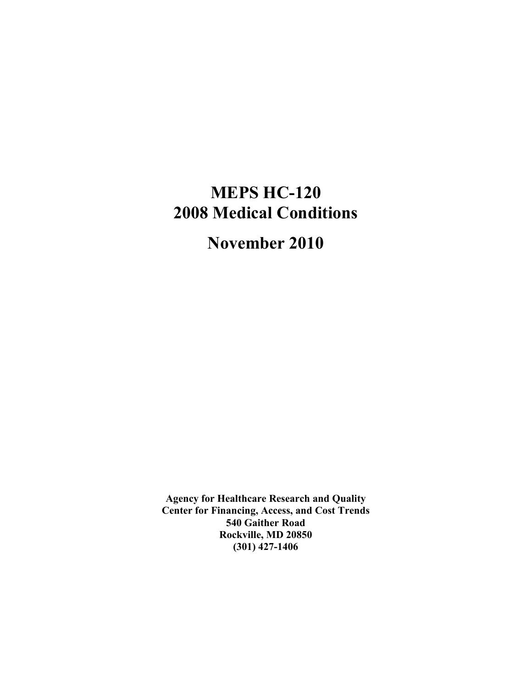# **MEPS HC-120 2008 Medical Conditions**

# **November 2010**

**Agency for Healthcare Research and Quality Center for Financing, Access, and Cost Trends 540 Gaither Road Rockville, MD 20850 (301) 427-1406**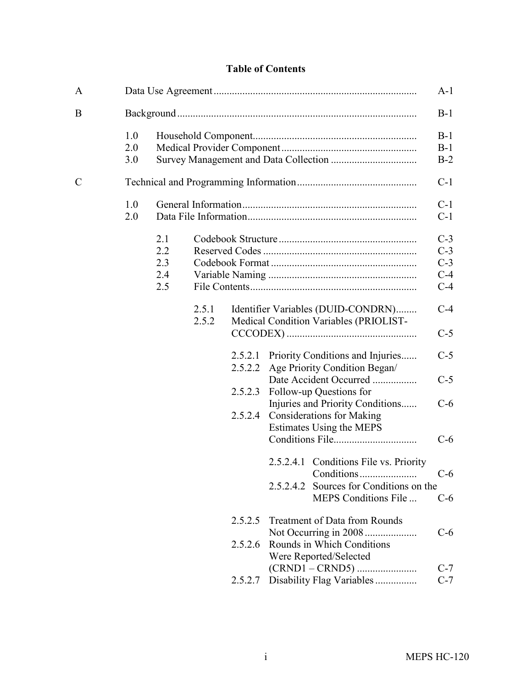## **Table of Contents**

| A             |                   |                                 |                |                    |           |                                                                              | $A-1$                                     |
|---------------|-------------------|---------------------------------|----------------|--------------------|-----------|------------------------------------------------------------------------------|-------------------------------------------|
| B             |                   |                                 |                |                    |           |                                                                              | $B-1$                                     |
|               | 1.0<br>2.0<br>3.0 |                                 |                |                    |           |                                                                              | $B-1$<br>$B-1$<br>$B-2$                   |
| $\mathcal{C}$ |                   |                                 |                |                    |           |                                                                              | $C-1$                                     |
|               | 1.0<br>2.0        |                                 |                |                    |           |                                                                              | $C-1$<br>$C-1$                            |
|               |                   | 2.1<br>2.2<br>2.3<br>2.4<br>2.5 |                |                    |           |                                                                              | $C-3$<br>$C-3$<br>$C-3$<br>$C-4$<br>$C-4$ |
|               |                   |                                 | 2.5.1<br>2.5.2 |                    |           | Identifier Variables (DUID-CONDRN)<br>Medical Condition Variables (PRIOLIST- | $C-4$                                     |
|               |                   |                                 |                |                    |           |                                                                              | $C-5$                                     |
|               |                   |                                 |                | 2.5.2.1<br>2.5.2.2 |           | Priority Conditions and Injuries<br>Age Priority Condition Began/            | $C-5$                                     |
|               |                   |                                 |                | 2.5.2.3            |           | Date Accident Occurred<br>Follow-up Questions for                            | $C-5$                                     |
|               |                   |                                 |                | 2.5.2.4            |           | Injuries and Priority Conditions<br><b>Considerations for Making</b>         | $C-6$                                     |
|               |                   |                                 |                |                    |           | Estimates Using the MEPS                                                     | $C-6$                                     |
|               |                   |                                 |                |                    | 2.5.2.4.2 | 2.5.2.4.1 Conditions File vs. Priority<br>Sources for Conditions on the      |                                           |
|               |                   |                                 |                |                    |           | MEPS Conditions File                                                         | $C-6$                                     |
|               |                   |                                 |                | 2.5.2.5            |           | <b>Treatment of Data from Rounds</b><br>Not Occurring in 2008                | $C-6$                                     |
|               |                   |                                 |                | 2.5.2.6            |           | Rounds in Which Conditions<br>Were Reported/Selected                         | $C-7$                                     |
|               |                   |                                 |                | 2.5.2.7            |           | Disability Flag Variables                                                    | $C-7$                                     |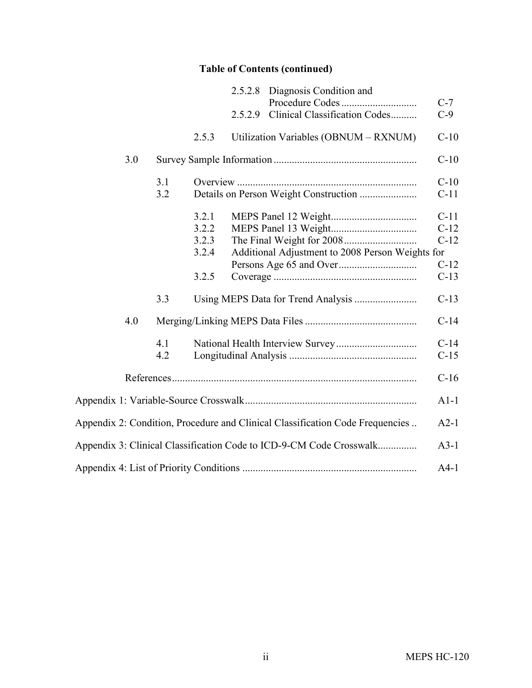# **Table of Contents (continued)**

|     |     | 2.5.2.8 Diagnosis Condition and                                               |        |
|-----|-----|-------------------------------------------------------------------------------|--------|
|     |     |                                                                               | $C-7$  |
|     |     | Clinical Classification Codes<br>2.5.2.9                                      | $C-9$  |
|     |     | Utilization Variables (OBNUM - RXNUM)<br>2.5.3                                | $C-10$ |
| 3.0 |     |                                                                               | $C-10$ |
|     | 3.1 |                                                                               | $C-10$ |
|     | 3.2 | Details on Person Weight Construction                                         | $C-11$ |
|     |     | 3.2.1                                                                         | $C-11$ |
|     |     | 3.2.2                                                                         | $C-12$ |
|     |     | 3.2.3                                                                         | $C-12$ |
|     |     | 3.2.4<br>Additional Adjustment to 2008 Person Weights for                     |        |
|     |     |                                                                               | $C-12$ |
|     |     | 3.2.5                                                                         | $C-13$ |
|     | 3.3 | Using MEPS Data for Trend Analysis                                            | $C-13$ |
| 4.0 |     |                                                                               | $C-14$ |
|     | 4.1 |                                                                               | $C-14$ |
|     | 4.2 |                                                                               | $C-15$ |
|     |     |                                                                               | $C-16$ |
|     |     |                                                                               | $A1-1$ |
|     |     | Appendix 2: Condition, Procedure and Clinical Classification Code Frequencies | $A2-1$ |
|     |     | Appendix 3: Clinical Classification Code to ICD-9-CM Code Crosswalk           | $A3-1$ |
|     |     |                                                                               | $A4-1$ |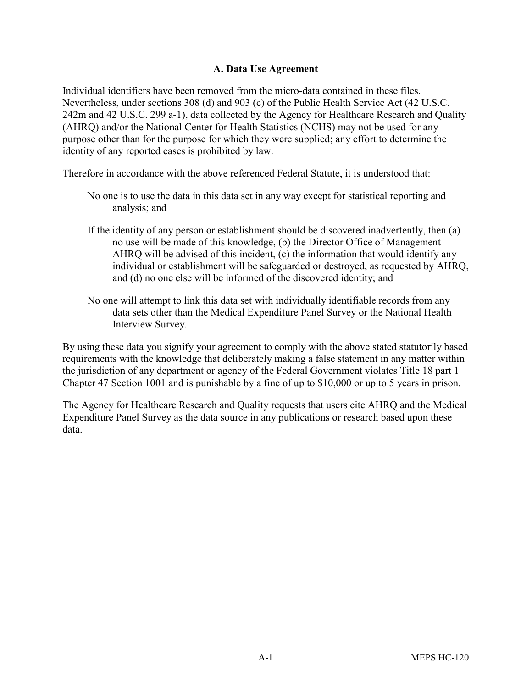#### **A. Data Use Agreement**

Individual identifiers have been removed from the micro-data contained in these files. Nevertheless, under sections 308 (d) and 903 (c) of the Public Health Service Act (42 U.S.C. 242m and 42 U.S.C. 299 a-1), data collected by the Agency for Healthcare Research and Quality (AHRQ) and/or the National Center for Health Statistics (NCHS) may not be used for any purpose other than for the purpose for which they were supplied; any effort to determine the identity of any reported cases is prohibited by law.

Therefore in accordance with the above referenced Federal Statute, it is understood that:

- No one is to use the data in this data set in any way except for statistical reporting and analysis; and
- If the identity of any person or establishment should be discovered inadvertently, then (a) no use will be made of this knowledge, (b) the Director Office of Management AHRQ will be advised of this incident, (c) the information that would identify any individual or establishment will be safeguarded or destroyed, as requested by AHRQ, and (d) no one else will be informed of the discovered identity; and
- No one will attempt to link this data set with individually identifiable records from any data sets other than the Medical Expenditure Panel Survey or the National Health Interview Survey.

By using these data you signify your agreement to comply with the above stated statutorily based requirements with the knowledge that deliberately making a false statement in any matter within the jurisdiction of any department or agency of the Federal Government violates Title 18 part 1 Chapter 47 Section 1001 and is punishable by a fine of up to \$10,000 or up to 5 years in prison.

The Agency for Healthcare Research and Quality requests that users cite AHRQ and the Medical Expenditure Panel Survey as the data source in any publications or research based upon these data.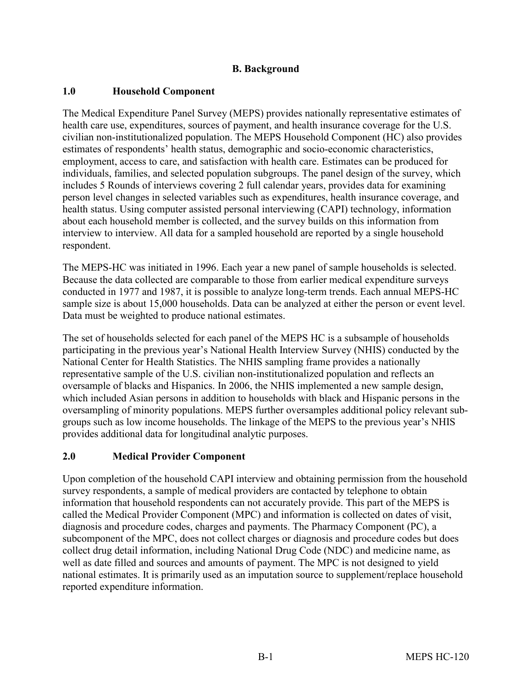#### **B. Background**

#### **1.0 Household Component**

The Medical Expenditure Panel Survey (MEPS) provides nationally representative estimates of health care use, expenditures, sources of payment, and health insurance coverage for the U.S. civilian non-institutionalized population. The MEPS Household Component (HC) also provides estimates of respondents' health status, demographic and socio-economic characteristics, employment, access to care, and satisfaction with health care. Estimates can be produced for individuals, families, and selected population subgroups. The panel design of the survey, which includes 5 Rounds of interviews covering 2 full calendar years, provides data for examining person level changes in selected variables such as expenditures, health insurance coverage, and health status. Using computer assisted personal interviewing (CAPI) technology, information about each household member is collected, and the survey builds on this information from interview to interview. All data for a sampled household are reported by a single household respondent.

The MEPS-HC was initiated in 1996. Each year a new panel of sample households is selected. Because the data collected are comparable to those from earlier medical expenditure surveys conducted in 1977 and 1987, it is possible to analyze long-term trends. Each annual MEPS-HC sample size is about 15,000 households. Data can be analyzed at either the person or event level. Data must be weighted to produce national estimates.

The set of households selected for each panel of the MEPS HC is a subsample of households participating in the previous year's National Health Interview Survey (NHIS) conducted by the National Center for Health Statistics. The NHIS sampling frame provides a nationally representative sample of the U.S. civilian non-institutionalized population and reflects an oversample of blacks and Hispanics. In 2006, the NHIS implemented a new sample design, which included Asian persons in addition to households with black and Hispanic persons in the oversampling of minority populations. MEPS further oversamples additional policy relevant subgroups such as low income households. The linkage of the MEPS to the previous year's NHIS provides additional data for longitudinal analytic purposes.

#### **2.0 Medical Provider Component**

Upon completion of the household CAPI interview and obtaining permission from the household survey respondents, a sample of medical providers are contacted by telephone to obtain information that household respondents can not accurately provide. This part of the MEPS is called the Medical Provider Component (MPC) and information is collected on dates of visit, diagnosis and procedure codes, charges and payments. The Pharmacy Component (PC), a subcomponent of the MPC, does not collect charges or diagnosis and procedure codes but does collect drug detail information, including National Drug Code (NDC) and medicine name, as well as date filled and sources and amounts of payment. The MPC is not designed to yield national estimates. It is primarily used as an imputation source to supplement/replace household reported expenditure information.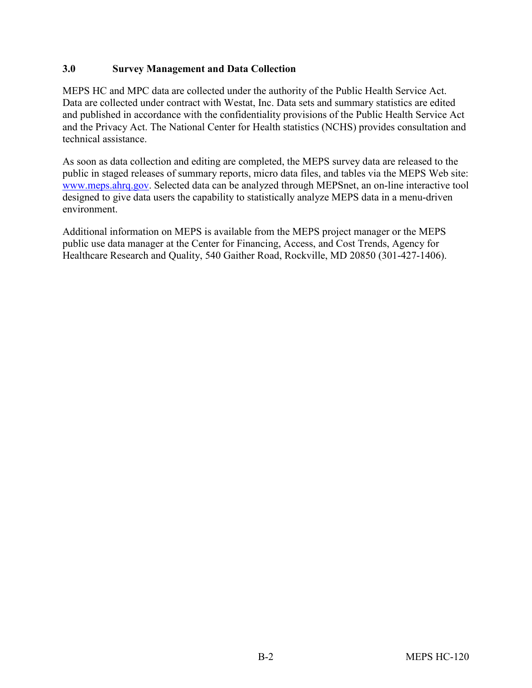#### **3.0 Survey Management and Data Collection**

MEPS HC and MPC data are collected under the authority of the Public Health Service Act. Data are collected under contract with Westat, Inc. Data sets and summary statistics are edited and published in accordance with the confidentiality provisions of the Public Health Service Act and the Privacy Act. The National Center for Health statistics (NCHS) provides consultation and technical assistance.

As soon as data collection and editing are completed, the MEPS survey data are released to the public in staged releases of summary reports, micro data files, and tables via the MEPS Web site: [www.meps.ahrq.gov.](http://www.meps.ahrq.gov/) Selected data can be analyzed through MEPSnet, an on-line interactive tool designed to give data users the capability to statistically analyze MEPS data in a menu-driven environment.

Additional information on MEPS is available from the MEPS project manager or the MEPS public use data manager at the Center for Financing, Access, and Cost Trends, Agency for Healthcare Research and Quality, 540 Gaither Road, Rockville, MD 20850 (301-427-1406).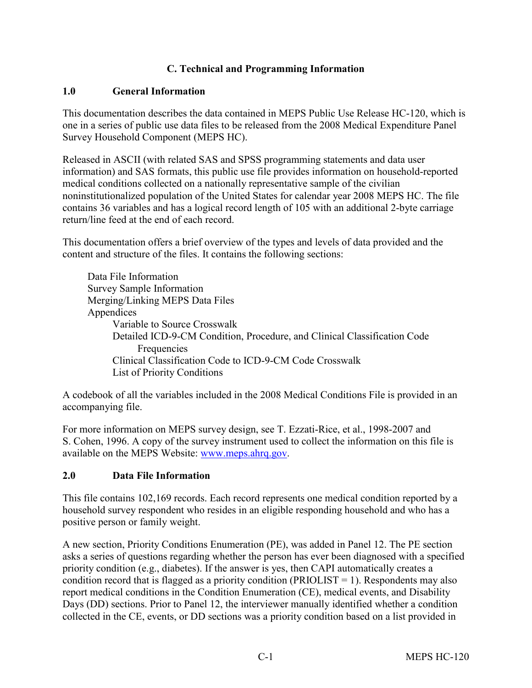#### **C. Technical and Programming Information**

#### **1.0 General Information**

This documentation describes the data contained in MEPS Public Use Release HC-120, which is one in a series of public use data files to be released from the 2008 Medical Expenditure Panel Survey Household Component (MEPS HC).

Released in ASCII (with related SAS and SPSS programming statements and data user information) and SAS formats, this public use file provides information on household-reported medical conditions collected on a nationally representative sample of the civilian noninstitutionalized population of the United States for calendar year 2008 MEPS HC. The file contains 36 variables and has a logical record length of 105 with an additional 2-byte carriage return/line feed at the end of each record.

This documentation offers a brief overview of the types and levels of data provided and the content and structure of the files. It contains the following sections:

Data File Information Survey Sample Information Merging/Linking MEPS Data Files Appendices Variable to Source Crosswalk Detailed ICD-9-CM Condition, Procedure, and Clinical Classification Code Frequencies Clinical Classification Code to ICD-9-CM Code Crosswalk List of Priority Conditions

A codebook of all the variables included in the 2008 Medical Conditions File is provided in an accompanying file.

For more information on MEPS survey design, see T. Ezzati-Rice, et al., 1998-2007 and S. Cohen, 1996. A copy of the survey instrument used to collect the information on this file is available on the MEPS Website: [www.meps.ahrq.gov.](http://www.meps.ahrq.gov/)

## **2.0 Data File Information**

This file contains 102,169 records. Each record represents one medical condition reported by a household survey respondent who resides in an eligible responding household and who has a positive person or family weight.

A new section, Priority Conditions Enumeration (PE), was added in Panel 12. The PE section asks a series of questions regarding whether the person has ever been diagnosed with a specified priority condition (e.g., diabetes). If the answer is yes, then CAPI automatically creates a condition record that is flagged as a priority condition (PRIOLIST = 1). Respondents may also report medical conditions in the Condition Enumeration (CE), medical events, and Disability Days (DD) sections. Prior to Panel 12, the interviewer manually identified whether a condition collected in the CE, events, or DD sections was a priority condition based on a list provided in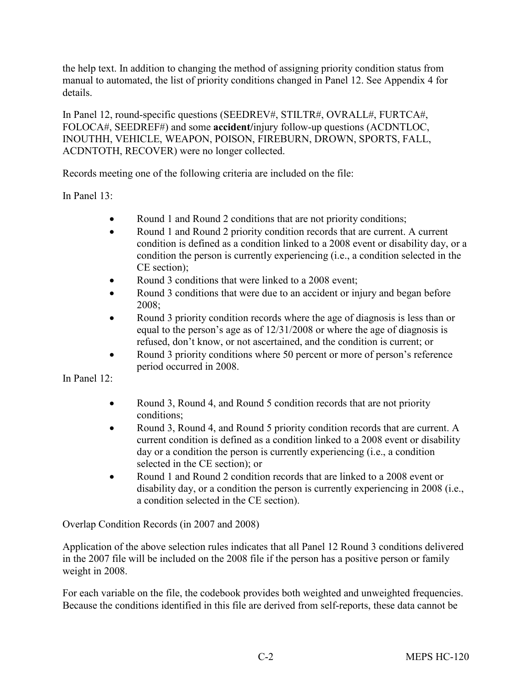the help text. In addition to changing the method of assigning priority condition status from manual to automated, the list of priority conditions changed in Panel 12. See Appendix 4 for details.

In Panel 12, round-specific questions (SEEDREV#, STILTR#, OVRALL#, FURTCA#, FOLOCA#, SEEDREF#) and some **accident/**injury follow-up questions (ACDNTLOC, INOUTHH, VEHICLE, WEAPON, POISON, FIREBURN, DROWN, SPORTS, FALL, ACDNTOTH, RECOVER) were no longer collected.

Records meeting one of the following criteria are included on the file:

In Panel 13:

- Round 1 and Round 2 conditions that are not priority conditions;
- Round 1 and Round 2 priority condition records that are current. A current condition is defined as a condition linked to a 2008 event or disability day, or a condition the person is currently experiencing (i.e., a condition selected in the CE section);
- Round 3 conditions that were linked to a 2008 event;
- Round 3 conditions that were due to an accident or injury and began before 2008;
- Round 3 priority condition records where the age of diagnosis is less than or equal to the person's age as of 12/31/2008 or where the age of diagnosis is refused, don't know, or not ascertained, and the condition is current; or
- Round 3 priority conditions where 50 percent or more of person's reference period occurred in 2008.

In Panel 12:

- Round 3, Round 4, and Round 5 condition records that are not priority conditions;
- Round 3, Round 4, and Round 5 priority condition records that are current. A current condition is defined as a condition linked to a 2008 event or disability day or a condition the person is currently experiencing (i.e., a condition selected in the CE section); or
- Round 1 and Round 2 condition records that are linked to a 2008 event or disability day, or a condition the person is currently experiencing in 2008 (i.e., a condition selected in the CE section).

Overlap Condition Records (in 2007 and 2008)

Application of the above selection rules indicates that all Panel 12 Round 3 conditions delivered in the 2007 file will be included on the 2008 file if the person has a positive person or family weight in 2008.

For each variable on the file, the codebook provides both weighted and unweighted frequencies. Because the conditions identified in this file are derived from self-reports, these data cannot be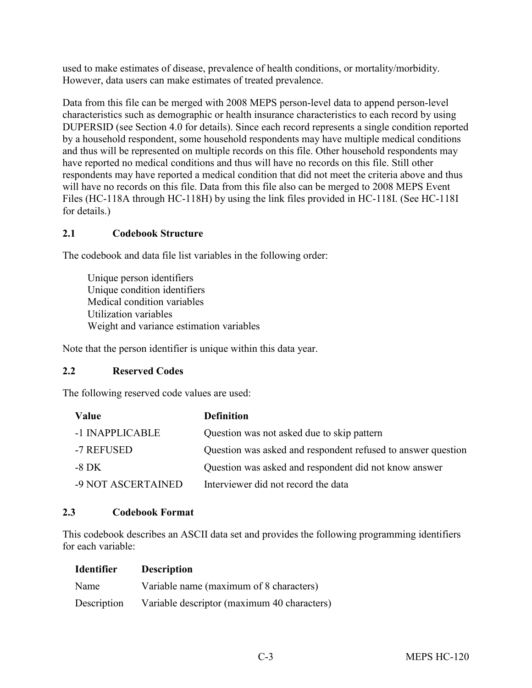used to make estimates of disease, prevalence of health conditions, or mortality/morbidity. However, data users can make estimates of treated prevalence.

Data from this file can be merged with 2008 MEPS person-level data to append person-level characteristics such as demographic or health insurance characteristics to each record by using DUPERSID (see Section 4.0 for details). Since each record represents a single condition reported by a household respondent, some household respondents may have multiple medical conditions and thus will be represented on multiple records on this file. Other household respondents may have reported no medical conditions and thus will have no records on this file. Still other respondents may have reported a medical condition that did not meet the criteria above and thus will have no records on this file. Data from this file also can be merged to 2008 MEPS Event Files (HC-118A through HC-118H) by using the link files provided in HC-118I. (See HC-118I for details.)

## **2.1 Codebook Structure**

The codebook and data file list variables in the following order:

Unique person identifiers Unique condition identifiers Medical condition variables Utilization variables Weight and variance estimation variables

Note that the person identifier is unique within this data year.

## **2.2 Reserved Codes**

The following reserved code values are used:

| Value              | <b>Definition</b>                                            |
|--------------------|--------------------------------------------------------------|
| -1 INAPPLICABLE    | Question was not asked due to skip pattern                   |
| -7 REFUSED         | Question was asked and respondent refused to answer question |
| -8 DK              | Question was asked and respondent did not know answer        |
| -9 NOT ASCERTAINED | Interviewer did not record the data                          |

## **2.3 Codebook Format**

This codebook describes an ASCII data set and provides the following programming identifiers for each variable:

| <b>Identifier</b> | <b>Description</b>                          |
|-------------------|---------------------------------------------|
| Name              | Variable name (maximum of 8 characters)     |
| Description       | Variable descriptor (maximum 40 characters) |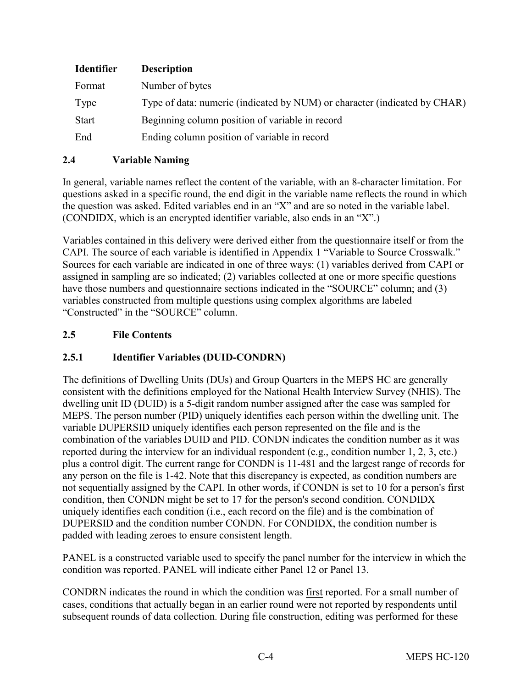| <b>Identifier</b> | <b>Description</b>                                                        |
|-------------------|---------------------------------------------------------------------------|
| Format            | Number of bytes                                                           |
| Type              | Type of data: numeric (indicated by NUM) or character (indicated by CHAR) |
| <b>Start</b>      | Beginning column position of variable in record                           |
| End               | Ending column position of variable in record                              |

#### **2.4 Variable Naming**

In general, variable names reflect the content of the variable, with an 8-character limitation. For questions asked in a specific round, the end digit in the variable name reflects the round in which the question was asked. Edited variables end in an "X" and are so noted in the variable label. (CONDIDX, which is an encrypted identifier variable, also ends in an "X".)

Variables contained in this delivery were derived either from the questionnaire itself or from the CAPI. The source of each variable is identified in Appendix 1 "Variable to Source Crosswalk." Sources for each variable are indicated in one of three ways: (1) variables derived from CAPI or assigned in sampling are so indicated; (2) variables collected at one or more specific questions have those numbers and questionnaire sections indicated in the "SOURCE" column; and (3) variables constructed from multiple questions using complex algorithms are labeled "Constructed" in the "SOURCE" column.

#### **2.5 File Contents**

## **2.5.1 Identifier Variables (DUID-CONDRN)**

The definitions of Dwelling Units (DUs) and Group Quarters in the MEPS HC are generally consistent with the definitions employed for the National Health Interview Survey (NHIS). The dwelling unit ID (DUID) is a 5-digit random number assigned after the case was sampled for MEPS. The person number (PID) uniquely identifies each person within the dwelling unit. The variable DUPERSID uniquely identifies each person represented on the file and is the combination of the variables DUID and PID. CONDN indicates the condition number as it was reported during the interview for an individual respondent (e.g., condition number 1, 2, 3, etc.) plus a control digit. The current range for CONDN is 11-481 and the largest range of records for any person on the file is 1-42. Note that this discrepancy is expected, as condition numbers are not sequentially assigned by the CAPI. In other words, if CONDN is set to 10 for a person's first condition, then CONDN might be set to 17 for the person's second condition. CONDIDX uniquely identifies each condition (i.e., each record on the file) and is the combination of DUPERSID and the condition number CONDN. For CONDIDX, the condition number is padded with leading zeroes to ensure consistent length.

PANEL is a constructed variable used to specify the panel number for the interview in which the condition was reported. PANEL will indicate either Panel 12 or Panel 13.

CONDRN indicates the round in which the condition was first reported. For a small number of cases, conditions that actually began in an earlier round were not reported by respondents until subsequent rounds of data collection. During file construction, editing was performed for these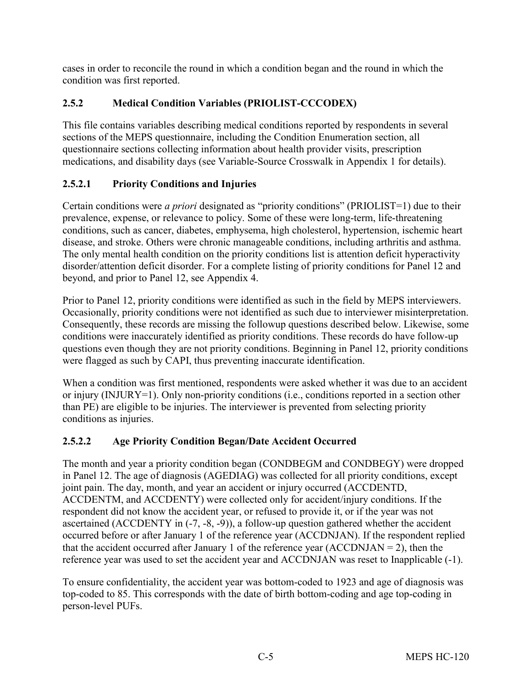cases in order to reconcile the round in which a condition began and the round in which the condition was first reported.

# **2.5.2 Medical Condition Variables (PRIOLIST-CCCODEX)**

This file contains variables describing medical conditions reported by respondents in several sections of the MEPS questionnaire, including the Condition Enumeration section, all questionnaire sections collecting information about health provider visits, prescription medications, and disability days (see Variable-Source Crosswalk in Appendix 1 for details).

# **2.5.2.1 Priority Conditions and Injuries**

Certain conditions were *a priori* designated as "priority conditions" (PRIOLIST=1) due to their prevalence, expense, or relevance to policy. Some of these were long-term, life-threatening conditions, such as cancer, diabetes, emphysema, high cholesterol, hypertension, ischemic heart disease, and stroke. Others were chronic manageable conditions, including arthritis and asthma. The only mental health condition on the priority conditions list is attention deficit hyperactivity disorder/attention deficit disorder. For a complete listing of priority conditions for Panel 12 and beyond, and prior to Panel 12, see Appendix 4.

Prior to Panel 12, priority conditions were identified as such in the field by MEPS interviewers. Occasionally, priority conditions were not identified as such due to interviewer misinterpretation. Consequently, these records are missing the followup questions described below. Likewise, some conditions were inaccurately identified as priority conditions. These records do have follow-up questions even though they are not priority conditions. Beginning in Panel 12, priority conditions were flagged as such by CAPI, thus preventing inaccurate identification.

When a condition was first mentioned, respondents were asked whether it was due to an accident or injury (INJURY=1). Only non-priority conditions (i.e., conditions reported in a section other than PE) are eligible to be injuries. The interviewer is prevented from selecting priority conditions as injuries.

# **2.5.2.2 Age Priority Condition Began/Date Accident Occurred**

The month and year a priority condition began (CONDBEGM and CONDBEGY) were dropped in Panel 12. The age of diagnosis (AGEDIAG) was collected for all priority conditions, except joint pain. The day, month, and year an accident or injury occurred (ACCDENTD, ACCDENTM, and ACCDENTY) were collected only for accident/injury conditions. If the respondent did not know the accident year, or refused to provide it, or if the year was not ascertained (ACCDENTY in (-7, -8, -9)), a follow-up question gathered whether the accident occurred before or after January 1 of the reference year (ACCDNJAN). If the respondent replied that the accident occurred after January 1 of the reference year  $(ACCDNJAN = 2)$ , then the reference year was used to set the accident year and ACCDNJAN was reset to Inapplicable (-1).

To ensure confidentiality, the accident year was bottom-coded to 1923 and age of diagnosis was top-coded to 85. This corresponds with the date of birth bottom-coding and age top-coding in person-level PUFs.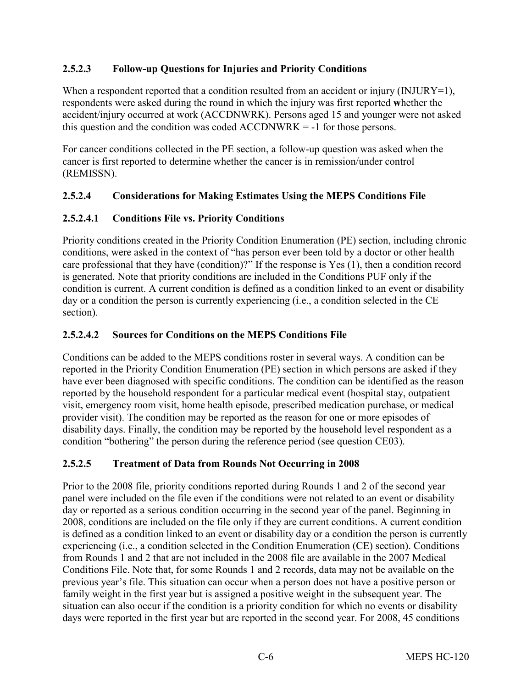## **2.5.2.3 Follow-up Questions for Injuries and Priority Conditions**

When a respondent reported that a condition resulted from an accident or injury (INJURY=1), respondents were asked during the round in which the injury was first reported **w**hether the accident/injury occurred at work (ACCDNWRK). Persons aged 15 and younger were not asked this question and the condition was coded ACCDNWRK = -1 for those persons.

For cancer conditions collected in the PE section, a follow-up question was asked when the cancer is first reported to determine whether the cancer is in remission/under control (REMISSN).

## **2.5.2.4 Considerations for Making Estimates Using the MEPS Conditions File**

## **2.5.2.4.1 Conditions File vs. Priority Conditions**

Priority conditions created in the Priority Condition Enumeration (PE) section, including chronic conditions, were asked in the context of "has person ever been told by a doctor or other health care professional that they have (condition)?" If the response is Yes (1), then a condition record is generated. Note that priority conditions are included in the Conditions PUF only if the condition is current. A current condition is defined as a condition linked to an event or disability day or a condition the person is currently experiencing (i.e., a condition selected in the CE section).

#### **2.5.2.4.2 Sources for Conditions on the MEPS Conditions File**

Conditions can be added to the MEPS conditions roster in several ways. A condition can be reported in the Priority Condition Enumeration (PE) section in which persons are asked if they have ever been diagnosed with specific conditions. The condition can be identified as the reason reported by the household respondent for a particular medical event (hospital stay, outpatient visit, emergency room visit, home health episode, prescribed medication purchase, or medical provider visit). The condition may be reported as the reason for one or more episodes of disability days. Finally, the condition may be reported by the household level respondent as a condition "bothering" the person during the reference period (see question CE03).

## **2.5.2.5 Treatment of Data from Rounds Not Occurring in 2008**

Prior to the 2008 file, priority conditions reported during Rounds 1 and 2 of the second year panel were included on the file even if the conditions were not related to an event or disability day or reported as a serious condition occurring in the second year of the panel. Beginning in 2008, conditions are included on the file only if they are current conditions. A current condition is defined as a condition linked to an event or disability day or a condition the person is currently experiencing (i.e., a condition selected in the Condition Enumeration (CE) section). Conditions from Rounds 1 and 2 that are not included in the 2008 file are available in the 2007 Medical Conditions File. Note that, for some Rounds 1 and 2 records, data may not be available on the previous year's file. This situation can occur when a person does not have a positive person or family weight in the first year but is assigned a positive weight in the subsequent year. The situation can also occur if the condition is a priority condition for which no events or disability days were reported in the first year but are reported in the second year. For 2008, 45 conditions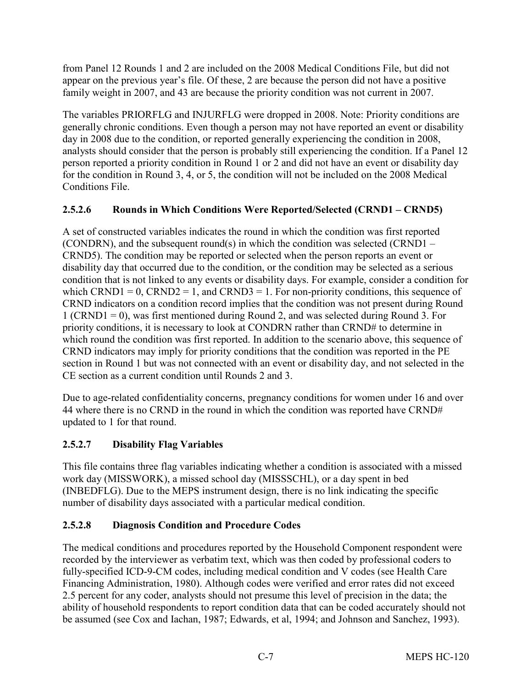from Panel 12 Rounds 1 and 2 are included on the 2008 Medical Conditions File, but did not appear on the previous year's file. Of these, 2 are because the person did not have a positive family weight in 2007, and 43 are because the priority condition was not current in 2007.

The variables PRIORFLG and INJURFLG were dropped in 2008. Note: Priority conditions are generally chronic conditions. Even though a person may not have reported an event or disability day in 2008 due to the condition, or reported generally experiencing the condition in 2008, analysts should consider that the person is probably still experiencing the condition. If a Panel 12 person reported a priority condition in Round 1 or 2 and did not have an event or disability day for the condition in Round 3, 4, or 5, the condition will not be included on the 2008 Medical Conditions File.

# **2.5.2.6 Rounds in Which Conditions Were Reported/Selected (CRND1 – CRND5)**

A set of constructed variables indicates the round in which the condition was first reported (CONDRN), and the subsequent round(s) in which the condition was selected (CRND1 – CRND5). The condition may be reported or selected when the person reports an event or disability day that occurred due to the condition, or the condition may be selected as a serious condition that is not linked to any events or disability days. For example, consider a condition for which CRND1 = 0, CRND2 = 1, and CRND3 = 1. For non-priority conditions, this sequence of CRND indicators on a condition record implies that the condition was not present during Round 1 (CRND1 = 0), was first mentioned during Round 2, and was selected during Round 3. For priority conditions, it is necessary to look at CONDRN rather than CRND# to determine in which round the condition was first reported. In addition to the scenario above, this sequence of CRND indicators may imply for priority conditions that the condition was reported in the PE section in Round 1 but was not connected with an event or disability day, and not selected in the CE section as a current condition until Rounds 2 and 3.

Due to age-related confidentiality concerns, pregnancy conditions for women under 16 and over 44 where there is no CRND in the round in which the condition was reported have CRND# updated to 1 for that round.

# **2.5.2.7 Disability Flag Variables**

This file contains three flag variables indicating whether a condition is associated with a missed work day (MISSWORK), a missed school day (MISSSCHL), or a day spent in bed (INBEDFLG). Due to the MEPS instrument design, there is no link indicating the specific number of disability days associated with a particular medical condition.

## **2.5.2.8 Diagnosis Condition and Procedure Codes**

The medical conditions and procedures reported by the Household Component respondent were recorded by the interviewer as verbatim text, which was then coded by professional coders to fully-specified ICD-9-CM codes, including medical condition and V codes (see Health Care Financing Administration, 1980). Although codes were verified and error rates did not exceed 2.5 percent for any coder, analysts should not presume this level of precision in the data; the ability of household respondents to report condition data that can be coded accurately should not be assumed (see Cox and Iachan, 1987; Edwards, et al, 1994; and Johnson and Sanchez, 1993).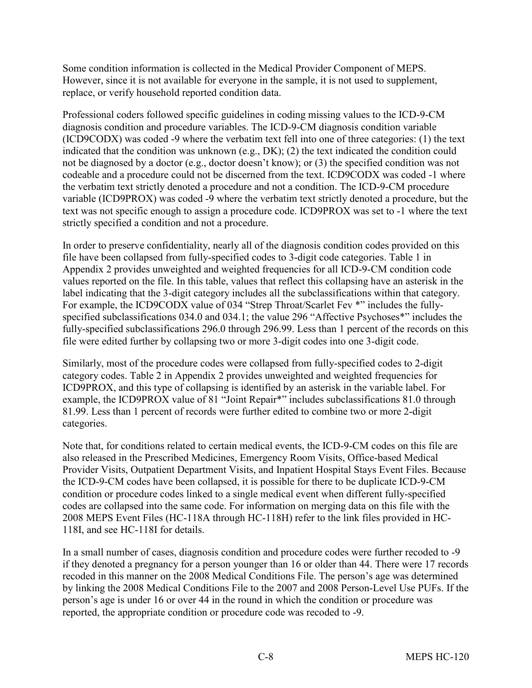Some condition information is collected in the Medical Provider Component of MEPS. However, since it is not available for everyone in the sample, it is not used to supplement, replace, or verify household reported condition data.

Professional coders followed specific guidelines in coding missing values to the ICD-9-CM diagnosis condition and procedure variables. The ICD-9-CM diagnosis condition variable (ICD9CODX) was coded -9 where the verbatim text fell into one of three categories: (1) the text indicated that the condition was unknown (e.g., DK); (2) the text indicated the condition could not be diagnosed by a doctor (e.g., doctor doesn't know); or (3) the specified condition was not codeable and a procedure could not be discerned from the text. ICD9CODX was coded -1 where the verbatim text strictly denoted a procedure and not a condition. The ICD-9-CM procedure variable (ICD9PROX) was coded -9 where the verbatim text strictly denoted a procedure, but the text was not specific enough to assign a procedure code. ICD9PROX was set to -1 where the text strictly specified a condition and not a procedure.

In order to preserve confidentiality, nearly all of the diagnosis condition codes provided on this file have been collapsed from fully-specified codes to 3-digit code categories. Table 1 in Appendix 2 provides unweighted and weighted frequencies for all ICD-9-CM condition code values reported on the file. In this table, values that reflect this collapsing have an asterisk in the label indicating that the 3-digit category includes all the subclassifications within that category. For example, the ICD9CODX value of 034 "Strep Throat/Scarlet Fev \*" includes the fullyspecified subclassifications 034.0 and 034.1; the value 296 "Affective Psychoses\*" includes the fully-specified subclassifications 296.0 through 296.99. Less than 1 percent of the records on this file were edited further by collapsing two or more 3-digit codes into one 3-digit code.

Similarly, most of the procedure codes were collapsed from fully-specified codes to 2-digit category codes. Table 2 in Appendix 2 provides unweighted and weighted frequencies for ICD9PROX, and this type of collapsing is identified by an asterisk in the variable label. For example, the ICD9PROX value of 81 "Joint Repair\*" includes subclassifications 81.0 through 81.99. Less than 1 percent of records were further edited to combine two or more 2-digit categories.

Note that, for conditions related to certain medical events, the ICD-9-CM codes on this file are also released in the Prescribed Medicines, Emergency Room Visits, Office-based Medical Provider Visits, Outpatient Department Visits, and Inpatient Hospital Stays Event Files. Because the ICD-9-CM codes have been collapsed, it is possible for there to be duplicate ICD-9-CM condition or procedure codes linked to a single medical event when different fully-specified codes are collapsed into the same code. For information on merging data on this file with the 2008 MEPS Event Files (HC-118A through HC-118H) refer to the link files provided in HC-118I, and see HC-118I for details.

In a small number of cases, diagnosis condition and procedure codes were further recoded to -9 if they denoted a pregnancy for a person younger than 16 or older than 44. There were 17 records recoded in this manner on the 2008 Medical Conditions File. The person's age was determined by linking the 2008 Medical Conditions File to the 2007 and 2008 Person-Level Use PUFs. If the person's age is under 16 or over 44 in the round in which the condition or procedure was reported, the appropriate condition or procedure code was recoded to -9.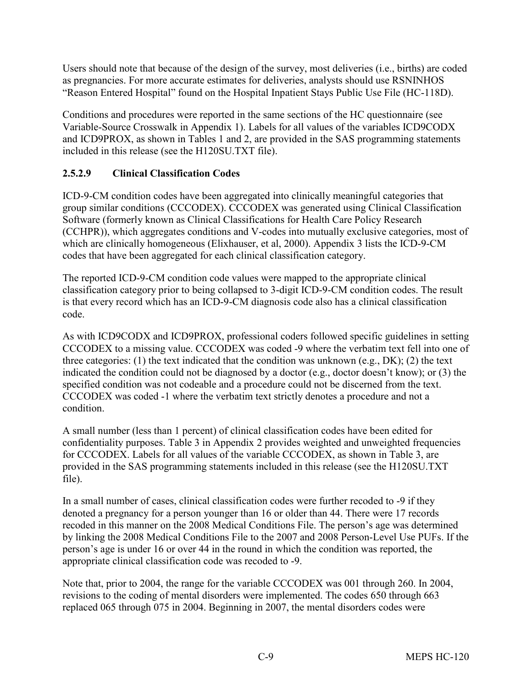Users should note that because of the design of the survey, most deliveries (i.e., births) are coded as pregnancies. For more accurate estimates for deliveries, analysts should use RSNINHOS "Reason Entered Hospital" found on the Hospital Inpatient Stays Public Use File (HC-118D).

Conditions and procedures were reported in the same sections of the HC questionnaire (see Variable-Source Crosswalk in Appendix 1). Labels for all values of the variables ICD9CODX and ICD9PROX, as shown in Tables 1 and 2, are provided in the SAS programming statements included in this release (see the H120SU.TXT file).

## **2.5.2.9 Clinical Classification Codes**

ICD-9-CM condition codes have been aggregated into clinically meaningful categories that group similar conditions (CCCODEX). CCCODEX was generated using Clinical Classification Software (formerly known as Clinical Classifications for Health Care Policy Research (CCHPR)), which aggregates conditions and V-codes into mutually exclusive categories, most of which are clinically homogeneous (Elixhauser, et al, 2000). Appendix 3 lists the ICD-9-CM codes that have been aggregated for each clinical classification category.

The reported ICD-9-CM condition code values were mapped to the appropriate clinical classification category prior to being collapsed to 3-digit ICD-9-CM condition codes. The result is that every record which has an ICD-9-CM diagnosis code also has a clinical classification code.

As with ICD9CODX and ICD9PROX, professional coders followed specific guidelines in setting CCCODEX to a missing value. CCCODEX was coded -9 where the verbatim text fell into one of three categories: (1) the text indicated that the condition was unknown (e.g., DK); (2) the text indicated the condition could not be diagnosed by a doctor (e.g., doctor doesn't know); or (3) the specified condition was not codeable and a procedure could not be discerned from the text. CCCODEX was coded -1 where the verbatim text strictly denotes a procedure and not a condition.

A small number (less than 1 percent) of clinical classification codes have been edited for confidentiality purposes. Table 3 in Appendix 2 provides weighted and unweighted frequencies for CCCODEX. Labels for all values of the variable CCCODEX, as shown in Table 3, are provided in the SAS programming statements included in this release (see the H120SU.TXT file).

In a small number of cases, clinical classification codes were further recoded to -9 if they denoted a pregnancy for a person younger than 16 or older than 44. There were 17 records recoded in this manner on the 2008 Medical Conditions File. The person's age was determined by linking the 2008 Medical Conditions File to the 2007 and 2008 Person-Level Use PUFs. If the person's age is under 16 or over 44 in the round in which the condition was reported, the appropriate clinical classification code was recoded to -9.

Note that, prior to 2004, the range for the variable CCCODEX was 001 through 260. In 2004, revisions to the coding of mental disorders were implemented. The codes 650 through 663 replaced 065 through 075 in 2004. Beginning in 2007, the mental disorders codes were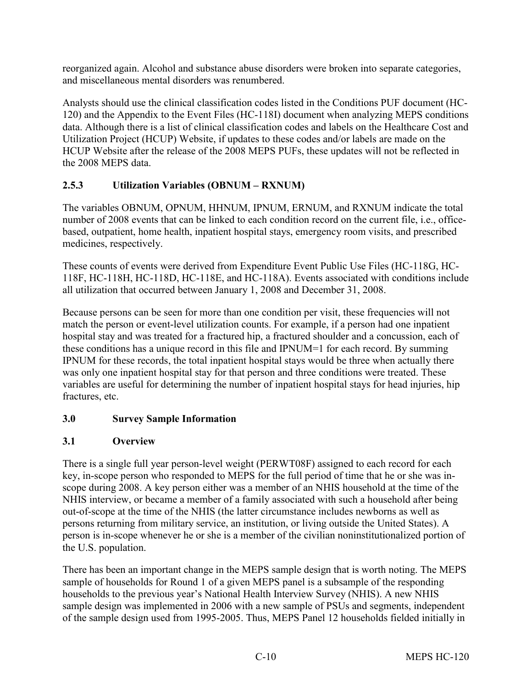reorganized again. Alcohol and substance abuse disorders were broken into separate categories, and miscellaneous mental disorders was renumbered.

Analysts should use the clinical classification codes listed in the Conditions PUF document (HC-120) and the Appendix to the Event Files (HC-118I) document when analyzing MEPS conditions data. Although there is a list of clinical classification codes and labels on the Healthcare Cost and Utilization Project (HCUP) Website, if updates to these codes and/or labels are made on the HCUP Website after the release of the 2008 MEPS PUFs, these updates will not be reflected in the 2008 MEPS data.

# **2.5.3 Utilization Variables (OBNUM – RXNUM)**

The variables OBNUM, OPNUM, HHNUM, IPNUM, ERNUM, and RXNUM indicate the total number of 2008 events that can be linked to each condition record on the current file, i.e., officebased, outpatient, home health, inpatient hospital stays, emergency room visits, and prescribed medicines, respectively.

These counts of events were derived from Expenditure Event Public Use Files (HC-118G, HC-118F, HC-118H, HC-118D, HC-118E, and HC-118A). Events associated with conditions include all utilization that occurred between January 1, 2008 and December 31, 2008.

Because persons can be seen for more than one condition per visit, these frequencies will not match the person or event-level utilization counts. For example, if a person had one inpatient hospital stay and was treated for a fractured hip, a fractured shoulder and a concussion, each of these conditions has a unique record in this file and IPNUM=1 for each record. By summing IPNUM for these records, the total inpatient hospital stays would be three when actually there was only one inpatient hospital stay for that person and three conditions were treated. These variables are useful for determining the number of inpatient hospital stays for head injuries, hip fractures, etc.

# **3.0 Survey Sample Information**

# **3.1 Overview**

There is a single full year person-level weight (PERWT08F) assigned to each record for each key, in-scope person who responded to MEPS for the full period of time that he or she was inscope during 2008. A key person either was a member of an NHIS household at the time of the NHIS interview, or became a member of a family associated with such a household after being out-of-scope at the time of the NHIS (the latter circumstance includes newborns as well as persons returning from military service, an institution, or living outside the United States). A person is in-scope whenever he or she is a member of the civilian noninstitutionalized portion of the U.S. population.

There has been an important change in the MEPS sample design that is worth noting. The MEPS sample of households for Round 1 of a given MEPS panel is a subsample of the responding households to the previous year's National Health Interview Survey (NHIS). A new NHIS sample design was implemented in 2006 with a new sample of PSUs and segments, independent of the sample design used from 1995-2005. Thus, MEPS Panel 12 households fielded initially in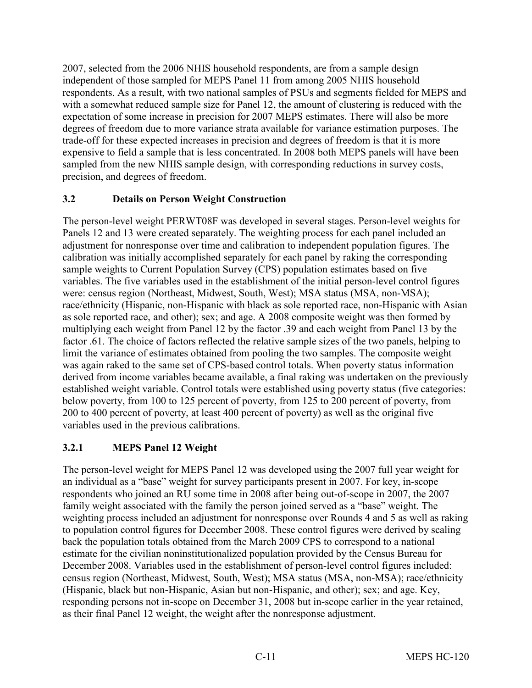2007, selected from the 2006 NHIS household respondents, are from a sample design independent of those sampled for MEPS Panel 11 from among 2005 NHIS household respondents. As a result, with two national samples of PSUs and segments fielded for MEPS and with a somewhat reduced sample size for Panel 12, the amount of clustering is reduced with the expectation of some increase in precision for 2007 MEPS estimates. There will also be more degrees of freedom due to more variance strata available for variance estimation purposes. The trade-off for these expected increases in precision and degrees of freedom is that it is more expensive to field a sample that is less concentrated. In 2008 both MEPS panels will have been sampled from the new NHIS sample design, with corresponding reductions in survey costs, precision, and degrees of freedom.

#### **3.2 Details on Person Weight Construction**

The person-level weight PERWT08F was developed in several stages. Person-level weights for Panels 12 and 13 were created separately. The weighting process for each panel included an adjustment for nonresponse over time and calibration to independent population figures. The calibration was initially accomplished separately for each panel by raking the corresponding sample weights to Current Population Survey (CPS) population estimates based on five variables. The five variables used in the establishment of the initial person-level control figures were: census region (Northeast, Midwest, South, West); MSA status (MSA, non-MSA); race/ethnicity (Hispanic, non-Hispanic with black as sole reported race, non-Hispanic with Asian as sole reported race, and other); sex; and age. A 2008 composite weight was then formed by multiplying each weight from Panel 12 by the factor .39 and each weight from Panel 13 by the factor .61. The choice of factors reflected the relative sample sizes of the two panels, helping to limit the variance of estimates obtained from pooling the two samples. The composite weight was again raked to the same set of CPS-based control totals. When poverty status information derived from income variables became available, a final raking was undertaken on the previously established weight variable. Control totals were established using poverty status (five categories: below poverty, from 100 to 125 percent of poverty, from 125 to 200 percent of poverty, from 200 to 400 percent of poverty, at least 400 percent of poverty) as well as the original five variables used in the previous calibrations.

## **3.2.1 MEPS Panel 12 Weight**

The person-level weight for MEPS Panel 12 was developed using the 2007 full year weight for an individual as a "base" weight for survey participants present in 2007. For key, in-scope respondents who joined an RU some time in 2008 after being out-of-scope in 2007, the 2007 family weight associated with the family the person joined served as a "base" weight. The weighting process included an adjustment for nonresponse over Rounds 4 and 5 as well as raking to population control figures for December 2008. These control figures were derived by scaling back the population totals obtained from the March 2009 CPS to correspond to a national estimate for the civilian noninstitutionalized population provided by the Census Bureau for December 2008. Variables used in the establishment of person-level control figures included: census region (Northeast, Midwest, South, West); MSA status (MSA, non-MSA); race/ethnicity (Hispanic, black but non-Hispanic, Asian but non-Hispanic, and other); sex; and age. Key, responding persons not in-scope on December 31, 2008 but in-scope earlier in the year retained, as their final Panel 12 weight, the weight after the nonresponse adjustment.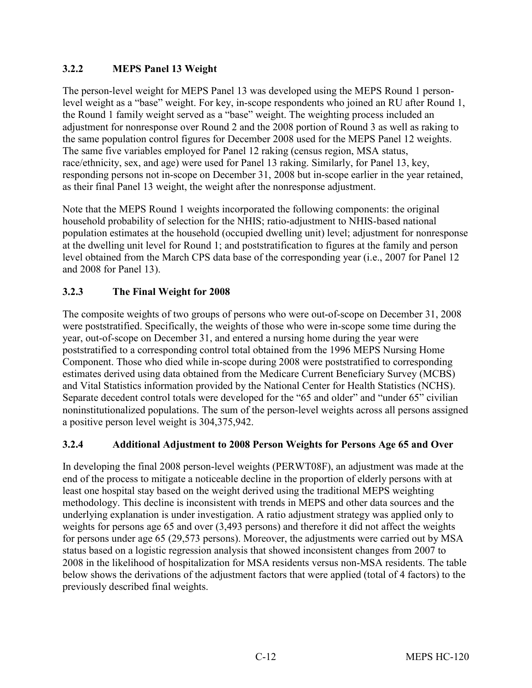## **3.2.2 MEPS Panel 13 Weight**

The person-level weight for MEPS Panel 13 was developed using the MEPS Round 1 personlevel weight as a "base" weight. For key, in-scope respondents who joined an RU after Round 1, the Round 1 family weight served as a "base" weight. The weighting process included an adjustment for nonresponse over Round 2 and the 2008 portion of Round 3 as well as raking to the same population control figures for December 2008 used for the MEPS Panel 12 weights. The same five variables employed for Panel 12 raking (census region, MSA status, race/ethnicity, sex, and age) were used for Panel 13 raking. Similarly, for Panel 13, key, responding persons not in-scope on December 31, 2008 but in-scope earlier in the year retained, as their final Panel 13 weight, the weight after the nonresponse adjustment.

Note that the MEPS Round 1 weights incorporated the following components: the original household probability of selection for the NHIS; ratio-adjustment to NHIS-based national population estimates at the household (occupied dwelling unit) level; adjustment for nonresponse at the dwelling unit level for Round 1; and poststratification to figures at the family and person level obtained from the March CPS data base of the corresponding year (i.e., 2007 for Panel 12 and 2008 for Panel 13).

## **3.2.3 The Final Weight for 2008**

The composite weights of two groups of persons who were out-of-scope on December 31, 2008 were poststratified. Specifically, the weights of those who were in-scope some time during the year, out-of-scope on December 31, and entered a nursing home during the year were poststratified to a corresponding control total obtained from the 1996 MEPS Nursing Home Component. Those who died while in-scope during 2008 were poststratified to corresponding estimates derived using data obtained from the Medicare Current Beneficiary Survey (MCBS) and Vital Statistics information provided by the National Center for Health Statistics (NCHS). Separate decedent control totals were developed for the "65 and older" and "under 65" civilian noninstitutionalized populations. The sum of the person-level weights across all persons assigned a positive person level weight is 304,375,942.

#### **3.2.4 Additional Adjustment to 2008 Person Weights for Persons Age 65 and Over**

In developing the final 2008 person-level weights (PERWT08F), an adjustment was made at the end of the process to mitigate a noticeable decline in the proportion of elderly persons with at least one hospital stay based on the weight derived using the traditional MEPS weighting methodology. This decline is inconsistent with trends in MEPS and other data sources and the underlying explanation is under investigation. A ratio adjustment strategy was applied only to weights for persons age 65 and over (3,493 persons) and therefore it did not affect the weights for persons under age 65 (29,573 persons). Moreover, the adjustments were carried out by MSA status based on a logistic regression analysis that showed inconsistent changes from 2007 to 2008 in the likelihood of hospitalization for MSA residents versus non-MSA residents. The table below shows the derivations of the adjustment factors that were applied (total of 4 factors) to the previously described final weights.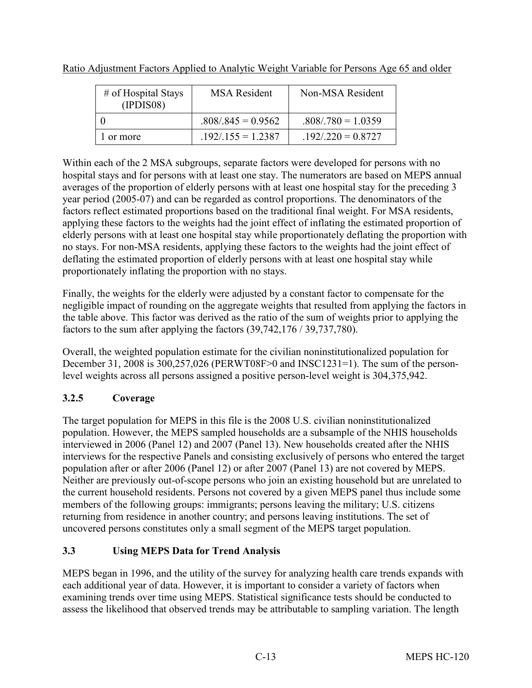| # of Hospital Stays<br>(IPDIS08) | <b>MSA</b> Resident  | Non-MSA Resident     |
|----------------------------------|----------------------|----------------------|
|                                  | $.808/.845 = 0.9562$ | $.808/.780 = 1.0359$ |
| or more                          | $192/155 = 1.2387$   | $.192/.220 = 0.8727$ |

Ratio Adjustment Factors Applied to Analytic Weight Variable for Persons Age 65 and older

Within each of the 2 MSA subgroups, separate factors were developed for persons with no hospital stays and for persons with at least one stay. The numerators are based on MEPS annual averages of the proportion of elderly persons with at least one hospital stay for the preceding 3 year period (2005-07) and can be regarded as control proportions. The denominators of the factors reflect estimated proportions based on the traditional final weight. For MSA residents, applying these factors to the weights had the joint effect of inflating the estimated proportion of elderly persons with at least one hospital stay while proportionately deflating the proportion with no stays. For non-MSA residents, applying these factors to the weights had the joint effect of deflating the estimated proportion of elderly persons with at least one hospital stay while proportionately inflating the proportion with no stays.

Finally, the weights for the elderly were adjusted by a constant factor to compensate for the negligible impact of rounding on the aggregate weights that resulted from applying the factors in the table above. This factor was derived as the ratio of the sum of weights prior to applying the factors to the sum after applying the factors (39,742,176 / 39,737,780).

Overall, the weighted population estimate for the civilian noninstitutionalized population for December 31, 2008 is 300,257,026 (PERWT08F>0 and INSC1231=1). The sum of the personlevel weights across all persons assigned a positive person-level weight is 304,375,942.

# **3.2.5 Coverage**

The target population for MEPS in this file is the 2008 U.S. civilian noninstitutionalized population. However, the MEPS sampled households are a subsample of the NHIS households interviewed in 2006 (Panel 12) and 2007 (Panel 13). New households created after the NHIS interviews for the respective Panels and consisting exclusively of persons who entered the target population after or after 2006 (Panel 12) or after 2007 (Panel 13) are not covered by MEPS. Neither are previously out-of-scope persons who join an existing household but are unrelated to the current household residents. Persons not covered by a given MEPS panel thus include some members of the following groups: immigrants; persons leaving the military; U.S. citizens returning from residence in another country; and persons leaving institutions. The set of uncovered persons constitutes only a small segment of the MEPS target population.

# **3.3 Using MEPS Data for Trend Analysis**

MEPS began in 1996, and the utility of the survey for analyzing health care trends expands with each additional year of data. However, it is important to consider a variety of factors when examining trends over time using MEPS. Statistical significance tests should be conducted to assess the likelihood that observed trends may be attributable to sampling variation. The length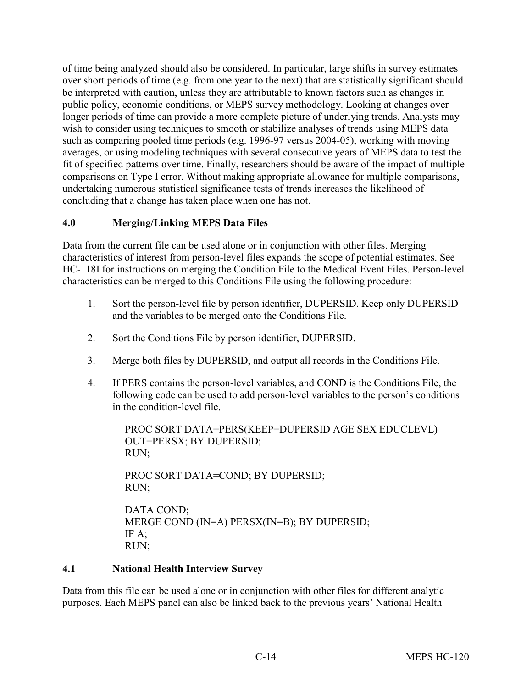of time being analyzed should also be considered. In particular, large shifts in survey estimates over short periods of time (e.g. from one year to the next) that are statistically significant should be interpreted with caution, unless they are attributable to known factors such as changes in public policy, economic conditions, or MEPS survey methodology. Looking at changes over longer periods of time can provide a more complete picture of underlying trends. Analysts may wish to consider using techniques to smooth or stabilize analyses of trends using MEPS data such as comparing pooled time periods (e.g. 1996-97 versus 2004-05), working with moving averages, or using modeling techniques with several consecutive years of MEPS data to test the fit of specified patterns over time. Finally, researchers should be aware of the impact of multiple comparisons on Type I error. Without making appropriate allowance for multiple comparisons, undertaking numerous statistical significance tests of trends increases the likelihood of concluding that a change has taken place when one has not.

## **4.0 Merging/Linking MEPS Data Files**

Data from the current file can be used alone or in conjunction with other files. Merging characteristics of interest from person-level files expands the scope of potential estimates. See HC-118I for instructions on merging the Condition File to the Medical Event Files. Person-level characteristics can be merged to this Conditions File using the following procedure:

- 1. Sort the person-level file by person identifier, DUPERSID. Keep only DUPERSID and the variables to be merged onto the Conditions File.
- 2. Sort the Conditions File by person identifier, DUPERSID.
- 3. Merge both files by DUPERSID, and output all records in the Conditions File.
- 4. If PERS contains the person-level variables, and COND is the Conditions File, the following code can be used to add person-level variables to the person's conditions in the condition-level file.

PROC SORT DATA=PERS(KEEP=DUPERSID AGE SEX EDUCLEVL) OUT=PERSX; BY DUPERSID; RUN;

PROC SORT DATA=COND; BY DUPERSID; RUN;

DATA COND; MERGE COND (IN=A) PERSX(IN=B); BY DUPERSID; IF A; RUN;

## **4.1 National Health Interview Survey**

Data from this file can be used alone or in conjunction with other files for different analytic purposes. Each MEPS panel can also be linked back to the previous years' National Health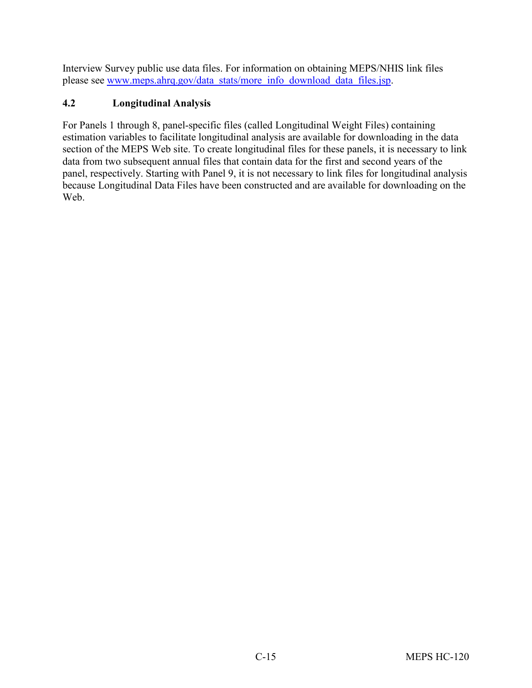Interview Survey public use data files. For information on obtaining MEPS/NHIS link files please see [www.meps.ahrq.gov/data\\_stats/more\\_info\\_download\\_data\\_files.jsp.](http://www.meps.ahrq.gov/data_stats/more_info_download_data_files.jsp)

## **4.2 Longitudinal Analysis**

For Panels 1 through 8, panel-specific files (called Longitudinal Weight Files) containing estimation variables to facilitate longitudinal analysis are available for downloading in the data section of the MEPS Web site. To create longitudinal files for these panels, it is necessary to link data from two subsequent annual files that contain data for the first and second years of the panel, respectively. Starting with Panel 9, it is not necessary to link files for longitudinal analysis because Longitudinal Data Files have been constructed and are available for downloading on the Web.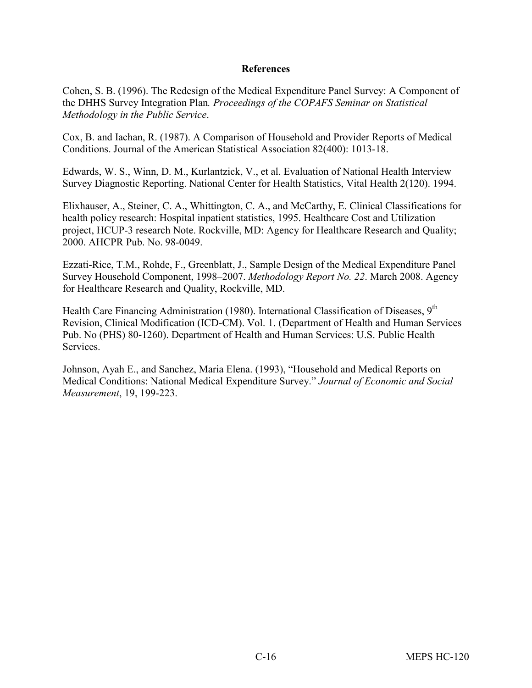#### **References**

Cohen, S. B. (1996). The Redesign of the Medical Expenditure Panel Survey: A Component of the DHHS Survey Integration Plan*. Proceedings of the COPAFS Seminar on Statistical Methodology in the Public Service*.

Cox, B. and Iachan, R. (1987). A Comparison of Household and Provider Reports of Medical Conditions. Journal of the American Statistical Association 82(400): 1013-18.

Edwards, W. S., Winn, D. M., Kurlantzick, V., et al. Evaluation of National Health Interview Survey Diagnostic Reporting. National Center for Health Statistics, Vital Health 2(120). 1994.

Elixhauser, A., Steiner, C. A., Whittington, C. A., and McCarthy, E. Clinical Classifications for health policy research: Hospital inpatient statistics, 1995. Healthcare Cost and Utilization project, HCUP-3 research Note. Rockville, MD: Agency for Healthcare Research and Quality; 2000. AHCPR Pub. No. 98-0049.

Ezzati-Rice, T.M., Rohde, F., Greenblatt, J., Sample Design of the Medical Expenditure Panel Survey Household Component, 1998–2007. *Methodology Report No. 22*. March 2008. Agency for Healthcare Research and Quality, Rockville, MD.

Health Care Financing Administration (1980). International Classification of Diseases, 9<sup>th</sup> Revision, Clinical Modification (ICD-CM). Vol. 1. (Department of Health and Human Services Pub. No (PHS) 80-1260). Department of Health and Human Services: U.S. Public Health Services.

Johnson, Ayah E., and Sanchez, Maria Elena. (1993), "Household and Medical Reports on Medical Conditions: National Medical Expenditure Survey." *Journal of Economic and Social Measurement*, 19, 199-223.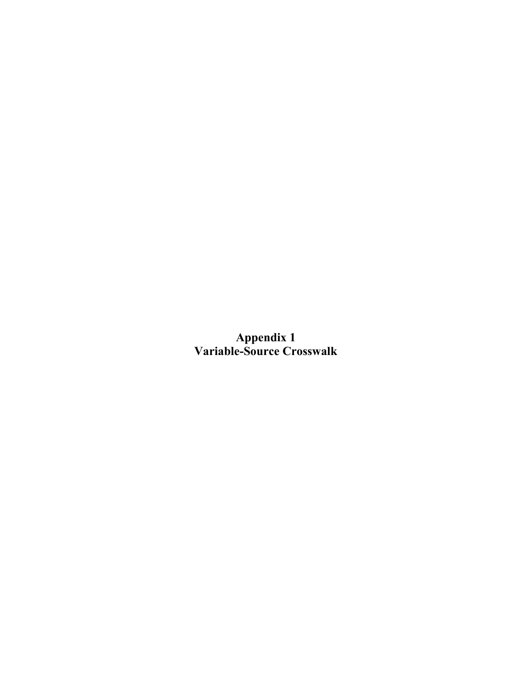**Appendix 1 Variable-Source Crosswalk**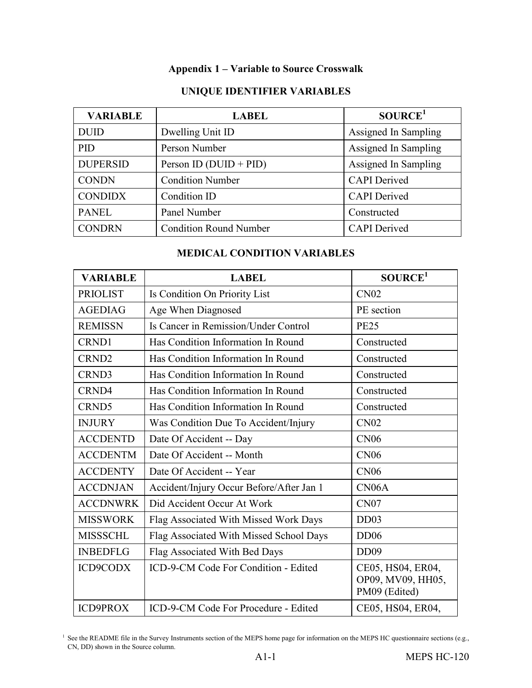## **Appendix 1 – Variable to Source Crosswalk**

| <b>VARIABLE</b>             | <b>LABEL</b>                  | SOURCE <sup>1</sup>  |
|-----------------------------|-------------------------------|----------------------|
| <b>DUID</b>                 | Dwelling Unit ID              | Assigned In Sampling |
| <b>PID</b><br>Person Number |                               | Assigned In Sampling |
| <b>DUPERSID</b>             | Person ID ( $DUID + PID$ )    | Assigned In Sampling |
| <b>CONDN</b>                | <b>Condition Number</b>       | <b>CAPI</b> Derived  |
| <b>CONDIDX</b>              | Condition ID                  | <b>CAPI</b> Derived  |
| <b>PANEL</b>                | Panel Number                  | Constructed          |
| <b>CONDRN</b>               | <b>Condition Round Number</b> | <b>CAPI</b> Derived  |

## **UNIQUE IDENTIFIER VARIABLES**

#### **MEDICAL CONDITION VARIABLES**

| <b>VARIABLE</b>   | <b>LABEL</b>                             | SOURCE <sup>1</sup>                                     |
|-------------------|------------------------------------------|---------------------------------------------------------|
| <b>PRIOLIST</b>   | Is Condition On Priority List            | CN <sub>02</sub>                                        |
| <b>AGEDIAG</b>    | Age When Diagnosed                       | PE section                                              |
| <b>REMISSN</b>    | Is Cancer in Remission/Under Control     | <b>PE25</b>                                             |
| CRND1             | Has Condition Information In Round       | Constructed                                             |
| CRND <sub>2</sub> | Has Condition Information In Round       | Constructed                                             |
| CRND3             | Has Condition Information In Round       | Constructed                                             |
| CRND4             | Has Condition Information In Round       | Constructed                                             |
| CRND5             | Has Condition Information In Round       | Constructed                                             |
| <b>INJURY</b>     | Was Condition Due To Accident/Injury     | <b>CN02</b>                                             |
| <b>ACCDENTD</b>   | Date Of Accident -- Day                  | <b>CN06</b>                                             |
| <b>ACCDENTM</b>   | Date Of Accident -- Month                | <b>CN06</b>                                             |
| <b>ACCDENTY</b>   | Date Of Accident -- Year                 | <b>CN06</b>                                             |
| <b>ACCDNJAN</b>   | Accident/Injury Occur Before/After Jan 1 | CN <sub>06</sub> A                                      |
| <b>ACCDNWRK</b>   | Did Accident Occur At Work               | CN <sub>07</sub>                                        |
| <b>MISSWORK</b>   | Flag Associated With Missed Work Days    | DD03                                                    |
| <b>MISSSCHL</b>   | Flag Associated With Missed School Days  | DD06                                                    |
| <b>INBEDFLG</b>   | Flag Associated With Bed Days            | DD <sub>09</sub>                                        |
| <b>ICD9CODX</b>   | ICD-9-CM Code For Condition - Edited     | CE05, HS04, ER04,<br>OP09, MV09, HH05,<br>PM09 (Edited) |
| <b>ICD9PROX</b>   | ICD-9-CM Code For Procedure - Edited     | CE05, HS04, ER04,                                       |

<sup>1</sup> See the README file in the Survey Instruments section of the MEPS home page for information on the MEPS HC questionnaire sections (e.g., CN, DD) shown in the Source column.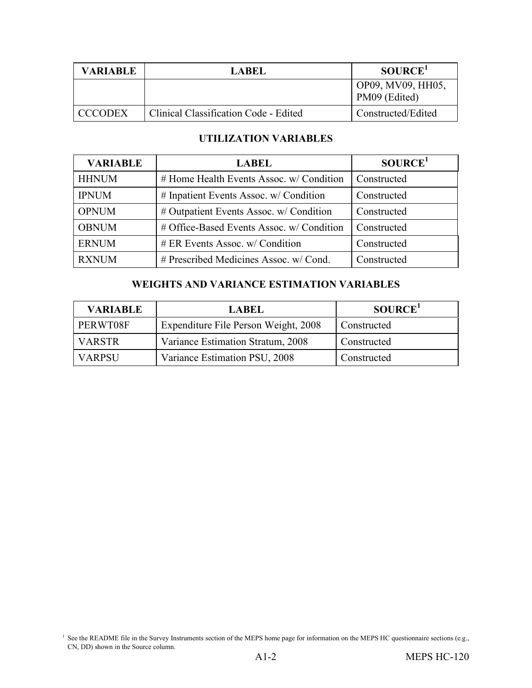| <b>VARIABLE</b><br>LABEL |                                       | SOURCE <sup>1</sup>                |  |
|--------------------------|---------------------------------------|------------------------------------|--|
|                          |                                       | OP09, MV09, HH05,<br>PM09 (Edited) |  |
| <b>CCCODEX</b>           | Clinical Classification Code - Edited | Constructed/Edited                 |  |

#### **UTILIZATION VARIABLES**

| <b>VARIABLE</b> | <b>LABEL</b>                              | SOURCE <sup>1</sup> |
|-----------------|-------------------------------------------|---------------------|
| <b>HHNUM</b>    | # Home Health Events Assoc. w/ Condition  | Constructed         |
| <b>IPNUM</b>    | # Inpatient Events Assoc. w/ Condition    | Constructed         |
| <b>OPNUM</b>    | # Outpatient Events Assoc. w/ Condition   | Constructed         |
| <b>OBNUM</b>    | # Office-Based Events Assoc. w/ Condition | Constructed         |
| <b>ERNUM</b>    | $# ER$ Events Assoc. w/ Condition         | Constructed         |
| <b>RXNUM</b>    | # Prescribed Medicines Assoc. w/ Cond.    | Constructed         |

#### **WEIGHTS AND VARIANCE ESTIMATION VARIABLES**

| <b>VARIABLE</b> | <b>LABEL</b>                         | SOURCE <sup>1</sup> |
|-----------------|--------------------------------------|---------------------|
| PERWT08F        | Expenditure File Person Weight, 2008 | Constructed         |
| <b>VARSTR</b>   | Variance Estimation Stratum, 2008    | Constructed         |
| <b>VARPSU</b>   | Variance Estimation PSU, 2008        | Constructed         |

<sup>&</sup>lt;sup>1</sup> See the README file in the Survey Instruments section of the MEPS home page for information on the MEPS HC questionnaire sections (e.g., CN, DD) shown in the Source column.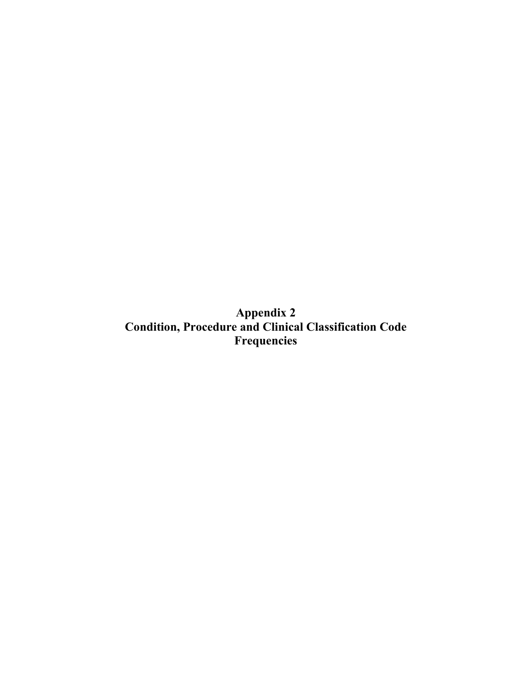**Appendix 2 Condition, Procedure and Clinical Classification Code Frequencies**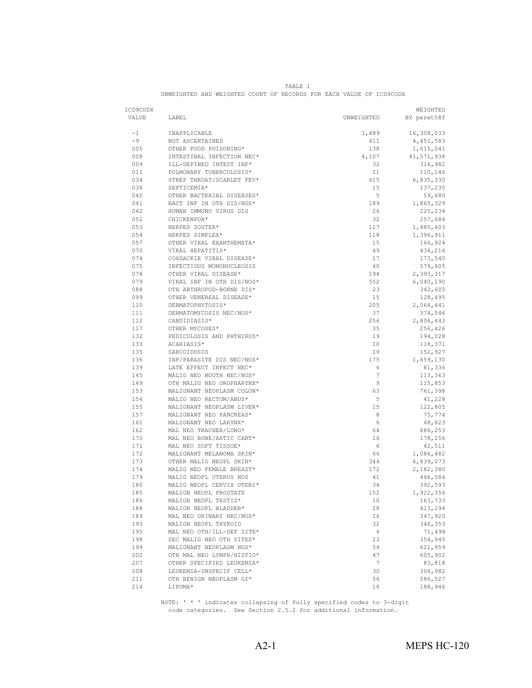| ICD9CODX |                           |            | WEIGHTED    |
|----------|---------------------------|------------|-------------|
| VALUE    | LABEL                     | UNWEIGHTED | BY perwt08f |
| $-1$     | INAPPLICABLE              | 1,489      | 16,308,033  |
| $-9$     | NOT ASCERTAINED           | 411        | 4, 451, 583 |
| 005      | OTHER FOOD POISONING*     | 138        | 1,615,041   |
| 008      | INTESTINAL INFECTION NEC* | 4,107      | 41,571,938  |
| 009      | ILL-DEFINED INTEST INF*   | 32         | 316,982     |
| 011      | PULMONARY TUBERCULOSIS*   | 21         | 110,146     |
| 034      | STREP THROAT/SCARLET FEV* | 615        | 6,835,330   |
| 038      | SEPTICEMIA*               | 15         | 137,235     |
| 040      | OTHER BACTERIAL DISEASES* | 5          | 59,680      |
| 041      | BACT INF IN OTH DIS/NOS*  | 189        | 1,865,329   |
| 042      | HUMAN IMMUNO VIRUS DIS    | 26         | 225,234     |
| 052      | CHICKENPOX*               | 32         | 257,684     |
| 053      | HERPES ZOSTER*            | 117        | 1,485,403   |
| 054      | HERPES SIMPLEX*           | 118        | 1,396,911   |
| 057      | OTHER VIRAL EXANTHEMATA*  | 15         | 166,924     |
| 070      | VIRAL HEPATITIS*          | 49         | 434,216     |
| 074      | COXSACKIE VIRAL DISEASE*  | 17         | 173,540     |
| 075      | INFECTIOUS MONONUCLEOSIS  | 40         | 579,405     |
| 078      | OTHER VIRAL DISEASE*      | 194        | 2,393,317   |
| 079      | VIRAL INF IN OTH DIS/NOS* | 552        | 6,040,190   |
| 088      | OTH ARTHROPOD-BORNE DIS*  | 23         | 342,605     |
| 099      | OTHER VENEREAL DISEASE*   | 15         | 128,495     |
| 110      | DERMATOPHYTOSIS*          | 205        | 2,064,441   |
| 111      | DERMATOMYCOSIS NEC/NOS*   | 37         | 374,546     |
| 112      | CANDIDIASIS*              | 256        | 2,806,443   |
| 117      | OTHER MYCOSES*            | 35         | 256,426     |
| 132      | PEDICULOSIS AND PHTHIRUS* | 19         | 194,028     |
| 133      | ACARIASIS*                | 10         | 118,371     |
| 135      | SARCOIDOSIS               | 19         | 152,927     |
| 136      | INF/PARASITE DIS NEC/NOS* | 175        | 1,659,130   |
| 139      | LATE EFFECT INFECT NEC*   | 6          | 81,336      |
| 145      | MALIG NEO MOUTH NEC/NOS*  | 7          | 113,363     |
| 149      | OTH MALIG NEO OROPHARYNX* | 9          | 115,853     |
| 153      | MALIGNANT NEOPLASM COLON* | 63         | 761,398     |
| 154      | MALIG NEO RECTUM/ANUS*    | 5          | 41,228      |
| 155      | MALIGNANT NEOPLASM LIVER* | 15         | 122,805     |
| 157      | MALIGNANT NEO PANCREAS*   | 8          | 75,774      |
| 161      | MALIGNANT NEO LARYNX*     | 6          | 48,823      |
| 162      | MAL NEO TRACHEA/LUNG*     | 64         | 686,253     |
| 170      | MAL NEO BONE/ARTIC CART*  | 16         | 178,256     |
| 171      | MAL NEO SOFT TISSUE*      | 6          | 42,511      |
| 172      | MALIGNANT MELANOMA SKIN*  | 66         | 1,086,482   |
| 173      | OTHER MALIG NEOPL SKIN*   | 344        | 4,839,073   |
| 174      | MALIG NEO FEMALE BREAST*  | 172        | 2,182,380   |
| 179      | MALIG NEOPL UTERUS NOS    | 41         | 446,084     |
| 180      | MALIG NEOPL CERVIX UTERI* | 34         | 392,593     |
| 185      | MALIGN NEOPL PROSTATE     | 152        | 1,922,356   |
| 186      | MALIGN NEOPL TESTIS*      | 10         | 163,733     |
| 188      | MALIGN NEOPL BLADDER*     | 28         | 413,294     |
| 189      | MAL NEO URINARY NEC/NOS*  | 26         | 347,920     |
| 193      | MALIGN NEOPL THYROID      | 32         | 346,353     |
| 195      | MAL NEO OTH/ILL-DEF SITE* | 6          | 71,498      |
| 198      | SEC MALIG NEO OTH SITES*  | 23         | 354,945     |
| 199      | MALIGNANT NEOPLASM NOS*   | 54         | 621,959     |
| 202      | OTH MAL NEO LYMPH/HISTIO* | 47         | 605,902     |
| 207      | OTHER SPECIFIED LEUKEMIA* | 7          | 83,818      |
| 208      | LEUKEMIA-UNSPECIF CELL*   | 30         | 306,982     |
| 211      | OTH BENIGN NEOPLASM GI*   | 56         | 586,527     |
| 214      | LIPOMA*                   | 18         | 188,946     |
|          |                           |            |             |

TABLE 1 UNWEIGHTED AND WEIGHTED COUNT OF RECORDS FOR EACH VALUE OF ICD9CODX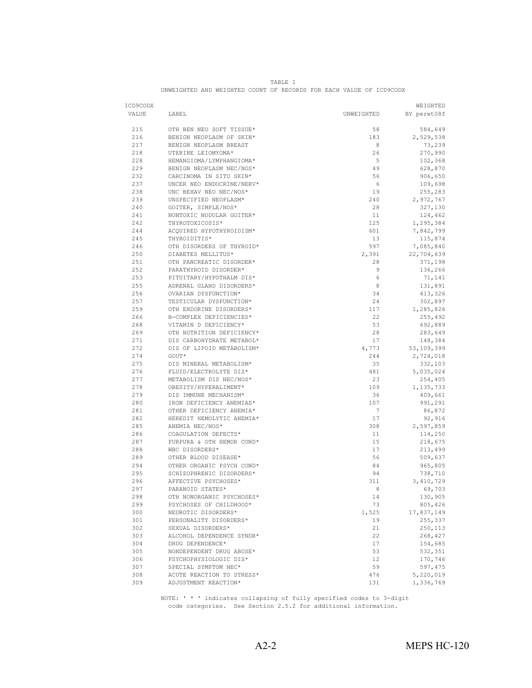| ICD9CODX<br>VALUE | LABEL                                             | UNWEIGHTED      | WEIGHTED<br>BY perwt08f |
|-------------------|---------------------------------------------------|-----------------|-------------------------|
| 215               | OTH BEN NEO SOFT TISSUE*                          | 58              | 584,649                 |
| 216               | BENIGN NEOPLASM OF SKIN*                          | 183             | 2,529,538               |
| 217               | BENIGN NEOPLASM BREAST                            | 8               | 73,239                  |
| 218               | UTERINE LEIOMYOMA*                                | 26              | 270,990                 |
| 228               | HEMANGIOMA/LYMPHANGIOMA*                          | 5               | 102,368                 |
| 229               | BENIGN NEOPLASM NEC/NOS*                          | 49              | 628,870                 |
| 232               | CARCINOMA IN SITU SKIN*                           | 56              | 906,650                 |
| 237               | UNCER NEO ENDOCRINE/NERV*                         | 6               | 109,698                 |
| 238               | UNC BEHAV NEO NEC/NOS*                            | 19              | 255,283                 |
| 239               | UNSPECIFIED NEOPLASM*                             | 240             | 2,972,767               |
| 240               | GOITER, SIMPLE/NOS*                               | 28              | 327,130                 |
| 241               | NONTOXIC NODULAR GOITER*                          | 11              | 124,462                 |
| 242               | THYROTOXICOSIS*                                   | 125             |                         |
| 244               |                                                   | 601             | 1,295,384               |
| 245               | ACQUIRED HYPOTHYROIDISM*<br>THYROIDITIS*          | 13              | 7,842,799               |
| 246               | OTH DISORDERS OF THYROID*                         | 597             | 115,874                 |
|                   |                                                   |                 | 7,085,840               |
| 250               | DIABETES MELLITUS*                                | 2,391           | 22,704,639              |
| 251               | OTH PANCREATIC DISORDER*<br>PARATHYROID DISORDER* | 28              | 371,198                 |
| 252               |                                                   | 9               | 136,266                 |
| 253               | PITUITARY/HYPOTHALM DIS*                          | 6               | 71,141                  |
| 255               | ADRENAL GLAND DISORDERS*                          | 8               | 131,891                 |
| 256               | OVARIAN DYSFUNCTION*                              | 34              | 413,326                 |
| 257               | TESTICULAR DYSFUNCTION*                           | 24              | 302,897                 |
| 259               | OTH ENDORINE DISORDERS*                           | 117             | 1,285,826               |
| 266               | B-COMPLEX DEFICIENCIES*                           | 22              | 255,492                 |
| 268               | VITAMIN D DEFICIENCY*                             | 53              | 692,889                 |
| 269               | OTH NUTRITION DEFICIENCY*                         | 28              | 283,649                 |
| 271               | DIS CARBOHYDRATE METABOL*                         | 17              | 148,384                 |
| 272               | DIS OF LIPOID METABOLISM*                         | 4,773           | 53,109,399              |
| 274               | GOUT*                                             | 244             | 2,724,018               |
| 275               | DIS MINERAL METABOLISM*                           | 35              | 332,103                 |
| 276               | FLUID/ELECTROLYTE DIS*                            | 481             | 5,035,024               |
| 277               | METABOLISM DIS NEC/NOS*                           | 23              | 254,405                 |
| 278               | OBESITY/HYPERALIMENT*                             | 109             | 1, 135, 733             |
| 279               | DIS IMMUNE MECHANISM*                             | 36              | 409,661                 |
| 280               | IRON DEFICIENCY ANEMIAS*                          | 107             | 991,291                 |
| 281               | OTHER DEFICIENCY ANEMIA*                          | $7\phantom{.0}$ | 86,872                  |
| 282               | HEREDIT HEMOLYTIC ANEMIA*                         | 17              | 92,916                  |
| 285               | ANEMIA NEC/NOS*                                   | 308             | 2,597,859               |
| 286               | COAGULATION DEFECTS*                              | 11              | 114,250                 |
| 287               | PURPURA & OTH HEMOR COND*                         | 15              | 218,675                 |
| 288               | WBC DISORDERS*                                    | 17              | 213,499                 |
| 289               | OTHER BLOOD DISEASE*                              | 56              | 509,637                 |
| 294               | OTHER ORGANIC PSYCH COND*                         | 84              | 965,805                 |
| 295               | SCHIZOPHRENIC DISORDERS*                          | 94              | 738,710                 |
| 296               | AFFECTIVE PSYCHOSES*                              | 311             | 3,410,729               |
| 297               | PARANOID STATES*                                  | 8               | 69,703                  |
| 298               | OTH NONORGANIC PSYCHOSES*                         | 14              | 130,905                 |
| 299               | PSYCHOSES OF CHILDHOOD*                           | 73              | 805,426                 |
| 300               | NEUROTIC DISORDERS*                               | 1,525           | 17,837,149              |
| 301               | PERSONALITY DISORDERS*                            | 19              | 255,337                 |
| 302               | SEXUAL DISORDERS*                                 | 21              | 250,113                 |
| 303               | ALCOHOL DEPENDENCE SYNDR*                         | 22              | 268,427                 |
| 304               | DRUG DEPENDENCE*                                  | 17              | 154,685                 |
| 305               | NONDEPENDENT DRUG ABUSE*                          | 53              | 532,351                 |
| 306               | PSYCHOPHYSIOLOGIC DIS*                            | 12              | 170,746                 |
| 307               | SPECIAL SYMPTOM NEC*                              | 59              | 597,475                 |
| 308               | ACUTE REACTION TO STRESS*                         | 476             | 5,220,019               |
| 309               | ADJUSTMENT REACTION*                              | 131             | 1,336,769               |

|                                                                     |  |  | TABLE. |  |  |  |
|---------------------------------------------------------------------|--|--|--------|--|--|--|
| UNWEIGHTED AND WEIGHTED COUNT OF RECORDS FOR EACH VALUE OF ICD9CODX |  |  |        |  |  |  |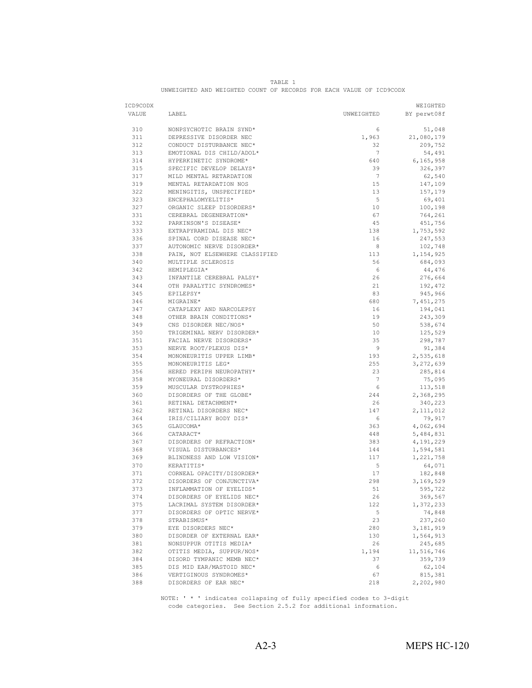|                                                                     |  |  | TARLE. |  |  |  |
|---------------------------------------------------------------------|--|--|--------|--|--|--|
| UNWEIGHTED AND WEIGHTED COUNT OF RECORDS FOR EACH VALUE OF ICD9CODX |  |  |        |  |  |  |

| ICD9CODX   |                                                     |                 | WEIGHTED             |
|------------|-----------------------------------------------------|-----------------|----------------------|
| VALUE      | LABEL                                               | UNWEIGHTED      | BY perwt08f          |
|            |                                                     |                 |                      |
| 310        | NONPSYCHOTIC BRAIN SYND*                            | 6               | 51,048               |
| 311        | DEPRESSIVE DISORDER NEC                             | 1,963           | 21,080,179           |
| 312        | CONDUCT DISTURBANCE NEC*                            | 32              | 209,752              |
| 313        | EMOTIONAL DIS CHILD/ADOL*                           | 7               | 54,491               |
| 314        | HYPERKINETIC SYNDROME*                              | 640             | 6,165,958            |
| 315        | SPECIFIC DEVELOP DELAYS*                            | 39              | 326,397              |
| 317        | MILD MENTAL RETARDATION                             | $7\phantom{.0}$ | 62,540               |
| 319        | MENTAL RETARDATION NOS                              | 15              | 147,109              |
| 322        | MENINGITIS, UNSPECIFIED*                            | 13              | 157,179              |
| 323        | ENCEPHALOMYELITIS*                                  | 5               | 69,401               |
| 327        | ORGANIC SLEEP DISORDERS*                            | 10              | 100,198              |
| 331        | CEREBRAL DEGENERATION*                              | 67              | 764,261              |
| 332        | PARKINSON'S DISEASE*                                | 45              | 451,756              |
| 333        | EXTRAPYRAMIDAL DIS NEC*                             | 138             | 1,753,592            |
| 336        | SPINAL CORD DISEASE NEC*                            | 16              | 247,553              |
| 337        | AUTONOMIC NERVE DISORDER*                           | 8               | 102,748              |
| 338        | PAIN, NOT ELSEWHERE CLASSIFIED                      | 113             | 1,154,925            |
| 340        | MULTIPLE SCLEROSIS                                  | 56              | 684,093              |
| 342        | HEMIPLEGIA*                                         | 6               | 44,476               |
| 343        | INFANTILE CEREBRAL PALSY*                           | 26              | 276,664              |
| 344        | OTH PARALYTIC SYNDROMES*                            | 21              | 192,472              |
| 345        | EPILEPSY*                                           | 83              | 945,966              |
| 346        | MIGRAINE*                                           | 680             | 7,451,275<br>194,041 |
| 347<br>348 | CATAPLEXY AND NARCOLEPSY<br>OTHER BRAIN CONDITIONS* | 16<br>19        |                      |
| 349        | CNS DISORDER NEC/NOS*                               | 50              | 243,309<br>538,674   |
| 350        | TRIGEMINAL NERV DISORDER*                           | 10              | 125,529              |
| 351        | FACIAL NERVE DISORDERS*                             | 35              | 298,787              |
| 353        | NERVE ROOT/PLEXUS DIS*                              | 9               | 91,384               |
| 354        | MONONEURITIS UPPER LIMB*                            | 193             | 2,535,618            |
| 355        | MONONEURITIS LEG*                                   | 255             | 3,272,639            |
| 356        | HERED PERIPH NEUROPATHY*                            | 23              | 285,814              |
| 358        | MYONEURAL DISORDERS*                                | $\overline{7}$  | 75,095               |
| 359        | MUSCULAR DYSTROPHIES*                               | 6               | 113,518              |
| 360        | DISORDERS OF THE GLOBE*                             | 244             | 2,368,295            |
| 361        | RETINAL DETACHMENT*                                 | 26              | 340,223              |
| 362        | RETINAL DISORDERS NEC*                              | 147             | 2, 111, 012          |
| 364        | IRIS/CILIARY BODY DIS*                              | 6               | 79,917               |
| 365        | GLAUCOMA*                                           | 363             | 4,062,694            |
| 366        | CATARACT*                                           | 448             | 5,484,831            |
| 367        | DISORDERS OF REFRACTION*                            | 383             | 4,191,229            |
| 368        | VISUAL DISTURBANCES*                                | 144             | 1,594,581            |
| 369        | BLINDNESS AND LOW VISION*                           | 117             | 1,221,758            |
| 370        | KERATITIS*                                          | 5               | 64,071               |
| 371        | CORNEAL OPACITY/DISORDER*                           | 17              | 182,848              |
| 372        | DISORDERS OF CONJUNCTIVA*                           | 298             | 3,169,529            |
| 373        | INFLAMMATION OF EYELIDS*                            | 51              | 595,722              |
| 374        | DISORDERS OF EYELIDS NEC*                           | 26              | 369,567              |
| 375        | LACRIMAL SYSTEM DISORDER*                           | 122             | 1,372,233            |
| 377        | DISORDERS OF OPTIC NERVE*                           | 5               | 74,848               |
| 378        | STRABISMUS*                                         | 23              | 237,260              |
| 379        | EYE DISORDERS NEC*                                  | 280             | 3, 181, 919          |
| 380        | DISORDER OF EXTERNAL EAR*                           | 130             | 1,564,913            |
| 381        | NONSUPPUR OTITIS MEDIA*                             | 26              | 245,685              |
| 382        | OTITIS MEDIA, SUPPUR/NOS*                           | 1,194           | 11,516,746           |
| 384        | DISORD TYMPANIC MEMB NEC*                           | 37              | 359,739              |
| 385        | DIS MID EAR/MASTOID NEC*                            | 6               | 62,104               |
| 386        | VERTIGINOUS SYNDROMES*                              | 67              | 815,381              |
| 388        | DISORDERS OF EAR NEC*                               | 218             | 2,202,980            |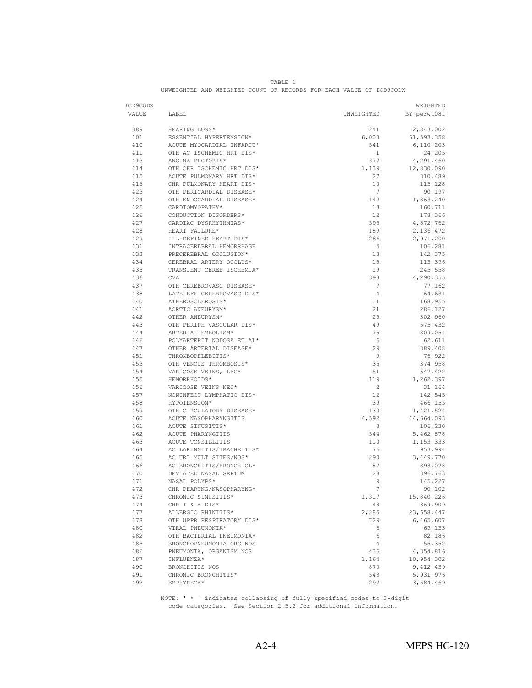| ICD9CODX |                           |                  | WEIGHTED     |
|----------|---------------------------|------------------|--------------|
| VALUE    | LABEL                     | UNWEIGHTED       | BY perwt08f  |
|          |                           |                  |              |
| 389      | HEARING LOSS*             | 241              | 2,843,002    |
| 401      | ESSENTIAL HYPERTENSION*   | 6,003            | 61, 593, 358 |
| 410      | ACUTE MYOCARDIAL INFARCT* | 541              | 6,110,203    |
| 411      | OTH AC ISCHEMIC HRT DIS*  | $\mathbf{1}$     | 24,205       |
| 413      | ANGINA PECTORIS*          | 377              | 4,291,460    |
| 414      | OTH CHR ISCHEMIC HRT DIS* | 1,139            | 12,830,090   |
| 415      | ACUTE PULMONARY HRT DIS*  | 27               | 310,489      |
| 416      | CHR PULMONARY HEART DIS*  | 10               | 115,128      |
| 423      | OTH PERICARDIAL DISEASE*  | $\overline{7}$   | 90,197       |
| 424      | OTH ENDOCARDIAL DISEASE*  | 142              | 1,863,240    |
| 425      | CARDIOMYOPATHY*           | 13               | 160,711      |
| 426      | CONDUCTION DISORDERS*     | 12               | 178,366      |
| 427      | CARDIAC DYSRHYTHMIAS*     | 395              | 4,872,762    |
| 428      | HEART FAILURE*            | 189              | 2, 136, 472  |
| 429      | ILL-DEFINED HEART DIS*    | 286              | 2,971,200    |
| 431      | INTRACEREBRAL HEMORRHAGE  | 4                | 106,281      |
| 433      | PRECEREBRAL OCCLUSION*    | 13               | 142,375      |
| 434      | CEREBRAL ARTERY OCCLUS*   | 15               | 113,396      |
| 435      | TRANSIENT CEREB ISCHEMIA* | 19               | 245,558      |
| 436      | <b>CVA</b>                | 393              | 4,290,355    |
| 437      | OTH CEREBROVASC DISEASE*  | 7                | 77,162       |
| 438      | LATE EFF CEREBROVASC DIS* | $\overline{4}$   | 64,631       |
| 440      | ATHEROSCLEROSIS*          | 11               | 168,955      |
| 441      | AORTIC ANEURYSM*          | 21               | 286,127      |
| 442      | OTHER ANEURYSM*           | 25               | 302,960      |
| 443      | OTH PERIPH VASCULAR DIS*  | 49               | 575,432      |
| 444      | ARTERIAL EMBOLISM*        | 75               | 809,054      |
| 446      | POLYARTERIT NODOSA ET AL* | 6                | 62,611       |
| 447      | OTHER ARTERIAL DISEASE*   | 29               | 389,408      |
| 451      | THROMBOPHLEBITIS*         | 9                | 76,922       |
| 453      | OTH VENOUS THROMBOSIS*    | 35               | 374,958      |
| 454      | VARICOSE VEINS, LEG*      | 51               | 647,422      |
| 455      | HEMORRHOIDS*              | 119              | 1,262,397    |
| 456      | VARICOSE VEINS NEC*       | $\mathbf{2}$     | 31,164       |
| 457      | NONINFECT LYMPHATIC DIS*  | 12               | 142,545      |
| 458      | HYPOTENSION*              | 39               | 466,155      |
| 459      | OTH CIRCULATORY DISEASE*  | 130              | 1,421,524    |
| 460      | ACUTE NASOPHARYNGITIS     | 4,592            | 44,664,093   |
| 461      | ACUTE SINUSITIS*          | 8                | 106,230      |
| 462      | ACUTE PHARYNGITIS         | 544              | 5,462,878    |
| 463      | ACUTE TONSILLITIS         | 110              | 1, 153, 333  |
| 464      | AC LARYNGITIS/TRACHEITIS* | 76               | 953,994      |
| 465      | AC URI MULT SITES/NOS*    | 290              | 3,449,770    |
| 466      | AC BRONCHITIS/BRONCHIOL*  | 87               | 893,078      |
| 470      | DEVIATED NASAL SEPTUM     | 28               | 396,763      |
| 471      | NASAL POLYPS*             | $\overline{9}$   | 145,227      |
| 472      | CHR PHARYNG/NASOPHARYNG*  | $\boldsymbol{7}$ | 90,102       |
| 473      | CHRONIC SINUSITIS*        | 1,317            | 15,840,226   |
| 474      | CHR T & A DIS*            | 48               | 369,909      |
| 477      | ALLERGIC RHINITIS*        | 2,285            | 23,658,447   |
| 478      | OTH UPPR RESPIRATORY DIS* | 729              | 6,465,607    |
| 480      | VIRAL PNEUMONIA*          | 6                | 69,133       |
| 482      | OTH BACTERIAL PNEUMONIA*  | 6                | 82,186       |
| 485      | BRONCHOPNEUMONIA ORG NOS  | 4                | 55,352       |
| 486      | PNEUMONIA, ORGANISM NOS   | 436              | 4,354,816    |
| 487      | INFLUENZA*                | 1,164            | 10,954,302   |
| 490      | BRONCHITIS NOS            | 870              | 9,412,439    |
| 491      | CHRONIC BRONCHITIS*       | 543              | 5,931,976    |
| 492      | EMPHYSEMA*                | 297              | 3,584,469    |

TABLE 1 UNWEIGHTED AND WEIGHTED COUNT OF RECORDS FOR EACH VALUE OF ICD9CODX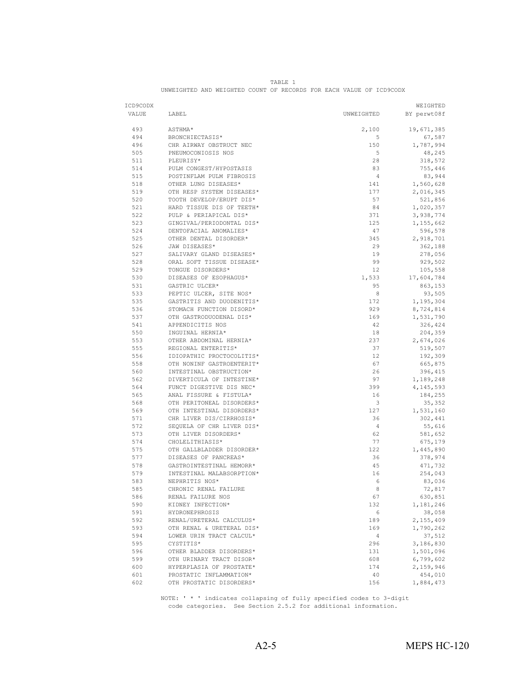| ICD9CODX |                           |                | WEIGHTED    |
|----------|---------------------------|----------------|-------------|
| VALUE    | LABEL                     | UNWEIGHTED     | BY perwt08f |
| 493      | ASTHMA*                   | 2,100          | 19,671,385  |
| 494      | BRONCHIECTASIS*           | 5              | 67,587      |
| 496      | CHR AIRWAY OBSTRUCT NEC   | 150            | 1,787,994   |
| 505      | PNEUMOCONIOSIS NOS        | 5              | 48,245      |
| 511      | PLEURISY*                 | 28             | 318,572     |
| 514      | PULM CONGEST/HYPOSTASIS   | 83             | 755,446     |
| 515      | POSTINFLAM PULM FIBROSIS  | $\overline{4}$ | 83,944      |
| 518      | OTHER LUNG DISEASES*      | 141            | 1,560,628   |
| 519      | OTH RESP SYSTEM DISEASES* | 177            | 2,016,345   |
| 520      | TOOTH DEVELOP/ERUPT DIS*  | 57             | 521,856     |
| 521      | HARD TISSUE DIS OF TEETH* | 84             | 1,020,357   |
| 522      | PULP & PERIAPICAL DIS*    | 371            | 3,938,774   |
| 523      | GINGIVAL/PERIODONTAL DIS* | 125            | 1,155,662   |
| 524      | DENTOFACIAL ANOMALIES*    | 47             | 596,578     |
| 525      | OTHER DENTAL DISORDER*    | 345            | 2,918,701   |
| 526      | JAW DISEASES*             | 29             | 362,188     |
| 527      | SALIVARY GLAND DISEASES*  | 19             | 278,056     |
| 528      | ORAL SOFT TISSUE DISEASE* | 99             | 929,502     |
| 529      | TONGUE DISORDERS*         | 12             | 105,558     |
| 530      | DISEASES OF ESOPHAGUS*    | 1,533          | 17,604,784  |
| 531      | GASTRIC ULCER*            | 95             | 863,153     |
| 533      | PEPTIC ULCER, SITE NOS*   | 8              | 93,505      |
| 535      | GASTRITIS AND DUODENITIS* | 172            | 1,195,304   |
| 536      | STOMACH FUNCTION DISORD*  | 929            | 8,724,814   |
| 537      | OTH GASTRODUODENAL DIS*   | 169            | 1,531,790   |
| 541      | APPENDICITIS NOS          | 42             | 326,424     |
| 550      | INGUINAL HERNIA*          | 18             | 204,359     |
| 553      | OTHER ABDOMINAL HERNIA*   | 237            | 2,674,026   |
| 555      | REGIONAL ENTERITIS*       | 37             | 519,507     |
| 556      | IDIOPATHIC PROCTOCOLITIS* | 12             | 192,309     |
| 558      | OTH NONINF GASTROENTERIT* | 67             | 665,875     |
| 560      | INTESTINAL OBSTRUCTION*   | 26             | 396,415     |
| 562      | DIVERTICULA OF INTESTINE* | 97             | 1,189,248   |
| 564      | FUNCT DIGESTIVE DIS NEC*  | 399            | 4, 145, 593 |
| 565      | ANAL FISSURE & FISTULA*   | 16             | 184,255     |
| 568      | OTH PERITONEAL DISORDERS* | 3              | 35,352      |
| 569      | OTH INTESTINAL DISORDERS* | 127            | 1,531,160   |
| 571      | CHR LIVER DIS/CIRRHOSIS*  | 36             | 302,441     |
| 572      | SEQUELA OF CHR LIVER DIS* | $\overline{4}$ | 55,616      |
| 573      | OTH LIVER DISORDERS*      | 62             | 581,652     |
| 574      | CHOLELITHIASIS*           | 77             | 675,179     |
| 575      | OTH GALLBLADDER DISORDER* | 122            | 1,445,890   |
| 577      | DISEASES OF PANCREAS*     | 36             | 378,974     |
| 578      | GASTROINTESTINAL HEMORR*  | 45             | 471,732     |
| 579      | INTESTINAL MALABSORPTION* | 16             | 254,043     |
| 583      | NEPHRITIS NOS*            | 6              | 83,036      |
| 585      | CHRONIC RENAL FAILURE     | 8              | 72,817      |
| 586      | RENAL FAILURE NOS         | 67             | 630,851     |
| 590      | KIDNEY INFECTION*         | 132            | 1,181,246   |
| 591      | HYDRONEPHROSIS            | 6              | 38,058      |
| 592      | RENAL/URETERAL CALCULUS*  | 189            | 2,155,409   |
| 593      | OTH RENAL & URETERAL DIS* | 169            | 1,790,262   |
| 594      | LOWER URIN TRACT CALCUL*  | $\overline{4}$ | 37,512      |
| 595      | CYSTITIS*                 | 296            | 3,186,830   |
| 596      | OTHER BLADDER DISORDERS*  | 131            | 1,501,096   |
| 599      | OTH URINARY TRACT DISOR*  | 608            | 6,799,602   |
| 600      | HYPERPLASIA OF PROSTATE*  | 174            | 2,159,946   |
| 601      | PROSTATIC INFLAMMATION*   | 40             | 454,010     |
| 602      | OTH PROSTATIC DISORDERS*  | 156            | 1,884,473   |

|                                                                     |  |  | TABLE. |  |  |  |
|---------------------------------------------------------------------|--|--|--------|--|--|--|
| UNWEIGHTED AND WEIGHTED COUNT OF RECORDS FOR EACH VALUE OF ICD9CODX |  |  |        |  |  |  |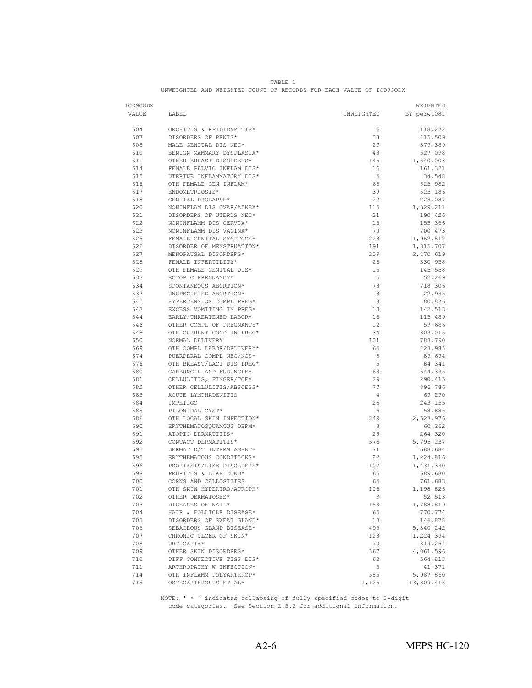| ICD9CODX |                           |                | WEIGHTED           |
|----------|---------------------------|----------------|--------------------|
| VALUE    | LABEL                     | UNWEIGHTED     | BY perwt08f        |
| 604      | ORCHITIS & EPIDIDYMITIS*  | 6              |                    |
| 607      | DISORDERS OF PENIS*       | 33             | 118,272<br>415,509 |
| 608      | MALE GENITAL DIS NEC*     | 27             |                    |
|          | BENIGN MAMMARY DYSPLASIA* |                | 379,389            |
| 610      |                           | 48             | 527,098            |
| 611      | OTHER BREAST DISORDERS*   | 145            | 1,540,003          |
| 614      | FEMALE PELVIC INFLAM DIS* | 16             | 161,321            |
| 615      | UTERINE INFLAMMATORY DIS* | $\overline{4}$ | 34,548             |
| 616      | OTH FEMALE GEN INFLAM*    | 66             | 625,982            |
| 617      | ENDOMETRIOSIS*            | 39             | 525,186            |
| 618      | GENITAL PROLAPSE*         | 22             | 223,087            |
| 620      | NONINFLAM DIS OVAR/ADNEX* | 115            | 1,329,211          |
| 621      | DISORDERS OF UTERUS NEC*  | 21             | 190,426            |
| 622      | NONINFLAMM DIS CERVIX*    | 15             | 155,366            |
| 623      | NONINFLAMM DIS VAGINA*    | 70             | 700,473            |
| 625      | FEMALE GENITAL SYMPTOMS*  | 228            | 1,962,812          |
| 626      | DISORDER OF MENSTRUATION* | 191            | 1,815,707          |
| 627      | MENOPAUSAL DISORDERS*     | 209            | 2,470,619          |
| 628      | FEMALE INFERTILITY*       | 26             | 330,938            |
| 629      | OTH FEMALE GENITAL DIS*   | 15             | 145,558            |
| 633      | ECTOPIC PREGNANCY*        | $\mathbf 5$    | 52,269             |
| 634      | SPONTANEOUS ABORTION*     | 78             | 718,306            |
| 637      | UNSPECIFIED ABORTION*     | 8              | 22,935             |
| 642      | HYPERTENSION COMPL PREG*  | 8              | 80,876             |
| 643      | EXCESS VOMITING IN PREG*  | 10             | 142,513            |
| 644      | EARLY/THREATENED LABOR*   | 16             | 115,489            |
| 646      | OTHER COMPL OF PREGNANCY* | 12             | 57,686             |
| 648      | OTH CURRENT COND IN PREG* | 34             | 303,015            |
| 650      | NORMAL DELIVERY           | 101            | 783,790            |
| 669      | OTH COMPL LABOR/DELIVERY* | 64             | 423,985            |
| 674      | PUERPERAL COMPL NEC/NOS*  | 6              | 89,694             |
| 676      | OTH BREAST/LACT DIS PREG* | 5              | 84,341             |
| 680      | CARBUNCLE AND FURUNCLE*   | 63             | 544,335            |
| 681      | CELLULITIS, FINGER/TOE*   | 29             | 290,415            |
| 682      | OTHER CELLULITIS/ABSCESS* | 77             | 896,786            |
| 683      | ACUTE LYMPHADENITIS       | $\overline{4}$ | 69,290             |
| 684      | IMPETIGO                  | 26             | 243,155            |
| 685      | PILONIDAL CYST*           | 5              | 58,685             |
| 686      | OTH LOCAL SKIN INFECTION* | 249            | 2,523,976          |
| 690      | ERYTHEMATOSQUAMOUS DERM*  | 8              | 60,262             |
| 691      | ATOPIC DERMATITIS*        | 28             | 264,320            |
| 692      | CONTACT DERMATITIS*       | 576            | 5,795,237          |
| 693      | DERMAT D/T INTERN AGENT*  | 71             | 688,684            |
| 695      | ERYTHEMATOUS CONDITIONS*  | 82             | 1,224,816          |
| 696      | PSORIASIS/LIKE DISORDERS* | 107            | 1,431,330          |
| 698      | PRURITUS & LIKE COND*     | 65             | 689,680            |
| 700      | CORNS AND CALLOSITIES     | 64             | 761,683            |
| 701      | OTH SKIN HYPERTRO/ATROPH* | 106            | 1,198,826          |
| 702      | OTHER DERMATOSES*         | 3              | 52,513             |
| 703      | DISEASES OF NAIL*         | 153            | 1,788,819          |
| 704      | HAIR & FOLLICLE DISEASE*  | 65             | 770,774            |
| 705      | DISORDERS OF SWEAT GLAND* | 13             | 146,878            |
| 706      | SEBACEOUS GLAND DISEASE*  | 495            | 5,840,242          |
| 707      | CHRONIC ULCER OF SKIN*    | 128            |                    |
|          |                           | 70             | 1,224,394          |
| 708      | URTICARIA*                |                | 819,254            |
| 709      | OTHER SKIN DISORDERS*     | 367            | 4,061,596          |
| 710      | DIFF CONNECTIVE TISS DIS* | 62             | 564,813            |
| 711      | ARTHROPATHY W INFECTION*  | 5              | 41,371             |
| 714      | OTH INFLAMM POLYARTHROP*  | 585            | 5,987,860          |
| 715      | OSTEOARTHROSIS ET AL*     | 1,125          | 13,809,416         |

TABLE 1 UNWEIGHTED AND WEIGHTED COUNT OF RECORDS FOR EACH VALUE OF ICD9CODX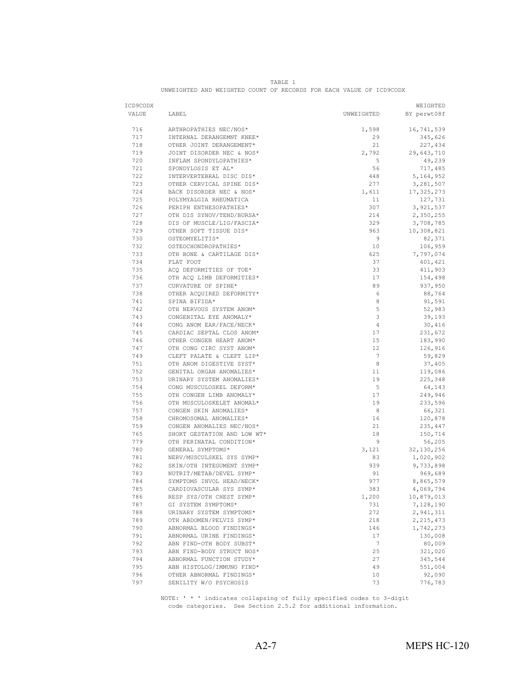| ICD9CODX   |                                                    |                 | WEIGHTED     |
|------------|----------------------------------------------------|-----------------|--------------|
| VALUE      | LABEL                                              | UNWEIGHTED      | BY perwt08f  |
| 716        | ARTHROPATHIES NEC/NOS*                             | 1,598           | 16,741,539   |
| 717        | INTERNAL DERANGEMNT KNEE*                          | 29              | 345,626      |
| 718        | OTHER JOINT DERANGEMENT*                           | 21              | 227,434      |
| 719        | JOINT DISORDER NEC & NOS*                          | 2,792           | 29,643,710   |
| 720        | INFLAM SPONDYLOPATHIES*                            | 5               | 49,239       |
| 721        | SPONDYLOSIS ET AL*                                 | 56              |              |
| 722        |                                                    |                 | 717,485      |
| 723        | INTERVERTEBRAL DISC DIS*                           | 448             | 5, 164, 952  |
|            | OTHER CERVICAL SPINE DIS*                          | 277             | 3,281,507    |
| 724<br>725 | BACK DISORDER NEC & NOS*<br>POLYMYALGIA RHEUMATICA | 1,611           | 17, 325, 273 |
|            |                                                    | 11              | 127,731      |
| 726        | PERIPH ENTHESOPATHIES*                             | 307             | 3,921,537    |
| 727        | OTH DIS SYNOV/TEND/BURSA*                          | 214             | 2,350,255    |
| 728        | DIS OF MUSCLE/LIG/FASCIA*                          | 329             | 3,708,785    |
| 729        | OTHER SOFT TISSUE DIS*                             | 963             | 10,308,821   |
| 730        | OSTEOMYELITIS*                                     | 9               | 82,371       |
| 732        | OSTEOCHONDROPATHIES*                               | 10              | 106,959      |
| 733        | OTH BONE & CARTILAGE DIS*                          | 625             | 7,797,074    |
| 734        | FLAT FOOT                                          | 37              | 401,421      |
| 735        | ACO DEFORMITIES OF TOE*                            | 33              | 411,903      |
| 736        | OTH ACQ LIMB DEFORMITIES*                          | 17              | 154,498      |
| 737        | CURVATURE OF SPINE*                                | 89              | 937,950      |
| 738        | OTHER ACQUIRED DEFORMITY*                          | 6               | 88,764       |
| 741        | SPINA BIFIDA*                                      | 8               | 91,591       |
| 742        | OTH NERVOUS SYSTEM ANOM*                           | 5               | 52,983       |
| 743        | CONGENITAL EYE ANOMALY*                            | 3               | 39,193       |
| 744        | CONG ANOM EAR/FACE/NECK*                           | $\overline{4}$  | 30,416       |
| 745        | CARDIAC SEPTAL CLOS ANOM*                          | 17              | 231,672      |
| 746        | OTHER CONGEN HEART ANOM*                           | 15              | 183,990      |
| 747        | OTH CONG CIRC SYST ANOM*                           | 12              | 126,916      |
| 749        | CLEFT PALATE & CLEFT LIP*                          | $\overline{7}$  | 59,829       |
| 751        | OTH ANOM DIGESTIVE SYST*                           | 8               | 37,405       |
| 752        | GENITAL ORGAN ANOMALIES*                           | 11              | 119,086      |
| 753        | URINARY SYSTEM ANOMALIES*                          | 19              | 225,348      |
| 754        | CONG MUSCULOSKEL DEFORM*                           | 5               | 64,143       |
| 755        | OTH CONGEN LIMB ANOMALY*                           | 17              | 249,946      |
| 756        | OTH MUSCULOSKELET ANOMAL*                          | 19              | 233,596      |
| 757        | CONGEN SKIN ANOMALIES*                             | 8               | 66,321       |
| 758        | CHROMOSOMAL ANOMALIES*                             | 16              | 120,878      |
| 759        | CONGEN ANOMALIES NEC/NOS*                          | 21              | 235,447      |
| 765        | SHORT GESTATION AND LOW WT*                        | 18              | 150,714      |
| 779        | OTH PERINATAL CONDITION*                           | 9               | 56,205       |
| 780        | GENERAL SYMPTOMS*                                  | 3,121           | 32, 130, 256 |
| 781        | NERV/MUSCULSKEL SYS SYMP*                          | 83              | 1,020,902    |
| 782        | SKIN/OTH INTEGUMENT SYMP*                          | 939             | 9,733,898    |
| 783        | NUTRIT/METAB/DEVEL SYMP*                           | 91              | 969,689      |
| 784        | SYMPTOMS INVOL HEAD/NECK*                          | 977             | 8,865,579    |
| 785        | CARDIOVASCULAR SYS SYMP*                           | 383             | 4,069,794    |
| 786        | RESP SYS/OTH CHEST SYMP*                           | 1,200           | 10,879,013   |
| 787        | GI SYSTEM SYMPTOMS*                                | 731             | 7,128,190    |
| 788        | URINARY SYSTEM SYMPTOMS*                           | 272             | 2,941,311    |
| 789        | OTH ABDOMEN/PELVIS SYMP*                           | 218             | 2, 215, 473  |
| 790        | ABNORMAL BLOOD FINDINGS*                           | 146             | 1,742,273    |
| 791        | ABNORMAL URINE FINDINGS*                           | 17              | 130,008      |
| 792        | ABN FIND-OTH BODY SUBST*                           | $7\phantom{.0}$ | 80,009       |
| 793        | ABN FIND-BODY STRUCT NOS*                          | 25              | 321,020      |
| 794        | ABNORMAL FUNCTION STUDY*                           | 27              | 345,544      |
| 795        | ABN HISTOLOG/IMMUNO FIND*                          | 49              | 551,004      |
| 796        | OTHER ABNORMAL FINDINGS*                           | 10              | 92,090       |
| 797        | SENILITY W/O PSYCHOSIS                             | 73              | 776,783      |

TABLE 1 UNWEIGHTED AND WEIGHTED COUNT OF RECORDS FOR EACH VALUE OF ICD9CODX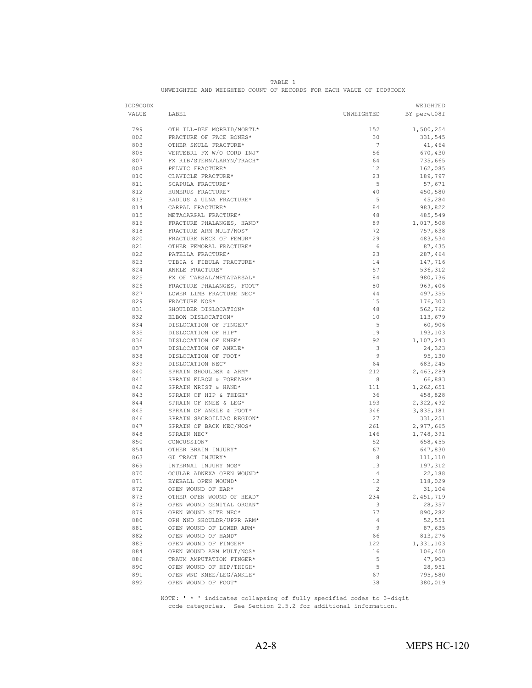| ICD9CODX |                           |            | WEIGHTED               |
|----------|---------------------------|------------|------------------------|
| VALUE    | LABEL                     | UNWEIGHTED | BY perwt08f            |
| 799      | OTH ILL-DEF MORBID/MORTL* | 152        | 1,500,254              |
| 802      | FRACTURE OF FACE BONES*   | 30         | 331,545                |
| 803      | OTHER SKULL FRACTURE*     | 7          | 41,464                 |
| 805      | VERTEBRL FX W/O CORD INJ* | 56         | 670,430                |
| 807      | FX RIB/STERN/LARYN/TRACH* | 64         | 735,665                |
| 808      | PELVIC FRACTURE*          | 12         | 162,085                |
| 810      | CLAVICLE FRACTURE*        | 23         | 189,797                |
| 811      | SCAPULA FRACTURE*         | 5          | 57,671                 |
| 812      | HUMERUS FRACTURE*         | 40         | 450,580                |
| 813      | RADIUS & ULNA FRACTURE*   | 5          | 45,284                 |
| 814      | CARPAL FRACTURE*          | 84         | 983,822                |
| 815      | METACARPAL FRACTURE*      | 48         | 485,549                |
| 816      | FRACTURE PHALANGES, HAND* | 89         | 1,017,508              |
| 818      | FRACTURE ARM MULT/NOS*    | 72         | 757,638                |
| 820      | FRACTURE NECK OF FEMUR*   | 29         | 483,534                |
| 821      | OTHER FEMORAL FRACTURE*   | 6          | 87,435                 |
| 822      | PATELLA FRACTURE*         | 23         | 287,464                |
| 823      | TIBIA & FIBULA FRACTURE*  | 14         | 147,716                |
| 824      | ANKLE FRACTURE*           | 57         | 536,312                |
| 825      | FX OF TARSAL/METATARSAL*  | 84         | 980,736                |
| 826      | FRACTURE PHALANGES, FOOT* | 80         | 969,406                |
| 827      | LOWER LIMB FRACTURE NEC*  | 44         | 497,355                |
| 829      | FRACTURE NOS*             | 15         | 176,303                |
| 831      | SHOULDER DISLOCATION*     | 48         | 562,762                |
| 832      | ELBOW DISLOCATION*        | 10         | 113,679                |
| 834      | DISLOCATION OF FINGER*    | 5          | 60,906                 |
| 835      | DISLOCATION OF HIP*       | 19         | 193,103                |
| 836      | DISLOCATION OF KNEE*      | 92         | 1,107,243              |
| 837      | DISLOCATION OF ANKLE*     | 3          | 24,323                 |
| 838      | DISLOCATION OF FOOT*      | 9          | 95,130                 |
| 839      | DISLOCATION NEC*          | 64         | 683,245                |
| 840      | SPRAIN SHOULDER & ARM*    | 212        | 2,463,289              |
| 841      | SPRAIN ELBOW & FOREARM*   | 8          | 66,883                 |
| 842      | SPRAIN WRIST & HAND*      | 111        | 1,262,651              |
| 843      | SPRAIN OF HIP & THIGH*    | 36         | 458,828                |
| 844      | SPRAIN OF KNEE & LEG*     | 193        | 2,322,492              |
| 845      | SPRAIN OF ANKLE & FOOT*   | 346        | 3,835,181              |
| 846      | SPRAIN SACROILIAC REGION* | 27         |                        |
| 847      | SPRAIN OF BACK NEC/NOS*   | 261        | 331,251                |
| 848      | SPRAIN NEC*               | 146        | 2,977,665<br>1,748,391 |
| 850      | CONCUSSION*               | 52         |                        |
|          |                           | 67         | 658,455                |
| 854      | OTHER BRAIN INJURY*       |            | 647,830                |
| 863      | GI TRACT INJURY*          | 8          | 111,110                |
| 869      | INTERNAL INJURY NOS*      | 13         | 197,312                |
| 870      | OCULAR ADNEXA OPEN WOUND* | 4          | 22,188                 |
| 871      | EYEBALL OPEN WOUND*       | 12         | 118,029                |
| 872      | OPEN WOUND OF EAR*        | 2          | 31,104                 |
| 873      | OTHER OPEN WOUND OF HEAD* | 234        | 2,451,719              |
| 878      | OPEN WOUND GENITAL ORGAN* | 3          | 28,357                 |
| 879      | OPEN WOUND SITE NEC*      | 77         | 890,282                |
| 880      | OPN WND SHOULDR/UPPR ARM* | 4          | 52,551                 |
| 881      | OPEN WOUND OF LOWER ARM*  | 9          | 87,635                 |
| 882      | OPEN WOUND OF HAND*       | 66         | 813,276                |
| 883      | OPEN WOUND OF FINGER*     | 122        | 1,331,103              |
| 884      | OPEN WOUND ARM MULT/NOS*  | 16         | 106,450                |
| 886      | TRAUM AMPUTATION FINGER*  | 5          | 47,903                 |
| 890      | OPEN WOUND OF HIP/THIGH*  | 5          | 28,951                 |
| 891      | OPEN WND KNEE/LEG/ANKLE*  | 67         | 795,580                |
| 892      | OPEN WOUND OF FOOT*       | 38         | 380,019                |

|                                                                     |  | <b>TARLE</b> |  |  |  |
|---------------------------------------------------------------------|--|--------------|--|--|--|
| UNWEIGHTED AND WEIGHTED COUNT OF RECORDS FOR EACH VALUE OF ICD9CODX |  |              |  |  |  |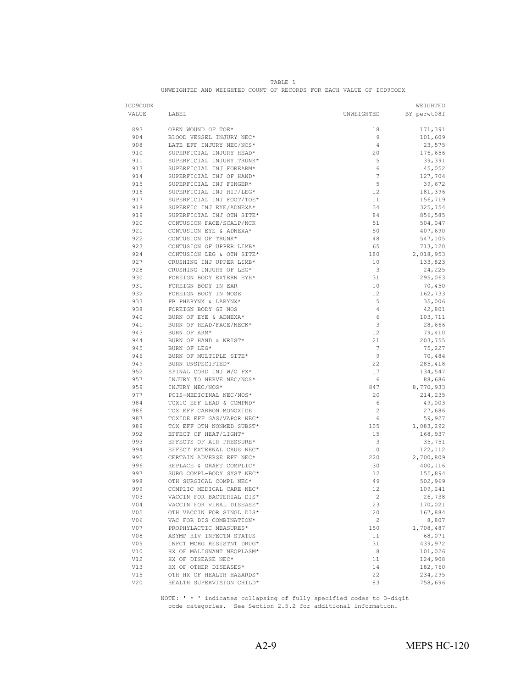| ICD9CODX   |                                             |                                   | WEIGHTED           |
|------------|---------------------------------------------|-----------------------------------|--------------------|
| VALUE      | LABEL                                       | UNWEIGHTED                        | BY perwt08f        |
| 893        | OPEN WOUND OF TOE*                          | 18                                | 171,391            |
| 904        | BLOOD VESSEL INJURY NEC*                    | 9                                 | 101,609            |
| 908        | LATE EFF INJURY NEC/NOS*                    | $\overline{4}$                    | 23,575             |
| 910        | SUPERFICIAL INJURY HEAD*                    | 20                                | 176,656            |
| 911        | SUPERFICIAL INJURY TRUNK*                   | 5                                 | 39,391             |
| 913        | SUPERFICIAL INJ FOREARM*                    | 6                                 | 45,052             |
| 914        | SUPERFICIAL INJ OF HAND*                    | $\overline{7}$                    | 127,704            |
| 915        | SUPERFICIAL INJ FINGER*                     | 5                                 | 39,672             |
| 916        | SUPERFICIAL INJ HIP/LEG*                    | 12                                | 181,396            |
| 917        | SUPERFICIAL INJ FOOT/TOE*                   | 11                                | 156,719            |
| 918        | SUPERFIC INJ EYE/ADNEXA*                    | 34                                | 325,754            |
| 919        | SUPERFICIAL INJ OTH SITE*                   | 84                                | 856,585            |
| 920        | CONTUSION FACE/SCALP/NCK                    | 51                                | 504,047            |
| 921        | CONTUSION EYE & ADNEXA*                     | 50                                | 407,690            |
| 922        | CONTUSION OF TRUNK*                         | 48                                | 547,105            |
| 923        | CONTUSION OF UPPER LIMB*                    | 65                                | 713,120            |
| 924        | CONTUSION LEG & OTH SITE*                   | 180                               | 2,018,953          |
| 927        | CRUSHING INJ UPPER LIMB*                    | 10                                | 133,823            |
| 928        | CRUSHING INJURY OF LEG*                     | 3                                 | 24,225             |
| 930        | FOREIGN BODY EXTERN EYE*                    | 31                                | 295,063            |
| 931        | FOREIGN BODY IN EAR                         | 10                                | 70,450             |
| 932        | FOREIGN BODY IN NOSE                        | 12                                | 162,733            |
| 933        | FB PHARYNX & LARYNX*                        | 5                                 | 35,006             |
| 938        | FOREIGN BODY GI NOS                         | $\overline{4}$                    | 42,801             |
| 940        | BURN OF EYE & ADNEXA*                       | 6                                 | 103,711            |
| 941        | BURN OF HEAD/FACE/NECK*                     | 3                                 | 28,666             |
| 943        | BURN OF ARM*                                | 12                                | 79,410             |
| 944        | BURN OF HAND & WRIST*<br>BURN OF LEG*       | 21                                | 203,755            |
| 945<br>946 |                                             | $7\phantom{.0}$<br>$\overline{9}$ | 75,227             |
| 949        | BURN OF MULTIPLE SITE*<br>BURN UNSPECIFIED* | 22                                | 70,484             |
| 952        | SPINAL CORD INJ W/O FX*                     | 17                                | 285,418<br>134,547 |
| 957        | INJURY TO NERVE NEC/NOS*                    | 6                                 | 88,686             |
| 959        | INJURY NEC/NOS*                             | 847                               | 8,770,933          |
| 977        | POIS-MEDICINAL NEC/NOS*                     | 20                                | 214,235            |
| 984        | TOXIC EFF LEAD & COMPND*                    | 6                                 | 49,003             |
| 986        | TOX EFF CARBON MONOXIDE                     | 2                                 | 27,686             |
| 987        | TOXIDE EFF GAS/VAPOR NEC*                   | 6                                 | 59,927             |
| 989        | TOX EFF OTH NONMED SUBST*                   | 105                               | 1,083,292          |
| 992        | EFFECT OF HEAT/LIGHT*                       | 15                                | 168,937            |
| 993        | EFFECTS OF AIR PRESSURE*                    | 3                                 | 35,751             |
| 994        | EFFECT EXTERNAL CAUS NEC*                   | 10                                | 122,112            |
| 995        | CERTAIN ADVERSE EFF NEC*                    | 220                               | 2,700,809          |
| 996        | REPLACE & GRAFT COMPLIC*                    | 30                                | 400,116            |
| 997        | SURG COMPL-BODY SYST NEC*                   | 12                                | 155,894            |
| 998        | OTH SURGICAL COMPL NEC*                     | 49                                | 502,969            |
| 999        | COMPLIC MEDICAL CARE NEC*                   | 12                                | 109,241            |
| VO3        | VACCIN FOR BACTERIAL DIS*                   | $\overline{2}$                    | 26,738             |
| V04        | VACCIN FOR VIRAL DISEASE*                   | 23                                | 170,021            |
| V05        | OTH VACCIN FOR SINGL DIS*                   | 20                                | 167,884            |
| V06        | VAC FOR DIS COMBINATION*                    | 2                                 | 8,807              |
| V07        | PROPHYLACTIC MEASURES*                      | 150                               | 1,708,487          |
| V08        | ASYMP HIV INFECTN STATUS                    | 11                                | 68,071             |
| V09        | INFCT MCRG RESISTNT DRUG*                   | 31                                | 439,972            |
| V10        | HX OF MALIGNANT NEOPLASM*                   | 8                                 | 101,026            |
| V12        | HX OF DISEASE NEC*                          | 11                                | 124,908            |
| V13        | HX OF OTHER DISEASES*                       | 14                                | 182,760            |
| V15        | OTH HX OF HEALTH HAZARDS*                   | 22                                | 234,295            |
| V20        | HEALTH SUPERVISION CHILD*                   | 83                                | 758,696            |

| TABLE. |                                                                     |  |  |  |  |  |  |  |  |
|--------|---------------------------------------------------------------------|--|--|--|--|--|--|--|--|
|        | UNWEIGHTED AND WEIGHTED COUNT OF RECORDS FOR EACH VALUE OF ICD9CODX |  |  |  |  |  |  |  |  |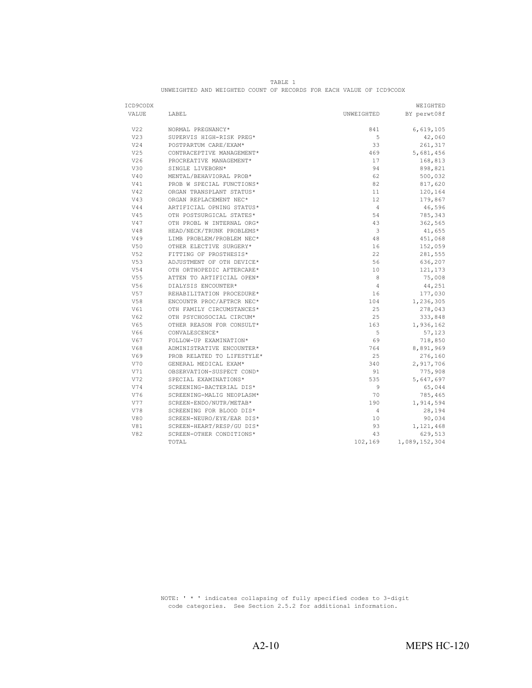| VALUE<br>LABEL<br>UNWEIGHTED<br>V22<br>841<br>6,619,105<br>NORMAL PREGNANCY*<br>V <sub>23</sub><br>SUPERVIS HIGH-RISK PREG*<br>5<br>42,060<br>V24<br>POSTPARTUM CARE/EXAM*<br>33<br>V <sub>25</sub><br>5,681,456<br>CONTRACEPTIVE MANAGEMENT*<br>469<br>V26<br>PROCREATIVE MANAGEMENT*<br>17<br>V30<br>SINGLE LIVEBORN*<br>94<br>898,821<br>V40<br>500,032<br>MENTAL/BEHAVIORAL PROB*<br>62<br>V41<br>PROB W SPECIAL FUNCTIONS*<br>82<br>817,620<br>V42<br>ORGAN TRANSPLANT STATUS*<br>120,164<br>11<br>V43<br>ORGAN REPLACEMENT NEC*<br>12<br>V44<br>ARTIFICIAL OPNING STATUS*<br>$\overline{4}$<br>46,596<br>V45<br>OTH POSTSURGICAL STATES*<br>54<br>785,343<br>V47<br>OTH PROBL W INTERNAL ORG*<br>43<br>362,565<br>HEAD/NECK/TRUNK PROBLEMS*<br>V48<br>3<br>41,655 | ICD9CODX |                           |    | WEIGHTED    |
|-------------------------------------------------------------------------------------------------------------------------------------------------------------------------------------------------------------------------------------------------------------------------------------------------------------------------------------------------------------------------------------------------------------------------------------------------------------------------------------------------------------------------------------------------------------------------------------------------------------------------------------------------------------------------------------------------------------------------------------------------------------------------|----------|---------------------------|----|-------------|
|                                                                                                                                                                                                                                                                                                                                                                                                                                                                                                                                                                                                                                                                                                                                                                         |          |                           |    | BY perwt08f |
|                                                                                                                                                                                                                                                                                                                                                                                                                                                                                                                                                                                                                                                                                                                                                                         |          |                           |    |             |
|                                                                                                                                                                                                                                                                                                                                                                                                                                                                                                                                                                                                                                                                                                                                                                         |          |                           |    |             |
|                                                                                                                                                                                                                                                                                                                                                                                                                                                                                                                                                                                                                                                                                                                                                                         |          |                           |    |             |
|                                                                                                                                                                                                                                                                                                                                                                                                                                                                                                                                                                                                                                                                                                                                                                         |          |                           |    | 261,317     |
|                                                                                                                                                                                                                                                                                                                                                                                                                                                                                                                                                                                                                                                                                                                                                                         |          |                           |    |             |
|                                                                                                                                                                                                                                                                                                                                                                                                                                                                                                                                                                                                                                                                                                                                                                         |          |                           |    | 168,813     |
|                                                                                                                                                                                                                                                                                                                                                                                                                                                                                                                                                                                                                                                                                                                                                                         |          |                           |    |             |
|                                                                                                                                                                                                                                                                                                                                                                                                                                                                                                                                                                                                                                                                                                                                                                         |          |                           |    |             |
|                                                                                                                                                                                                                                                                                                                                                                                                                                                                                                                                                                                                                                                                                                                                                                         |          |                           |    |             |
|                                                                                                                                                                                                                                                                                                                                                                                                                                                                                                                                                                                                                                                                                                                                                                         |          |                           |    |             |
|                                                                                                                                                                                                                                                                                                                                                                                                                                                                                                                                                                                                                                                                                                                                                                         |          |                           |    | 179,867     |
|                                                                                                                                                                                                                                                                                                                                                                                                                                                                                                                                                                                                                                                                                                                                                                         |          |                           |    |             |
|                                                                                                                                                                                                                                                                                                                                                                                                                                                                                                                                                                                                                                                                                                                                                                         |          |                           |    |             |
|                                                                                                                                                                                                                                                                                                                                                                                                                                                                                                                                                                                                                                                                                                                                                                         |          |                           |    |             |
|                                                                                                                                                                                                                                                                                                                                                                                                                                                                                                                                                                                                                                                                                                                                                                         |          |                           |    |             |
|                                                                                                                                                                                                                                                                                                                                                                                                                                                                                                                                                                                                                                                                                                                                                                         | V49      | LIMB PROBLEM/PROBLEM NEC* | 48 | 451,068     |
| V50<br>OTHER ELECTIVE SURGERY*<br>16<br>152,059                                                                                                                                                                                                                                                                                                                                                                                                                                                                                                                                                                                                                                                                                                                         |          |                           |    |             |
| V52<br>FITTING OF PROSTHESIS*<br>22<br>281,555                                                                                                                                                                                                                                                                                                                                                                                                                                                                                                                                                                                                                                                                                                                          |          |                           |    |             |
| V53<br>ADJUSTMENT OF OTH DEVICE*<br>56<br>636,207                                                                                                                                                                                                                                                                                                                                                                                                                                                                                                                                                                                                                                                                                                                       |          |                           |    |             |
| V54<br>OTH ORTHOPEDIC AFTERCARE*<br>10<br>121,173                                                                                                                                                                                                                                                                                                                                                                                                                                                                                                                                                                                                                                                                                                                       |          |                           |    |             |
| V55<br>8<br>75,008<br>ATTEN TO ARTIFICIAL OPEN*                                                                                                                                                                                                                                                                                                                                                                                                                                                                                                                                                                                                                                                                                                                         |          |                           |    |             |
| V56<br>DIALYSIS ENCOUNTER*<br>44,251<br>4                                                                                                                                                                                                                                                                                                                                                                                                                                                                                                                                                                                                                                                                                                                               |          |                           |    |             |
| V57<br>REHABILITATION PROCEDURE*<br>177,030<br>16                                                                                                                                                                                                                                                                                                                                                                                                                                                                                                                                                                                                                                                                                                                       |          |                           |    |             |
| V58<br>ENCOUNTR PROC/AFTRCR NEC*<br>104<br>1,236,305                                                                                                                                                                                                                                                                                                                                                                                                                                                                                                                                                                                                                                                                                                                    |          |                           |    |             |
| V61<br>OTH FAMILY CIRCUMSTANCES*<br>25<br>278,043                                                                                                                                                                                                                                                                                                                                                                                                                                                                                                                                                                                                                                                                                                                       |          |                           |    |             |
| V62<br>25<br>OTH PSYCHOSOCIAL CIRCUM*<br>333,848                                                                                                                                                                                                                                                                                                                                                                                                                                                                                                                                                                                                                                                                                                                        |          |                           |    |             |
| V65<br>163<br>1,936,162<br>OTHER REASON FOR CONSULT*                                                                                                                                                                                                                                                                                                                                                                                                                                                                                                                                                                                                                                                                                                                    |          |                           |    |             |
| V66<br>5<br>CONVALESCENCE*                                                                                                                                                                                                                                                                                                                                                                                                                                                                                                                                                                                                                                                                                                                                              |          |                           |    | 57,123      |
| V67<br>FOLLOW-UP EXAMINATION*<br>69<br>718,850                                                                                                                                                                                                                                                                                                                                                                                                                                                                                                                                                                                                                                                                                                                          |          |                           |    |             |
| V68<br>8,891,969<br>ADMINISTRATIVE ENCOUNTER*<br>764                                                                                                                                                                                                                                                                                                                                                                                                                                                                                                                                                                                                                                                                                                                    |          |                           |    |             |
| V69<br>PROB RELATED TO LIFESTYLE*<br>25<br>276,160                                                                                                                                                                                                                                                                                                                                                                                                                                                                                                                                                                                                                                                                                                                      |          |                           |    |             |
| V70<br>GENERAL MEDICAL EXAM*<br>340<br>2,917,706                                                                                                                                                                                                                                                                                                                                                                                                                                                                                                                                                                                                                                                                                                                        |          |                           |    |             |
| V71<br>775,908<br>OBSERVATION-SUSPECT COND*<br>91                                                                                                                                                                                                                                                                                                                                                                                                                                                                                                                                                                                                                                                                                                                       |          |                           |    |             |
| V72<br>535<br>SPECIAL EXAMINATIONS*                                                                                                                                                                                                                                                                                                                                                                                                                                                                                                                                                                                                                                                                                                                                     |          |                           |    | 5,647,697   |
| V74<br>SCREENING-BACTERIAL DIS*<br>9<br>65,044                                                                                                                                                                                                                                                                                                                                                                                                                                                                                                                                                                                                                                                                                                                          |          |                           |    |             |
| V76<br>70<br>785,465<br>SCREENING-MALIG NEOPLASM*                                                                                                                                                                                                                                                                                                                                                                                                                                                                                                                                                                                                                                                                                                                       |          |                           |    |             |
| V77<br>SCREEN-ENDO/NUTR/METAB*<br>190<br>1,914,594                                                                                                                                                                                                                                                                                                                                                                                                                                                                                                                                                                                                                                                                                                                      |          |                           |    |             |
| V78<br>28,194<br>SCREENING FOR BLOOD DIS*<br>4                                                                                                                                                                                                                                                                                                                                                                                                                                                                                                                                                                                                                                                                                                                          |          |                           |    |             |
| V80<br>SCREEN-NEURO/EYE/EAR DIS*<br>10<br>90,034                                                                                                                                                                                                                                                                                                                                                                                                                                                                                                                                                                                                                                                                                                                        |          |                           |    |             |
| V81<br>SCREEN-HEART/RESP/GU DIS*<br>93<br>1,121,468                                                                                                                                                                                                                                                                                                                                                                                                                                                                                                                                                                                                                                                                                                                     |          |                           |    |             |
| V82<br>SCREEN-OTHER CONDITIONS*<br>43                                                                                                                                                                                                                                                                                                                                                                                                                                                                                                                                                                                                                                                                                                                                   |          |                           |    | 629,513     |
| TOTAL<br>102,169<br>1,089,152,304                                                                                                                                                                                                                                                                                                                                                                                                                                                                                                                                                                                                                                                                                                                                       |          |                           |    |             |

|                                                                     | TABLE. |  |  |  |  |  |  |  |  |  |
|---------------------------------------------------------------------|--------|--|--|--|--|--|--|--|--|--|
| UNWEIGHTED AND WEIGHTED COUNT OF RECORDS FOR EACH VALUE OF ICD9CODX |        |  |  |  |  |  |  |  |  |  |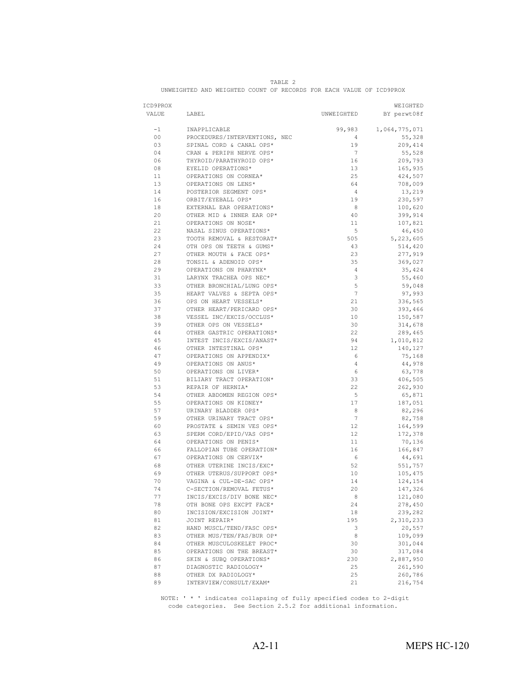| ICD9PROX       |                                                      |                 | WEIGHTED      |
|----------------|------------------------------------------------------|-----------------|---------------|
| VALUE          | LABEL                                                | UNWEIGHTED      | BY perwt08f   |
|                |                                                      |                 |               |
| $-1$           | INAPPLICABLE                                         | 99,983          | 1,064,775,071 |
| 0 <sup>0</sup> | PROCEDURES/INTERVENTIONS, NEC                        | $\overline{4}$  | 55,328        |
| 03             | SPINAL CORD & CANAL OPS*                             | 19              | 209,414       |
| 04             | CRAN & PERIPH NERVE OPS*                             | 7               | 55,528        |
| 06             | THYROID/PARATHYROID OPS*                             | 16              | 209,793       |
| 08             | EYELID OPERATIONS*                                   | 13              | 165,935       |
| 11             | OPERATIONS ON CORNEA*                                | 25              | 424,507       |
| 13             | OPERATIONS ON LENS*                                  | 64              | 708,009       |
| 14             | POSTERIOR SEGMENT OPS*                               | $\overline{4}$  | 13,219        |
| 16             | ORBIT/EYEBALL OPS*                                   | 19              | 230,597       |
| 18             | EXTERNAL EAR OPERATIONS*                             | 8               | 100,620       |
| 20             | OTHER MID & INNER EAR OP*                            | 40              | 399,914       |
| 21             | OPERATIONS ON NOSE*                                  | 11              | 107,821       |
| 22             | NASAL SINUS OPERATIONS*                              | 5               | 46,450        |
| 23             | TOOTH REMOVAL & RESTORAT*                            | 505             | 5,223,605     |
| 24             | OTH OPS ON TEETH & GUMS*                             | 43              | 514,420       |
| 27             | OTHER MOUTH & FACE OPS*                              | 23              | 277,919       |
| 28             | TONSIL & ADENOID OPS*                                | 35              | 369,027       |
| 29             | OPERATIONS ON PHARYNX*                               | $\overline{4}$  | 35,424        |
| 31             | LARYNX TRACHEA OPS NEC*                              | 3               | 55,460        |
| 33             | OTHER BRONCHIAL/LUNG OPS*                            | 5               | 59,048        |
| 35             | HEART VALVES & SEPTA OPS*                            | $7\phantom{.0}$ | 97,993        |
| 36             | OPS ON HEART VESSELS*                                | 21              | 336,565       |
| 37             | OTHER HEART/PERICARD OPS*                            | 30              | 393,466       |
| 38             | VESSEL INC/EXCIS/OCCLUS*                             | 10              | 150,587       |
| 39             | OTHER OPS ON VESSELS*                                | 30              | 314,678       |
| 44             | OTHER GASTRIC OPERATIONS*                            | 22              | 289,465       |
| 45             | INTEST INCIS/EXCIS/ANAST*                            | 94              | 1,010,812     |
| 46             | OTHER INTESTINAL OPS*                                | 12              | 140,127       |
| 47             | OPERATIONS ON APPENDIX*                              | 6               | 75,168        |
| 49             | OPERATIONS ON ANUS*                                  | $\overline{4}$  | 44,978        |
| 50             | OPERATIONS ON LIVER*                                 | 6               | 63,778        |
| 51             | BILIARY TRACT OPERATION*                             | 33              | 406,505       |
| 53             | REPAIR OF HERNIA*                                    | 22              | 262,930       |
| 54             | OTHER ABDOMEN REGION OPS*                            | 5               | 65,871        |
| 55             | OPERATIONS ON KIDNEY*                                | 17              | 187,051       |
| 57             | URINARY BLADDER OPS*                                 | 8               | 82,296        |
| 59             | OTHER URINARY TRACT OPS*                             | 7               | 82,758        |
| 60             | PROSTATE & SEMIN VES OPS*                            | 12              | 164,599       |
| 63             | SPERM CORD/EPID/VAS OPS*                             | 12              | 172,378       |
| 64             | OPERATIONS ON PENIS*                                 | 11              | 70,136        |
| 66             | FALLOPIAN TUBE OPERATION*                            | 16              | 166,847       |
| 67             | OPERATIONS ON CERVIX*                                | 6               | 44,691        |
| 68             | OTHER UTERINE INCIS/EXC*                             | 52              | 551,757       |
| 69             | OTHER UTERUS/SUPPORT OPS*                            | 10              | 105,475       |
| 70             | VAGINA & CUL-DE-SAC OPS*                             | 14              | 124,154       |
| 74             | C-SECTION/REMOVAL FETUS*                             | 20              | 147,326       |
| 77             | INCIS/EXCIS/DIV BONE NEC*                            | 8               | 121,080       |
|                |                                                      |                 |               |
| 78<br>80       | OTH BONE OPS EXCPT FACE*<br>INCISION/EXCISION JOINT* | 24<br>18        | 278,450       |
|                |                                                      |                 | 239,282       |
| 81             | JOINT REPAIR*                                        | 195             | 2,310,233     |
| 82             | HAND MUSCL/TEND/FASC OPS*                            | 3               | 20,557        |
| 83             | OTHER MUS/TEN/FAS/BUR OP*                            | 8               | 109,099       |
| 84             | OTHER MUSCULOSKELET PROC*                            | 30              | 301,044       |
| 85             | OPERATIONS ON THE BREAST*                            | 30              | 317,084       |
| 86             | SKIN & SUBQ OPERATIONS*                              | 230             | 2,887,950     |

| TARLF                                                               |  |  |  |  |  |  |  |  |  |  |
|---------------------------------------------------------------------|--|--|--|--|--|--|--|--|--|--|
| UNWEIGHTED AND WEIGHTED COUNT OF RECORDS FOR EACH VALUE OF ICD9PROX |  |  |  |  |  |  |  |  |  |  |

 NOTE: ' \* ' indicates collapsing of fully specified codes to 2-digit code categories. See Section 2.5.2 for additional information.

87 DIAGNOSTIC RADIOLOGY\* 25 261,590<br>88 OTHER DX RADIOLOGY\* 25 260,786 es and the contract of the contract of the contract of the contract of the contract of the contract of the contract of the contract of the contract of the contract of the contract of the contract of the contract of the con

INTERVIEW/CONSULT/EXAM\*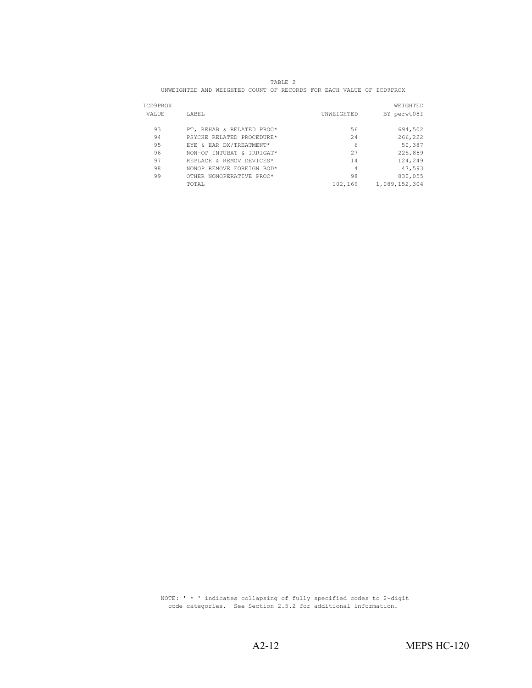| TABLE . |                                                                     |  |  |  |  |  |  |  |  |
|---------|---------------------------------------------------------------------|--|--|--|--|--|--|--|--|
|         | UNWEIGHTED AND WEIGHTED COUNT OF RECORDS FOR EACH VALUE OF ICD9PROX |  |  |  |  |  |  |  |  |

| ICD9PROX |                           |            | WEIGHTED      |
|----------|---------------------------|------------|---------------|
| VALUE    | LABEL                     | UNWEIGHTED | BY perwt08f   |
| 93       | PT, REHAB & RELATED PROC* | 56         | 694,502       |
| 94       | PSYCHE RELATED PROCEDURE* | 24         | 266,222       |
| 95       | EYE & EAR DX/TREATMENT*   | 6          | 50,387        |
| 96       | NON-OP INTUBAT & IRRIGAT* | 27         | 225,889       |
| 97       | REPLACE & REMOV DEVICES*  | 14         | 124,249       |
| 98       | NONOP REMOVE FOREIGN BOD* | 4          | 47,593        |
| 99       | OTHER NONOPERATIVE PROC*  | 98         | 830,055       |
|          | TOTAL                     | 102,169    | 1,089,152,304 |

 NOTE: ' \* ' indicates collapsing of fully specified codes to 2-digit code categories. See Section 2.5.2 for additional information.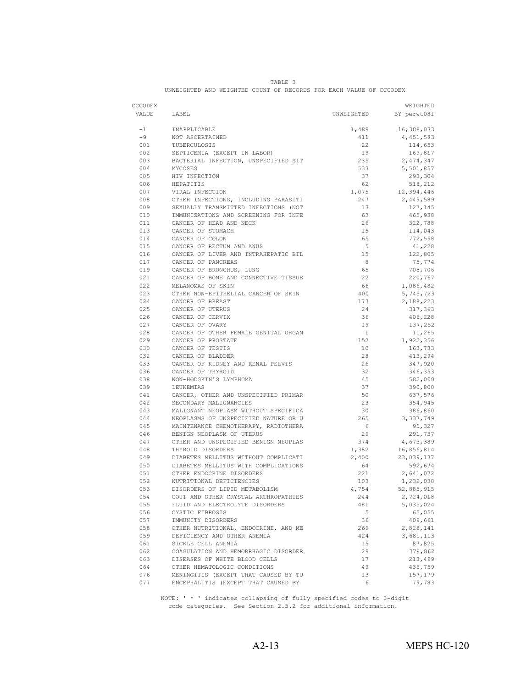|                                                                    | TARLE. |  |  |  |  |  |  |  |  |  |
|--------------------------------------------------------------------|--------|--|--|--|--|--|--|--|--|--|
| UNWEIGHTED AND WEIGHTED COUNT OF RECORDS FOR EACH VALUE OF CCCODEX |        |  |  |  |  |  |  |  |  |  |

| CCCODEX    |                                                                              |                | WEIGHTED               |
|------------|------------------------------------------------------------------------------|----------------|------------------------|
| VALUE      | LABEL                                                                        |                | UNWEIGHTED BY perwt08f |
| $-1$       | INAPPLICABLE                                                                 | 1,489          | 16,308,033             |
| $-9$       | NOT ASCERTAINED                                                              | 411            | 4,451,583              |
| 001        |                                                                              | 22             | 114,653                |
| 002        | TUBERCULOSIS<br>SEPTICEMIA (EXCEPT IN LABOR)                                 | 19             | 169,817                |
| 003        | BACTERIAL INFECTION, UNSPECIFIED SIT<br>MYCOSES                              | 235            | 2,474,347              |
| 004        |                                                                              | 533            | 5,501,857              |
| 005        | HIV INFECTION                                                                | 37             | 293,304                |
| 006        | HEPATITIS                                                                    | 62             | 518,212                |
| 007        | VIRAL INFECTION                                                              | 1,075          | 12,394,446             |
| 008        | <br>OTHER INFECTIONS, INCLUDING PARASITI                                     | 247            | 2,449,589              |
| 009        | SEXUALLY TRANSMITTED INFECTIONS (NOT<br>IMMUNIZATIONS AND SCREENING FOR INFE | 13             | 127,145                |
| 010        |                                                                              | 63             | 465,938                |
| 011        | CANCER OF HEAD AND NECK                                                      | 26             | 322,788                |
| 013        | CANCER OF STOMACH                                                            | 15             | 114,043                |
| 014        | CANCER OF COLON                                                              | 65             | 772,558                |
| 015        | CANCER OF RECTUM AND ANUS                                                    | 5              | 41,228                 |
| 016        | CANCER OF LIVER AND INTRAHEPATIC BIL                                         | 15             | 122,805                |
| 017        | CANCER OF PANCREAS                                                           | 8              | 75,774                 |
| 019        | CANCER OF BRONCHUS, LUNG                                                     | 65             | 708,706                |
| 021        | CANCER OF BONE AND CONNECTIVE TISSUE                                         | 22             | 220,767                |
| 022        | MELANOMAS OF SKIN                                                            | 66             | 1,086,482              |
| 023        | OTHER NON-EPITHELIAL CANCER OF SKIN                                          | 400            | 5,745,723              |
| 024        | CANCER OF BREAST                                                             | 173            | 2,188,223              |
| 025        | CANCER OF UTERUS                                                             | 24             | 317,363                |
| 026        | CANCER OF CERVIX                                                             | 36             | 406,228                |
| 027        | CANCER OF OVARY                                                              | 19             | 137,252                |
| 028        | CANCER OF OTHER FEMALE GENITAL ORGAN                                         | $\overline{1}$ | 11,265                 |
| 029        | CANCER OF PROSTATE                                                           | 152            | 1,922,356              |
| 030        | CANCER OF TESTIS                                                             | 10             | 163,733                |
| 032        | CANCER OF BLADDER                                                            | 28             | 413,294                |
| 033        | CANCER OF KIDNEY AND RENAL PELVIS<br>CANCER OF THYROID                       | 26             | 347,920                |
| 036        |                                                                              | 32             | 346,353                |
| 038        | NON-HODGKIN'S LYMPHOMA<br>LEUKEMIAS                                          | 45             | 582,000                |
| 039        |                                                                              | 37             | 390,800                |
| 041        | CANCER, OTHER AND UNSPECIFIED PRIMAR<br>SECONDARY MALIGNANCIES               | 50<br>23       | 637,576                |
| 042<br>043 | MALIGNANT NEOPLASM WITHOUT SPECIFICA                                         | 30             | 354,945                |
| 044        | NEOPLASMS OF UNSPECIFIED NATURE OR U                                         | 265            | 386,860<br>3,337,749   |
| 045        |                                                                              | 6              | 95,327                 |
| 046        | MAINTENANCE CHEMOTHERAPY, RADIOTHERA<br>BENIGN NEOPLASM OF UTERUS            | 29             | 291,737                |
| 047        | OTHER AND UNSPECIFIED BENIGN NEOPLAS                                         | 374            | 4,673,389              |
| 048        | THYROID DISORDERS                                                            | 1,382          | 16,856,814             |
| 049        | DIABETES MELLITUS WITHOUT COMPLICATI                                         | 2,400          | 23,039,137             |
| 050        | DIABETES MELLITUS WITH COMPLICATIONS<br>DIABETES MELLITUS WITH COMPLICATIONS | 64             | 592,674                |
| 051        |                                                                              | 221            | 2,641,072              |
| 052        | OTHER ENDOCRINE DISORDERS<br>NUTRITIONAL DEFICIENCIES                        | 103            | 1,232,030              |
| 053        | DISORDERS OF LIPID METABOLISM                                                | 4,754          | 52,885,915             |
| 054        | GOUT AND OTHER CRYSTAL ARTHROPATHIES                                         | 244            | 2,724,018              |
| 055        | FLUID AND ELECTROLYTE DISORDERS                                              | 481            | 5,035,024              |
| 056        | CYSTIC FIBROSIS                                                              | 5              | 65,055                 |
| 057        | IMMUNITY DISORDERS                                                           | 36             | 409,661                |
| 058        | OTHER NUTRITIONAL, ENDOCRINE, AND ME                                         | 269            | 2,828,141              |
| 059        | DEFICIENCY AND OTHER ANEMIA                                                  | 424            | 3,681,113              |
| 061        | SICKLE CELL ANEMIA                                                           | 15             | 87,825                 |
| 062        | COAGULATION AND HEMORRHAGIC DISORDER                                         | 29             | 378,862                |
| 063        | DISEASES OF WHITE BLOOD CELLS                                                | 17             | 213,499                |
| 064        | OTHER HEMATOLOGIC CONDITIONS                                                 | 49             | 435,759                |
| 076        | MENINGITIS (EXCEPT THAT CAUSED BY TU                                         | 13             | 157,179                |
| 077        | ENCEPHALITIS (EXCEPT THAT CAUSED BY                                          | 6              | 79,783                 |

 NOTE: ' \* ' indicates collapsing of fully specified codes to 3-digit code categories. See Section 2.5.2 for additional information.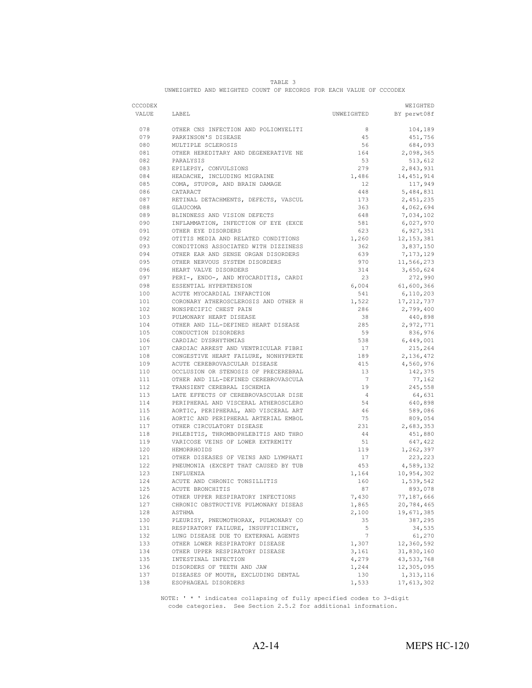|                | TABLE |                                                       |  |  |  |  |  |  |  |  |
|----------------|-------|-------------------------------------------------------|--|--|--|--|--|--|--|--|
| UNWEIGHTED AND |       | ) WEIGHTED COUNT OF RECORDS FOR EACH VALUE OF CCCODEX |  |  |  |  |  |  |  |  |

| CCCODEX |                                                                              |                 | WEIGHTED               |
|---------|------------------------------------------------------------------------------|-----------------|------------------------|
| VALUE   | LABEL                                                                        |                 | UNWEIGHTED BY perwt08f |
|         |                                                                              |                 |                        |
| 078     | OTHER CNS INFECTION AND POLIOMYELITI<br>PARKINSON'S DISEASE                  | 8               | 104,189                |
| 079     |                                                                              | 45              | 451,756                |
| 080     | MULTIPLE SCLEROSIS                                                           | 56              | 684,093                |
| 081     | OTHER HEREDITARY AND DEGENERATIVE NE                                         | 164             | 2,098,365              |
| 082     | PARALYSIS                                                                    | 53              | 513,612                |
| 083     | EPILEPSY, CONVULSIONS                                                        | 279             | 2,843,931              |
| 084     | HEADACHE, INCLUDING MIGRAINE<br>COMA, STUPOR, AND BRAIN DAMAGE               | 1,486           | 14,451,914             |
| 085     |                                                                              | 12              | 117,949                |
| 086     | CATARACT                                                                     | 448             | 5,484,831              |
| 087     | RETINAL DETACHMENTS, DEFECTS, VASCUL                                         | 173             | 2,451,235              |
| 088     | GLAUCOMA                                                                     | 363             | 4,062,694              |
| 089     | BLINDNESS AND VISION DEFECTS                                                 | 648             | 7,034,102              |
| 090     | INFLAMMATION, INFECTION OF EYE (EXCE<br>OTHER EYE DISORDERS                  | 581             | 6,027,970              |
| 091     |                                                                              | 623             | 6,927,351              |
| 092     | OTITIS MEDIA AND RELATED CONDITIONS                                          | 1,260           | 12, 153, 381           |
| 093     | CONDITIONS ASSOCIATED WITH DIZZINESS                                         | 362             | 3,837,150              |
| 094     | OTHER EAR AND SENSE ORGAN DISORDERS                                          | 639             | 7,173,129              |
| 095     | OTHER NERVOUS SYSTEM DISORDERS                                               | 970             | 11,566,273             |
| 096     | HEART VALVE DISORDERS<br>PERI-, ENDO-, AND MYOCARDITIS, CARDI                | 314             | 3,650,624              |
| 097     |                                                                              | 23              | 272,990                |
| 098     | ESSENTIAL HYPERTENSION<br>ACUTE MYOCARDIAL INFARCTION                        | 6,004           | 61,600,366             |
| 100     |                                                                              | 541             | 6,110,203              |
| 101     | CORONARY ATHEROSCLEROSIS AND OTHER H<br>NONSPECIFIC CHEST PAIN               | 1,522           | 17,212,737             |
| 102     |                                                                              | 286             | 2,799,400              |
| 103     | PULMONARY HEART DISEASE<br>OTHER AND ILL-DEFINED HEART DISEASE               | 38              | 440,898                |
| 104     |                                                                              | 285             | 2,972,771              |
| 105     | CONDUCTION DISORDERS                                                         | 59              | 836,976                |
| 106     | CARDIAC DYSRHYTHMIAS                                                         | 538             | 6,449,001              |
| 107     | CARDIAC ARREST AND VENTRICULAR FIBRI<br>CONGESTIVE HEART FAILURE, NONHYPERTE | 17              | 215,264                |
| 108     |                                                                              | 189             | 2,136,472              |
| 109     | ACUTE CEREBROVASCULAR DISEASE                                                | 415             | 4,560,976              |
| 110     | OCCLUSION OR STENOSIS OF PRECEREBRAL                                         | 13              | 142,375                |
| 111     | OTHER AND ILL-DEFINED CEREBROVASCULA                                         | $7^{\circ}$     | 77,162                 |
| 112     | TRANSIENT CEREBRAL ISCHEMIA                                                  | 19              | 245,558                |
| 113     | LATE EFFECTS OF CEREBROVASCULAR DISE<br>PERIPHERAL AND VISCERAL ATHEROSCLERO | 4               | 64,631                 |
| 114     |                                                                              | 54              | 640,898                |
| 115     | AORTIC, PERIPHERAL, AND VISCERAL ART<br>AORTIC AND PERIPHERAL ARTERIAL EMBOL | 46              | 589,086                |
| 116     |                                                                              | 75              | 809,054                |
| 117     | OTHER CIRCULATORY DISEASE                                                    | 231             | 2,683,353              |
| 118     | PHLEBITIS, THROMBOPHLEBITIS AND THRO                                         | 44              | 451,880                |
| 119     | VARICOSE VEINS OF LOWER EXTREMITY                                            | 51              | 647,422                |
| 120     | HEMORRHOIDS                                                                  | 119             | 1,262,397              |
| 121     | OTHER DISEASES OF VEINS AND LYMPHATI<br>PNEUMONIA (EXCEPT THAT CAUSED BY TUB | 17              | 223,223                |
| 122     |                                                                              | 453             | 4,589,132              |
| 123     | INFLUENZA<br>ACUTE AND CHRONIC TONSILLITIS                                   | 1,164           | 10,954,302             |
| 124     |                                                                              | 160             | 1,539,542              |
| 125     | ACUTE BRONCHITIS                                                             | 87              | 893,078                |
| 126     | OTHER UPPER RESPIRATORY INFECTIONS                                           | 7,430           | 77,187,666             |
| 127     | CHRONIC OBSTRUCTIVE PULMONARY DISEAS                                         | 1,865           | 20,784,465             |
| 128     | ASTHMA                                                                       | 2,100           | 19,671,385             |
| 130     | PLEURISY, PNEUMOTHORAX, PULMONARY CO                                         | 35              | 387,295                |
| 131     | RESPIRATORY FAILURE, INSUFFICIENCY,                                          | 5               | 34,535                 |
| 132     | LUNG DISEASE DUE TO EXTERNAL AGENTS                                          | $7\phantom{.0}$ | 61,270                 |
| 133     | OTHER LOWER RESPIRATORY DISEASE                                              | 1,307           | 12,360,592             |
| 134     | OTHER UPPER RESPIRATORY DISEASE                                              | 3,161           | 31,830,160             |
| 135     | INTESTINAL INFECTION                                                         | 4,279           | 43,533,768             |
| 136     | DISORDERS OF TEETH AND JAW                                                   | 1,244           | 12,305,095             |
| 137     | DISEASES OF MOUTH, EXCLUDING DENTAL                                          | 130             | 1,313,116              |
| 138     | ESOPHAGEAL DISORDERS                                                         | 1,533           | 17,613,302             |

 NOTE: ' \* ' indicates collapsing of fully specified codes to 3-digit code categories. See Section 2.5.2 for additional information.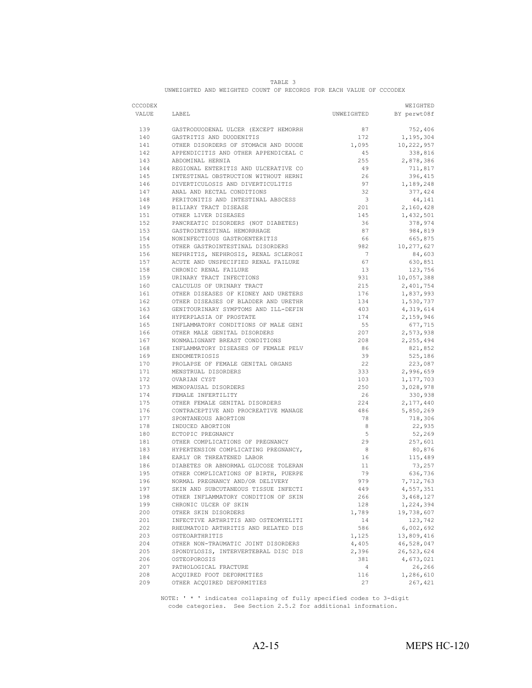|                                                                    | TABLE. |  |  |  |  |  |  |  |  |  |
|--------------------------------------------------------------------|--------|--|--|--|--|--|--|--|--|--|
| UNWEIGHTED AND WEIGHTED COUNT OF RECORDS FOR EACH VALUE OF CCCODEX |        |  |  |  |  |  |  |  |  |  |

| CCCODEX    |                                                                              |                          | WEIGHTED               |
|------------|------------------------------------------------------------------------------|--------------------------|------------------------|
| VALUE      | LABEL                                                                        |                          | UNWEIGHTED BY perwt08f |
| 139        | GASTRODUODENAL ULCER (EXCEPT HEMORRH                                         | 87                       | 752,406                |
| 140        | GASTRITIS AND DUODENITIS                                                     | 172                      | 1,195,304              |
| 141        |                                                                              | 1,095                    | 10,222,957             |
| 142        | OTHER DISORDERS OF STOMACH AND DUODE<br>APPENDICITIS AND OTHER APPENDICEAL C | 45                       | 338,816                |
| 143        |                                                                              | 255                      | 2,878,386              |
| 144        | ABDOMINAL HERNIA<br>REGIONAL ENTERITIS AND ULCERATIVE CO                     | 49                       | 711,817                |
| 145        |                                                                              | 26                       | 396,415                |
| 146        | INTESTINAL OBSTRUCTION WITHOUT HERNI<br>DIVERTICULOSIS AND DIVERTICULITIS    | 97                       | 1,189,248              |
| 147        |                                                                              | 32                       | 377,424                |
| 148        | ANAL AND RECTAL CONDITIONS<br>PERITONITIS AND INTESTINAL ABSCESS             | $\overline{\phantom{a}}$ | 44,141                 |
| 149        | BILIARY TRACT DISEASE                                                        | 201                      | 2,160,428              |
| 151        | OTHER LIVER DISEASES                                                         | 145                      | 1,432,501              |
| 152        | PANCREATIC DISORDERS (NOT DIABETES)<br>GASTROINTESTINAL HEMORRHAGE           | 36                       | 378,974                |
| 153        |                                                                              | 87                       | 984,819                |
| 154        | NONINFECTIOUS GASTROENTERITIS                                                | 66                       | 665,875                |
| 155        | OTHER GASTROINTESTINAL DISORDERS                                             | 982                      | 10,277,627             |
| 156        | NEPHRITIS, NEPHROSIS, RENAL SCLEROSI<br>ACUTE AND UNSPECIFIED RENAL FAILURE  |                          | 84,603                 |
| 157        |                                                                              | 67                       | 630,851                |
| 158        | CHRONIC RENAL FAILURE                                                        | 13                       | 123,756                |
| 159        | URINARY TRACT INFECTIONS                                                     | 931                      | 10,057,388             |
| 160        | CALCULUS OF URINARY TRACT                                                    | 215                      | 2,401,754              |
| 161        | OTHER DISEASES OF KIDNEY AND URETERS                                         | 176                      | 1,837,993              |
| 162        | OTHER DISEASES OF BLADDER AND URETHR                                         | 134                      | 1,530,737              |
| 163        | GENITOURINARY SYMPTOMS AND ILL-DEFIN                                         | 403                      | 4,319,614              |
| 164        | HYPERPLASIA OF PROSTATE<br>INFLAMMATORY CONDITIONS OF MALE GENI              | 174                      | 2,159,946              |
| 165        |                                                                              | 55                       | 677,715                |
| 166        | OTHER MALE GENITAL DISORDERS                                                 | 207                      | 2,573,938              |
| 167        | NONMALIGNANT BREAST CONDITIONS                                               | 208                      | 2,255,494              |
| 168        | INFLAMMATORY DISEASES OF FEMALE PELV                                         | 86                       | 821,852                |
| 169        | ENDOMETRIOSIS                                                                | 39                       | 525,186                |
| 170        | PROLAPSE OF FEMALE GENITAL ORGANS                                            | 22                       | 223,087                |
| 171        | MENSTRUAL DISORDERS                                                          | 333                      | 2,996,659              |
| 172        | OVARIAN CYST                                                                 | 103                      | 1,177,703              |
| 173        | MENOPAUSAL DISORDERS                                                         | 250                      | 3,028,978              |
| 174<br>175 | FEMALE INFERTILITY<br>OTHER FEMALE GENITAL DISORDERS                         | 26<br>224                | 330,938                |
| 176        | CONTRACEPTIVE AND PROCREATIVE MANAGE                                         | 486                      | 2,177,440<br>5,850,269 |
| 177        | SPONTANEOUS ABORTION                                                         | 78                       | 718,306                |
| 178        | INDUCED ABORTION                                                             | 8                        | 22,935                 |
| 180        | ECTOPIC PREGNANCY                                                            | 5 <sup>5</sup>           | 52,269                 |
| 181        |                                                                              | 29                       | 257,601                |
| 183        | OTHER COMPLICATIONS OF PREGNANCY<br>HYPERTENSION COMPLICATING PREGNANCY,     | 8 <sup>8</sup>           | 80,876                 |
| 184        | EARLY OR THREATENED LABOR                                                    | 16                       | 115,489                |
| 186        | DIABETES OR ABNORMAL GLUCOSE TOLERAN                                         | 11                       | 73,257                 |
| 195        |                                                                              | 79                       | 636,736                |
| 196        | OTHER COMPLICATIONS OF BIRTH, PUERPE<br>NORMAL PREGNANCY AND/OR DELIVERY     | 979                      | 7,712,763              |
| 197        | SKIN AND SUBCUTANEOUS TISSUE INFECTI                                         | 449                      | 4,557,351              |
| 198        | OTHER INFLAMMATORY CONDITION OF SKIN                                         | 266                      | 3,468,127              |
| 199        | CHRONIC ULCER OF SKIN                                                        | 128                      | 1,224,394              |
| 200        | OTHER SKIN DISORDERS                                                         | 1,789                    | 19,738,607             |
| 201        | INFECTIVE ARTHRITIS AND OSTEOMYELITI                                         | 14                       | 123,742                |
| 202        | RHEUMATOID ARTHRITIS AND RELATED DIS                                         | 586                      | 6,002,692              |
| 203        | OSTEOARTHRITIS                                                               | 1,125                    | 13,809,416             |
| 204        | OTHER NON-TRAUMATIC JOINT DISORDERS                                          | 4,405                    | 46,528,047             |
| 205        | SPONDYLOSIS, INTERVERTEBRAL DISC DIS                                         | 2,396                    | 26,523,624             |
| 206        | OSTEOPOROSIS                                                                 | 381                      | 4,673,021              |
| 207        | PATHOLOGICAL FRACTURE                                                        | 4                        | 26,266                 |
| 208        | ACQUIRED FOOT DEFORMITIES                                                    | 116                      | 1,286,610              |
| 209        | OTHER ACOUIRED DEFORMITIES                                                   | 27                       | 267,421                |

 NOTE: ' \* ' indicates collapsing of fully specified codes to 3-digit code categories. See Section 2.5.2 for additional information.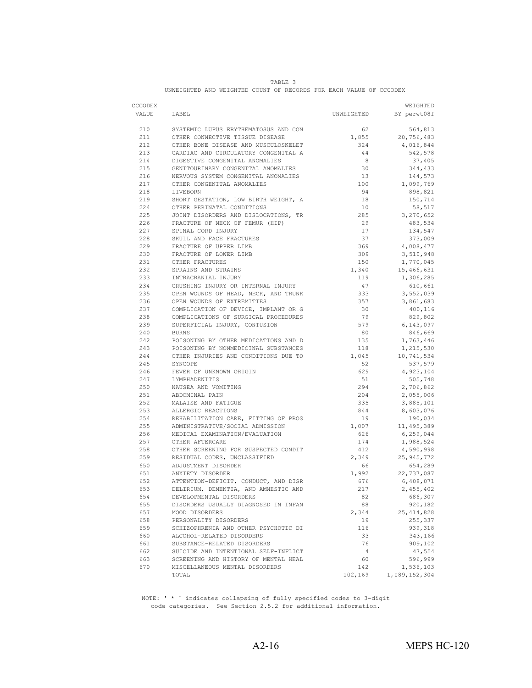|                                                                    | <b>TABLE</b> |  |  |  |  |  |  |  |  |  |
|--------------------------------------------------------------------|--------------|--|--|--|--|--|--|--|--|--|
| UNWEIGHTED AND WEIGHTED COUNT OF RECORDS FOR EACH VALUE OF CCCODEX |              |  |  |  |  |  |  |  |  |  |

| CCCODEX |                                      |                | WEIGHTED      |
|---------|--------------------------------------|----------------|---------------|
| VALUE   | LABEL                                | UNWEIGHTED     | BY perwt08f   |
| 210     | SYSTEMIC LUPUS ERYTHEMATOSUS AND CON | 62             | 564,813       |
| 211     | OTHER CONNECTIVE TISSUE DISEASE      | 1,855          | 20,756,483    |
| 212     | OTHER BONE DISEASE AND MUSCULOSKELET | 324            | 4,016,844     |
| 213     | CARDIAC AND CIRCULATORY CONGENITAL A | 44             | 542,578       |
| 214     | DIGESTIVE CONGENITAL ANOMALIES       | $_{8}$         | 37,405        |
| 215     | GENITOURINARY CONGENITAL ANOMALIES   | 30             | 344,433       |
| 216     | NERVOUS SYSTEM CONGENITAL ANOMALIES  | 13             | 144,573       |
| 217     | OTHER CONGENITAL ANOMALIES           | 100            | 1,099,769     |
| 218     | LIVEBORN                             | 94             | 898,821       |
| 219     | SHORT GESTATION, LOW BIRTH WEIGHT, A | 18             | 150,714       |
| 224     | OTHER PERINATAL CONDITIONS           | 10             | 58,517        |
| 225     | JOINT DISORDERS AND DISLOCATIONS, TR | 285            | 3,270,652     |
| 226     | FRACTURE OF NECK OF FEMUR (HIP)      | 29             | 483,534       |
| 227     | SPINAL CORD INJURY                   | 17             | 134,547       |
| 228     | SKULL AND FACE FRACTURES             | 37             | 373,009       |
| 229     | FRACTURE OF UPPER LIMB               | 369            | 4,008,477     |
| 230     | FRACTURE OF LOWER LIMB               | 309            | 3,510,948     |
| 231     | OTHER FRACTURES                      | 150            | 1,770,045     |
| 232     | SPRAINS AND STRAINS                  | 1,340          | 15,466,631    |
| 233     | INTRACRANIAL INJURY                  | 119            | 1,306,285     |
| 234     | CRUSHING INJURY OR INTERNAL INJURY   | 47             | 610,661       |
| 235     | OPEN WOUNDS OF HEAD, NECK, AND TRUNK | 333            | 3,552,039     |
| 236     | OPEN WOUNDS OF EXTREMITIES           | 357            | 3,861,683     |
| 237     | COMPLICATION OF DEVICE, IMPLANT OR G | 30             | 400,116       |
| 238     | COMPLICATIONS OF SURGICAL PROCEDURES | 79             | 829,802       |
| 239     | SUPERFICIAL INJURY, CONTUSION        | 579            | 6,143,097     |
| 240     | <b>BURNS</b>                         | 80             | 846,669       |
| 242     | POISONING BY OTHER MEDICATIONS AND D | 135            | 1,763,446     |
| 243     | POISONING BY NONMEDICINAL SUBSTANCES | 118            | 1,215,530     |
| 244     | OTHER INJURIES AND CONDITIONS DUE TO | 1,045          | 10,741,534    |
| 245     | SYNCOPE                              | 52             | 537,579       |
| 246     | FEVER OF UNKNOWN ORIGIN              | 629            | 4,923,104     |
| 247     | LYMPHADENITIS                        | 51             | 505,748       |
| 250     | NAUSEA AND VOMITING                  | 294            | 2,706,862     |
| 251     | ABDOMINAL PAIN                       | 204            | 2,055,006     |
| 252     | MALAISE AND FATIGUE                  | 335            | 3,885,101     |
| 253     | ALLERGIC REACTIONS                   | 844            | 8,603,076     |
| 254     | REHABILITATION CARE, FITTING OF PROS | 19             | 190,034       |
| 255     | ADMINISTRATIVE/SOCIAL ADMISSION      | 1,007          | 11,495,389    |
| 256     | MEDICAL EXAMINATION/EVALUATION       | 626            | 6,259,044     |
| 257     | OTHER AFTERCARE                      | 174            | 1,988,524     |
| 258     | OTHER SCREENING FOR SUSPECTED CONDIT | 412            | 4,590,998     |
| 259     | RESIDUAL CODES, UNCLASSIFIED         | 2,349          | 25,945,772    |
| 650     | ADJUSTMENT DISORDER                  | 66             | 654,289       |
| 651     | ANXIETY DISORDER                     | 1,992          | 22,737,087    |
| 652     | ATTENTION-DEFICIT, CONDUCT, AND DISR | 676            | 6,408,071     |
| 653     | DELIRIUM, DEMENTIA, AND AMNESTIC AND | 217            | 2,455,402     |
| 654     | DEVELOPMENTAL DISORDERS              | 82             | 686,307       |
| 655     | DISORDERS USUALLY DIAGNOSED IN INFAN | 88             | 920,182       |
| 657     | MOOD DISORDERS                       | 2,344          | 25, 414, 828  |
| 658     | PERSONALITY DISORDERS                | 19             | 255,337       |
| 659     | SCHIZOPHRENIA AND OTHER PSYCHOTIC DI | 116            | 939,318       |
| 660     | ALCOHOL-RELATED DISORDERS            | 33             | 343,166       |
| 661     | SUBSTANCE-RELATED DISORDERS          | 76             | 909,102       |
| 662     | SUICIDE AND INTENTIONAL SELF-INFLICT | $\overline{4}$ | 47,554        |
| 663     | SCREENING AND HISTORY OF MENTAL HEAL | 60             | 596,999       |
| 670     | MISCELLANEOUS MENTAL DISORDERS       | 142            | 1,536,103     |
|         | TOTAL                                | 102,169        | 1,089,152,304 |

NOTE: ' \* ' indicates collapsing of fully specified codes to 3-digit code categories. See Section 2.5.2 for additional information.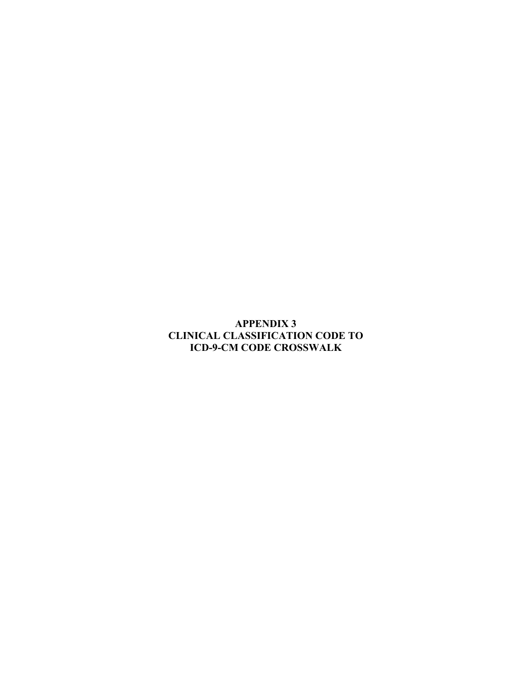**APPENDIX 3 CLINICAL CLASSIFICATION CODE TO ICD-9-CM CODE CROSSWALK**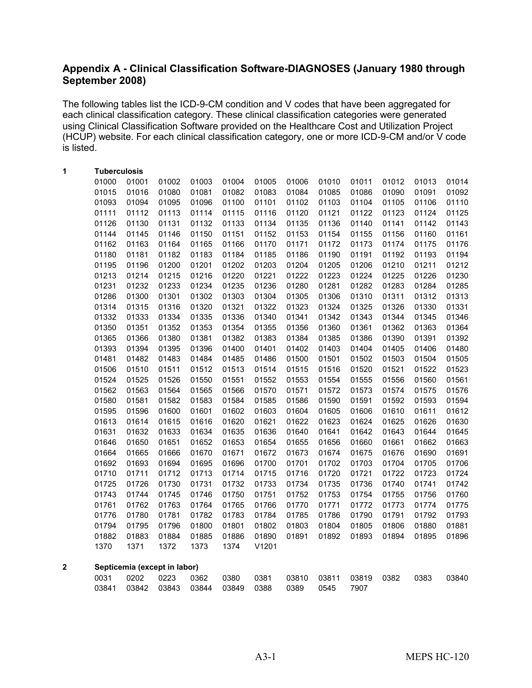# **Appendix A - Clinical Classification Software-DIAGNOSES (January 1980 through September 2008)**

The following tables list the ICD-9-CM condition and V codes that have been aggregated for each clinical classification category. These clinical classification categories were generated using Clinical Classification Software provided on the Healthcare Cost and Utilization Project (HCUP) website. For each clinical classification category, one or more ICD-9-CM and/or V code is listed.

| 1                       | <b>Tuberculosis</b> |       |                              |       |       |       |       |       |       |       |       |       |
|-------------------------|---------------------|-------|------------------------------|-------|-------|-------|-------|-------|-------|-------|-------|-------|
|                         | 01000               | 01001 | 01002                        | 01003 | 01004 | 01005 | 01006 | 01010 | 01011 | 01012 | 01013 | 01014 |
|                         | 01015               | 01016 | 01080                        | 01081 | 01082 | 01083 | 01084 | 01085 | 01086 | 01090 | 01091 | 01092 |
|                         | 01093               | 01094 | 01095                        | 01096 | 01100 | 01101 | 01102 | 01103 | 01104 | 01105 | 01106 | 01110 |
|                         | 01111               | 01112 | 01113                        | 01114 | 01115 | 01116 | 01120 | 01121 | 01122 | 01123 | 01124 | 01125 |
|                         | 01126               | 01130 | 01131                        | 01132 | 01133 | 01134 | 01135 | 01136 | 01140 | 01141 | 01142 | 01143 |
|                         | 01144               | 01145 | 01146                        | 01150 | 01151 | 01152 | 01153 | 01154 | 01155 | 01156 | 01160 | 01161 |
|                         | 01162               | 01163 | 01164                        | 01165 | 01166 | 01170 | 01171 | 01172 | 01173 | 01174 | 01175 | 01176 |
|                         | 01180               | 01181 | 01182                        | 01183 | 01184 | 01185 | 01186 | 01190 | 01191 | 01192 | 01193 | 01194 |
|                         | 01195               | 01196 | 01200                        | 01201 | 01202 | 01203 | 01204 | 01205 | 01206 | 01210 | 01211 | 01212 |
|                         | 01213               | 01214 | 01215                        | 01216 | 01220 | 01221 | 01222 | 01223 | 01224 | 01225 | 01226 | 01230 |
|                         | 01231               | 01232 | 01233                        | 01234 | 01235 | 01236 | 01280 | 01281 | 01282 | 01283 | 01284 | 01285 |
|                         | 01286               | 01300 | 01301                        | 01302 | 01303 | 01304 | 01305 | 01306 | 01310 | 01311 | 01312 | 01313 |
|                         | 01314               | 01315 | 01316                        | 01320 | 01321 | 01322 | 01323 | 01324 | 01325 | 01326 | 01330 | 01331 |
|                         | 01332               | 01333 | 01334                        | 01335 | 01336 | 01340 | 01341 | 01342 | 01343 | 01344 | 01345 | 01346 |
|                         | 01350               | 01351 | 01352                        | 01353 | 01354 | 01355 | 01356 | 01360 | 01361 | 01362 | 01363 | 01364 |
|                         | 01365               | 01366 | 01380                        | 01381 | 01382 | 01383 | 01384 | 01385 | 01386 | 01390 | 01391 | 01392 |
|                         | 01393               | 01394 | 01395                        | 01396 | 01400 | 01401 | 01402 | 01403 | 01404 | 01405 | 01406 | 01480 |
|                         | 01481               | 01482 | 01483                        | 01484 | 01485 | 01486 | 01500 | 01501 | 01502 | 01503 | 01504 | 01505 |
|                         | 01506               | 01510 | 01511                        | 01512 | 01513 | 01514 | 01515 | 01516 | 01520 | 01521 | 01522 | 01523 |
|                         | 01524               | 01525 | 01526                        | 01550 | 01551 | 01552 | 01553 | 01554 | 01555 | 01556 | 01560 | 01561 |
|                         | 01562               | 01563 | 01564                        | 01565 | 01566 | 01570 | 01571 | 01572 | 01573 | 01574 | 01575 | 01576 |
|                         | 01580               | 01581 | 01582                        | 01583 | 01584 | 01585 | 01586 | 01590 | 01591 | 01592 | 01593 | 01594 |
|                         | 01595               | 01596 | 01600                        | 01601 | 01602 | 01603 | 01604 | 01605 | 01606 | 01610 | 01611 | 01612 |
|                         | 01613               | 01614 | 01615                        | 01616 | 01620 | 01621 | 01622 | 01623 | 01624 | 01625 | 01626 | 01630 |
|                         | 01631               | 01632 | 01633                        | 01634 | 01635 | 01636 | 01640 | 01641 | 01642 | 01643 | 01644 | 01645 |
|                         | 01646               | 01650 | 01651                        | 01652 | 01653 | 01654 | 01655 | 01656 | 01660 | 01661 | 01662 | 01663 |
|                         | 01664               | 01665 | 01666                        | 01670 | 01671 | 01672 | 01673 | 01674 | 01675 | 01676 | 01690 | 01691 |
|                         | 01692               | 01693 | 01694                        | 01695 | 01696 | 01700 | 01701 | 01702 | 01703 | 01704 | 01705 | 01706 |
|                         | 01710               | 01711 | 01712                        | 01713 | 01714 | 01715 | 01716 | 01720 | 01721 | 01722 | 01723 | 01724 |
|                         | 01725               | 01726 | 01730                        | 01731 | 01732 | 01733 | 01734 | 01735 | 01736 | 01740 | 01741 | 01742 |
|                         | 01743               | 01744 | 01745                        | 01746 | 01750 | 01751 | 01752 | 01753 | 01754 | 01755 | 01756 | 01760 |
|                         | 01761               | 01762 | 01763                        | 01764 | 01765 | 01766 | 01770 | 01771 | 01772 | 01773 | 01774 | 01775 |
|                         | 01776               | 01780 | 01781                        | 01782 | 01783 | 01784 | 01785 | 01786 | 01790 | 01791 | 01792 | 01793 |
|                         | 01794               | 01795 | 01796                        | 01800 | 01801 | 01802 | 01803 | 01804 | 01805 | 01806 | 01880 | 01881 |
|                         | 01882               | 01883 | 01884                        | 01885 | 01886 | 01890 | 01891 | 01892 | 01893 | 01894 | 01895 | 01896 |
|                         | 1370                | 1371  | 1372                         | 1373  | 1374  | V1201 |       |       |       |       |       |       |
| $\overline{\mathbf{2}}$ |                     |       | Septicemia (except in labor) |       |       |       |       |       |       |       |       |       |
|                         | 0031                | 0202  | 0223                         | 0362  | 0380  | 0381  | 03810 | 03811 | 03819 | 0382  | 0383  | 03840 |
|                         | 03841               | 03842 | 03843                        | 03844 | 03849 | 0388  | 0389  | 0545  | 7907  |       |       |       |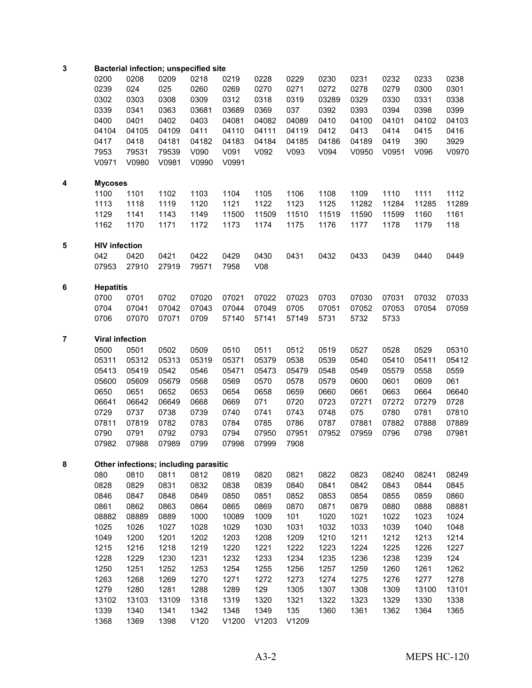| 3              |                      | <b>Bacterial infection; unspecified site</b> |       |       |       |       |       |       |       |       |       |       |
|----------------|----------------------|----------------------------------------------|-------|-------|-------|-------|-------|-------|-------|-------|-------|-------|
|                | 0200                 | 0208                                         | 0209  | 0218  | 0219  | 0228  | 0229  | 0230  | 0231  | 0232  | 0233  | 0238  |
|                | 0239                 | 024                                          | 025   | 0260  | 0269  | 0270  | 0271  | 0272  | 0278  | 0279  | 0300  | 0301  |
|                | 0302                 | 0303                                         | 0308  | 0309  | 0312  | 0318  | 0319  | 03289 | 0329  | 0330  | 0331  | 0338  |
|                | 0339                 | 0341                                         | 0363  | 03681 | 03689 | 0369  | 037   | 0392  | 0393  | 0394  | 0398  | 0399  |
|                | 0400                 | 0401                                         | 0402  | 0403  | 04081 | 04082 | 04089 | 0410  | 04100 | 04101 | 04102 | 04103 |
|                | 04104                | 04105                                        | 04109 | 0411  | 04110 | 04111 | 04119 | 0412  | 0413  | 0414  | 0415  | 0416  |
|                | 0417                 | 0418                                         | 04181 | 04182 | 04183 | 04184 | 04185 | 04186 | 04189 | 0419  | 390   | 3929  |
|                | 7953                 | 79531                                        | 79539 | V090  | V091  | V092  | V093  | V094  | V0950 | V0951 | V096  | V0970 |
|                | V0971                | V0980                                        | V0981 | V0990 | V0991 |       |       |       |       |       |       |       |
| 4              | <b>Mycoses</b>       |                                              |       |       |       |       |       |       |       |       |       |       |
|                | 1100                 | 1101                                         | 1102  | 1103  | 1104  | 1105  | 1106  | 1108  | 1109  | 1110  | 1111  | 1112  |
|                | 1113                 | 1118                                         | 1119  | 1120  | 1121  | 1122  | 1123  | 1125  | 11282 | 11284 | 11285 | 11289 |
|                | 1129                 | 1141                                         | 1143  | 1149  | 11500 | 11509 | 11510 | 11519 | 11590 | 11599 | 1160  | 1161  |
|                | 1162                 | 1170                                         |       |       |       |       |       |       |       |       |       |       |
|                |                      |                                              | 1171  | 1172  | 1173  | 1174  | 1175  | 1176  | 1177  | 1178  | 1179  | 118   |
| 5              | <b>HIV infection</b> |                                              |       |       |       |       |       |       |       |       |       |       |
|                | 042                  | 0420                                         | 0421  | 0422  | 0429  | 0430  | 0431  | 0432  | 0433  | 0439  | 0440  | 0449  |
|                | 07953                | 27910                                        | 27919 | 79571 | 7958  | V08   |       |       |       |       |       |       |
| 6              | <b>Hepatitis</b>     |                                              |       |       |       |       |       |       |       |       |       |       |
|                | 0700                 | 0701                                         | 0702  | 07020 | 07021 | 07022 | 07023 | 0703  | 07030 | 07031 | 07032 | 07033 |
|                | 0704                 | 07041                                        | 07042 | 07043 | 07044 | 07049 | 0705  | 07051 | 07052 | 07053 | 07054 | 07059 |
|                | 0706                 | 07070                                        | 07071 | 0709  | 57140 | 57141 | 57149 | 5731  | 5732  | 5733  |       |       |
| $\overline{7}$ |                      | <b>Viral infection</b>                       |       |       |       |       |       |       |       |       |       |       |
|                | 0500                 | 0501                                         | 0502  | 0509  | 0510  | 0511  | 0512  | 0519  | 0527  | 0528  | 0529  | 05310 |
|                | 05311                | 05312                                        | 05313 | 05319 | 05371 | 05379 | 0538  | 0539  | 0540  | 05410 | 05411 | 05412 |
|                | 05413                | 05419                                        | 0542  | 0546  | 05471 | 05473 | 05479 | 0548  | 0549  | 05579 | 0558  | 0559  |
|                | 05600                | 05609                                        | 05679 | 0568  | 0569  | 0570  | 0578  | 0579  | 0600  | 0601  | 0609  | 061   |
|                | 0650                 | 0651                                         | 0652  | 0653  | 0654  | 0658  | 0659  | 0660  | 0661  | 0663  | 0664  | 06640 |
|                | 06641                | 06642                                        | 06649 | 0668  | 0669  | 071   | 0720  | 0723  | 07271 | 07272 | 07279 | 0728  |
|                | 0729                 | 0737                                         | 0738  | 0739  | 0740  | 0741  | 0743  | 0748  | 075   | 0780  | 0781  | 07810 |
|                | 07811                | 07819                                        | 0782  | 0783  | 0784  | 0785  | 0786  | 0787  | 07881 | 07882 | 07888 | 07889 |
|                | 0790                 | 0791                                         | 0792  | 0793  | 0794  | 07950 | 07951 | 07952 | 07959 | 0796  | 0798  | 07981 |
|                | 07982                | 07988                                        | 07989 | 0799  | 07998 | 07999 | 7908  |       |       |       |       |       |
| 8              |                      | Other infections; including parasitic        |       |       |       |       |       |       |       |       |       |       |
|                | 080                  | 0810                                         | 0811  | 0812  | 0819  | 0820  | 0821  | 0822  | 0823  | 08240 | 08241 | 08249 |
|                | 0828                 | 0829                                         | 0831  | 0832  | 0838  | 0839  | 0840  | 0841  | 0842  | 0843  | 0844  | 0845  |
|                | 0846                 | 0847                                         | 0848  | 0849  | 0850  | 0851  | 0852  | 0853  | 0854  | 0855  | 0859  | 0860  |
|                | 0861                 | 0862                                         | 0863  | 0864  | 0865  | 0869  | 0870  | 0871  | 0879  | 0880  | 0888  | 08881 |
|                | 08882                | 08889                                        | 0889  | 1000  | 10089 | 1009  | 101   | 1020  | 1021  | 1022  | 1023  | 1024  |
|                | 1025                 | 1026                                         | 1027  | 1028  | 1029  | 1030  | 1031  | 1032  | 1033  | 1039  | 1040  | 1048  |
|                | 1049                 | 1200                                         | 1201  | 1202  | 1203  | 1208  | 1209  | 1210  | 1211  | 1212  | 1213  | 1214  |
|                | 1215                 |                                              |       |       | 1220  | 1221  | 1222  | 1223  | 1224  | 1225  |       |       |
|                |                      | 1216                                         | 1218  | 1219  |       |       | 1234  |       |       |       | 1226  | 1227  |
|                | 1228                 | 1229                                         | 1230  | 1231  | 1232  | 1233  |       | 1235  | 1236  | 1238  | 1239  | 124   |
|                | 1250                 | 1251                                         | 1252  | 1253  | 1254  | 1255  | 1256  | 1257  | 1259  | 1260  | 1261  | 1262  |
|                | 1263                 | 1268                                         | 1269  | 1270  | 1271  | 1272  | 1273  | 1274  | 1275  | 1276  | 1277  | 1278  |
|                | 1279                 | 1280                                         | 1281  | 1288  | 1289  | 129   | 1305  | 1307  | 1308  | 1309  | 13100 | 13101 |
|                | 13102                | 13103                                        | 13109 | 1318  | 1319  | 1320  | 1321  | 1322  | 1323  | 1329  | 1330  | 1338  |
|                | 1339                 | 1340                                         | 1341  | 1342  | 1348  | 1349  | 135   | 1360  | 1361  | 1362  | 1364  | 1365  |
|                | 1368                 | 1369                                         | 1398  | V120  | V1200 | V1203 | V1209 |       |       |       |       |       |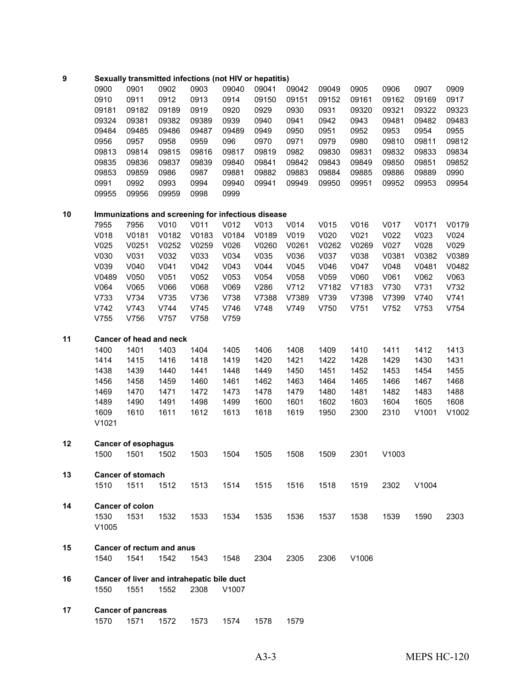## **Sexually transmitted infections (not HIV or hepatitis)**

| 0900  | 0901  | 0902  | 0903  | 09040 | 09041 | 09042 | 09049 | 0905  | 0906  | 0907  | 0909  |
|-------|-------|-------|-------|-------|-------|-------|-------|-------|-------|-------|-------|
| 0910  | 0911  | 0912  | 0913  | 0914  | 09150 | 09151 | 09152 | 09161 | 09162 | 09169 | 0917  |
| 09181 | 09182 | 09189 | 0919  | 0920  | 0929  | 0930  | 0931  | 09320 | 09321 | 09322 | 09323 |
| 09324 | 09381 | 09382 | 09389 | 0939  | 0940  | 0941  | 0942  | 0943  | 09481 | 09482 | 09483 |
| 09484 | 09485 | 09486 | 09487 | 09489 | 0949  | 0950  | 0951  | 0952  | 0953  | 0954  | 0955  |
| 0956  | 0957  | 0958  | 0959  | 096   | 0970  | 0971  | 0979  | 0980  | 09810 | 09811 | 09812 |
| 09813 | 09814 | 09815 | 09816 | 09817 | 09819 | 0982  | 09830 | 09831 | 09832 | 09833 | 09834 |
| 09835 | 09836 | 09837 | 09839 | 09840 | 09841 | 09842 | 09843 | 09849 | 09850 | 09851 | 09852 |
| 09853 | 09859 | 0986  | 0987  | 09881 | 09882 | 09883 | 09884 | 09885 | 09886 | 09889 | 0990  |
| 0991  | 0992  | 0993  | 0994  | 09940 | 09941 | 09949 | 09950 | 09951 | 09952 | 09953 | 09954 |
| 09955 | 09956 | 09959 | 0998  | 0999  |       |       |       |       |       |       |       |

## **Immunizations and screening for infectious disease**

| 7955  | 7956  | V010  | V011  | V012  | V013  | V014  | V015             | V016  | V017  | V0171 | V0179 |
|-------|-------|-------|-------|-------|-------|-------|------------------|-------|-------|-------|-------|
| V018  | V0181 | V0182 | V0183 | V0184 | V0189 | V019  | V <sub>020</sub> | V021  | V022  | V023  | V024  |
| V025  | V0251 | V0252 | V0259 | V026  | V0260 | V0261 | V0262            | V0269 | V027  | V028  | V029  |
| V030  | V031  | V032  | V033  | V034  | V035  | V036  | V037             | V038  | V0381 | V0382 | V0389 |
| V039  | V040  | V041  | V042  | V043  | V044  | V045  | V046             | V047  | V048  | V0481 | V0482 |
| V0489 | V050  | V051  | V052  | V053  | V054  | V058  | V059             | V060  | V061  | V062  | V063  |
| V064  | V065  | 060V  | V068  | V069  | V286  | V712  | V7182            | V7183 | V730  | V731  | V732  |
| V733  | V734  | V735  | V736  | V738  | V7388 | V7389 | V739             | V7398 | V7399 | V740  | V741  |
| V742  | V743  | V744  | V745  | V746  | V748  | V749  | V750             | V751  | V752  | V753  | V754  |
| V755  | V756  | V757  | V758  | V759  |       |       |                  |       |       |       |       |

#### **Cancer of head and neck**

| 1400              | 1401 | 1403 | 1404 | 1405 | 1406 | 1408 | 1409 | 1410 | 1411 | 1412              | 1413  |
|-------------------|------|------|------|------|------|------|------|------|------|-------------------|-------|
| 1414              | 1415 | 1416 | 1418 | 1419 | 1420 | 1421 | 1422 | 1428 | 1429 | 1430              | 1431  |
| 1438              | 1439 | 1440 | 1441 | 1448 | 1449 | 1450 | 1451 | 1452 | 1453 | 1454              | 1455  |
| 1456              | 1458 | 1459 | 1460 | 1461 | 1462 | 1463 | 1464 | 1465 | 1466 | 1467              | 1468  |
| 1469              | 1470 | 1471 | 1472 | 1473 | 1478 | 1479 | 1480 | 1481 | 1482 | 1483              | 1488  |
| 1489              | 1490 | 1491 | 1498 | 1499 | 1600 | 1601 | 1602 | 1603 | 1604 | 1605              | 1608  |
| 1609              | 1610 | 1611 | 1612 | 1613 | 1618 | 1619 | 1950 | 2300 | 2310 | V <sub>1001</sub> | V1002 |
| V <sub>1021</sub> |      |      |      |      |      |      |      |      |      |                   |       |

## **Cancer of esophagus**

|    | 1500 | 1501                     | 1502 | 1503 | 1504 | 1505      | 1508 | 1509 | 2301 | V <sub>1003</sub> |                   |
|----|------|--------------------------|------|------|------|-----------|------|------|------|-------------------|-------------------|
| 13 |      | <b>Cancer of stomach</b> |      |      |      |           |      |      |      |                   |                   |
|    | 1510 | 1511                     | 1512 | 1513 |      | 1514 1515 | 1516 | 1518 | 1519 | 2302              | V <sub>1004</sub> |

 **Cancer of colon** 1531 1532 1533 1534 1535 1536 1537 1538 1539 1590 2303 V1005

## **Cancer of rectum and anus** 1541 1542 1543 1548 2304 2305 2306 V1006

## **Cancer of liver and intrahepatic bile duct** 1551 1552 2308 V1007

## **Cancer of pancreas** 1571 1572 1573 1574 1578 1579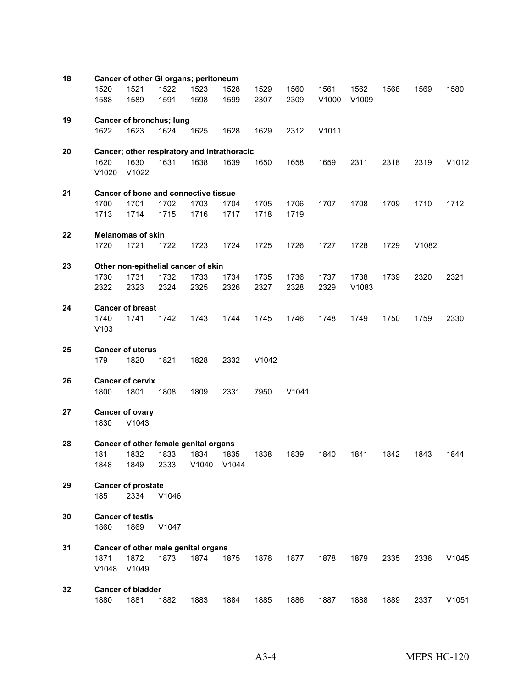| 18 |               |                                 | Cancer of other GI organs; peritoneum       |              |                     |              |              |               |               |      |       |       |
|----|---------------|---------------------------------|---------------------------------------------|--------------|---------------------|--------------|--------------|---------------|---------------|------|-------|-------|
|    | 1520<br>1588  | 1521<br>1589                    | 1522<br>1591                                | 1523<br>1598 | 1528<br>1599        | 1529<br>2307 | 1560<br>2309 | 1561<br>V1000 | 1562<br>V1009 | 1568 | 1569  | 1580  |
| 19 |               |                                 | Cancer of bronchus; lung                    |              |                     |              |              |               |               |      |       |       |
|    | 1622          | 1623                            | 1624                                        | 1625         | 1628                | 1629         | 2312         | V1011         |               |      |       |       |
| 20 |               |                                 | Cancer; other respiratory and intrathoracic |              |                     |              |              |               |               |      |       |       |
|    | 1620<br>V1020 | 1630<br>V1022                   | 1631                                        | 1638         | 1639                | 1650         | 1658         | 1659          | 2311          | 2318 | 2319  | V1012 |
| 21 |               |                                 | Cancer of bone and connective tissue        |              |                     |              |              |               |               |      |       |       |
|    | 1700          | 1701                            | 1702                                        | 1703         | 1704                | 1705         | 1706         | 1707          | 1708          | 1709 | 1710  | 1712  |
|    | 1713          | 1714                            | 1715                                        | 1716         | 1717                | 1718         | 1719         |               |               |      |       |       |
| 22 |               | <b>Melanomas of skin</b>        |                                             |              |                     |              |              |               |               |      |       |       |
|    | 1720          | 1721                            | 1722                                        | 1723         | 1724                | 1725         | 1726         | 1727          | 1728          | 1729 | V1082 |       |
| 23 |               |                                 | Other non-epithelial cancer of skin         |              |                     |              |              |               |               |      |       |       |
|    | 1730          | 1731                            | 1732                                        | 1733         | 1734                | 1735         | 1736         | 1737          | 1738          | 1739 | 2320  | 2321  |
|    | 2322          | 2323                            | 2324                                        | 2325         | 2326                | 2327         | 2328         | 2329          | V1083         |      |       |       |
| 24 |               | <b>Cancer of breast</b>         |                                             |              |                     |              |              |               |               |      |       |       |
|    | 1740<br>V103  | 1741                            | 1742                                        | 1743         | 1744                | 1745         | 1746         | 1748          | 1749          | 1750 | 1759  | 2330  |
| 25 |               | <b>Cancer of uterus</b>         |                                             |              |                     |              |              |               |               |      |       |       |
|    | 179           | 1820                            | 1821                                        | 1828         | 2332                | V1042        |              |               |               |      |       |       |
| 26 |               | <b>Cancer of cervix</b>         |                                             |              |                     |              |              |               |               |      |       |       |
|    | 1800          | 1801                            | 1808                                        | 1809         | 2331                | 7950         | V1041        |               |               |      |       |       |
| 27 | 1830          | <b>Cancer of ovary</b><br>V1043 |                                             |              |                     |              |              |               |               |      |       |       |
|    |               |                                 |                                             |              |                     |              |              |               |               |      |       |       |
| 28 |               |                                 | Cancer of other female genital organs       |              |                     |              |              |               |               |      |       |       |
|    | 181<br>1848   | 1832<br>1849                    | 1833<br>2333                                | 1834         | 1835<br>V1040 V1044 | 1838         | 1839         | 1840          | 1841          | 1842 | 1843  | 1844  |
| 29 |               | <b>Cancer of prostate</b>       |                                             |              |                     |              |              |               |               |      |       |       |
|    | 185           | 2334                            | V1046                                       |              |                     |              |              |               |               |      |       |       |
| 30 | 1860          | <b>Cancer of testis</b><br>1869 | V1047                                       |              |                     |              |              |               |               |      |       |       |
| 31 |               |                                 | Cancer of other male genital organs         |              |                     |              |              |               |               |      |       |       |
|    | 1871          | 1872                            | 1873                                        | 1874         | 1875                | 1876         | 1877         | 1878          | 1879          | 2335 | 2336  | V1045 |
|    | V1048         | V1049                           |                                             |              |                     |              |              |               |               |      |       |       |
| 32 |               | <b>Cancer of bladder</b>        |                                             |              |                     |              |              |               |               |      |       |       |
|    | 1880          | 1881                            | 1882                                        | 1883         | 1884                | 1885         | 1886         | 1887          | 1888          | 1889 | 2337  | V1051 |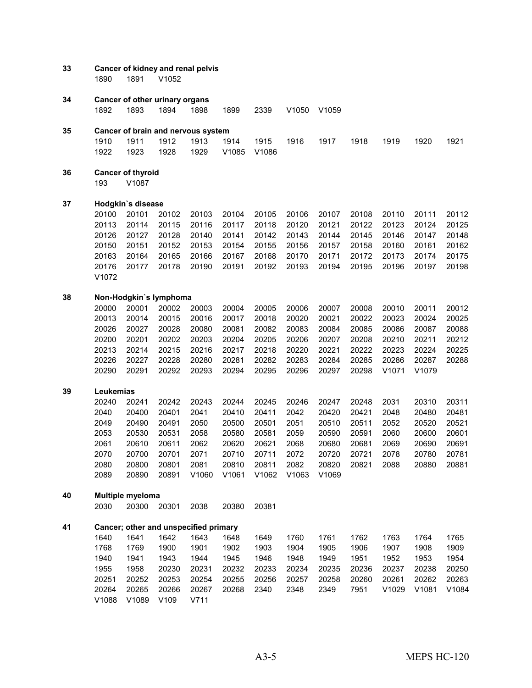| 33 | 1890                                                                                                      | 1891                                                                                            | Cancer of kidney and renal pelvis<br>V1052                                                      |                                                                                              |                                                                                                 |                                                                                                 |                                                                                              |                                                                                                 |                                                                                                 |                                                                                             |                                                                                                 |                                                                                        |
|----|-----------------------------------------------------------------------------------------------------------|-------------------------------------------------------------------------------------------------|-------------------------------------------------------------------------------------------------|----------------------------------------------------------------------------------------------|-------------------------------------------------------------------------------------------------|-------------------------------------------------------------------------------------------------|----------------------------------------------------------------------------------------------|-------------------------------------------------------------------------------------------------|-------------------------------------------------------------------------------------------------|---------------------------------------------------------------------------------------------|-------------------------------------------------------------------------------------------------|----------------------------------------------------------------------------------------|
| 34 | 1892                                                                                                      | 1893                                                                                            | Cancer of other urinary organs<br>1894                                                          | 1898                                                                                         | 1899                                                                                            | 2339                                                                                            | V1050                                                                                        | V1059                                                                                           |                                                                                                 |                                                                                             |                                                                                                 |                                                                                        |
| 35 |                                                                                                           |                                                                                                 | Cancer of brain and nervous system                                                              |                                                                                              |                                                                                                 |                                                                                                 |                                                                                              |                                                                                                 |                                                                                                 |                                                                                             |                                                                                                 |                                                                                        |
|    | 1910<br>1922                                                                                              | 1911<br>1923                                                                                    | 1912<br>1928                                                                                    | 1913<br>1929                                                                                 | 1914<br>V1085                                                                                   | 1915<br>V1086                                                                                   | 1916                                                                                         | 1917                                                                                            | 1918                                                                                            | 1919                                                                                        | 1920                                                                                            | 1921                                                                                   |
| 36 | 193                                                                                                       | <b>Cancer of thyroid</b><br>V1087                                                               |                                                                                                 |                                                                                              |                                                                                                 |                                                                                                 |                                                                                              |                                                                                                 |                                                                                                 |                                                                                             |                                                                                                 |                                                                                        |
| 37 |                                                                                                           | Hodgkin's disease                                                                               |                                                                                                 |                                                                                              |                                                                                                 |                                                                                                 |                                                                                              |                                                                                                 |                                                                                                 |                                                                                             |                                                                                                 |                                                                                        |
|    | 20100<br>20113<br>20126<br>20150<br>20163<br>20176<br>V1072                                               | 20101<br>20114<br>20127<br>20151<br>20164<br>20177                                              | 20102<br>20115<br>20128<br>20152<br>20165<br>20178                                              | 20103<br>20116<br>20140<br>20153<br>20166<br>20190                                           | 20104<br>20117<br>20141<br>20154<br>20167<br>20191                                              | 20105<br>20118<br>20142<br>20155<br>20168<br>20192                                              | 20106<br>20120<br>20143<br>20156<br>20170<br>20193                                           | 20107<br>20121<br>20144<br>20157<br>20171<br>20194                                              | 20108<br>20122<br>20145<br>20158<br>20172<br>20195                                              | 20110<br>20123<br>20146<br>20160<br>20173<br>20196                                          | 20111<br>20124<br>20147<br>20161<br>20174<br>20197                                              | 20112<br>20125<br>20148<br>20162<br>20175<br>20198                                     |
| 38 |                                                                                                           |                                                                                                 | Non-Hodgkin's lymphoma                                                                          |                                                                                              |                                                                                                 |                                                                                                 |                                                                                              |                                                                                                 |                                                                                                 |                                                                                             |                                                                                                 |                                                                                        |
| 39 | 20000<br>20013<br>20026<br>20200<br>20213<br>20226<br>20290<br>Leukemias<br>20240<br>2040<br>2049<br>2053 | 20001<br>20014<br>20027<br>20201<br>20214<br>20227<br>20291<br>20241<br>20400<br>20490<br>20530 | 20002<br>20015<br>20028<br>20202<br>20215<br>20228<br>20292<br>20242<br>20401<br>20491<br>20531 | 20003<br>20016<br>20080<br>20203<br>20216<br>20280<br>20293<br>20243<br>2041<br>2050<br>2058 | 20004<br>20017<br>20081<br>20204<br>20217<br>20281<br>20294<br>20244<br>20410<br>20500<br>20580 | 20005<br>20018<br>20082<br>20205<br>20218<br>20282<br>20295<br>20245<br>20411<br>20501<br>20581 | 20006<br>20020<br>20083<br>20206<br>20220<br>20283<br>20296<br>20246<br>2042<br>2051<br>2059 | 20007<br>20021<br>20084<br>20207<br>20221<br>20284<br>20297<br>20247<br>20420<br>20510<br>20590 | 20008<br>20022<br>20085<br>20208<br>20222<br>20285<br>20298<br>20248<br>20421<br>20511<br>20591 | 20010<br>20023<br>20086<br>20210<br>20223<br>20286<br>V1071<br>2031<br>2048<br>2052<br>2060 | 20011<br>20024<br>20087<br>20211<br>20224<br>20287<br>V1079<br>20310<br>20480<br>20520<br>20600 | 20012<br>20025<br>20088<br>20212<br>20225<br>20288<br>20311<br>20481<br>20521<br>20601 |
|    | 2061<br>2070<br>2080<br>2089                                                                              | 20610<br>20700<br>20800<br>20890                                                                | 20611<br>20701<br>20801<br>20891                                                                | 2062<br>2071<br>2081<br>V1060                                                                | 20620<br>20710<br>20810<br>V1061                                                                | 20621<br>20711<br>20811<br>V1062                                                                | 2068<br>2072<br>2082<br>V1063                                                                | 20680<br>20720<br>20820<br>V1069                                                                | 20681<br>20721<br>20821                                                                         | 2069<br>2078<br>2088                                                                        | 20690<br>20780<br>20880                                                                         | 20691<br>20781<br>20881                                                                |
| 40 |                                                                                                           | Multiple myeloma                                                                                |                                                                                                 |                                                                                              |                                                                                                 |                                                                                                 |                                                                                              |                                                                                                 |                                                                                                 |                                                                                             |                                                                                                 |                                                                                        |
|    | 2030                                                                                                      | 20300                                                                                           | 20301                                                                                           | 2038                                                                                         | 20380                                                                                           | 20381                                                                                           |                                                                                              |                                                                                                 |                                                                                                 |                                                                                             |                                                                                                 |                                                                                        |
| 41 | 1640<br>1768<br>1940<br>1955                                                                              | 1641<br>1769<br>1941<br>1958                                                                    | Cancer; other and unspecified primary<br>1642<br>1900<br>1943<br>20230                          | 1643<br>1901<br>1944<br>20231                                                                | 1648<br>1902<br>1945<br>20232                                                                   | 1649<br>1903<br>1946<br>20233                                                                   | 1760<br>1904<br>1948<br>20234                                                                | 1761<br>1905<br>1949<br>20235                                                                   | 1762<br>1906<br>1951<br>20236                                                                   | 1763<br>1907<br>1952<br>20237                                                               | 1764<br>1908<br>1953<br>20238                                                                   | 1765<br>1909<br>1954<br>20250                                                          |
|    | 20251<br>20264<br>V1088                                                                                   | 20252<br>20265<br>V1089                                                                         | 20253<br>20266<br>V109                                                                          | 20254<br>20267<br>V711                                                                       | 20255<br>20268                                                                                  | 20256<br>2340                                                                                   | 20257<br>2348                                                                                | 20258<br>2349                                                                                   | 20260<br>7951                                                                                   | 20261<br>V1029                                                                              | 20262<br>V1081                                                                                  | 20263<br>V1084                                                                         |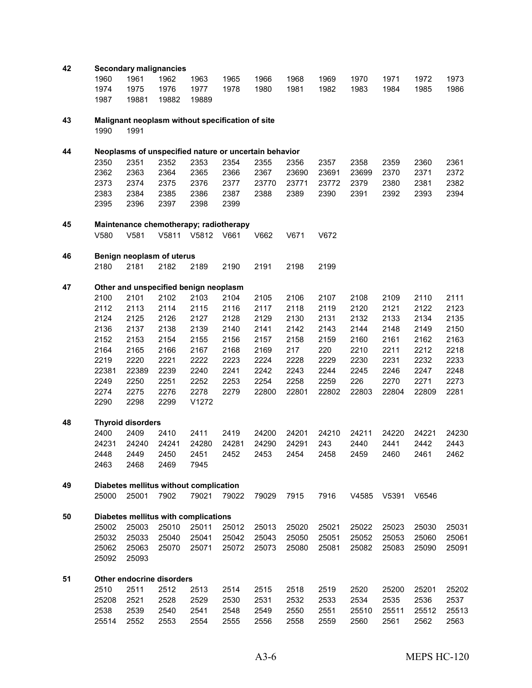| 42 |                |                          | <b>Secondary malignancies</b>                         |       |       |       |       |       |       |       |       |       |
|----|----------------|--------------------------|-------------------------------------------------------|-------|-------|-------|-------|-------|-------|-------|-------|-------|
|    | 1960           | 1961                     | 1962                                                  | 1963  | 1965  | 1966  | 1968  | 1969  | 1970  | 1971  | 1972  | 1973  |
|    | 1974           | 1975                     | 1976                                                  | 1977  | 1978  | 1980  | 1981  | 1982  | 1983  | 1984  | 1985  | 1986  |
|    | 1987           | 19881                    | 19882                                                 | 19889 |       |       |       |       |       |       |       |       |
| 43 |                |                          | Malignant neoplasm without specification of site      |       |       |       |       |       |       |       |       |       |
|    | 1990           | 1991                     |                                                       |       |       |       |       |       |       |       |       |       |
| 44 |                |                          | Neoplasms of unspecified nature or uncertain behavior |       |       |       |       |       |       |       |       |       |
|    | 2350           | 2351                     | 2352                                                  | 2353  | 2354  | 2355  | 2356  | 2357  | 2358  | 2359  | 2360  | 2361  |
|    | 2362           | 2363                     | 2364                                                  | 2365  | 2366  | 2367  | 23690 | 23691 | 23699 | 2370  | 2371  | 2372  |
|    | 2373           | 2374                     | 2375                                                  | 2376  | 2377  | 23770 | 23771 | 23772 | 2379  | 2380  | 2381  | 2382  |
|    | 2383           | 2384                     | 2385                                                  | 2386  | 2387  | 2388  | 2389  | 2390  | 2391  | 2392  | 2393  | 2394  |
|    | 2395           | 2396                     | 2397                                                  | 2398  | 2399  |       |       |       |       |       |       |       |
| 45 |                |                          | Maintenance chemotherapy; radiotherapy                |       |       |       |       |       |       |       |       |       |
|    | V580           | V581                     | V5811                                                 | V5812 | V661  | V662  | V671  | V672  |       |       |       |       |
| 46 |                |                          | Benign neoplasm of uterus                             |       |       |       |       |       |       |       |       |       |
|    | 2180           | 2181                     | 2182                                                  | 2189  | 2190  | 2191  | 2198  | 2199  |       |       |       |       |
| 47 |                |                          | Other and unspecified benign neoplasm                 |       |       |       |       |       |       |       |       |       |
|    | 2100           | 2101                     | 2102                                                  | 2103  | 2104  | 2105  | 2106  | 2107  | 2108  | 2109  | 2110  | 2111  |
|    | 2112           | 2113                     | 2114                                                  | 2115  | 2116  | 2117  | 2118  | 2119  | 2120  | 2121  | 2122  | 2123  |
|    | 2124           | 2125                     | 2126                                                  | 2127  | 2128  | 2129  | 2130  | 2131  | 2132  | 2133  | 2134  | 2135  |
|    | 2136           | 2137                     | 2138                                                  | 2139  | 2140  | 2141  | 2142  | 2143  | 2144  | 2148  | 2149  | 2150  |
|    | 2152           | 2153                     | 2154                                                  | 2155  | 2156  | 2157  | 2158  | 2159  | 2160  | 2161  | 2162  | 2163  |
|    | 2164           | 2165                     | 2166                                                  | 2167  | 2168  | 2169  | 217   | 220   | 2210  | 2211  | 2212  | 2218  |
|    | 2219           | 2220                     | 2221                                                  | 2222  | 2223  | 2224  | 2228  | 2229  | 2230  | 2231  | 2232  | 2233  |
|    | 22381          | 22389                    | 2239                                                  | 2240  | 2241  | 2242  | 2243  | 2244  | 2245  | 2246  | 2247  | 2248  |
|    | 2249           | 2250                     | 2251                                                  | 2252  | 2253  | 2254  | 2258  | 2259  | 226   | 2270  | 2271  | 2273  |
|    | 2274           | 2275                     | 2276                                                  | 2278  | 2279  | 22800 | 22801 | 22802 | 22803 | 22804 | 22809 | 2281  |
|    | 2290           | 2298                     | 2299                                                  | V1272 |       |       |       |       |       |       |       |       |
| 48 |                | <b>Thyroid disorders</b> |                                                       |       |       |       |       |       |       |       |       |       |
|    | 2400           | 2409                     | 2410                                                  | 2411  | 2419  | 24200 | 24201 | 24210 | 24211 | 24220 | 24221 | 24230 |
|    | 24231          | 24240                    | 24241                                                 | 24280 | 24281 | 24290 | 24291 | 243   | 2440  | 2441  | 2442  | 2443  |
|    | 2448           | 2449                     | 2450                                                  | 2451  | 2452  | 2453  | 2454  | 2458  | 2459  | 2460  | 2461  | 2462  |
|    | 2463           | 2468                     | 2469                                                  | 7945  |       |       |       |       |       |       |       |       |
| 49 |                |                          | Diabetes mellitus without complication                |       |       |       |       |       |       |       |       |       |
|    | 25000          | 25001                    | 7902                                                  | 79021 | 79022 | 79029 | 7915  | 7916  | V4585 | V5391 | V6546 |       |
| 50 |                |                          | Diabetes mellitus with complications                  |       |       |       |       |       |       |       |       |       |
|    | 25002          | 25003                    | 25010                                                 | 25011 | 25012 | 25013 | 25020 | 25021 | 25022 | 25023 | 25030 | 25031 |
|    | 25032          | 25033                    | 25040                                                 | 25041 | 25042 | 25043 | 25050 | 25051 | 25052 | 25053 | 25060 | 25061 |
|    | 25062<br>25092 | 25063<br>25093           | 25070                                                 | 25071 | 25072 | 25073 | 25080 | 25081 | 25082 | 25083 | 25090 | 25091 |
| 51 |                |                          | Other endocrine disorders                             |       |       |       |       |       |       |       |       |       |
|    | 2510           | 2511                     | 2512                                                  | 2513  | 2514  | 2515  | 2518  | 2519  | 2520  | 25200 | 25201 | 25202 |
|    | 25208          | 2521                     | 2528                                                  | 2529  | 2530  | 2531  | 2532  | 2533  | 2534  | 2535  | 2536  | 2537  |
|    | 2538           | 2539                     | 2540                                                  | 2541  | 2548  | 2549  | 2550  | 2551  | 25510 | 25511 | 25512 | 25513 |
|    | 25514          | 2552                     | 2553                                                  | 2554  | 2555  | 2556  | 2558  | 2559  | 2560  | 2561  | 2562  | 2563  |
|    |                |                          |                                                       |       |       |       |       |       |       |       |       |       |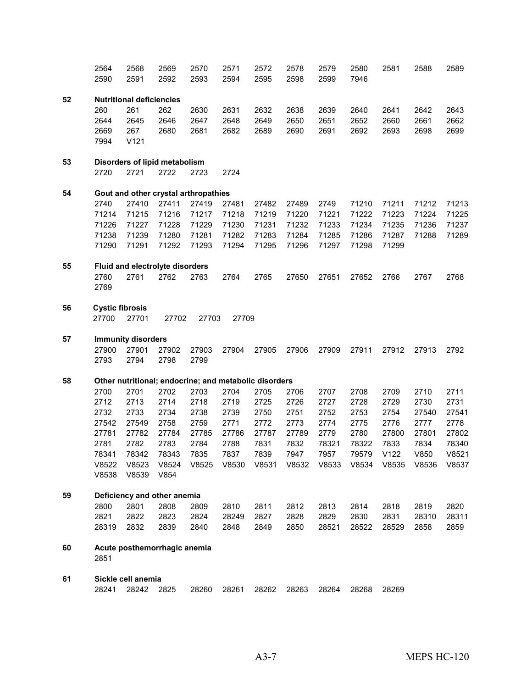|    | 2564<br>2590           | 2568<br>2591                                          | 2569<br>2592 | 2570<br>2593 | 2571<br>2594 | 2572<br>2595 | 2578<br>2598 | 2579<br>2599 | 2580<br>7946 | 2581  | 2588  | 2589  |
|----|------------------------|-------------------------------------------------------|--------------|--------------|--------------|--------------|--------------|--------------|--------------|-------|-------|-------|
|    |                        |                                                       |              |              |              |              |              |              |              |       |       |       |
| 52 |                        | <b>Nutritional deficiencies</b>                       |              |              |              |              |              |              |              |       |       |       |
|    | 260                    | 261                                                   | 262          | 2630         | 2631         | 2632         | 2638         | 2639         | 2640         | 2641  | 2642  | 2643  |
|    | 2644                   | 2645                                                  | 2646         | 2647         | 2648         | 2649         | 2650         | 2651         | 2652         | 2660  | 2661  | 2662  |
|    | 2669                   | 267                                                   | 2680         | 2681         | 2682         | 2689         | 2690         | 2691         | 2692         | 2693  | 2698  | 2699  |
|    | 7994                   | V121                                                  |              |              |              |              |              |              |              |       |       |       |
| 53 |                        | Disorders of lipid metabolism                         |              |              |              |              |              |              |              |       |       |       |
|    | 2720                   | 2721                                                  | 2722         | 2723         | 2724         |              |              |              |              |       |       |       |
| 54 |                        | Gout and other crystal arthropathies                  |              |              |              |              |              |              |              |       |       |       |
|    | 2740                   | 27410                                                 | 27411        | 27419        | 27481        | 27482        | 27489        | 2749         | 71210        | 71211 | 71212 | 71213 |
|    | 71214                  | 71215                                                 | 71216        | 71217        | 71218        | 71219        | 71220        | 71221        | 71222        | 71223 | 71224 | 71225 |
|    | 71226                  | 71227                                                 | 71228        | 71229        | 71230        | 71231        | 71232        | 71233        | 71234        | 71235 | 71236 | 71237 |
|    | 71238                  | 71239                                                 | 71280        | 71281        | 71282        | 71283        | 71284        | 71285        | 71286        | 71287 | 71288 | 71289 |
|    | 71290                  | 71291                                                 | 71292        | 71293        | 71294        | 71295        | 71296        | 71297        | 71298        | 71299 |       |       |
| 55 |                        | Fluid and electrolyte disorders                       |              |              |              |              |              |              |              |       |       |       |
|    | 2760                   | 2761                                                  | 2762         | 2763         | 2764         | 2765         | 27650        | 27651        | 27652        | 2766  | 2767  | 2768  |
|    | 2769                   |                                                       |              |              |              |              |              |              |              |       |       |       |
| 56 | <b>Cystic fibrosis</b> |                                                       |              |              |              |              |              |              |              |       |       |       |
|    | 27700                  | 27701                                                 | 27702        | 27703        | 27709        |              |              |              |              |       |       |       |
| 57 |                        | <b>Immunity disorders</b>                             |              |              |              |              |              |              |              |       |       |       |
|    | 27900                  | 27901                                                 | 27902        | 27903        | 27904        | 27905        | 27906        | 27909        | 27911        | 27912 | 27913 | 2792  |
|    | 2793                   | 2794                                                  | 2798         | 2799         |              |              |              |              |              |       |       |       |
| 58 |                        | Other nutritional; endocrine; and metabolic disorders |              |              |              |              |              |              |              |       |       |       |
|    | 2700                   | 2701                                                  | 2702         | 2703         | 2704         | 2705         | 2706         | 2707         | 2708         | 2709  | 2710  | 2711  |
|    | 2712                   | 2713                                                  | 2714         | 2718         | 2719         | 2725         | 2726         | 2727         | 2728         | 2729  | 2730  | 2731  |
|    | 2732                   | 2733                                                  | 2734         | 2738         | 2739         | 2750         | 2751         | 2752         | 2753         | 2754  | 27540 | 27541 |
|    | 27542                  | 27549                                                 | 2758         | 2759         | 2771         | 2772         | 2773         | 2774         | 2775         | 2776  | 2777  | 2778  |
|    | 27781                  | 27782                                                 | 27784        | 27785        | 27786        | 27787        | 27789        | 2779         | 2780         | 27800 | 27801 | 27802 |
|    | 2781                   | 2782                                                  | 2783         | 2784         | 2788         | 7831         | 7832         | 78321        | 78322        | 7833  | 7834  | 78340 |
|    | 78341                  | 78342                                                 | 78343        | 7835         | 7837         | 7839         | 7947         | 7957         | 79579        | V122  | V850  | V8521 |
|    | V8522                  | V8523                                                 | V8524        | V8525        | V8530        | V8531        | V8532        | V8533        | V8534        | V8535 | V8536 | V8537 |
|    | V8538                  | V8539                                                 | V854         |              |              |              |              |              |              |       |       |       |
| 59 |                        | Deficiency and other anemia                           |              |              |              |              |              |              |              |       |       |       |
|    | 2800                   | 2801                                                  | 2808         | 2809         | 2810         | 2811         | 2812         | 2813         | 2814         | 2818  | 2819  | 2820  |
|    | 2821                   | 2822                                                  | 2823         | 2824         | 28249        | 2827         | 2828         | 2829         | 2830         | 2831  | 28310 | 28311 |
|    | 28319                  | 2832                                                  | 2839         | 2840         | 2848         | 2849         | 2850         | 28521        | 28522        | 28529 | 2858  | 2859  |
| 60 | 2851                   | Acute posthemorrhagic anemia                          |              |              |              |              |              |              |              |       |       |       |
| 61 |                        | Sickle cell anemia                                    |              |              |              |              |              |              |              |       |       |       |

28242 2825 28260 28261 28262 28263 28264 28268 28269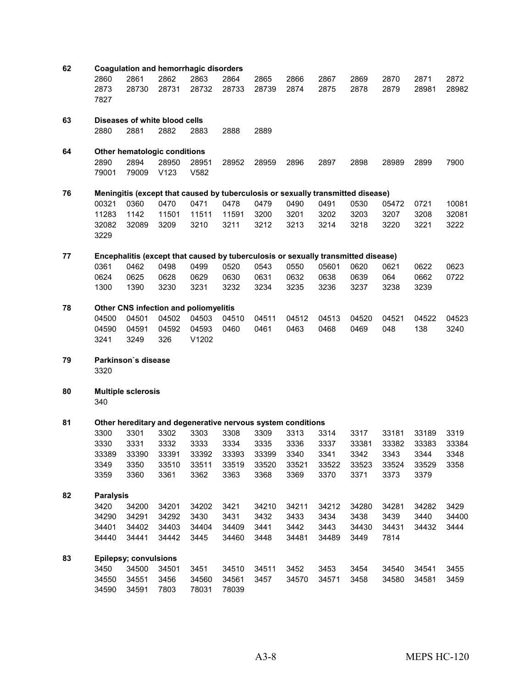| 62 |                      |                               |               | <b>Coagulation and hemorrhagic disorders</b>                                            |               |               |              |              |              |              |               |               |
|----|----------------------|-------------------------------|---------------|-----------------------------------------------------------------------------------------|---------------|---------------|--------------|--------------|--------------|--------------|---------------|---------------|
|    | 2860<br>2873<br>7827 | 2861<br>28730                 | 2862<br>28731 | 2863<br>28732                                                                           | 2864<br>28733 | 2865<br>28739 | 2866<br>2874 | 2867<br>2875 | 2869<br>2878 | 2870<br>2879 | 2871<br>28981 | 2872<br>28982 |
|    |                      |                               |               |                                                                                         |               |               |              |              |              |              |               |               |
| 63 |                      | Diseases of white blood cells |               |                                                                                         |               |               |              |              |              |              |               |               |
|    | 2880                 | 2881                          | 2882          | 2883                                                                                    | 2888          | 2889          |              |              |              |              |               |               |
|    |                      |                               |               |                                                                                         |               |               |              |              |              |              |               |               |
| 64 |                      | Other hematologic conditions  |               |                                                                                         |               |               |              |              |              |              |               |               |
|    | 2890                 | 2894                          | 28950         | 28951                                                                                   | 28952         | 28959         | 2896         | 2897         | 2898         | 28989        | 2899          | 7900          |
|    | 79001                | 79009                         | V123          | V582                                                                                    |               |               |              |              |              |              |               |               |
|    |                      |                               |               |                                                                                         |               |               |              |              |              |              |               |               |
| 76 | 00321                | 0360                          | 0470          | Meningitis (except that caused by tuberculosis or sexually transmitted disease)<br>0471 | 0478          | 0479          | 0490         | 0491         | 0530         | 05472        | 0721          | 10081         |
|    | 11283                | 1142                          | 11501         | 11511                                                                                   | 11591         | 3200          | 3201         | 3202         | 3203         | 3207         | 3208          | 32081         |
|    | 32082                | 32089                         | 3209          | 3210                                                                                    | 3211          | 3212          | 3213         | 3214         | 3218         | 3220         | 3221          | 3222          |
|    | 3229                 |                               |               |                                                                                         |               |               |              |              |              |              |               |               |
| 77 |                      |                               |               | Encephalitis (except that caused by tuberculosis or sexually transmitted disease)       |               |               |              |              |              |              |               |               |
|    | 0361                 | 0462                          | 0498          | 0499                                                                                    | 0520          | 0543          | 0550         | 05601        | 0620         | 0621         | 0622          | 0623          |
|    | 0624                 | 0625                          | 0628          | 0629                                                                                    | 0630          | 0631          | 0632         | 0638         | 0639         | 064          | 0662          | 0722          |
|    | 1300                 | 1390                          | 3230          | 3231                                                                                    | 3232          | 3234          | 3235         | 3236         | 3237         | 3238         | 3239          |               |
|    |                      |                               |               |                                                                                         |               |               |              |              |              |              |               |               |
| 78 |                      |                               |               | Other CNS infection and poliomyelitis                                                   |               |               |              |              |              |              |               |               |
|    | 04500                | 04501                         | 04502         | 04503                                                                                   | 04510         | 04511         | 04512        | 04513        | 04520        | 04521        | 04522         | 04523         |
|    | 04590                | 04591                         | 04592         | 04593                                                                                   | 0460          | 0461          | 0463         | 0468         | 0469         | 048          | 138           | 3240          |
|    | 3241                 | 3249                          | 326           | V1202                                                                                   |               |               |              |              |              |              |               |               |
| 79 |                      | Parkinson's disease           |               |                                                                                         |               |               |              |              |              |              |               |               |
|    | 3320                 |                               |               |                                                                                         |               |               |              |              |              |              |               |               |
| 80 |                      | <b>Multiple sclerosis</b>     |               |                                                                                         |               |               |              |              |              |              |               |               |
|    | 340                  |                               |               |                                                                                         |               |               |              |              |              |              |               |               |
| 81 |                      |                               |               | Other hereditary and degenerative nervous system conditions                             |               |               |              |              |              |              |               |               |
|    | 3300                 | 3301                          | 3302          | 3303                                                                                    | 3308          | 3309          | 3313         | 3314         | 3317         | 33181        | 33189         | 3319          |
|    | 3330                 | 3331                          | 3332          | 3333                                                                                    | 3334          | 3335          | 3336         | 3337         | 33381        | 33382        | 33383         | 33384         |
|    | 33389                | 33390                         | 33391         | 33392                                                                                   | 33393         | 33399         | 3340         | 3341         | 3342         | 3343         | 3344          | 3348          |
|    | 3349                 | 3350                          | 33510         | 33511                                                                                   | 33519         | 33520         | 33521        | 33522        | 33523        | 33524        | 33529         | 3358          |
|    | 3359                 | 3360                          | 3361          | 3362                                                                                    | 3363          | 3368          | 3369         | 3370         | 3371         | 3373         | 3379          |               |
| 82 | <b>Paralysis</b>     |                               |               |                                                                                         |               |               |              |              |              |              |               |               |
|    | 3420                 | 34200                         | 34201         | 34202                                                                                   | 3421          | 34210         | 34211        | 34212        | 34280        | 34281        | 34282         | 3429          |
|    | 34290                | 34291                         | 34292         | 3430                                                                                    | 3431          | 3432          | 3433         | 3434         | 3438         | 3439         | 3440          | 34400         |
|    | 34401                | 34402                         | 34403         | 34404                                                                                   | 34409         | 3441          | 3442         | 3443         | 34430        | 34431        | 34432         | 3444          |
|    | 34440                | 34441                         | 34442         | 3445                                                                                    | 34460         | 3448          | 34481        | 34489        | 3449         | 7814         |               |               |
| 83 |                      | <b>Epilepsy; convulsions</b>  |               |                                                                                         |               |               |              |              |              |              |               |               |
|    | 3450                 | 34500                         | 34501         | 3451                                                                                    | 34510         | 34511         | 3452         | 3453         | 3454         | 34540        | 34541         | 3455          |
|    | 34550                | 34551                         | 3456          | 34560                                                                                   | 34561         | 3457          | 34570        | 34571        | 3458         | 34580        | 34581         | 3459          |
|    | 34590                | 34591                         | 7803          | 78031                                                                                   | 78039         |               |              |              |              |              |               |               |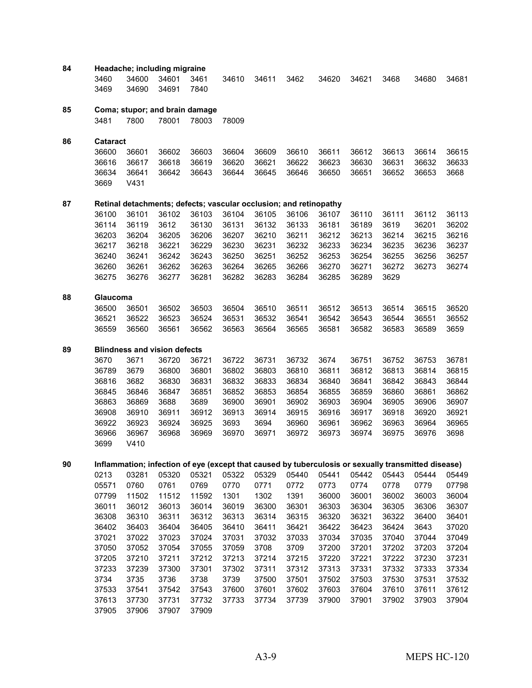| 84 | 3460            | Headache; including migraine<br>34600 | 34601          | 3461                                                              | 34610          | 34611          | 3462           | 34620          | 34621          | 3468           | 34680                                                                                               | 34681          |
|----|-----------------|---------------------------------------|----------------|-------------------------------------------------------------------|----------------|----------------|----------------|----------------|----------------|----------------|-----------------------------------------------------------------------------------------------------|----------------|
|    | 3469            | 34690                                 | 34691          | 7840                                                              |                |                |                |                |                |                |                                                                                                     |                |
| 85 |                 |                                       |                | Coma; stupor; and brain damage                                    |                |                |                |                |                |                |                                                                                                     |                |
|    | 3481            | 7800                                  | 78001          | 78003                                                             | 78009          |                |                |                |                |                |                                                                                                     |                |
| 86 | <b>Cataract</b> |                                       |                |                                                                   |                |                |                |                |                |                |                                                                                                     |                |
|    | 36600           | 36601                                 | 36602          | 36603                                                             | 36604          | 36609          | 36610          | 36611          | 36612          | 36613          | 36614                                                                                               | 36615          |
|    | 36616           | 36617                                 | 36618          | 36619                                                             | 36620          | 36621          | 36622          | 36623          | 36630          | 36631          | 36632                                                                                               | 36633          |
|    | 36634           | 36641                                 | 36642          | 36643                                                             | 36644          | 36645          | 36646          | 36650          | 36651          | 36652          | 36653                                                                                               | 3668           |
|    | 3669            | V431                                  |                |                                                                   |                |                |                |                |                |                |                                                                                                     |                |
| 87 |                 |                                       |                | Retinal detachments; defects; vascular occlusion; and retinopathy |                |                |                |                |                |                |                                                                                                     |                |
|    | 36100           | 36101                                 | 36102          | 36103                                                             | 36104          | 36105          | 36106          | 36107          | 36110          | 36111          | 36112                                                                                               | 36113          |
|    | 36114           | 36119                                 | 3612           | 36130                                                             | 36131          | 36132          | 36133          | 36181          | 36189          | 3619           | 36201                                                                                               | 36202          |
|    | 36203           | 36204                                 | 36205          | 36206                                                             | 36207          | 36210          | 36211          | 36212          | 36213          | 36214          | 36215                                                                                               | 36216          |
|    | 36217           | 36218                                 | 36221          | 36229                                                             | 36230          | 36231          | 36232          | 36233          | 36234          | 36235          | 36236                                                                                               | 36237          |
|    | 36240           | 36241                                 | 36242          | 36243                                                             | 36250          | 36251          | 36252          | 36253          | 36254          | 36255          | 36256                                                                                               | 36257          |
|    | 36260           | 36261                                 | 36262          | 36263                                                             | 36264          | 36265          | 36266          | 36270          | 36271          | 36272          | 36273                                                                                               | 36274          |
|    | 36275           | 36276                                 | 36277          | 36281                                                             | 36282          | 36283          | 36284          | 36285          | 36289          | 3629           |                                                                                                     |                |
| 88 | Glaucoma        |                                       |                |                                                                   |                |                |                |                |                |                |                                                                                                     |                |
|    | 36500           | 36501                                 | 36502          | 36503                                                             | 36504          | 36510          | 36511          | 36512          | 36513          | 36514          | 36515                                                                                               | 36520          |
|    | 36521           | 36522                                 | 36523          | 36524                                                             | 36531          | 36532          | 36541          | 36542          | 36543          | 36544          | 36551                                                                                               | 36552          |
|    | 36559           | 36560                                 | 36561          | 36562                                                             | 36563          | 36564          | 36565          | 36581          | 36582          | 36583          | 36589                                                                                               | 3659           |
| 89 |                 | <b>Blindness and vision defects</b>   |                |                                                                   |                |                |                |                |                |                |                                                                                                     |                |
|    | 3670            | 3671                                  | 36720          | 36721                                                             | 36722          | 36731          | 36732          | 3674           | 36751          | 36752          | 36753                                                                                               | 36781          |
|    | 36789           | 3679                                  | 36800          | 36801                                                             | 36802          | 36803          | 36810          | 36811          | 36812          | 36813          | 36814                                                                                               | 36815          |
|    | 36816           | 3682                                  | 36830          | 36831                                                             | 36832          | 36833          | 36834          | 36840          | 36841          | 36842          | 36843                                                                                               | 36844          |
|    | 36845           | 36846                                 | 36847          | 36851                                                             | 36852          | 36853          | 36854          | 36855          | 36859          | 36860          | 36861                                                                                               | 36862          |
|    | 36863           | 36869                                 | 3688           | 3689                                                              | 36900          | 36901          | 36902          | 36903          | 36904          | 36905          | 36906                                                                                               | 36907          |
|    | 36908           | 36910                                 | 36911          | 36912                                                             | 36913          | 36914          | 36915          | 36916          | 36917          | 36918          | 36920                                                                                               | 36921          |
|    | 36922           | 36923                                 | 36924          | 36925                                                             | 3693           | 3694           | 36960          | 36961          | 36962          | 36963          | 36964                                                                                               | 36965          |
|    | 36966           | 36967                                 | 36968          | 36969                                                             | 36970          | 36971          | 36972          | 36973          | 36974          | 36975          | 36976                                                                                               | 3698           |
|    | 3699            | V410                                  |                |                                                                   |                |                |                |                |                |                |                                                                                                     |                |
| 90 |                 |                                       |                |                                                                   |                |                |                |                |                |                | Inflammation; infection of eye (except that caused by tuberculosis or sexually transmitted disease) |                |
|    | 0213            | 03281                                 | 05320          | 05321                                                             | 05322          | 05329          | 05440          | 05441          | 05442          | 05443          | 05444                                                                                               | 05449          |
|    | 05571           | 0760                                  | 0761           | 0769                                                              | 0770           | 0771           | 0772           | 0773           | 0774           | 0778           | 0779                                                                                                | 07798          |
|    | 07799           | 11502                                 | 11512          | 11592                                                             | 1301           | 1302           | 1391           | 36000          | 36001          | 36002          | 36003                                                                                               | 36004          |
|    | 36011           | 36012                                 | 36013          | 36014                                                             | 36019          | 36300          | 36301          | 36303          | 36304          | 36305          | 36306                                                                                               | 36307          |
|    | 36308           | 36310                                 | 36311          | 36312                                                             | 36313          | 36314          | 36315          | 36320          | 36321          | 36322          | 36400                                                                                               | 36401          |
|    | 36402           | 36403                                 | 36404          | 36405                                                             | 36410          | 36411          | 36421          | 36422          | 36423          | 36424          | 3643                                                                                                | 37020          |
|    | 37021           | 37022                                 | 37023          | 37024                                                             | 37031          | 37032          | 37033          | 37034          | 37035          | 37040          | 37044                                                                                               | 37049          |
|    | 37050           | 37052                                 | 37054          | 37055                                                             | 37059          | 3708           | 3709           | 37200          | 37201          | 37202          | 37203                                                                                               | 37204          |
|    | 37205           | 37210                                 | 37211          | 37212                                                             | 37213          | 37214          | 37215          | 37220          | 37221          | 37222          | 37230                                                                                               | 37231          |
|    | 37233           | 37239                                 | 37300          | 37301                                                             | 37302          | 37311          | 37312          | 37313          | 37331          | 37332          | 37333                                                                                               | 37334          |
|    | 3734            | 3735                                  | 3736           | 3738                                                              | 3739           | 37500          | 37501          | 37502          | 37503          | 37530          | 37531                                                                                               | 37532          |
|    | 37533<br>37613  | 37541<br>37730                        | 37542<br>37731 | 37543<br>37732                                                    | 37600<br>37733 | 37601<br>37734 | 37602<br>37739 | 37603<br>37900 | 37604<br>37901 | 37610<br>37902 | 37611<br>37903                                                                                      | 37612<br>37904 |
|    | 37905           | 37906                                 | 37907          | 37909                                                             |                |                |                |                |                |                |                                                                                                     |                |
|    |                 |                                       |                |                                                                   |                |                |                |                |                |                |                                                                                                     |                |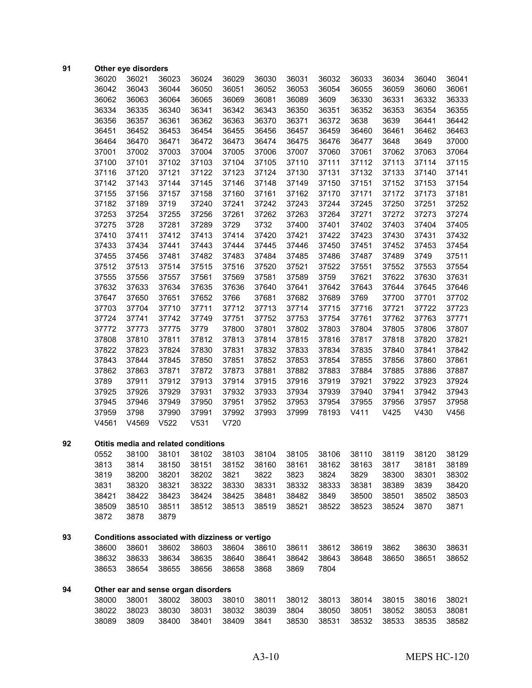| 91 |       | Other eye disorders                             |             |       |       |       |       |       |       |       |       |       |
|----|-------|-------------------------------------------------|-------------|-------|-------|-------|-------|-------|-------|-------|-------|-------|
|    | 36020 | 36021                                           | 36023       | 36024 | 36029 | 36030 | 36031 | 36032 | 36033 | 36034 | 36040 | 36041 |
|    | 36042 | 36043                                           | 36044       | 36050 | 36051 | 36052 | 36053 | 36054 | 36055 | 36059 | 36060 | 36061 |
|    | 36062 | 36063                                           | 36064       | 36065 | 36069 | 36081 | 36089 | 3609  | 36330 | 36331 | 36332 | 36333 |
|    | 36334 | 36335                                           | 36340       | 36341 | 36342 | 36343 | 36350 | 36351 | 36352 | 36353 | 36354 | 36355 |
|    | 36356 | 36357                                           | 36361       | 36362 | 36363 | 36370 | 36371 | 36372 | 3638  | 3639  | 36441 | 36442 |
|    | 36451 | 36452                                           | 36453       | 36454 | 36455 | 36456 | 36457 | 36459 | 36460 | 36461 | 36462 | 36463 |
|    | 36464 | 36470                                           | 36471       | 36472 | 36473 | 36474 | 36475 | 36476 | 36477 | 3648  | 3649  | 37000 |
|    | 37001 | 37002                                           | 37003       | 37004 | 37005 | 37006 | 37007 | 37060 | 37061 | 37062 | 37063 | 37064 |
|    | 37100 | 37101                                           | 37102       | 37103 | 37104 | 37105 | 37110 | 37111 | 37112 | 37113 | 37114 | 37115 |
|    | 37116 | 37120                                           | 37121       | 37122 | 37123 | 37124 | 37130 | 37131 | 37132 | 37133 | 37140 | 37141 |
|    | 37142 | 37143                                           | 37144       | 37145 | 37146 | 37148 | 37149 | 37150 | 37151 | 37152 | 37153 | 37154 |
|    | 37155 | 37156                                           | 37157       | 37158 | 37160 | 37161 | 37162 | 37170 | 37171 | 37172 | 37173 | 37181 |
|    | 37182 | 37189                                           | 3719        | 37240 | 37241 | 37242 | 37243 | 37244 | 37245 | 37250 | 37251 | 37252 |
|    | 37253 | 37254                                           | 37255       | 37256 | 37261 | 37262 | 37263 | 37264 | 37271 | 37272 | 37273 | 37274 |
|    | 37275 | 3728                                            | 37281       | 37289 | 3729  | 3732  | 37400 | 37401 | 37402 | 37403 | 37404 | 37405 |
|    | 37410 | 37411                                           | 37412       | 37413 | 37414 | 37420 | 37421 | 37422 | 37423 | 37430 | 37431 | 37432 |
|    | 37433 | 37434                                           | 37441       | 37443 | 37444 | 37445 | 37446 | 37450 | 37451 | 37452 | 37453 | 37454 |
|    | 37455 | 37456                                           | 37481       | 37482 | 37483 | 37484 | 37485 | 37486 | 37487 | 37489 | 3749  | 37511 |
|    | 37512 | 37513                                           | 37514       | 37515 | 37516 | 37520 | 37521 | 37522 | 37551 | 37552 | 37553 | 37554 |
|    | 37555 | 37556                                           | 37557       | 37561 | 37569 | 37581 | 37589 | 3759  | 37621 | 37622 | 37630 | 37631 |
|    | 37632 | 37633                                           | 37634       | 37635 | 37636 | 37640 | 37641 | 37642 | 37643 | 37644 | 37645 | 37646 |
|    | 37647 | 37650                                           | 37651       | 37652 | 3766  | 37681 | 37682 | 37689 | 3769  | 37700 | 37701 | 37702 |
|    | 37703 | 37704                                           | 37710       | 37711 | 37712 | 37713 | 37714 | 37715 | 37716 | 37721 | 37722 | 37723 |
|    | 37724 | 37741                                           | 37742       | 37749 | 37751 | 37752 | 37753 | 37754 | 37761 | 37762 | 37763 | 37771 |
|    | 37772 | 37773                                           | 37775       | 3779  | 37800 | 37801 | 37802 | 37803 | 37804 | 37805 | 37806 | 37807 |
|    | 37808 | 37810                                           | 37811       | 37812 | 37813 | 37814 | 37815 | 37816 | 37817 | 37818 | 37820 | 37821 |
|    | 37822 | 37823                                           | 37824       | 37830 | 37831 | 37832 | 37833 | 37834 | 37835 | 37840 | 37841 | 37842 |
|    | 37843 | 37844                                           | 37845       | 37850 | 37851 | 37852 | 37853 | 37854 | 37855 | 37856 | 37860 | 37861 |
|    | 37862 | 37863                                           | 37871       | 37872 | 37873 | 37881 | 37882 | 37883 | 37884 | 37885 | 37886 | 37887 |
|    | 3789  | 37911                                           | 37912       | 37913 | 37914 | 37915 | 37916 | 37919 | 37921 | 37922 | 37923 | 37924 |
|    | 37925 | 37926                                           | 37929       | 37931 | 37932 | 37933 | 37934 | 37939 | 37940 | 37941 | 37942 | 37943 |
|    | 37945 | 37946                                           | 37949       | 37950 | 37951 | 37952 | 37953 | 37954 | 37955 | 37956 | 37957 | 37958 |
|    | 37959 | 3798                                            | 37990       | 37991 | 37992 | 37993 | 37999 | 78193 | V411  | V425  | V430  | V456  |
|    | V4561 | V4569                                           | V522        | V531  | V720  |       |       |       |       |       |       |       |
|    |       |                                                 |             |       |       |       |       |       |       |       |       |       |
| 92 |       | Otitis media and related conditions             |             |       |       |       |       |       |       |       |       |       |
|    | 0552  | 38100                                           | 38101 38102 |       | 38103 | 38104 | 38105 | 38106 | 38110 | 38119 | 38120 | 38129 |
|    | 3813  | 3814                                            | 38150       | 38151 | 38152 | 38160 | 38161 | 38162 | 38163 | 3817  | 38181 | 38189 |
|    | 3819  | 38200                                           | 38201       | 38202 | 3821  | 3822  | 3823  | 3824  | 3829  | 38300 | 38301 | 38302 |
|    | 3831  | 38320                                           | 38321       | 38322 | 38330 | 38331 | 38332 | 38333 | 38381 | 38389 | 3839  | 38420 |
|    | 38421 | 38422                                           | 38423       | 38424 | 38425 | 38481 | 38482 | 3849  | 38500 | 38501 | 38502 | 38503 |
|    | 38509 | 38510                                           | 38511       | 38512 | 38513 | 38519 | 38521 | 38522 | 38523 | 38524 | 3870  | 3871  |
|    | 3872  | 3878                                            | 3879        |       |       |       |       |       |       |       |       |       |
| 93 |       | Conditions associated with dizziness or vertigo |             |       |       |       |       |       |       |       |       |       |
|    | 38600 | 38601                                           | 38602       | 38603 | 38604 | 38610 | 38611 | 38612 | 38619 | 3862  | 38630 | 38631 |
|    | 38632 | 38633                                           | 38634       | 38635 | 38640 | 38641 | 38642 | 38643 | 38648 | 38650 | 38651 | 38652 |
|    | 38653 | 38654                                           | 38655       | 38656 | 38658 | 3868  | 3869  | 7804  |       |       |       |       |
|    |       |                                                 |             |       |       |       |       |       |       |       |       |       |
| 94 |       | Other ear and sense organ disorders             |             |       |       |       |       |       |       |       |       |       |
|    | 38000 | 38001                                           | 38002       | 38003 | 38010 | 38011 | 38012 | 38013 | 38014 | 38015 | 38016 | 38021 |
|    | 38022 | 38023                                           | 38030       | 38031 | 38032 | 38039 | 3804  | 38050 | 38051 | 38052 | 38053 | 38081 |
|    | 38089 | 3809                                            | 38400       | 38401 | 38409 | 3841  | 38530 | 38531 | 38532 | 38533 | 38535 | 38582 |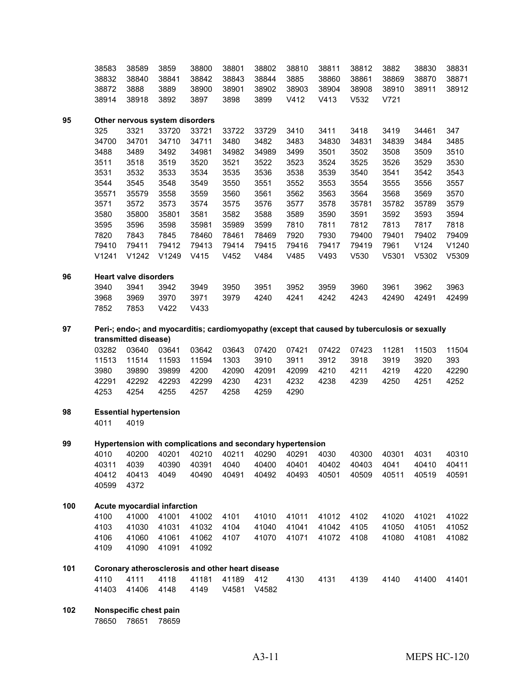|     | 38583          | 38589                          | 3859           | 38800                                                                                         | 38801         | 38802         | 38810         | 38811         | 38812         | 3882          | 38830         | 38831          |
|-----|----------------|--------------------------------|----------------|-----------------------------------------------------------------------------------------------|---------------|---------------|---------------|---------------|---------------|---------------|---------------|----------------|
|     | 38832          | 38840                          | 38841          | 38842                                                                                         | 38843         | 38844         | 3885          | 38860         | 38861         | 38869         | 38870         | 38871          |
|     | 38872          | 3888                           | 3889           | 38900                                                                                         | 38901         | 38902         | 38903         | 38904         | 38908         | 38910         | 38911         | 38912          |
|     | 38914          | 38918                          | 3892           | 3897                                                                                          | 3898          | 3899          | V412          | V413          | V532          | V721          |               |                |
| 95  |                | Other nervous system disorders |                |                                                                                               |               |               |               |               |               |               |               |                |
|     | 325            | 3321                           | 33720          | 33721                                                                                         | 33722         | 33729         | 3410          | 3411          | 3418          | 3419          | 34461         | 347            |
|     | 34700          | 34701                          | 34710          | 34711                                                                                         | 3480          | 3482          | 3483          | 34830         | 34831         | 34839         | 3484          | 3485           |
|     | 3488           | 3489                           | 3492           | 34981                                                                                         | 34982         | 34989         | 3499          | 3501          | 3502          | 3508          | 3509          | 3510           |
|     | 3511           | 3518                           | 3519           | 3520                                                                                          | 3521          | 3522          | 3523          | 3524          | 3525          | 3526          | 3529          | 3530           |
|     | 3531           | 3532                           | 3533           | 3534                                                                                          | 3535          | 3536          | 3538          | 3539          | 3540          | 3541          | 3542          | 3543           |
|     | 3544           | 3545                           | 3548           | 3549                                                                                          | 3550          | 3551          | 3552          | 3553          | 3554          | 3555          | 3556          | 3557           |
|     | 35571          | 35579                          | 3558           | 3559                                                                                          | 3560          | 3561          | 3562          | 3563          | 3564          | 3568          | 3569          | 3570           |
|     | 3571           | 3572                           | 3573           | 3574                                                                                          | 3575          | 3576          | 3577          | 3578          | 35781         | 35782         | 35789         | 3579           |
|     | 3580           | 35800                          | 35801          | 3581                                                                                          | 3582          | 3588          | 3589          | 3590          | 3591          | 3592          | 3593          | 3594           |
|     | 3595           | 3596                           | 3598           | 35981                                                                                         | 35989         | 3599          | 7810          | 7811          | 7812          | 7813          | 7817          | 7818           |
|     | 7820           | 7843<br>79411                  | 7845           | 78460                                                                                         | 78461         | 78469         | 7920<br>79416 | 7930          | 79400         | 79401<br>7961 | 79402<br>V124 | 79409<br>V1240 |
|     | 79410<br>V1241 | V1242                          | 79412<br>V1249 | 79413<br>V415                                                                                 | 79414<br>V452 | 79415<br>V484 | V485          | 79417<br>V493 | 79419<br>V530 | V5301         | V5302         | V5309          |
|     |                |                                |                |                                                                                               |               |               |               |               |               |               |               |                |
| 96  |                | <b>Heart valve disorders</b>   |                |                                                                                               |               |               |               |               |               |               |               |                |
|     | 3940           | 3941                           | 3942           | 3949                                                                                          | 3950          | 3951          | 3952          | 3959          | 3960          | 3961          | 3962          | 3963           |
|     | 3968           | 3969                           | 3970           | 3971                                                                                          | 3979          | 4240          | 4241          | 4242          | 4243          | 42490         | 42491         | 42499          |
|     | 7852           | 7853                           | V422           | V433                                                                                          |               |               |               |               |               |               |               |                |
| 97  |                |                                |                | Peri-; endo-; and myocarditis; cardiomyopathy (except that caused by tuberculosis or sexually |               |               |               |               |               |               |               |                |
|     |                | transmitted disease)           |                |                                                                                               |               |               |               |               |               |               |               |                |
|     | 03282          | 03640                          | 03641          | 03642                                                                                         | 03643         | 07420         | 07421         | 07422         | 07423         | 11281         | 11503         | 11504          |
|     | 11513          | 11514                          | 11593          | 11594                                                                                         | 1303          | 3910          | 3911          | 3912          | 3918          | 3919          | 3920          | 393            |
|     | 3980           | 39890                          | 39899          | 4200                                                                                          | 42090         | 42091         | 42099         | 4210          | 4211          | 4219          | 4220          | 42290          |
|     | 42291          | 42292                          | 42293          | 42299                                                                                         | 4230          | 4231          | 4232          | 4238          | 4239          | 4250          | 4251          | 4252           |
|     | 4253           | 4254                           | 4255           | 4257                                                                                          | 4258          | 4259          | 4290          |               |               |               |               |                |
| 98  |                | <b>Essential hypertension</b>  |                |                                                                                               |               |               |               |               |               |               |               |                |
|     | 4011           | 4019                           |                |                                                                                               |               |               |               |               |               |               |               |                |
| 99  |                |                                |                | Hypertension with complications and secondary hypertension                                    |               |               |               |               |               |               |               |                |
|     | 4010           | 40200                          | 40201          | 40210                                                                                         | 40211         | 40290         | 40291         | 4030          | 40300         | 40301         | 4031          | 40310          |
|     | 40311          | 4039                           | 40390          | 40391                                                                                         | 4040          | 40400         | 40401         | 40402         | 40403         | 4041          | 40410         | 40411          |
|     | 40412          | 40413                          | 4049           | 40490                                                                                         | 40491         | 40492         | 40493         | 40501         | 40509         | 40511         | 40519         | 40591          |
|     | 40599          | 4372                           |                |                                                                                               |               |               |               |               |               |               |               |                |
| 100 |                | Acute myocardial infarction    |                |                                                                                               |               |               |               |               |               |               |               |                |
|     | 4100           | 41000                          | 41001          | 41002                                                                                         | 4101          | 41010         | 41011         | 41012         | 4102          | 41020         | 41021         | 41022          |
|     | 4103           | 41030                          | 41031          | 41032                                                                                         | 4104          | 41040         | 41041         | 41042         | 4105          | 41050         | 41051         | 41052          |
|     | 4106           | 41060                          | 41061          | 41062                                                                                         | 4107          | 41070         | 41071         | 41072         | 4108          | 41080         | 41081         | 41082          |
|     | 4109           | 41090                          | 41091          | 41092                                                                                         |               |               |               |               |               |               |               |                |
| 101 |                |                                |                | Coronary atherosclerosis and other heart disease                                              |               |               |               |               |               |               |               |                |
|     | 4110           | 4111                           | 4118           | 41181                                                                                         | 41189         | 412           | 4130          | 4131          | 4139          | 4140          | 41400         | 41401          |
|     | 41403          | 41406                          | 4148           | 4149                                                                                          | V4581         | V4582         |               |               |               |               |               |                |
|     |                |                                |                |                                                                                               |               |               |               |               |               |               |               |                |

 **Nonspecific chest pain** 78651 78659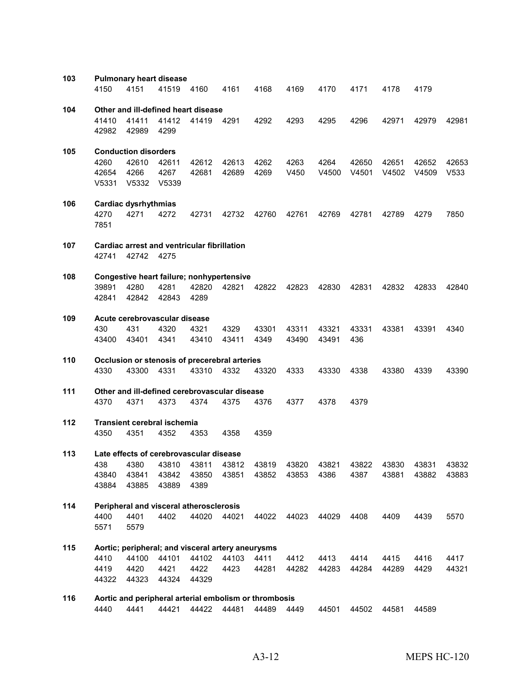| 103 |              |                             | <b>Pulmonary heart disease</b>     |                                                       |       |       |                  |       |       |       |       |       |
|-----|--------------|-----------------------------|------------------------------------|-------------------------------------------------------|-------|-------|------------------|-------|-------|-------|-------|-------|
|     | 4150         | 4151                        | 41519                              | 4160                                                  | 4161  | 4168  | 4169             | 4170  | 4171  | 4178  | 4179  |       |
| 104 |              |                             |                                    | Other and ill-defined heart disease                   |       |       |                  |       |       |       |       |       |
|     | 41410        | 41411                       | 41412                              | 41419                                                 | 4291  | 4292  | 4293             | 4295  | 4296  | 42971 | 42979 | 42981 |
|     | 42982        | 42989                       | 4299                               |                                                       |       |       |                  |       |       |       |       |       |
| 105 |              | <b>Conduction disorders</b> |                                    |                                                       |       |       |                  |       |       |       |       |       |
|     | 4260         | 42610                       | 42611                              | 42612                                                 | 42613 | 4262  | 4263             | 4264  | 42650 | 42651 | 42652 | 42653 |
|     | 42654        | 4266                        | 4267                               | 42681                                                 | 42689 | 4269  | V450             | V4500 | V4501 | V4502 | V4509 | V533  |
|     | V5331        | V5332                       | V5339                              |                                                       |       |       |                  |       |       |       |       |       |
| 106 |              | Cardiac dysrhythmias        |                                    |                                                       |       |       |                  |       |       |       |       |       |
|     | 4270<br>7851 | 4271                        | 4272                               | 42731                                                 | 42732 | 42760 | 42761            | 42769 | 42781 | 42789 | 4279  | 7850  |
| 107 |              |                             |                                    | Cardiac arrest and ventricular fibrillation           |       |       |                  |       |       |       |       |       |
|     | 42741        | 42742                       | 4275                               |                                                       |       |       |                  |       |       |       |       |       |
| 108 |              |                             |                                    | Congestive heart failure; nonhypertensive             |       |       |                  |       |       |       |       |       |
|     | 39891        | 4280                        | 4281                               | 42820                                                 | 42821 | 42822 | 42823            | 42830 | 42831 | 42832 | 42833 | 42840 |
|     | 42841        | 42842                       | 42843                              | 4289                                                  |       |       |                  |       |       |       |       |       |
| 109 |              |                             | Acute cerebrovascular disease      |                                                       |       |       |                  |       |       |       |       |       |
|     | 430          | 431                         | 4320                               | 4321                                                  | 4329  | 43301 | 43311            | 43321 | 43331 | 43381 | 43391 | 4340  |
|     | 43400        | 43401                       | 4341                               | 43410                                                 | 43411 | 4349  | 43490            | 43491 | 436   |       |       |       |
| 110 |              |                             |                                    | Occlusion or stenosis of precerebral arteries         |       |       |                  |       |       |       |       |       |
|     | 4330         | 43300                       | 4331                               | 43310                                                 | 4332  | 43320 | 4333             | 43330 | 4338  | 43380 | 4339  | 43390 |
| 111 |              |                             |                                    | Other and ill-defined cerebrovascular disease         |       |       |                  |       |       |       |       |       |
|     | 4370         | 4371                        | 4373                               | 4374                                                  | 4375  | 4376  | 4377             | 4378  | 4379  |       |       |       |
| 112 |              |                             | <b>Transient cerebral ischemia</b> |                                                       |       |       |                  |       |       |       |       |       |
|     | 4350         | 4351                        | 4352                               | 4353                                                  | 4358  | 4359  |                  |       |       |       |       |       |
| 113 |              |                             |                                    | Late effects of cerebrovascular disease               |       |       |                  |       |       |       |       |       |
|     | 438          |                             |                                    | 4380 43810 43811 43812                                |       | 43819 | 43820            | 43821 | 43822 | 43830 | 43831 | 43832 |
|     | 43840        | 43841                       | 43842                              | 43850                                                 | 43851 |       | 43852 43853 4386 |       | 4387  | 43881 | 43882 | 43883 |
|     | 43884        | 43885                       | 43889                              | 4389                                                  |       |       |                  |       |       |       |       |       |
| 114 |              |                             |                                    | Peripheral and visceral atherosclerosis               |       |       |                  |       |       |       |       |       |
|     | 4400<br>5571 | 4401<br>5579                | 4402                               | 44020                                                 | 44021 | 44022 | 44023            | 44029 | 4408  | 4409  | 4439  | 5570  |
|     |              |                             |                                    |                                                       |       |       |                  |       |       |       |       |       |
| 115 |              |                             |                                    | Aortic; peripheral; and visceral artery aneurysms     |       |       |                  |       |       |       |       |       |
|     | 4410         | 44100                       | 44101                              | 44102                                                 | 44103 | 4411  | 4412             | 4413  | 4414  | 4415  | 4416  | 4417  |
|     | 4419         | 4420                        | 4421                               | 4422                                                  | 4423  | 44281 | 44282            | 44283 | 44284 | 44289 | 4429  | 44321 |
|     | 44322        | 44323                       | 44324                              | 44329                                                 |       |       |                  |       |       |       |       |       |
| 116 |              |                             |                                    | Aortic and peripheral arterial embolism or thrombosis |       |       |                  |       |       |       |       |       |
|     | 4440         | 4441                        | 44421                              | 44422                                                 | 44481 | 44489 | 4449             | 44501 | 44502 | 44581 | 44589 |       |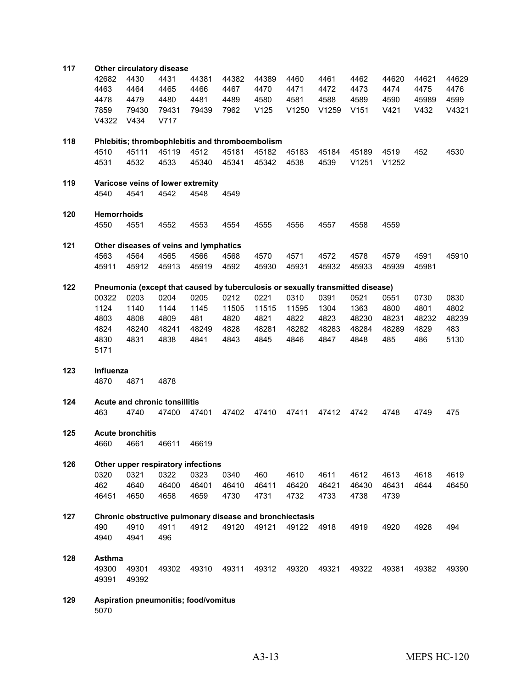| 117 |                    |                         | Other circulatory disease                                                      |       |       |       |       |       |       |       |       |       |
|-----|--------------------|-------------------------|--------------------------------------------------------------------------------|-------|-------|-------|-------|-------|-------|-------|-------|-------|
|     | 42682              | 4430                    | 4431                                                                           | 44381 | 44382 | 44389 | 4460  | 4461  | 4462  | 44620 | 44621 | 44629 |
|     | 4463               | 4464                    | 4465                                                                           | 4466  | 4467  | 4470  | 4471  | 4472  | 4473  | 4474  | 4475  | 4476  |
|     | 4478               | 4479                    | 4480                                                                           | 4481  | 4489  | 4580  | 4581  | 4588  | 4589  | 4590  | 45989 | 4599  |
|     | 7859               | 79430                   | 79431                                                                          | 79439 | 7962  | V125  | V1250 | V1259 | V151  | V421  | V432  | V4321 |
|     | V4322              | V434                    | V717                                                                           |       |       |       |       |       |       |       |       |       |
|     |                    |                         |                                                                                |       |       |       |       |       |       |       |       |       |
| 118 |                    |                         | Phlebitis; thrombophlebitis and thromboembolism                                |       |       |       |       |       |       |       |       |       |
|     | 4510               | 45111                   | 45119                                                                          | 4512  | 45181 | 45182 | 45183 | 45184 | 45189 | 4519  | 452   | 4530  |
|     | 4531               | 4532                    | 4533                                                                           | 45340 | 45341 | 45342 | 4538  | 4539  | V1251 | V1252 |       |       |
|     |                    |                         |                                                                                |       |       |       |       |       |       |       |       |       |
| 119 |                    |                         | Varicose veins of lower extremity                                              |       |       |       |       |       |       |       |       |       |
|     | 4540               | 4541                    | 4542                                                                           | 4548  | 4549  |       |       |       |       |       |       |       |
| 120 | <b>Hemorrhoids</b> |                         |                                                                                |       |       |       |       |       |       |       |       |       |
|     | 4550               | 4551                    | 4552                                                                           | 4553  | 4554  | 4555  | 4556  | 4557  | 4558  | 4559  |       |       |
|     |                    |                         |                                                                                |       |       |       |       |       |       |       |       |       |
| 121 |                    |                         | Other diseases of veins and lymphatics                                         |       |       |       |       |       |       |       |       |       |
|     | 4563               | 4564                    | 4565                                                                           | 4566  | 4568  | 4570  | 4571  | 4572  | 4578  | 4579  | 4591  | 45910 |
|     | 45911              | 45912                   | 45913                                                                          | 45919 | 4592  | 45930 | 45931 | 45932 | 45933 | 45939 | 45981 |       |
|     |                    |                         |                                                                                |       |       |       |       |       |       |       |       |       |
| 122 |                    |                         | Pneumonia (except that caused by tuberculosis or sexually transmitted disease) |       |       |       |       |       |       |       |       |       |
|     | 00322              | 0203                    | 0204                                                                           | 0205  | 0212  | 0221  | 0310  | 0391  | 0521  | 0551  | 0730  | 0830  |
|     | 1124               | 1140                    | 1144                                                                           | 1145  | 11505 | 11515 | 11595 | 1304  | 1363  | 4800  | 4801  | 4802  |
|     | 4803               | 4808                    | 4809                                                                           | 481   | 4820  | 4821  | 4822  | 4823  | 48230 | 48231 | 48232 | 48239 |
|     | 4824               | 48240                   | 48241                                                                          | 48249 | 4828  | 48281 | 48282 | 48283 | 48284 | 48289 | 4829  | 483   |
|     | 4830               | 4831                    | 4838                                                                           | 4841  | 4843  | 4845  | 4846  | 4847  | 4848  | 485   | 486   | 5130  |
|     | 5171               |                         |                                                                                |       |       |       |       |       |       |       |       |       |
|     |                    |                         |                                                                                |       |       |       |       |       |       |       |       |       |
| 123 | Influenza<br>4870  | 4871                    | 4878                                                                           |       |       |       |       |       |       |       |       |       |
|     |                    |                         |                                                                                |       |       |       |       |       |       |       |       |       |
| 124 |                    |                         | Acute and chronic tonsillitis                                                  |       |       |       |       |       |       |       |       |       |
|     | 463                | 4740                    | 47400                                                                          | 47401 | 47402 | 47410 | 47411 | 47412 | 4742  | 4748  | 4749  | 475   |
|     |                    |                         |                                                                                |       |       |       |       |       |       |       |       |       |
| 125 |                    | <b>Acute bronchitis</b> |                                                                                |       |       |       |       |       |       |       |       |       |
|     | 4660               | 4661                    | 46611                                                                          | 46619 |       |       |       |       |       |       |       |       |
| 126 |                    |                         | Other upper respiratory infections                                             |       |       |       |       |       |       |       |       |       |
|     | 0320               | 0321                    | 0322                                                                           | 0323  | 0340  | 460   | 4610  | 4611  | 4612  | 4613  | 4618  | 4619  |
|     | 462                | 4640                    | 46400                                                                          | 46401 | 46410 | 46411 | 46420 | 46421 | 46430 | 46431 | 4644  | 46450 |
|     | 46451              | 4650                    | 4658                                                                           | 4659  | 4730  | 4731  | 4732  | 4733  | 4738  | 4739  |       |       |
|     |                    |                         |                                                                                |       |       |       |       |       |       |       |       |       |
| 127 |                    |                         | Chronic obstructive pulmonary disease and bronchiectasis                       |       |       |       |       |       |       |       |       |       |
|     | 490                | 4910                    | 4911                                                                           | 4912  | 49120 | 49121 | 49122 | 4918  | 4919  | 4920  | 4928  | 494   |
|     | 4940               | 4941                    | 496                                                                            |       |       |       |       |       |       |       |       |       |
|     |                    |                         |                                                                                |       |       |       |       |       |       |       |       |       |
| 128 | <b>Asthma</b>      |                         |                                                                                |       |       |       |       |       |       |       |       |       |
|     | 49300              | 49301                   | 49302                                                                          | 49310 | 49311 | 49312 | 49320 | 49321 | 49322 | 49381 | 49382 | 49390 |
|     | 49391              | 49392                   |                                                                                |       |       |       |       |       |       |       |       |       |
| 129 |                    |                         | Aspiration pneumonitis; food/vomitus                                           |       |       |       |       |       |       |       |       |       |
|     | 5070               |                         |                                                                                |       |       |       |       |       |       |       |       |       |
|     |                    |                         |                                                                                |       |       |       |       |       |       |       |       |       |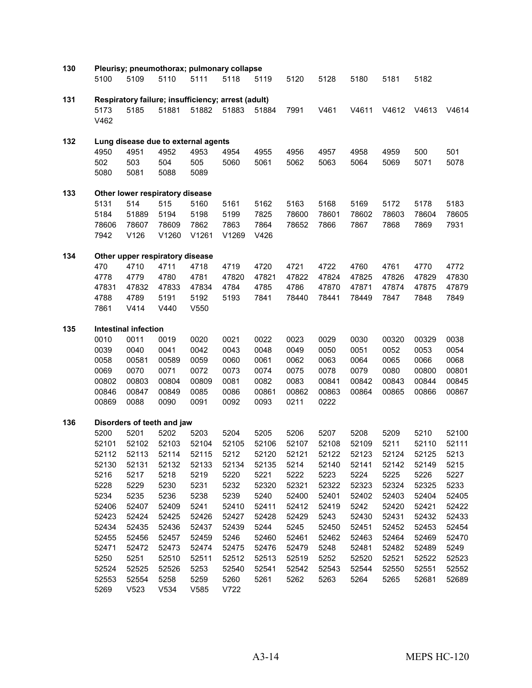| 130 |              |                             | Pleurisy; pneumothorax; pulmonary collapse         |                  |              |               |                |               |                |               |               |               |
|-----|--------------|-----------------------------|----------------------------------------------------|------------------|--------------|---------------|----------------|---------------|----------------|---------------|---------------|---------------|
|     | 5100         | 5109                        | 5110                                               | 5111             | 5118         | 5119          | 5120           | 5128          | 5180           | 5181          | 5182          |               |
| 131 |              |                             | Respiratory failure; insufficiency; arrest (adult) |                  |              |               |                |               |                |               |               |               |
|     | 5173         | 5185                        | 51881                                              | 51882            | 51883        | 51884         | 7991           | V461          | V4611          | V4612         | V4613         | V4614         |
|     | V462         |                             |                                                    |                  |              |               |                |               |                |               |               |               |
| 132 |              |                             | Lung disease due to external agents                |                  |              |               |                |               |                |               |               |               |
|     | 4950         | 4951                        | 4952                                               | 4953             | 4954         | 4955          | 4956           | 4957          | 4958           | 4959          | 500           | 501           |
|     | 502          | 503                         | 504                                                | 505              | 5060         | 5061          | 5062           | 5063          | 5064           | 5069          | 5071          | 5078          |
|     | 5080         | 5081                        | 5088                                               | 5089             |              |               |                |               |                |               |               |               |
| 133 |              |                             | Other lower respiratory disease                    |                  |              |               |                |               |                |               |               |               |
|     | 5131         | 514                         | 515                                                | 5160             | 5161         | 5162          | 5163           | 5168          | 5169           | 5172          | 5178          | 5183          |
|     | 5184         | 51889                       | 5194                                               | 5198             | 5199         | 7825          | 78600          | 78601         | 78602          | 78603         | 78604         | 78605         |
|     | 78606        | 78607                       | 78609                                              | 7862             | 7863         | 7864          | 78652          | 7866          | 7867           | 7868          | 7869          | 7931          |
|     | 7942         | V126                        | V1260                                              | V1261            | V1269        | V426          |                |               |                |               |               |               |
| 134 |              |                             | Other upper respiratory disease                    |                  |              |               |                |               |                |               |               |               |
|     | 470          | 4710                        | 4711                                               | 4718             | 4719         | 4720          | 4721           | 4722          | 4760           | 4761          | 4770          | 4772          |
|     | 4778         | 4779                        | 4780                                               | 4781             | 47820        | 47821         | 47822          | 47824         | 47825          | 47826         | 47829         | 47830         |
|     | 47831        | 47832                       | 47833                                              | 47834            | 4784         | 4785          | 4786           | 47870         | 47871          | 47874         | 47875         | 47879         |
|     | 4788         | 4789                        | 5191                                               | 5192             | 5193         | 7841          | 78440          | 78441         | 78449          | 7847          | 7848          | 7849          |
|     | 7861         | V414                        | V440                                               | V <sub>550</sub> |              |               |                |               |                |               |               |               |
| 135 |              | <b>Intestinal infection</b> |                                                    |                  |              |               |                |               |                |               |               |               |
|     | 0010         | 0011                        | 0019                                               | 0020             | 0021         | 0022          | 0023           | 0029          | 0030           | 00320         | 00329         | 0038          |
|     | 0039         | 0040                        | 0041                                               | 0042             | 0043         | 0048          | 0049           | 0050          | 0051           | 0052          | 0053          | 0054          |
|     | 0058         | 00581                       | 00589                                              | 0059             | 0060         | 0061          | 0062           | 0063          | 0064           | 0065          | 0066          | 0068          |
|     | 0069         | 0070                        | 0071                                               | 0072             | 0073         | 0074          | 0075           | 0078          | 0079           | 0080          | 00800         | 00801         |
|     | 00802        | 00803                       | 00804                                              | 00809            | 0081         | 0082          | 0083           | 00841         | 00842          | 00843         | 00844         | 00845         |
|     | 00846        | 00847                       | 00849                                              | 0085             | 0086         | 00861         | 00862          | 00863         | 00864          | 00865         | 00866         | 00867         |
|     | 00869        | 0088                        | 0090                                               | 0091             | 0092         | 0093          | 0211           | 0222          |                |               |               |               |
| 136 |              |                             | Disorders of teeth and jaw                         |                  |              |               |                |               |                |               |               |               |
|     | 5200         | 5201                        | 5202                                               | 5203             | 5204         | 5205          | 5206           | 5207          | 5208           | 5209          | 5210          | 52100         |
|     | 52101        | 52102                       | 52103                                              | 52104            | 52105        | 52106         | 52107          | 52108         | 52109          | 5211          | 52110         | 52111         |
|     | 52112        | 52113                       | 52114                                              | 52115            | 5212         | 52120         | 52121          | 52122         | 52123          | 52124         | 52125         | 5213          |
|     | 52130        | 52131                       | 52132                                              | 52133            | 52134        | 52135         | 5214           | 52140         | 52141          | 52142         | 52149         | 5215          |
|     | 5216         | 5217                        | 5218                                               | 5219             | 5220         | 5221<br>52320 | 5222           | 5223<br>52322 | 5224           | 5225<br>52324 | 5226<br>52325 | 5227          |
|     | 5228<br>5234 | 5229<br>5235                | 5230<br>5236                                       | 5231<br>5238     | 5232<br>5239 | 5240          | 52321<br>52400 | 52401         | 52323<br>52402 | 52403         | 52404         | 5233<br>52405 |
|     | 52406        | 52407                       | 52409                                              | 5241             | 52410        | 52411         | 52412          | 52419         | 5242           | 52420         | 52421         | 52422         |
|     | 52423        | 52424                       | 52425                                              | 52426            | 52427        | 52428         | 52429          | 5243          | 52430          | 52431         | 52432         | 52433         |
|     | 52434        | 52435                       | 52436                                              | 52437            | 52439        | 5244          | 5245           | 52450         | 52451          | 52452         | 52453         | 52454         |
|     | 52455        | 52456                       | 52457                                              | 52459            | 5246         | 52460         | 52461          | 52462         | 52463          | 52464         | 52469         | 52470         |
|     | 52471        | 52472                       | 52473                                              | 52474            | 52475        | 52476         | 52479          | 5248          | 52481          | 52482         | 52489         | 5249          |
|     | 5250         | 5251                        | 52510                                              | 52511            | 52512        | 52513         | 52519          | 5252          | 52520          | 52521         | 52522         | 52523         |
|     | 52524        | 52525                       | 52526                                              | 5253             | 52540        | 52541         | 52542          | 52543         | 52544          | 52550         | 52551         | 52552         |
|     | 52553        | 52554                       | 5258                                               | 5259             | 5260         | 5261          | 5262           | 5263          | 5264           | 5265          | 52681         | 52689         |
|     | 5269         | V523                        | V534                                               | V585             | V722         |               |                |               |                |               |               |               |
|     |              |                             |                                                    |                  |              |               |                |               |                |               |               |               |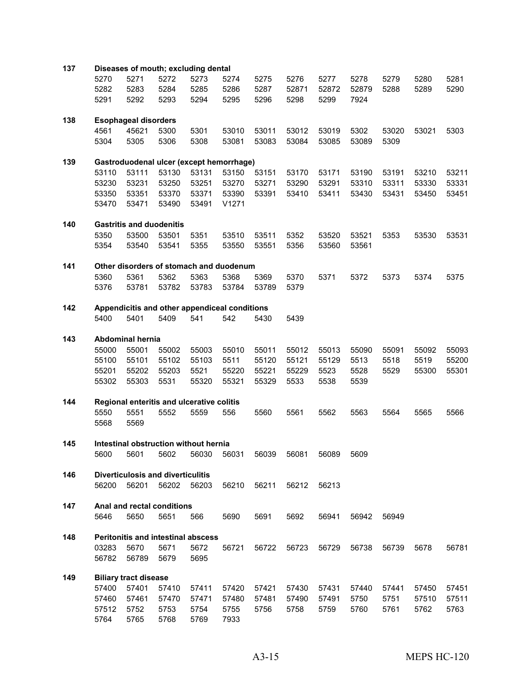| 137 |       |                                   |       | Diseases of mouth; excluding dental           |       |       |             |       |       |       |       |       |
|-----|-------|-----------------------------------|-------|-----------------------------------------------|-------|-------|-------------|-------|-------|-------|-------|-------|
|     | 5270  | 5271                              | 5272  | 5273                                          | 5274  | 5275  | 5276        | 5277  | 5278  | 5279  | 5280  | 5281  |
|     | 5282  | 5283                              | 5284  | 5285                                          | 5286  | 5287  | 52871       | 52872 | 52879 | 5288  | 5289  | 5290  |
|     | 5291  | 5292                              | 5293  | 5294                                          | 5295  | 5296  | 5298        | 5299  | 7924  |       |       |       |
| 138 |       | <b>Esophageal disorders</b>       |       |                                               |       |       |             |       |       |       |       |       |
|     | 4561  | 45621                             | 5300  | 5301                                          | 53010 | 53011 | 53012       | 53019 | 5302  | 53020 | 53021 | 5303  |
|     | 5304  | 5305                              | 5306  | 5308                                          | 53081 | 53083 | 53084       | 53085 | 53089 | 5309  |       |       |
| 139 |       |                                   |       | Gastroduodenal ulcer (except hemorrhage)      |       |       |             |       |       |       |       |       |
|     | 53110 | 53111                             | 53130 | 53131                                         | 53150 | 53151 | 53170       | 53171 | 53190 | 53191 | 53210 | 53211 |
|     | 53230 | 53231                             | 53250 | 53251                                         | 53270 | 53271 | 53290       | 53291 | 53310 | 53311 | 53330 | 53331 |
|     | 53350 | 53351                             | 53370 | 53371                                         | 53390 | 53391 | 53410       | 53411 | 53430 | 53431 | 53450 | 53451 |
|     | 53470 | 53471                             | 53490 | 53491                                         | V1271 |       |             |       |       |       |       |       |
| 140 |       | <b>Gastritis and duodenitis</b>   |       |                                               |       |       |             |       |       |       |       |       |
|     | 5350  | 53500                             | 53501 | 5351                                          | 53510 | 53511 | 5352        | 53520 | 53521 | 5353  | 53530 | 53531 |
|     | 5354  | 53540                             | 53541 | 5355                                          | 53550 | 53551 | 5356        | 53560 | 53561 |       |       |       |
| 141 |       |                                   |       | Other disorders of stomach and duodenum       |       |       |             |       |       |       |       |       |
|     | 5360  | 5361                              | 5362  | 5363                                          | 5368  | 5369  | 5370        | 5371  | 5372  | 5373  | 5374  | 5375  |
|     | 5376  | 53781                             | 53782 | 53783                                         | 53784 | 53789 | 5379        |       |       |       |       |       |
| 142 |       |                                   |       | Appendicitis and other appendiceal conditions |       |       |             |       |       |       |       |       |
|     | 5400  | 5401                              | 5409  | 541                                           | 542   | 5430  | 5439        |       |       |       |       |       |
| 143 |       | <b>Abdominal hernia</b>           |       |                                               |       |       |             |       |       |       |       |       |
|     | 55000 | 55001                             | 55002 | 55003                                         | 55010 | 55011 | 55012       | 55013 | 55090 | 55091 | 55092 | 55093 |
|     | 55100 | 55101                             | 55102 | 55103                                         | 5511  | 55120 | 55121       | 55129 | 5513  | 5518  | 5519  | 55200 |
|     | 55201 | 55202                             | 55203 | 5521                                          | 55220 | 55221 | 55229       | 5523  | 5528  | 5529  | 55300 | 55301 |
|     | 55302 | 55303                             | 5531  | 55320                                         | 55321 | 55329 | 5533        | 5538  | 5539  |       |       |       |
| 144 |       |                                   |       | Regional enteritis and ulcerative colitis     |       |       |             |       |       |       |       |       |
|     | 5550  | 5551                              | 5552  | 5559                                          | 556   | 5560  | 5561        | 5562  | 5563  | 5564  | 5565  | 5566  |
|     | 5568  | 5569                              |       |                                               |       |       |             |       |       |       |       |       |
| 145 |       |                                   |       | Intestinal obstruction without hernia         |       |       |             |       |       |       |       |       |
|     | 5600  | 5601 5602                         |       | 56030                                         | 56031 |       | 56039 56081 | 56089 | 5609  |       |       |       |
| 146 |       | Diverticulosis and diverticulitis |       |                                               |       |       |             |       |       |       |       |       |
|     | 56200 | 56201                             | 56202 | 56203                                         | 56210 | 56211 | 56212       | 56213 |       |       |       |       |
| 147 |       | Anal and rectal conditions        |       |                                               |       |       |             |       |       |       |       |       |
|     | 5646  | 5650                              | 5651  | 566                                           | 5690  | 5691  | 5692        | 56941 | 56942 | 56949 |       |       |
| 148 |       |                                   |       | Peritonitis and intestinal abscess            |       |       |             |       |       |       |       |       |
|     | 03283 | 5670                              | 5671  | 5672                                          | 56721 | 56722 | 56723       | 56729 | 56738 | 56739 | 5678  | 56781 |
|     | 56782 | 56789                             | 5679  | 5695                                          |       |       |             |       |       |       |       |       |
| 149 |       | <b>Biliary tract disease</b>      |       |                                               |       |       |             |       |       |       |       |       |
|     | 57400 | 57401                             | 57410 | 57411                                         | 57420 | 57421 | 57430       | 57431 | 57440 | 57441 | 57450 | 57451 |
|     | 57460 | 57461                             | 57470 | 57471                                         | 57480 | 57481 | 57490       | 57491 | 5750  | 5751  | 57510 | 57511 |
|     | 57512 | 5752                              | 5753  | 5754                                          | 5755  | 5756  | 5758        | 5759  | 5760  | 5761  | 5762  | 5763  |
|     | 5764  | 5765                              | 5768  | 5769                                          | 7933  |       |             |       |       |       |       |       |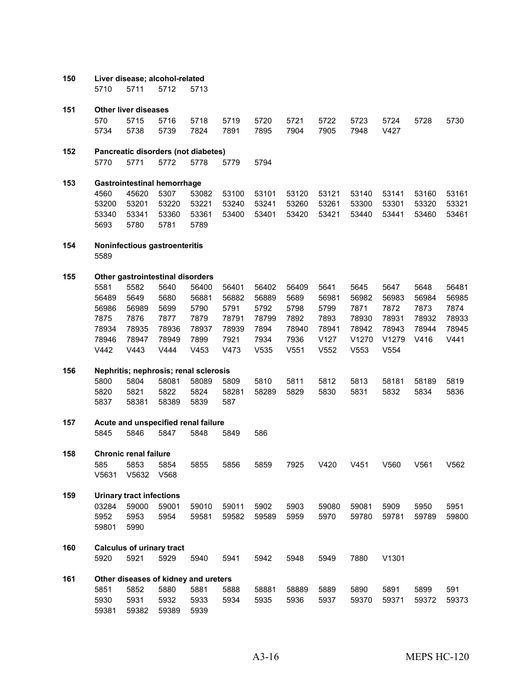- **Liver disease; alcohol-related** 5711 5712 5713
- **Other liver diseases** 5715 5716 5718 5719 5720 5721 5722 5723 5724 5728 5730 5738 5739 7824 7891 7895 7904 7905 7948 V427
- **Pancreatic disorders (not diabetes)** 5771 5772 5778 5779 5794

 **Gastrointestinal hemorrhage** 45620 5307 53082 53100 53101 53120 53121 53140 53141 53160 53161 53201 53220 53221 53240 53241 53260 53261 53300 53301 53320 53321 53341 53360 53361 53400 53401 53420 53421 53440 53441 53460 53461 5780 5781 5789

- **Noninfectious gastroenteritis**
- **Other gastrointestinal disorders**

 5582 5640 56400 56401 56402 56409 5641 5645 5647 5648 56481 5649 5680 56881 56882 56889 5689 56981 56982 56983 56984 56985 56989 5699 5790 5791 5792 5798 5799 7871 7872 7873 7874 7876 7877 7879 78791 78799 7892 7893 78930 78931 78932 78933 78935 78936 78937 78939 7894 78940 78941 78942 78943 78944 78945 78947 78949 7899 7921 7934 7936 V127 V1270 V1279 V416 V441 V442 V443 V444 V453 V473 V535 V551 V552 V553 V554

## **Nephritis; nephrosis; renal sclerosis**

 5804 58081 58089 5809 5810 5811 5812 5813 58181 58189 5819 5821 5822 5824 58281 58289 5829 5830 5831 5832 5834 5836 58381 58389 5839 587

# **Acute and unspecified renal failure**

5846 5847 5848 5849 586

- **Chronic renal failure** 5853 5854 5855 5856 5859 7925 V420 V451 V560 V561 V562 V5631 V5632 V568
- **Urinary tract infections** 59000 59001 59010 59011 5902 5903 59080 59081 5909 5950 5951 5953 5954 59581 59582 59589 5959 5970 59780 59781 59789 59800 5990
- **Calculus of urinary tract** 5921 5929 5940 5941 5942 5948 5949 7880 V1301
- **Other diseases of kidney and ureters** 5852 5880 5881 5888 58881 58889 5889 5890 5891 5899 591 5931 5932 5933 5934 5935 5936 5937 59370 59371 59372 59373 59382 59389 5939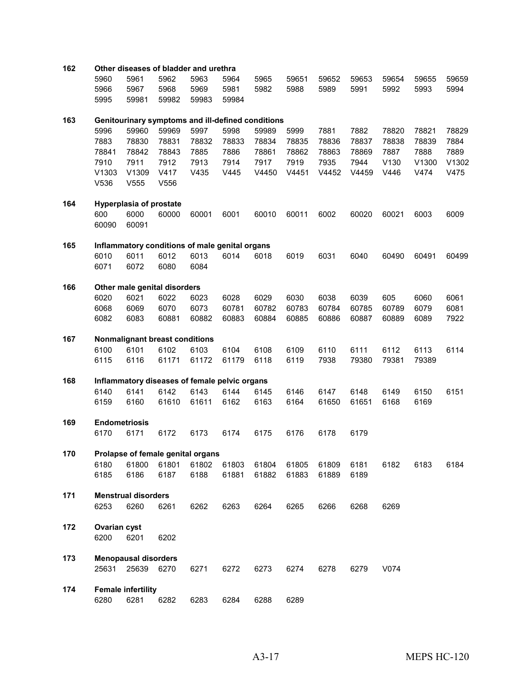| 162 |                     |                                |                                | Other diseases of bladder and urethra             |       |       |       |       |       |       |       |       |
|-----|---------------------|--------------------------------|--------------------------------|---------------------------------------------------|-------|-------|-------|-------|-------|-------|-------|-------|
|     | 5960                | 5961                           | 5962                           | 5963                                              | 5964  | 5965  | 59651 | 59652 | 59653 | 59654 | 59655 | 59659 |
|     | 5966                | 5967                           | 5968                           | 5969                                              | 5981  | 5982  | 5988  | 5989  | 5991  | 5992  | 5993  | 5994  |
|     | 5995                | 59981                          | 59982                          | 59983                                             | 59984 |       |       |       |       |       |       |       |
|     |                     |                                |                                |                                                   |       |       |       |       |       |       |       |       |
| 163 |                     |                                |                                | Genitourinary symptoms and ill-defined conditions |       |       |       |       |       |       |       |       |
|     | 5996                | 59960                          | 59969                          | 5997                                              | 5998  | 59989 | 5999  | 7881  | 7882  | 78820 | 78821 | 78829 |
|     | 7883                | 78830                          | 78831                          | 78832                                             | 78833 | 78834 | 78835 | 78836 | 78837 | 78838 | 78839 | 7884  |
|     | 78841               | 78842                          | 78843                          | 7885                                              | 7886  | 78861 | 78862 | 78863 | 78869 | 7887  | 7888  | 7889  |
|     | 7910                | 7911                           | 7912                           | 7913                                              | 7914  | 7917  | 7919  | 7935  | 7944  | V130  | V1300 | V1302 |
|     | V1303               | V1309                          | V417                           | V435                                              | V445  | V4450 | V4451 | V4452 | V4459 | V446  | V474  | V475  |
|     | V536                | V555                           | V556                           |                                                   |       |       |       |       |       |       |       |       |
|     |                     |                                |                                |                                                   |       |       |       |       |       |       |       |       |
| 164 |                     | <b>Hyperplasia of prostate</b> |                                |                                                   |       |       |       |       |       |       |       |       |
|     | 600                 | 6000                           | 60000                          | 60001                                             | 6001  | 60010 | 60011 | 6002  | 60020 | 60021 | 6003  | 6009  |
|     | 60090               | 60091                          |                                |                                                   |       |       |       |       |       |       |       |       |
| 165 |                     |                                |                                | Inflammatory conditions of male genital organs    |       |       |       |       |       |       |       |       |
|     | 6010                | 6011                           | 6012                           | 6013                                              | 6014  | 6018  | 6019  | 6031  | 6040  | 60490 | 60491 | 60499 |
|     | 6071                | 6072                           | 6080                           | 6084                                              |       |       |       |       |       |       |       |       |
|     |                     |                                |                                |                                                   |       |       |       |       |       |       |       |       |
| 166 |                     |                                | Other male genital disorders   |                                                   |       |       |       |       |       |       |       |       |
|     | 6020                | 6021                           | 6022                           | 6023                                              | 6028  | 6029  | 6030  | 6038  | 6039  | 605   | 6060  | 6061  |
|     | 6068                | 6069                           | 6070                           | 6073                                              | 60781 | 60782 | 60783 | 60784 | 60785 | 60789 | 6079  | 6081  |
|     | 6082                | 6083                           | 60881                          | 60882                                             | 60883 | 60884 | 60885 | 60886 | 60887 | 60889 | 6089  | 7922  |
| 167 |                     |                                | Nonmalignant breast conditions |                                                   |       |       |       |       |       |       |       |       |
|     | 6100                | 6101                           | 6102                           | 6103                                              | 6104  | 6108  | 6109  | 6110  | 6111  | 6112  | 6113  | 6114  |
|     | 6115                | 6116                           | 61171                          | 61172                                             | 61179 | 6118  | 6119  | 7938  | 79380 | 79381 | 79389 |       |
|     |                     |                                |                                |                                                   |       |       |       |       |       |       |       |       |
| 168 |                     |                                |                                | Inflammatory diseases of female pelvic organs     |       |       |       |       |       |       |       |       |
|     | 6140                | 6141                           | 6142                           | 6143                                              | 6144  | 6145  | 6146  | 6147  | 6148  | 6149  | 6150  | 6151  |
|     | 6159                | 6160                           | 61610                          | 61611                                             | 6162  | 6163  | 6164  | 61650 | 61651 | 6168  | 6169  |       |
| 169 |                     |                                |                                |                                                   |       |       |       |       |       |       |       |       |
|     | 6170                | <b>Endometriosis</b><br>6171   | 6172                           | 6173                                              | 6174  | 6175  | 6176  | 6178  | 6179  |       |       |       |
|     |                     |                                |                                |                                                   |       |       |       |       |       |       |       |       |
| 170 |                     |                                |                                | Prolapse of female genital organs                 |       |       |       |       |       |       |       |       |
|     | 6180                | 61800                          | 61801                          | 61802                                             | 61803 | 61804 | 61805 | 61809 | 6181  | 6182  | 6183  | 6184  |
|     | 6185                | 6186                           | 6187                           | 6188                                              | 61881 | 61882 | 61883 | 61889 | 6189  |       |       |       |
|     |                     |                                |                                |                                                   |       |       |       |       |       |       |       |       |
| 171 |                     | <b>Menstrual disorders</b>     |                                |                                                   |       |       |       |       |       |       |       |       |
|     | 6253                | 6260                           | 6261                           | 6262                                              | 6263  | 6264  | 6265  | 6266  | 6268  | 6269  |       |       |
| 172 | <b>Ovarian cyst</b> |                                |                                |                                                   |       |       |       |       |       |       |       |       |
|     | 6200                | 6201                           | 6202                           |                                                   |       |       |       |       |       |       |       |       |
|     |                     |                                |                                |                                                   |       |       |       |       |       |       |       |       |
| 173 |                     | <b>Menopausal disorders</b>    |                                |                                                   |       |       |       |       |       |       |       |       |
|     | 25631               | 25639 6270                     |                                | 6271                                              | 6272  | 6273  | 6274  | 6278  | 6279  | V074  |       |       |
|     |                     |                                |                                |                                                   |       |       |       |       |       |       |       |       |
| 174 |                     | <b>Female infertility</b>      |                                |                                                   |       |       |       |       |       |       |       |       |
|     | 6280                | 6281                           | 6282                           | 6283                                              | 6284  | 6288  | 6289  |       |       |       |       |       |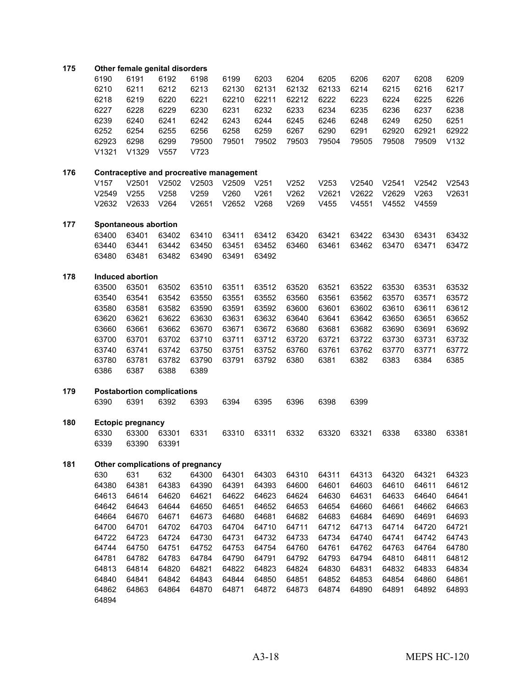#### **Other female genital disorders**

| 6190              | 6191              | 6192 | 6198  | 6199  | 6203  | 6204  | 6205  | 6206  | 6207  | 6208  | 6209  |
|-------------------|-------------------|------|-------|-------|-------|-------|-------|-------|-------|-------|-------|
| 6210              | 6211              | 6212 | 6213  | 62130 | 62131 | 62132 | 62133 | 6214  | 6215  | 6216  | 6217  |
| 6218              | 6219              | 6220 | 6221  | 62210 | 62211 | 62212 | 6222  | 6223  | 6224  | 6225  | 6226  |
| 6227              | 6228              | 6229 | 6230  | 6231  | 6232  | 6233  | 6234  | 6235  | 6236  | 6237  | 6238  |
| 6239              | 6240              | 6241 | 6242  | 6243  | 6244  | 6245  | 6246  | 6248  | 6249  | 6250  | 6251  |
| 6252              | 6254              | 6255 | 6256  | 6258  | 6259  | 6267  | 6290  | 6291  | 62920 | 62921 | 62922 |
| 62923             | 6298              | 6299 | 79500 | 79501 | 79502 | 79503 | 79504 | 79505 | 79508 | 79509 | V132  |
| V <sub>1321</sub> | V <sub>1329</sub> | V557 | V723  |       |       |       |       |       |       |       |       |
|                   |                   |      |       |       |       |       |       |       |       |       |       |

- **Contraceptive and procreative management** V157 V2501 V2502 V2503 V2509 V251 V252 V253 V2540 V2541 V2542 V2543 V2549 V255 V258 V259 V260 V261 V262 V2621 V2622 V2629 V263 V2631 V2632 V2633 V264 V2651 V2652 V268 V269 V455 V4551 V4552 V4559
- **Spontaneous abortion** 63401 63402 63410 63411 63412 63420 63421 63422 63430 63431 63432 63441 63442 63450 63451 63452 63460 63461 63462 63470 63471 63472 63481 63482 63490 63491 63492
- **Induced abortion**

 63501 63502 63510 63511 63512 63520 63521 63522 63530 63531 63532 63541 63542 63550 63551 63552 63560 63561 63562 63570 63571 63572 63581 63582 63590 63591 63592 63600 63601 63602 63610 63611 63612 63621 63622 63630 63631 63632 63640 63641 63642 63650 63651 63652 63661 63662 63670 63671 63672 63680 63681 63682 63690 63691 63692 63701 63702 63710 63711 63712 63720 63721 63722 63730 63731 63732 63741 63742 63750 63751 63752 63760 63761 63762 63770 63771 63772 63781 63782 63790 63791 63792 6380 6381 6382 6383 6384 6385 6387 6388 6389

## **Postabortion complications** 6391 6392 6393 6394 6395 6396 6398 6399

 **Ectopic pregnancy** 63300 63301 6331 63310 63311 6332 63320 63321 6338 63380 63381 63390 63391

## **Other complications of pregnancy**

 631 632 64300 64301 64303 64310 64311 64313 64320 64321 64323 64381 64383 64390 64391 64393 64600 64601 64603 64610 64611 64612 64614 64620 64621 64622 64623 64624 64630 64631 64633 64640 64641 64643 64644 64650 64651 64652 64653 64654 64660 64661 64662 64663 64670 64671 64673 64680 64681 64682 64683 64684 64690 64691 64693 64701 64702 64703 64704 64710 64711 64712 64713 64714 64720 64721 64723 64724 64730 64731 64732 64733 64734 64740 64741 64742 64743 64750 64751 64752 64753 64754 64760 64761 64762 64763 64764 64780 64782 64783 64784 64790 64791 64792 64793 64794 64810 64811 64812 64814 64820 64821 64822 64823 64824 64830 64831 64832 64833 64834 64841 64842 64843 64844 64850 64851 64852 64853 64854 64860 64861 64863 64864 64870 64871 64872 64873 64874 64890 64891 64892 64893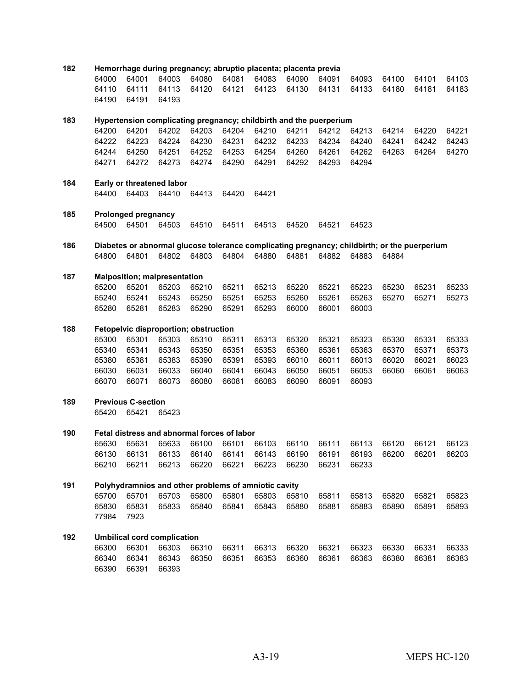| 182 |       |                                             |       |       |       | Hemorrhage during pregnancy; abruptio placenta; placenta previa    |       |       |       |       |                                                                                              |       |
|-----|-------|---------------------------------------------|-------|-------|-------|--------------------------------------------------------------------|-------|-------|-------|-------|----------------------------------------------------------------------------------------------|-------|
|     | 64000 | 64001                                       | 64003 | 64080 | 64081 | 64083                                                              | 64090 | 64091 | 64093 | 64100 | 64101                                                                                        | 64103 |
|     | 64110 | 64111                                       | 64113 | 64120 | 64121 | 64123                                                              | 64130 | 64131 | 64133 | 64180 | 64181                                                                                        | 64183 |
|     | 64190 | 64191                                       | 64193 |       |       |                                                                    |       |       |       |       |                                                                                              |       |
| 183 |       |                                             |       |       |       | Hypertension complicating pregnancy; childbirth and the puerperium |       |       |       |       |                                                                                              |       |
|     | 64200 | 64201                                       | 64202 | 64203 | 64204 | 64210                                                              | 64211 | 64212 | 64213 | 64214 | 64220                                                                                        | 64221 |
|     | 64222 | 64223                                       | 64224 | 64230 | 64231 | 64232                                                              | 64233 | 64234 | 64240 | 64241 | 64242                                                                                        | 64243 |
|     | 64244 | 64250                                       | 64251 | 64252 | 64253 | 64254                                                              | 64260 | 64261 | 64262 | 64263 | 64264                                                                                        | 64270 |
|     | 64271 | 64272                                       | 64273 | 64274 | 64290 | 64291                                                              | 64292 | 64293 | 64294 |       |                                                                                              |       |
|     |       |                                             |       |       |       |                                                                    |       |       |       |       |                                                                                              |       |
| 184 |       | Early or threatened labor                   |       |       |       |                                                                    |       |       |       |       |                                                                                              |       |
|     | 64400 | 64403                                       | 64410 | 64413 | 64420 | 64421                                                              |       |       |       |       |                                                                                              |       |
| 185 |       | <b>Prolonged pregnancy</b>                  |       |       |       |                                                                    |       |       |       |       |                                                                                              |       |
|     | 64500 | 64501                                       | 64503 | 64510 | 64511 | 64513                                                              | 64520 | 64521 | 64523 |       |                                                                                              |       |
| 186 |       |                                             |       |       |       |                                                                    |       |       |       |       | Diabetes or abnormal glucose tolerance complicating pregnancy; childbirth; or the puerperium |       |
|     | 64800 | 64801                                       | 64802 | 64803 | 64804 | 64880                                                              | 64881 | 64882 | 64883 | 64884 |                                                                                              |       |
| 187 |       | <b>Malposition; malpresentation</b>         |       |       |       |                                                                    |       |       |       |       |                                                                                              |       |
|     | 65200 | 65201                                       | 65203 | 65210 | 65211 | 65213                                                              | 65220 | 65221 | 65223 | 65230 | 65231                                                                                        | 65233 |
|     | 65240 | 65241                                       | 65243 | 65250 | 65251 | 65253                                                              | 65260 | 65261 | 65263 | 65270 | 65271                                                                                        | 65273 |
|     | 65280 | 65281                                       | 65283 | 65290 | 65291 | 65293                                                              | 66000 | 66001 | 66003 |       |                                                                                              |       |
|     |       |                                             |       |       |       |                                                                    |       |       |       |       |                                                                                              |       |
| 188 |       | Fetopelvic disproportion; obstruction       |       |       |       |                                                                    |       |       |       |       |                                                                                              |       |
|     | 65300 | 65301                                       | 65303 | 65310 | 65311 | 65313                                                              | 65320 | 65321 | 65323 | 65330 | 65331                                                                                        | 65333 |
|     | 65340 | 65341                                       | 65343 | 65350 | 65351 | 65353                                                              | 65360 | 65361 | 65363 | 65370 | 65371                                                                                        | 65373 |
|     | 65380 | 65381                                       | 65383 | 65390 | 65391 | 65393                                                              | 66010 | 66011 | 66013 | 66020 | 66021                                                                                        | 66023 |
|     | 66030 | 66031                                       | 66033 | 66040 | 66041 | 66043                                                              | 66050 | 66051 | 66053 | 66060 | 66061                                                                                        | 66063 |
|     | 66070 | 66071                                       | 66073 | 66080 | 66081 | 66083                                                              | 66090 | 66091 | 66093 |       |                                                                                              |       |
| 189 |       | <b>Previous C-section</b>                   |       |       |       |                                                                    |       |       |       |       |                                                                                              |       |
|     | 65420 | 65421                                       | 65423 |       |       |                                                                    |       |       |       |       |                                                                                              |       |
| 190 |       | Fetal distress and abnormal forces of labor |       |       |       |                                                                    |       |       |       |       |                                                                                              |       |
|     | 65630 | 65631                                       | 65633 | 66100 | 66101 | 66103                                                              | 66110 | 66111 | 66113 | 66120 | 66121                                                                                        | 66123 |
|     |       | 66130 66131 66133 66140 66141 66143         |       |       |       |                                                                    |       |       |       |       | 66190 66191 66193 66200 66201 66203                                                          |       |
|     | 66210 | 66211                                       | 66213 | 66220 | 66221 | 66223                                                              | 66230 | 66231 | 66233 |       |                                                                                              |       |
| 191 |       |                                             |       |       |       | Polyhydramnios and other problems of amniotic cavity               |       |       |       |       |                                                                                              |       |
|     | 65700 | 65701                                       | 65703 | 65800 | 65801 | 65803                                                              | 65810 | 65811 | 65813 | 65820 | 65821                                                                                        | 65823 |
|     | 65830 | 65831                                       | 65833 | 65840 | 65841 | 65843                                                              | 65880 | 65881 | 65883 | 65890 | 65891                                                                                        | 65893 |
|     | 77984 | 7923                                        |       |       |       |                                                                    |       |       |       |       |                                                                                              |       |
| 192 |       | <b>Umbilical cord complication</b>          |       |       |       |                                                                    |       |       |       |       |                                                                                              |       |
|     | 66300 | 66301                                       | 66303 | 66310 | 66311 | 66313                                                              | 66320 | 66321 | 66323 | 66330 | 66331                                                                                        | 66333 |
|     | 66340 | 66341                                       | 66343 | 66350 | 66351 | 66353                                                              | 66360 | 66361 | 66363 | 66380 | 66381                                                                                        | 66383 |
|     | 66390 | 66391                                       | 66393 |       |       |                                                                    |       |       |       |       |                                                                                              |       |
|     |       |                                             |       |       |       |                                                                    |       |       |       |       |                                                                                              |       |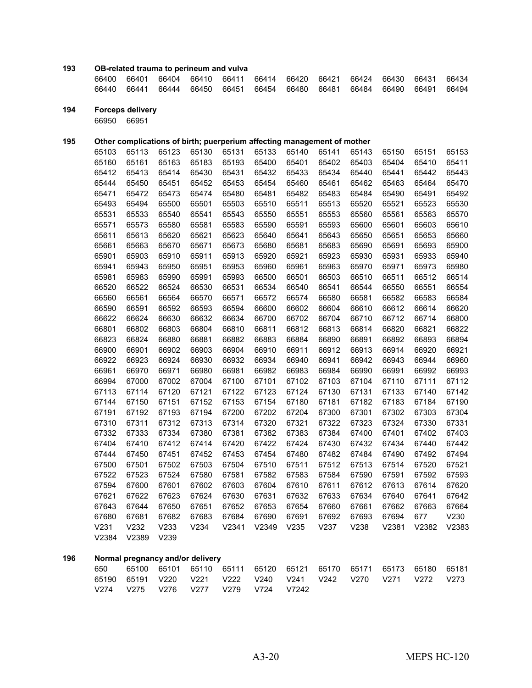## **OB-related trauma to perineum and vulva**

|  |  |  |  |  | 66400 66401 66404 66410 66411 66414 66420 66421 66424 66430 66431 66434 |  |
|--|--|--|--|--|-------------------------------------------------------------------------|--|
|  |  |  |  |  | 66440 66441 66444 66450 66451 66454 66480 66481 66484 66490 66491 66494 |  |

**Forceps delivery**

66951

## **Other complications of birth; puerperium affecting management of mother**

|     | 65103            | 65113 | 65123 | 65130                            | 65131 | 65133 | 65140 | 65141 | 65143 | 65150 | 65151 | 65153 |
|-----|------------------|-------|-------|----------------------------------|-------|-------|-------|-------|-------|-------|-------|-------|
|     | 65160            | 65161 | 65163 | 65183                            | 65193 | 65400 | 65401 | 65402 | 65403 | 65404 | 65410 | 65411 |
|     | 65412            | 65413 | 65414 | 65430                            | 65431 | 65432 | 65433 | 65434 | 65440 | 65441 | 65442 | 65443 |
|     | 65444            | 65450 | 65451 | 65452                            | 65453 | 65454 | 65460 | 65461 | 65462 | 65463 | 65464 | 65470 |
|     | 65471            | 65472 | 65473 | 65474                            | 65480 | 65481 | 65482 | 65483 | 65484 | 65490 | 65491 | 65492 |
|     | 65493            | 65494 | 65500 | 65501                            | 65503 | 65510 | 65511 | 65513 | 65520 | 65521 | 65523 | 65530 |
|     | 65531            | 65533 | 65540 | 65541                            | 65543 | 65550 | 65551 | 65553 | 65560 | 65561 | 65563 | 65570 |
|     | 65571            | 65573 | 65580 | 65581                            | 65583 | 65590 | 65591 | 65593 | 65600 | 65601 | 65603 | 65610 |
|     | 65611            | 65613 | 65620 | 65621                            | 65623 | 65640 | 65641 | 65643 | 65650 | 65651 | 65653 | 65660 |
|     | 65661            | 65663 | 65670 | 65671                            | 65673 | 65680 | 65681 | 65683 | 65690 | 65691 | 65693 | 65900 |
|     | 65901            | 65903 | 65910 | 65911                            | 65913 | 65920 | 65921 | 65923 | 65930 | 65931 | 65933 | 65940 |
|     | 65941            | 65943 | 65950 | 65951                            | 65953 | 65960 | 65961 | 65963 | 65970 | 65971 | 65973 | 65980 |
|     | 65981            | 65983 | 65990 | 65991                            | 65993 | 66500 | 66501 | 66503 | 66510 | 66511 | 66512 | 66514 |
|     | 66520            | 66522 | 66524 | 66530                            | 66531 | 66534 | 66540 | 66541 | 66544 | 66550 | 66551 | 66554 |
|     | 66560            | 66561 | 66564 | 66570                            | 66571 | 66572 | 66574 | 66580 | 66581 | 66582 | 66583 | 66584 |
|     | 66590            | 66591 | 66592 | 66593                            | 66594 | 66600 | 66602 | 66604 | 66610 | 66612 | 66614 | 66620 |
|     | 66622            | 66624 | 66630 | 66632                            | 66634 | 66700 | 66702 | 66704 | 66710 | 66712 | 66714 | 66800 |
|     | 66801            | 66802 | 66803 | 66804                            | 66810 | 66811 | 66812 | 66813 | 66814 | 66820 | 66821 | 66822 |
|     | 66823            | 66824 | 66880 | 66881                            | 66882 | 66883 | 66884 | 66890 | 66891 | 66892 | 66893 | 66894 |
|     | 66900            | 66901 | 66902 | 66903                            | 66904 | 66910 | 66911 | 66912 | 66913 | 66914 | 66920 | 66921 |
|     | 66922            | 66923 | 66924 | 66930                            | 66932 | 66934 | 66940 | 66941 | 66942 | 66943 | 66944 | 66960 |
|     | 66961            | 66970 | 66971 | 66980                            | 66981 | 66982 | 66983 | 66984 | 66990 | 66991 | 66992 | 66993 |
|     | 66994            | 67000 | 67002 | 67004                            | 67100 | 67101 | 67102 | 67103 | 67104 | 67110 | 67111 | 67112 |
|     | 67113            | 67114 | 67120 | 67121                            | 67122 | 67123 | 67124 | 67130 | 67131 | 67133 | 67140 | 67142 |
|     | 67144            | 67150 | 67151 | 67152                            | 67153 | 67154 | 67180 | 67181 | 67182 | 67183 | 67184 | 67190 |
|     | 67191            | 67192 | 67193 | 67194                            | 67200 | 67202 | 67204 | 67300 | 67301 | 67302 | 67303 | 67304 |
|     | 67310            | 67311 | 67312 | 67313                            | 67314 | 67320 | 67321 | 67322 | 67323 | 67324 | 67330 | 67331 |
|     | 67332            | 67333 | 67334 | 67380                            | 67381 | 67382 | 67383 | 67384 | 67400 | 67401 | 67402 | 67403 |
|     | 67404            | 67410 | 67412 | 67414                            | 67420 | 67422 | 67424 | 67430 | 67432 | 67434 | 67440 | 67442 |
|     | 67444            | 67450 | 67451 | 67452                            | 67453 | 67454 | 67480 | 67482 | 67484 | 67490 | 67492 | 67494 |
|     | 67500            | 67501 | 67502 | 67503                            | 67504 | 67510 | 67511 | 67512 | 67513 | 67514 | 67520 | 67521 |
|     | 67522            | 67523 | 67524 | 67580                            | 67581 | 67582 | 67583 | 67584 | 67590 | 67591 | 67592 | 67593 |
|     | 67594            | 67600 | 67601 | 67602                            | 67603 | 67604 | 67610 | 67611 | 67612 | 67613 | 67614 | 67620 |
|     | 67621            | 67622 | 67623 | 67624                            | 67630 | 67631 | 67632 | 67633 | 67634 | 67640 | 67641 | 67642 |
|     | 67643            | 67644 | 67650 | 67651                            | 67652 | 67653 | 67654 | 67660 | 67661 | 67662 | 67663 | 67664 |
|     | 67680            | 67681 | 67682 | 67683                            | 67684 | 67690 | 67691 | 67692 | 67693 | 67694 | 677   | V230  |
|     | V <sub>231</sub> | V232  | V233  | V234                             | V2341 | V2349 | V235  | V237  | V238  | V2381 | V2382 | V2383 |
|     | V2384            | V2389 | V239  |                                  |       |       |       |       |       |       |       |       |
| 196 |                  |       |       | Normal pregnancy and/or delivery |       |       |       |       |       |       |       |       |

|  |  | 650   65100   65101   65110   65111   65120   65121   65170   65171   65173   65180   65181 |  |  |  |  |
|--|--|---------------------------------------------------------------------------------------------|--|--|--|--|
|  |  | 65190  65191  V220  V221  V222  V240  V241  V242  V270  V271  V272  V273                    |  |  |  |  |
|  |  | V274 V275 V276 V277 V279 V724 V7242                                                         |  |  |  |  |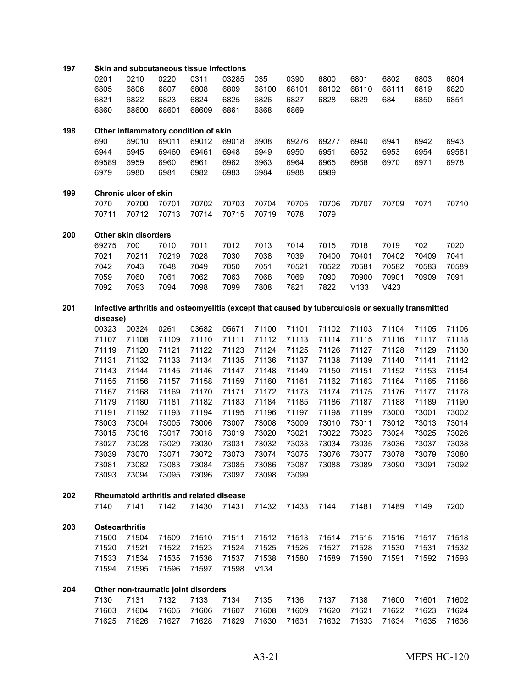| 197 | Skin and subcutaneous tissue infections |                              |              |                                          |              |              |              |                                                                                                   |       |       |       |       |
|-----|-----------------------------------------|------------------------------|--------------|------------------------------------------|--------------|--------------|--------------|---------------------------------------------------------------------------------------------------|-------|-------|-------|-------|
|     | 0201                                    | 0210                         | 0220         | 0311                                     | 03285        | 035          | 0390         | 6800                                                                                              | 6801  | 6802  | 6803  | 6804  |
|     | 6805                                    | 6806                         | 6807         | 6808                                     | 6809         | 68100        | 68101        | 68102                                                                                             | 68110 | 68111 | 6819  | 6820  |
|     | 6821                                    | 6822                         | 6823         | 6824                                     | 6825         | 6826         | 6827         | 6828                                                                                              | 6829  | 684   | 6850  | 6851  |
|     | 6860                                    | 68600                        | 68601        | 68609                                    | 6861         | 6868         | 6869         |                                                                                                   |       |       |       |       |
|     |                                         |                              |              |                                          |              |              |              |                                                                                                   |       |       |       |       |
| 198 |                                         |                              |              | Other inflammatory condition of skin     |              |              |              |                                                                                                   |       |       |       |       |
|     | 690                                     | 69010                        | 69011        | 69012                                    | 69018        | 6908         | 69276        | 69277                                                                                             | 6940  | 6941  | 6942  | 6943  |
|     | 6944                                    | 6945                         | 69460        | 69461                                    | 6948         | 6949         | 6950         | 6951                                                                                              | 6952  | 6953  | 6954  | 69581 |
|     | 69589<br>6979                           | 6959<br>6980                 | 6960<br>6981 | 6961<br>6982                             | 6962<br>6983 | 6963<br>6984 | 6964<br>6988 | 6965<br>6989                                                                                      | 6968  | 6970  | 6971  | 6978  |
|     |                                         |                              |              |                                          |              |              |              |                                                                                                   |       |       |       |       |
| 199 |                                         | <b>Chronic ulcer of skin</b> |              |                                          |              |              |              |                                                                                                   |       |       |       |       |
|     | 7070                                    | 70700                        | 70701        | 70702                                    | 70703        | 70704        | 70705        | 70706                                                                                             | 70707 | 70709 | 7071  | 70710 |
|     | 70711                                   | 70712                        | 70713        | 70714                                    | 70715        | 70719        | 7078         | 7079                                                                                              |       |       |       |       |
| 200 |                                         | Other skin disorders         |              |                                          |              |              |              |                                                                                                   |       |       |       |       |
|     | 69275                                   | 700                          | 7010         | 7011                                     | 7012         | 7013         | 7014         | 7015                                                                                              | 7018  | 7019  | 702   | 7020  |
|     | 7021                                    | 70211                        | 70219        | 7028                                     | 7030         | 7038         | 7039         | 70400                                                                                             | 70401 | 70402 | 70409 | 7041  |
|     | 7042                                    | 7043                         | 7048         | 7049                                     | 7050         | 7051         | 70521        | 70522                                                                                             | 70581 | 70582 | 70583 | 70589 |
|     | 7059                                    | 7060                         | 7061         | 7062                                     | 7063         | 7068         | 7069         | 7090                                                                                              | 70900 | 70901 | 70909 | 7091  |
|     | 7092                                    | 7093                         | 7094         | 7098                                     | 7099         | 7808         | 7821         | 7822                                                                                              | V133  | V423  |       |       |
| 201 |                                         |                              |              |                                          |              |              |              |                                                                                                   |       |       |       |       |
|     | disease)                                |                              |              |                                          |              |              |              | Infective arthritis and osteomyelitis (except that caused by tuberculosis or sexually transmitted |       |       |       |       |
|     | 00323                                   | 00324                        | 0261         | 03682                                    | 05671        | 71100        | 71101        | 71102                                                                                             | 71103 | 71104 | 71105 | 71106 |
|     | 71107                                   | 71108                        | 71109        | 71110                                    | 71111        | 71112        | 71113        | 71114                                                                                             | 71115 | 71116 | 71117 | 71118 |
|     | 71119                                   | 71120                        | 71121        | 71122                                    | 71123        | 71124        | 71125        | 71126                                                                                             | 71127 | 71128 | 71129 | 71130 |
|     | 71131                                   | 71132                        | 71133        | 71134                                    | 71135        | 71136        | 71137        | 71138                                                                                             | 71139 | 71140 | 71141 | 71142 |
|     | 71143                                   | 71144                        | 71145        | 71146                                    | 71147        | 71148        | 71149        | 71150                                                                                             | 71151 | 71152 | 71153 | 71154 |
|     | 71155                                   | 71156                        | 71157        | 71158                                    | 71159        | 71160        | 71161        | 71162                                                                                             | 71163 | 71164 | 71165 | 71166 |
|     | 71167                                   | 71168                        | 71169        | 71170                                    | 71171        | 71172        | 71173        | 71174                                                                                             | 71175 | 71176 | 71177 | 71178 |
|     | 71179                                   | 71180                        | 71181        | 71182                                    | 71183        | 71184        | 71185        | 71186                                                                                             | 71187 | 71188 | 71189 | 71190 |
|     | 71191                                   | 71192                        | 71193        | 71194                                    | 71195        | 71196        | 71197        | 71198                                                                                             | 71199 | 73000 | 73001 | 73002 |
|     | 73003                                   | 73004                        | 73005        | 73006                                    | 73007        | 73008        | 73009        | 73010                                                                                             | 73011 | 73012 | 73013 | 73014 |
|     | 73015                                   | 73016                        | 73017        | 73018                                    | 73019        | 73020        | 73021        | 73022                                                                                             | 73023 | 73024 | 73025 | 73026 |
|     | 73027                                   | 73028                        | 73029        | 73030                                    | 73031        | 73032        | 73033        | 73034                                                                                             | 73035 | 73036 | 73037 | 73038 |
|     | 73039                                   | 73070                        | 73071        | 73072                                    | 73073        | 73074        | 73075        | 73076                                                                                             | 73077 | 73078 | 73079 | 73080 |
|     | 73081                                   | 73082                        | 73083        | 73084                                    | 73085        | 73086        | 73087        | 73088                                                                                             | 73089 | 73090 | 73091 | 73092 |
|     | 73093                                   | 73094                        | 73095        | 73096                                    | 73097        | 73098        | 73099        |                                                                                                   |       |       |       |       |
| 202 |                                         |                              |              | Rheumatoid arthritis and related disease |              |              |              |                                                                                                   |       |       |       |       |
|     | 7140                                    | 7141                         | 7142         | 71430                                    | 71431        | 71432        | 71433        | 7144                                                                                              | 71481 | 71489 | 7149  | 7200  |
|     |                                         |                              |              |                                          |              |              |              |                                                                                                   |       |       |       |       |
| 203 | <b>Osteoarthritis</b>                   |                              |              |                                          |              |              |              |                                                                                                   |       |       |       |       |
|     | 71500                                   | 71504                        | 71509        | 71510                                    | 71511        | 71512        | 71513        | 71514                                                                                             | 71515 | 71516 | 71517 | 71518 |
|     | 71520                                   | 71521                        | 71522        | 71523                                    | 71524        | 71525        | 71526        | 71527                                                                                             | 71528 | 71530 | 71531 | 71532 |
|     | 71533                                   | 71534                        | 71535        | 71536                                    | 71537        | 71538        | 71580        | 71589                                                                                             | 71590 | 71591 | 71592 | 71593 |
|     | 71594                                   | 71595                        | 71596        | 71597                                    | 71598        | V134         |              |                                                                                                   |       |       |       |       |
| 204 |                                         |                              |              | Other non-traumatic joint disorders      |              |              |              |                                                                                                   |       |       |       |       |
|     | 7130                                    | 7131                         | 7132         | 7133                                     | 7134         | 7135         | 7136         | 7137                                                                                              | 7138  | 71600 | 71601 | 71602 |
|     | 71603                                   | 71604                        | 71605        | 71606                                    | 71607        | 71608        | 71609        | 71620                                                                                             | 71621 | 71622 | 71623 | 71624 |
|     | 71625                                   | 71626                        | 71627        | 71628                                    | 71629        | 71630        | 71631        | 71632                                                                                             | 71633 | 71634 | 71635 | 71636 |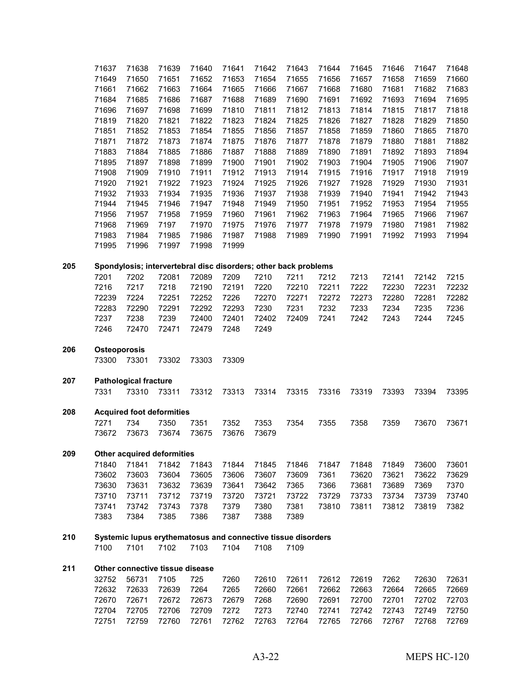|     | 71637               | 71638                        | 71639                                                           | 71640          | 71641         | 71642         | 71643 | 71644 | 71645 | 71646 | 71647 | 71648 |
|-----|---------------------|------------------------------|-----------------------------------------------------------------|----------------|---------------|---------------|-------|-------|-------|-------|-------|-------|
|     | 71649               | 71650                        | 71651                                                           | 71652          | 71653         | 71654         | 71655 | 71656 | 71657 | 71658 | 71659 | 71660 |
|     | 71661               | 71662                        | 71663                                                           | 71664          | 71665         | 71666         | 71667 | 71668 | 71680 | 71681 | 71682 | 71683 |
|     | 71684               | 71685                        | 71686                                                           | 71687          | 71688         | 71689         | 71690 | 71691 | 71692 | 71693 | 71694 | 71695 |
|     | 71696               | 71697                        | 71698                                                           | 71699          | 71810         | 71811         | 71812 | 71813 | 71814 | 71815 | 71817 | 71818 |
|     | 71819               | 71820                        | 71821                                                           | 71822          | 71823         | 71824         | 71825 | 71826 | 71827 | 71828 | 71829 | 71850 |
|     | 71851               | 71852                        | 71853                                                           | 71854          | 71855         | 71856         | 71857 | 71858 | 71859 | 71860 | 71865 | 71870 |
|     | 71871               | 71872                        | 71873                                                           | 71874          | 71875         | 71876         | 71877 | 71878 | 71879 | 71880 | 71881 | 71882 |
|     | 71883               | 71884                        | 71885                                                           | 71886          | 71887         | 71888         | 71889 | 71890 | 71891 | 71892 | 71893 | 71894 |
|     | 71895               | 71897                        | 71898                                                           | 71899          | 71900         | 71901         | 71902 | 71903 | 71904 | 71905 | 71906 | 71907 |
|     | 71908               | 71909                        | 71910                                                           | 71911          | 71912         | 71913         | 71914 | 71915 | 71916 | 71917 | 71918 | 71919 |
|     | 71920               | 71921                        | 71922                                                           | 71923          | 71924         | 71925         | 71926 | 71927 | 71928 | 71929 | 71930 | 71931 |
|     | 71932               | 71933                        | 71934                                                           | 71935          | 71936         | 71937         | 71938 | 71939 | 71940 | 71941 | 71942 | 71943 |
|     | 71944               | 71945                        | 71946                                                           | 71947          | 71948         | 71949         | 71950 | 71951 | 71952 | 71953 | 71954 | 71955 |
|     | 71956               | 71957                        | 71958                                                           | 71959          | 71960         | 71961         | 71962 | 71963 | 71964 | 71965 | 71966 | 71967 |
|     | 71968               | 71969                        | 7197                                                            | 71970          | 71975         | 71976         | 71977 | 71978 | 71979 | 71980 | 71981 | 71982 |
|     | 71983               | 71984                        | 71985                                                           | 71986          | 71987         | 71988         | 71989 | 71990 | 71991 | 71992 | 71993 | 71994 |
|     | 71995               | 71996                        | 71997                                                           | 71998          | 71999         |               |       |       |       |       |       |       |
|     |                     |                              |                                                                 |                |               |               |       |       |       |       |       |       |
| 205 |                     |                              | Spondylosis; intervertebral disc disorders; other back problems |                |               |               | 7211  |       |       |       |       |       |
|     | 7201                | 7202                         | 72081                                                           | 72089          | 7209          | 7210          |       | 7212  | 7213  | 72141 | 72142 | 7215  |
|     | 7216                | 7217                         | 7218                                                            | 72190          | 72191         | 7220          | 72210 | 72211 | 7222  | 72230 | 72231 | 72232 |
|     | 72239               | 7224                         | 72251                                                           | 72252          | 7226          | 72270         | 72271 | 72272 | 72273 | 72280 | 72281 | 72282 |
|     | 72283               | 72290                        | 72291                                                           | 72292          | 72293         | 7230          | 7231  | 7232  | 7233  | 7234  | 7235  | 7236  |
|     | 7237<br>7246        | 7238<br>72470                | 7239<br>72471                                                   | 72400<br>72479 | 72401<br>7248 | 72402<br>7249 | 72409 | 7241  | 7242  | 7243  | 7244  | 7245  |
|     |                     |                              |                                                                 |                |               |               |       |       |       |       |       |       |
| 206 | <b>Osteoporosis</b> |                              |                                                                 |                |               |               |       |       |       |       |       |       |
|     | 73300               | 73301                        | 73302                                                           | 73303          | 73309         |               |       |       |       |       |       |       |
| 207 |                     | <b>Pathological fracture</b> |                                                                 |                |               |               |       |       |       |       |       |       |
|     | 7331                | 73310                        | 73311                                                           | 73312          | 73313         | 73314         | 73315 | 73316 | 73319 | 73393 | 73394 | 73395 |
|     |                     |                              |                                                                 |                |               |               |       |       |       |       |       |       |
| 208 |                     |                              | <b>Acquired foot deformities</b>                                |                |               |               |       |       |       |       |       |       |
|     | 7271                | 734                          | 7350                                                            | 7351           | 7352          | 7353          | 7354  | 7355  | 7358  | 7359  | 73670 | 73671 |
|     | 73672               | 73673                        | 73674                                                           | 73675          | 73676         | 73679         |       |       |       |       |       |       |
| 209 |                     |                              | <b>Other acquired deformities</b>                               |                |               |               |       |       |       |       |       |       |
|     | 71840               | 71841                        | 71842                                                           | 71843          | 71844         | 71845         | 71846 | 71847 | 71848 | 71849 | 73600 | 73601 |
|     | 73602               | 73603                        | 73604                                                           | 73605          | 73606         | 73607         | 73609 | 7361  | 73620 | 73621 | 73622 | 73629 |
|     | 73630               | 73631                        | 73632                                                           | 73639          | 73641         | 73642         | 7365  | 7366  | 73681 | 73689 | 7369  | 7370  |
|     | 73710               | 73711                        | 73712                                                           | 73719          | 73720         | 73721         | 73722 | 73729 | 73733 | 73734 | 73739 | 73740 |
|     | 73741               | 73742                        | 73743                                                           | 7378           | 7379          | 7380          | 7381  | 73810 | 73811 | 73812 | 73819 | 7382  |
|     | 7383                | 7384                         | 7385                                                            | 7386           | 7387          | 7388          | 7389  |       |       |       |       |       |
| 210 |                     |                              | Systemic lupus erythematosus and connective tissue disorders    |                |               |               |       |       |       |       |       |       |
|     | 7100                | 7101                         | 7102                                                            | 7103           | 7104          | 7108          | 7109  |       |       |       |       |       |
|     |                     |                              |                                                                 |                |               |               |       |       |       |       |       |       |
| 211 | 32752               | 56731                        | Other connective tissue disease<br>7105                         | 725            | 7260          | 72610         | 72611 | 72612 | 72619 | 7262  | 72630 | 72631 |
|     | 72632               | 72633                        | 72639                                                           | 7264           | 7265          | 72660         | 72661 | 72662 | 72663 | 72664 | 72665 | 72669 |
|     | 72670               | 72671                        | 72672                                                           | 72673          | 72679         | 7268          | 72690 | 72691 | 72700 | 72701 | 72702 | 72703 |
|     | 72704               | 72705                        | 72706                                                           | 72709          | 7272          | 7273          | 72740 | 72741 | 72742 | 72743 | 72749 | 72750 |
|     | 72751               | 72759                        | 72760                                                           | 72761          | 72762         | 72763         | 72764 | 72765 | 72766 | 72767 | 72768 | 72769 |
|     |                     |                              |                                                                 |                |               |               |       |       |       |       |       |       |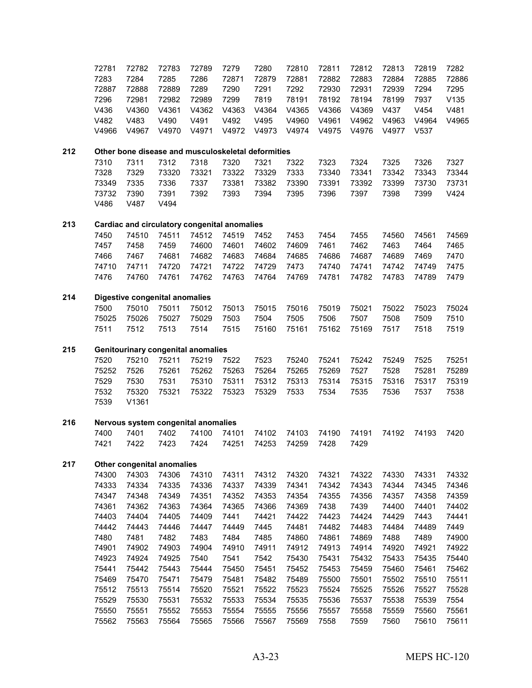|     | 72781 | 72782                                              | 72783 | 72789 | 7279  | 7280  | 72810 | 72811 | 72812 | 72813 | 72819 | 7282  |
|-----|-------|----------------------------------------------------|-------|-------|-------|-------|-------|-------|-------|-------|-------|-------|
|     | 7283  | 7284                                               | 7285  | 7286  | 72871 | 72879 | 72881 | 72882 | 72883 | 72884 | 72885 | 72886 |
|     | 72887 | 72888                                              | 72889 | 7289  | 7290  | 7291  | 7292  | 72930 | 72931 | 72939 | 7294  | 7295  |
|     | 7296  | 72981                                              | 72982 | 72989 | 7299  | 7819  | 78191 | 78192 | 78194 | 78199 | 7937  | V135  |
|     | V436  | V4360                                              | V4361 | V4362 | V4363 | V4364 | V4365 | V4366 | V4369 | V437  | V454  | V481  |
|     | V482  | V483                                               | V490  | V491  | V492  | V495  | V4960 | V4961 | V4962 | V4963 | V4964 | V4965 |
|     | V4966 | V4967                                              | V4970 | V4971 | V4972 | V4973 | V4974 | V4975 | V4976 | V4977 | V537  |       |
| 212 |       | Other bone disease and musculoskeletal deformities |       |       |       |       |       |       |       |       |       |       |
|     | 7310  | 7311                                               | 7312  | 7318  | 7320  | 7321  | 7322  | 7323  | 7324  | 7325  | 7326  | 7327  |
|     | 7328  | 7329                                               | 73320 | 73321 | 73322 | 73329 | 7333  | 73340 | 73341 | 73342 | 73343 | 73344 |
|     | 73349 | 7335                                               | 7336  | 7337  | 73381 | 73382 | 73390 | 73391 | 73392 | 73399 | 73730 | 73731 |
|     | 73732 | 7390                                               | 7391  | 7392  | 7393  | 7394  | 7395  | 7396  | 7397  | 7398  | 7399  | V424  |
|     | V486  | V487                                               | V494  |       |       |       |       |       |       |       |       |       |
| 213 |       | Cardiac and circulatory congenital anomalies       |       |       |       |       |       |       |       |       |       |       |
|     | 7450  | 74510                                              | 74511 | 74512 | 74519 | 7452  | 7453  | 7454  | 7455  | 74560 | 74561 | 74569 |
|     | 7457  | 7458                                               | 7459  | 74600 | 74601 | 74602 | 74609 | 7461  | 7462  | 7463  | 7464  | 7465  |
|     | 7466  | 7467                                               | 74681 | 74682 | 74683 | 74684 | 74685 | 74686 | 74687 | 74689 | 7469  | 7470  |
|     | 74710 | 74711                                              | 74720 | 74721 | 74722 | 74729 | 7473  | 74740 | 74741 | 74742 | 74749 | 7475  |
|     | 7476  | 74760                                              | 74761 | 74762 | 74763 | 74764 | 74769 | 74781 | 74782 | 74783 | 74789 | 7479  |
| 214 |       | <b>Digestive congenital anomalies</b>              |       |       |       |       |       |       |       |       |       |       |
|     | 7500  | 75010                                              | 75011 | 75012 | 75013 | 75015 | 75016 | 75019 | 75021 | 75022 | 75023 | 75024 |
|     | 75025 | 75026                                              | 75027 | 75029 | 7503  | 7504  | 7505  | 7506  | 7507  | 7508  | 7509  | 7510  |
|     | 7511  | 7512                                               | 7513  | 7514  | 7515  | 75160 | 75161 | 75162 | 75169 | 7517  | 7518  | 7519  |
| 215 |       | <b>Genitourinary congenital anomalies</b>          |       |       |       |       |       |       |       |       |       |       |
|     | 7520  | 75210                                              | 75211 | 75219 | 7522  | 7523  | 75240 | 75241 | 75242 | 75249 | 7525  | 75251 |
|     | 75252 | 7526                                               | 75261 | 75262 | 75263 | 75264 | 75265 | 75269 | 7527  | 7528  | 75281 | 75289 |
|     | 7529  | 7530                                               | 7531  | 75310 | 75311 | 75312 | 75313 | 75314 | 75315 | 75316 | 75317 | 75319 |
|     | 7532  | 75320                                              | 75321 | 75322 | 75323 | 75329 | 7533  | 7534  | 7535  | 7536  | 7537  | 7538  |
|     | 7539  | V1361                                              |       |       |       |       |       |       |       |       |       |       |
| 216 |       | Nervous system congenital anomalies                |       |       |       |       |       |       |       |       |       |       |
|     | 7400  | 7401                                               | 7402  | 74100 | 74101 | 74102 | 74103 | 74190 | 74191 | 74192 | 74193 | 7420  |
|     | 7421  | 7422                                               | 7423  | 7424  | 74251 | 74253 | 74259 | 7428  | 7429  |       |       |       |
| 217 |       | Other congenital anomalies                         |       |       |       |       |       |       |       |       |       |       |
|     | 74300 | 74303                                              | 74306 | 74310 | 74311 | 74312 | 74320 | 74321 | 74322 | 74330 | 74331 | 74332 |
|     | 74333 | 74334                                              | 74335 | 74336 | 74337 | 74339 | 74341 | 74342 | 74343 | 74344 | 74345 | 74346 |
|     | 74347 | 74348                                              | 74349 | 74351 | 74352 | 74353 | 74354 | 74355 | 74356 | 74357 | 74358 | 74359 |
|     | 74361 | 74362                                              | 74363 | 74364 | 74365 | 74366 | 74369 | 7438  | 7439  | 74400 | 74401 | 74402 |
|     | 74403 | 74404                                              | 74405 | 74409 | 7441  | 74421 | 74422 | 74423 | 74424 | 74429 | 7443  | 74441 |
|     | 74442 | 74443                                              | 74446 | 74447 | 74449 | 7445  | 74481 | 74482 | 74483 | 74484 | 74489 | 7449  |
|     | 7480  | 7481                                               | 7482  | 7483  | 7484  | 7485  | 74860 | 74861 | 74869 | 7488  | 7489  | 74900 |
|     | 74901 | 74902                                              | 74903 | 74904 | 74910 | 74911 | 74912 | 74913 | 74914 | 74920 | 74921 | 74922 |
|     | 74923 | 74924                                              | 74925 | 7540  | 7541  | 7542  | 75430 | 75431 | 75432 | 75433 | 75435 | 75440 |
|     | 75441 | 75442                                              | 75443 | 75444 | 75450 | 75451 | 75452 | 75453 | 75459 | 75460 | 75461 | 75462 |
|     | 75469 | 75470                                              | 75471 | 75479 | 75481 | 75482 | 75489 | 75500 | 75501 | 75502 | 75510 | 75511 |
|     | 75512 | 75513                                              | 75514 | 75520 | 75521 | 75522 | 75523 | 75524 | 75525 | 75526 | 75527 | 75528 |
|     | 75529 | 75530                                              | 75531 | 75532 | 75533 | 75534 | 75535 | 75536 | 75537 | 75538 | 75539 | 7554  |
|     | 75550 | 75551                                              | 75552 | 75553 | 75554 | 75555 | 75556 | 75557 | 75558 | 75559 | 75560 | 75561 |
|     | 75562 | 75563                                              | 75564 | 75565 | 75566 | 75567 | 75569 | 7558  | 7559  | 7560  | 75610 | 75611 |
|     |       |                                                    |       |       |       |       |       |       |       |       |       |       |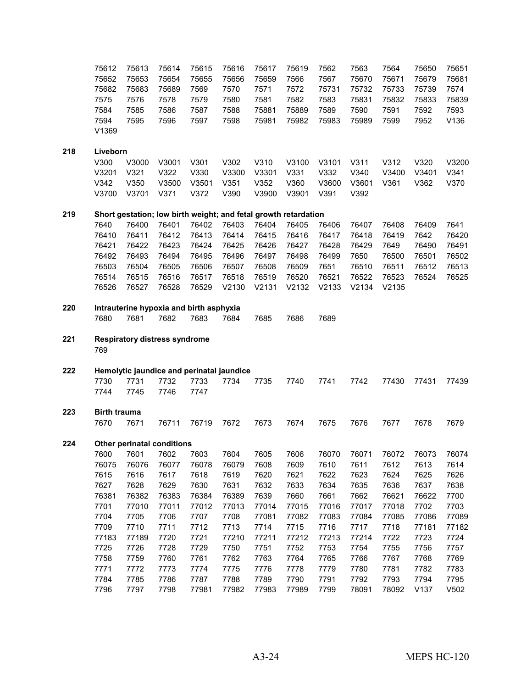|     | 75612<br>75652<br>75682<br>7575<br>7584<br>7594<br>V1369 | 75613<br>75653<br>75683<br>7576<br>7585<br>7595 | 75614<br>75654<br>75689<br>7578<br>7586<br>7596 | 75615<br>75655<br>7569<br>7579<br>7587<br>7597 | 75616<br>75656<br>7570<br>7580<br>7588<br>7598                  | 75617<br>75659<br>7571<br>7581<br>75881<br>75981 | 75619<br>7566<br>7572<br>7582<br>75889<br>75982 | 7562<br>7567<br>75731<br>7583<br>7589<br>75983 | 7563<br>75670<br>75732<br>75831<br>7590<br>75989 | 7564<br>75671<br>75733<br>75832<br>7591<br>7599 | 75650<br>75679<br>75739<br>75833<br>7592<br>7952 | 75651<br>75681<br>7574<br>75839<br>7593<br>V136 |
|-----|----------------------------------------------------------|-------------------------------------------------|-------------------------------------------------|------------------------------------------------|-----------------------------------------------------------------|--------------------------------------------------|-------------------------------------------------|------------------------------------------------|--------------------------------------------------|-------------------------------------------------|--------------------------------------------------|-------------------------------------------------|
| 218 | Liveborn                                                 |                                                 |                                                 |                                                |                                                                 |                                                  |                                                 |                                                |                                                  |                                                 |                                                  |                                                 |
|     | V300                                                     | V3000                                           | V3001                                           | V301                                           | V302                                                            | V310                                             | V3100                                           | V3101                                          | V311                                             | V312                                            | V320                                             | V3200                                           |
|     | V3201                                                    | V321                                            | V322                                            | V330                                           | V3300                                                           | V3301                                            | V331                                            | V332                                           | V340                                             | V3400                                           | V3401                                            | V341                                            |
|     | V342                                                     | V350                                            | V3500                                           | V3501                                          | V351                                                            | V352                                             | V360                                            | V3600                                          | V3601                                            | V361                                            | V362                                             | V370                                            |
|     | V3700                                                    | V3701                                           | V371                                            | V372                                           | V390                                                            | V3900                                            | V3901                                           | V391                                           | V392                                             |                                                 |                                                  |                                                 |
| 219 |                                                          |                                                 |                                                 |                                                | Short gestation; low birth weight; and fetal growth retardation |                                                  |                                                 |                                                |                                                  |                                                 |                                                  |                                                 |
|     | 7640                                                     | 76400                                           | 76401                                           | 76402                                          | 76403                                                           | 76404                                            | 76405                                           | 76406                                          | 76407                                            | 76408                                           | 76409                                            | 7641                                            |
|     | 76410                                                    | 76411                                           | 76412                                           | 76413                                          | 76414                                                           | 76415                                            | 76416                                           | 76417                                          | 76418                                            | 76419                                           | 7642                                             | 76420                                           |
|     | 76421                                                    | 76422                                           | 76423                                           | 76424                                          | 76425                                                           | 76426                                            | 76427                                           | 76428                                          | 76429                                            | 7649                                            | 76490                                            | 76491                                           |
|     | 76492                                                    | 76493                                           | 76494                                           | 76495                                          | 76496                                                           | 76497                                            | 76498                                           | 76499                                          | 7650                                             | 76500                                           | 76501                                            | 76502                                           |
|     | 76503                                                    | 76504                                           | 76505                                           | 76506                                          | 76507                                                           | 76508                                            | 76509                                           | 7651                                           | 76510                                            | 76511                                           | 76512                                            | 76513                                           |
|     | 76514                                                    | 76515                                           | 76516                                           | 76517                                          | 76518                                                           | 76519                                            | 76520                                           | 76521                                          | 76522                                            | 76523                                           | 76524                                            | 76525                                           |
|     | 76526                                                    | 76527                                           | 76528                                           | 76529                                          | V2130                                                           | V2131                                            | V2132                                           | V2133                                          | V2134                                            | V2135                                           |                                                  |                                                 |
| 220 |                                                          |                                                 |                                                 | Intrauterine hypoxia and birth asphyxia        |                                                                 |                                                  |                                                 |                                                |                                                  |                                                 |                                                  |                                                 |
|     | 7680                                                     | 7681                                            | 7682                                            | 7683                                           | 7684                                                            | 7685                                             | 7686                                            | 7689                                           |                                                  |                                                 |                                                  |                                                 |
| 221 | 769                                                      | <b>Respiratory distress syndrome</b>            |                                                 |                                                |                                                                 |                                                  |                                                 |                                                |                                                  |                                                 |                                                  |                                                 |
| 222 |                                                          |                                                 |                                                 |                                                | Hemolytic jaundice and perinatal jaundice                       |                                                  |                                                 |                                                |                                                  |                                                 |                                                  |                                                 |
|     | 7730                                                     | 7731                                            | 7732                                            | 7733                                           | 7734                                                            | 7735                                             | 7740                                            | 7741                                           | 7742                                             | 77430                                           | 77431                                            | 77439                                           |
|     | 7744                                                     | 7745                                            | 7746                                            | 7747                                           |                                                                 |                                                  |                                                 |                                                |                                                  |                                                 |                                                  |                                                 |
| 223 | <b>Birth trauma</b>                                      |                                                 |                                                 |                                                |                                                                 |                                                  |                                                 |                                                |                                                  |                                                 |                                                  |                                                 |
|     | 7670                                                     | 7671                                            | 76711                                           | 76719                                          | 7672                                                            | 7673                                             | 7674                                            | 7675                                           | 7676                                             | 7677                                            | 7678                                             | 7679                                            |
| 224 |                                                          | <b>Other perinatal conditions</b>               |                                                 |                                                |                                                                 |                                                  |                                                 |                                                |                                                  |                                                 |                                                  |                                                 |
|     | 7600                                                     | 7601                                            | 7602                                            | 7603                                           | 7604                                                            | 7605                                             | 7606                                            | 76070                                          | 76071                                            | 76072                                           | 76073                                            | 76074                                           |
|     | 76075                                                    | 76076                                           | 76077                                           | 76078                                          | 76079                                                           | 7608                                             | 7609                                            | 7610                                           | 7611                                             | 7612                                            | 7613                                             | 7614                                            |
|     | 7615                                                     | 7616                                            | 7617                                            | 7618                                           | 7619                                                            | 7620                                             | 7621                                            | 7622                                           | 7623                                             | 7624                                            | 7625                                             | 7626                                            |
|     | 7627                                                     | 7628                                            | 7629                                            | 7630                                           | 7631                                                            | 7632                                             | 7633                                            | 7634                                           | 7635                                             | 7636                                            | 7637                                             | 7638                                            |
|     | 76381                                                    | 76382                                           | 76383                                           | 76384                                          | 76389                                                           | 7639                                             | 7660                                            | 7661                                           | 7662                                             | 76621                                           | 76622                                            | 7700                                            |
|     | 7701                                                     | 77010                                           | 77011                                           | 77012                                          | 77013                                                           | 77014                                            | 77015                                           | 77016                                          | 77017                                            | 77018                                           | 7702                                             | 7703                                            |
|     | 7704                                                     | 7705                                            | 7706                                            | 7707                                           | 7708                                                            | 77081                                            | 77082                                           | 77083                                          | 77084                                            | 77085                                           | 77086                                            | 77089                                           |
|     | 7709                                                     | 7710                                            | 7711                                            | 7712                                           | 7713                                                            | 7714                                             | 7715                                            | 7716                                           | 7717                                             | 7718                                            | 77181                                            | 77182                                           |
|     | 77183                                                    | 77189                                           | 7720                                            | 7721                                           | 77210                                                           | 77211                                            | 77212                                           | 77213                                          | 77214                                            | 7722                                            | 7723                                             | 7724                                            |
|     | 7725                                                     | 7726                                            | 7728                                            | 7729                                           | 7750                                                            | 7751                                             | 7752                                            | 7753                                           | 7754                                             | 7755                                            | 7756                                             | 7757                                            |
|     | 7758                                                     | 7759                                            | 7760                                            | 7761                                           | 7762                                                            | 7763                                             | 7764                                            | 7765                                           | 7766                                             | 7767                                            | 7768                                             | 7769                                            |
|     | 7771                                                     | 7772                                            | 7773                                            | 7774                                           | 7775                                                            | 7776                                             | 7778                                            | 7779                                           | 7780                                             | 7781                                            | 7782                                             | 7783                                            |
|     | 7784                                                     | 7785                                            | 7786                                            | 7787                                           | 7788                                                            | 7789                                             | 7790                                            | 7791                                           | 7792                                             | 7793                                            | 7794                                             | 7795                                            |
|     |                                                          |                                                 |                                                 |                                                |                                                                 |                                                  |                                                 |                                                |                                                  |                                                 |                                                  |                                                 |
|     | 7796                                                     | 7797                                            | 7798                                            | 77981                                          | 77982                                                           | 77983                                            | 77989                                           | 7799                                           | 78091                                            | 78092                                           | V137                                             | V502                                            |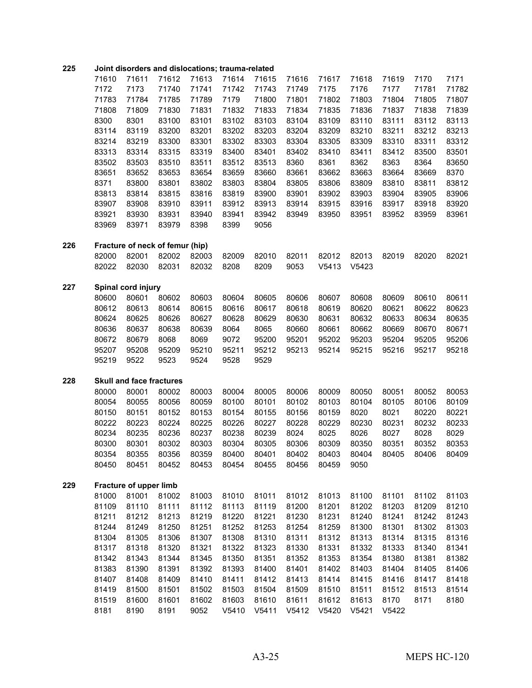| 225 | Joint disorders and dislocations; trauma-related |                                 |                                 |       |       |                   |       |       |       |       |       |       |
|-----|--------------------------------------------------|---------------------------------|---------------------------------|-------|-------|-------------------|-------|-------|-------|-------|-------|-------|
|     | 71610                                            | 71611                           | 71612                           | 71613 | 71614 | 71615             | 71616 | 71617 | 71618 | 71619 | 7170  | 7171  |
|     | 7172                                             | 7173                            | 71740                           | 71741 | 71742 | 71743             | 71749 | 7175  | 7176  | 7177  | 71781 | 71782 |
|     | 71783                                            | 71784                           | 71785                           | 71789 | 7179  | 71800             | 71801 | 71802 | 71803 | 71804 | 71805 | 71807 |
|     | 71808                                            | 71809                           | 71830                           | 71831 | 71832 | 71833             | 71834 | 71835 | 71836 | 71837 | 71838 | 71839 |
|     | 8300                                             | 8301                            | 83100                           | 83101 | 83102 | 83103             | 83104 | 83109 | 83110 | 83111 | 83112 | 83113 |
|     | 83114                                            | 83119                           | 83200                           | 83201 | 83202 | 83203             | 83204 | 83209 | 83210 | 83211 | 83212 | 83213 |
|     | 83214                                            | 83219                           | 83300                           | 83301 | 83302 | 83303             | 83304 | 83305 | 83309 | 83310 | 83311 | 83312 |
|     | 83313                                            | 83314                           | 83315                           | 83319 | 83400 | 83401             | 83402 | 83410 | 83411 | 83412 | 83500 | 83501 |
|     | 83502                                            | 83503                           | 83510                           | 83511 | 83512 | 83513             | 8360  | 8361  | 8362  | 8363  | 8364  | 83650 |
|     | 83651                                            | 83652                           | 83653                           | 83654 | 83659 | 83660             | 83661 | 83662 | 83663 | 83664 | 83669 | 8370  |
|     | 8371                                             | 83800                           | 83801                           | 83802 | 83803 | 83804             | 83805 | 83806 | 83809 | 83810 | 83811 | 83812 |
|     | 83813                                            | 83814                           | 83815                           | 83816 | 83819 | 83900             | 83901 | 83902 | 83903 | 83904 | 83905 | 83906 |
|     | 83907                                            | 83908                           | 83910                           | 83911 | 83912 | 83913             | 83914 | 83915 | 83916 | 83917 | 83918 | 83920 |
|     | 83921                                            | 83930                           | 83931                           | 83940 | 83941 | 83942             | 83949 | 83950 | 83951 | 83952 | 83959 | 83961 |
|     | 83969                                            | 83971                           | 83979                           | 8398  | 8399  | 9056              |       |       |       |       |       |       |
| 226 |                                                  |                                 | Fracture of neck of femur (hip) |       |       |                   |       |       |       |       |       |       |
|     | 82000                                            | 82001                           | 82002                           | 82003 | 82009 | 82010             | 82011 | 82012 | 82013 | 82019 | 82020 | 82021 |
|     | 82022                                            | 82030                           | 82031                           | 82032 | 8208  | 8209              | 9053  | V5413 | V5423 |       |       |       |
| 227 |                                                  | Spinal cord injury              |                                 |       |       |                   |       |       |       |       |       |       |
|     | 80600                                            | 80601                           | 80602                           | 80603 | 80604 | 80605             | 80606 | 80607 | 80608 | 80609 | 80610 | 80611 |
|     | 80612                                            | 80613                           | 80614                           | 80615 | 80616 | 80617             | 80618 | 80619 | 80620 | 80621 | 80622 | 80623 |
|     | 80624                                            | 80625                           | 80626                           | 80627 | 80628 | 80629             | 80630 | 80631 | 80632 | 80633 | 80634 | 80635 |
|     | 80636                                            | 80637                           | 80638                           | 80639 | 8064  | 8065              | 80660 | 80661 | 80662 | 80669 | 80670 | 80671 |
|     | 80672                                            | 80679                           | 8068                            | 8069  | 9072  | 95200             | 95201 | 95202 | 95203 | 95204 | 95205 | 95206 |
|     | 95207                                            | 95208                           | 95209                           | 95210 | 95211 | 95212             | 95213 | 95214 | 95215 | 95216 | 95217 | 95218 |
|     | 95219                                            | 9522                            | 9523                            | 9524  | 9528  | 9529              |       |       |       |       |       |       |
| 228 |                                                  | <b>Skull and face fractures</b> |                                 |       |       |                   |       |       |       |       |       |       |
|     | 80000                                            | 80001                           | 80002                           | 80003 | 80004 | 80005             | 80006 | 80009 | 80050 | 80051 | 80052 | 80053 |
|     | 80054                                            | 80055                           | 80056                           | 80059 | 80100 | 80101             | 80102 | 80103 | 80104 | 80105 | 80106 | 80109 |
|     | 80150                                            | 80151                           | 80152                           | 80153 | 80154 | 80155             | 80156 | 80159 | 8020  | 8021  | 80220 | 80221 |
|     | 80222                                            | 80223                           | 80224                           | 80225 | 80226 | 80227             | 80228 | 80229 | 80230 | 80231 | 80232 | 80233 |
|     | 80234                                            | 80235                           | 80236                           | 80237 | 80238 | 80239             | 8024  | 8025  | 8026  | 8027  | 8028  | 8029  |
|     | 80300                                            | 80301                           | 80302                           | 80303 | 80304 | 80305             | 80306 | 80309 | 80350 | 80351 | 80352 | 80353 |
|     | 80354                                            | 80355                           | 80356                           | 80359 | 80400 | 80401             | 80402 | 80403 | 80404 | 80405 | 80406 | 80409 |
|     | 80450                                            | 80451                           | 80452                           | 80453 | 80454 | 80455             | 80456 | 80459 | 9050  |       |       |       |
| 229 |                                                  | Fracture of upper limb          |                                 |       |       |                   |       |       |       |       |       |       |
|     | 81000                                            | 81001                           | 81002                           | 81003 | 81010 | 81011             | 81012 | 81013 | 81100 | 81101 | 81102 | 81103 |
|     | 81109                                            | 81110                           | 81111                           | 81112 | 81113 | 81119             | 81200 | 81201 | 81202 | 81203 | 81209 | 81210 |
|     | 81211                                            | 81212                           | 81213                           | 81219 | 81220 | 81221             | 81230 | 81231 | 81240 | 81241 | 81242 | 81243 |
|     | 81244                                            | 81249                           | 81250                           | 81251 | 81252 | 81253             | 81254 | 81259 | 81300 | 81301 | 81302 | 81303 |
|     | 81304                                            | 81305                           | 81306                           | 81307 | 81308 | 81310             | 81311 | 81312 | 81313 | 81314 | 81315 | 81316 |
|     | 81317                                            | 81318                           | 81320                           | 81321 | 81322 | 81323             | 81330 | 81331 | 81332 | 81333 | 81340 | 81341 |
|     | 81342                                            | 81343                           | 81344                           | 81345 | 81350 | 81351             | 81352 | 81353 | 81354 | 81380 | 81381 | 81382 |
|     | 81383                                            | 81390                           | 81391                           | 81392 | 81393 | 81400             | 81401 | 81402 | 81403 | 81404 | 81405 | 81406 |
|     | 81407                                            | 81408                           | 81409                           | 81410 | 81411 | 81412             | 81413 | 81414 | 81415 | 81416 | 81417 | 81418 |
|     | 81419                                            | 81500                           | 81501                           | 81502 | 81503 | 81504             | 81509 | 81510 | 81511 | 81512 | 81513 | 81514 |
|     | 81519                                            | 81600                           | 81601                           | 81602 | 81603 | 81610             | 81611 | 81612 | 81613 | 8170  | 8171  | 8180  |
|     | 8181                                             | 8190                            | 8191                            | 9052  | V5410 | V <sub>5411</sub> | V5412 | V5420 | V5421 | V5422 |       |       |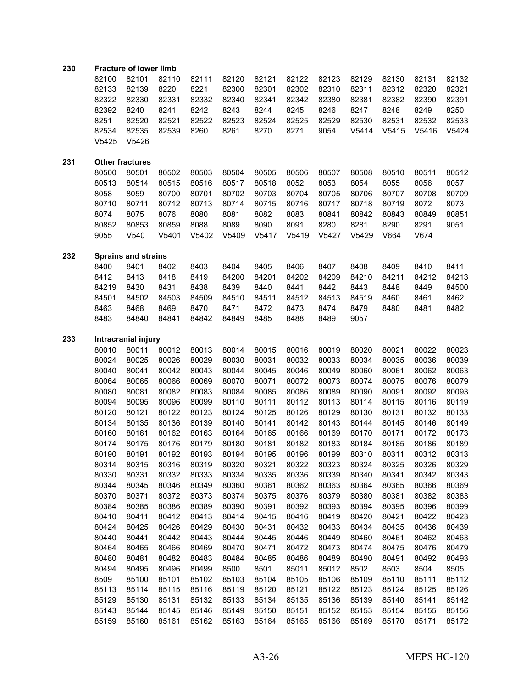### **Fracture of lower limb**

|       | 82100 82101 82110 82111 82120 82121 82122 82123 82129 82130 82131 82132 |  |  |                                                             |  |      |      |      |
|-------|-------------------------------------------------------------------------|--|--|-------------------------------------------------------------|--|------|------|------|
|       | 82133 82139 8220 8221 82300 82301 82302 82310 82311 82312 82320 82321   |  |  |                                                             |  |      |      |      |
|       | 82322 82330 82331 82332 82340 82341 82342 82380 82381 82382 82390 82391 |  |  |                                                             |  |      |      |      |
|       | 82392 8240                                                              |  |  | 8241 8242 8243 8244 8245 8246 8247                          |  | 8248 | 8249 | 8250 |
|       | 8251 82520                                                              |  |  | 82521 82522 82523 82524 82525 82529 82530 82531 82532 82533 |  |      |      |      |
|       | 82534 82535 82539 8260 8261 8270 8271 9054 V5414 V5415 V5416 V5424      |  |  |                                                             |  |      |      |      |
| V5425 | V5426                                                                   |  |  |                                                             |  |      |      |      |

#### **Other fractures**

 80501 80502 80503 80504 80505 80506 80507 80508 80510 80511 80512 80514 80515 80516 80517 80518 8052 8053 8054 8055 8056 8057 8059 80700 80701 80702 80703 80704 80705 80706 80707 80708 80709 80711 80712 80713 80714 80715 80716 80717 80718 80719 8072 8073 8075 8076 8080 8081 8082 8083 80841 80842 80843 80849 80851 80853 80859 8088 8089 8090 8091 8280 8281 8290 8291 9051 V540 V5401 V5402 V5409 V5417 V5419 V5427 V5429 V664 V674

## **Sprains and strains**

| 8400  | 8401  | 8402  | 8403  | 8404  | 8405  | 8406  | 8407  | 8408  | 8409  | 8410  | 8411  |
|-------|-------|-------|-------|-------|-------|-------|-------|-------|-------|-------|-------|
| 8412  | 8413  | 8418  | 8419  | 84200 | 84201 | 84202 | 84209 | 84210 | 84211 | 84212 | 84213 |
| 84219 | 8430  | 8431  | 8438  | 8439  | 8440  | 8441  | 8442  | 8443  | 8448  | 8449  | 84500 |
| 84501 | 84502 | 84503 | 84509 | 84510 | 84511 | 84512 | 84513 | 84519 | 8460  | 8461  | 8462  |
| 8463  | 8468  | 8469  | 8470  | 8471  | 8472  | 8473  | 8474  | 8479  | 8480  | 8481  | 8482  |
| 8483  | 84840 | 84841 | 84842 | 84849 | 8485  | 8488  | 8489  | 9057  |       |       |       |

#### **Intracranial injury**

| 80010 | 80011 | 80012 | 80013 | 80014 | 80015 | 80016 | 80019 | 80020 | 80021 | 80022 | 80023 |
|-------|-------|-------|-------|-------|-------|-------|-------|-------|-------|-------|-------|
| 80024 | 80025 | 80026 | 80029 | 80030 | 80031 | 80032 | 80033 | 80034 | 80035 | 80036 | 80039 |
| 80040 | 80041 | 80042 | 80043 | 80044 | 80045 | 80046 | 80049 | 80060 | 80061 | 80062 | 80063 |
| 80064 | 80065 | 80066 | 80069 | 80070 | 80071 | 80072 | 80073 | 80074 | 80075 | 80076 | 80079 |
| 80080 | 80081 | 80082 | 80083 | 80084 | 80085 | 80086 | 80089 | 80090 | 80091 | 80092 | 80093 |
| 80094 | 80095 | 80096 | 80099 | 80110 | 80111 | 80112 | 80113 | 80114 | 80115 | 80116 | 80119 |
| 80120 | 80121 | 80122 | 80123 | 80124 | 80125 | 80126 | 80129 | 80130 | 80131 | 80132 | 80133 |
| 80134 | 80135 | 80136 | 80139 | 80140 | 80141 | 80142 | 80143 | 80144 | 80145 | 80146 | 80149 |
| 80160 | 80161 | 80162 | 80163 | 80164 | 80165 | 80166 | 80169 | 80170 | 80171 | 80172 | 80173 |
| 80174 | 80175 | 80176 | 80179 | 80180 | 80181 | 80182 | 80183 | 80184 | 80185 | 80186 | 80189 |
| 80190 | 80191 | 80192 | 80193 | 80194 | 80195 | 80196 | 80199 | 80310 | 80311 | 80312 | 80313 |
| 80314 | 80315 | 80316 | 80319 | 80320 | 80321 | 80322 | 80323 | 80324 | 80325 | 80326 | 80329 |
| 80330 | 80331 | 80332 | 80333 | 80334 | 80335 | 80336 | 80339 | 80340 | 80341 | 80342 | 80343 |
| 80344 | 80345 | 80346 | 80349 | 80360 | 80361 | 80362 | 80363 | 80364 | 80365 | 80366 | 80369 |
| 80370 | 80371 | 80372 | 80373 | 80374 | 80375 | 80376 | 80379 | 80380 | 80381 | 80382 | 80383 |
| 80384 | 80385 | 80386 | 80389 | 80390 | 80391 | 80392 | 80393 | 80394 | 80395 | 80396 | 80399 |
| 80410 | 80411 | 80412 | 80413 | 80414 | 80415 | 80416 | 80419 | 80420 | 80421 | 80422 | 80423 |
| 80424 | 80425 | 80426 | 80429 | 80430 | 80431 | 80432 | 80433 | 80434 | 80435 | 80436 | 80439 |
| 80440 | 80441 | 80442 | 80443 | 80444 | 80445 | 80446 | 80449 | 80460 | 80461 | 80462 | 80463 |
| 80464 | 80465 | 80466 | 80469 | 80470 | 80471 | 80472 | 80473 | 80474 | 80475 | 80476 | 80479 |
| 80480 | 80481 | 80482 | 80483 | 80484 | 80485 | 80486 | 80489 | 80490 | 80491 | 80492 | 80493 |
| 80494 | 80495 | 80496 | 80499 | 8500  | 8501  | 85011 | 85012 | 8502  | 8503  | 8504  | 8505  |
| 8509  | 85100 | 85101 | 85102 | 85103 | 85104 | 85105 | 85106 | 85109 | 85110 | 85111 | 85112 |
| 85113 | 85114 | 85115 | 85116 | 85119 | 85120 | 85121 | 85122 | 85123 | 85124 | 85125 | 85126 |
| 85129 | 85130 | 85131 | 85132 | 85133 | 85134 | 85135 | 85136 | 85139 | 85140 | 85141 | 85142 |
| 85143 | 85144 | 85145 | 85146 | 85149 | 85150 | 85151 | 85152 | 85153 | 85154 | 85155 | 85156 |
| 85159 | 85160 | 85161 | 85162 | 85163 | 85164 | 85165 | 85166 | 85169 | 85170 | 85171 | 85172 |
|       |       |       |       |       |       |       |       |       |       |       |       |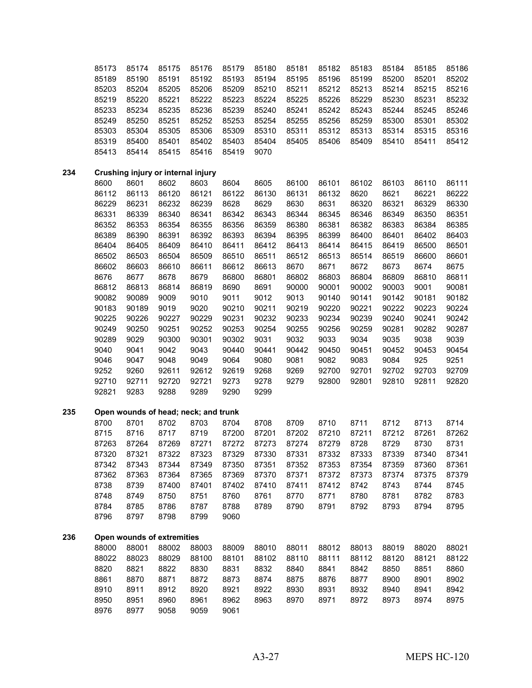|     | 85173        | 85174                                | 85175        | 85176        | 85179        | 85180 | 85181 | 85182 | 85183 | 85184 | 85185 | 85186 |
|-----|--------------|--------------------------------------|--------------|--------------|--------------|-------|-------|-------|-------|-------|-------|-------|
|     | 85189        | 85190                                | 85191        | 85192        | 85193        | 85194 | 85195 | 85196 | 85199 | 85200 | 85201 | 85202 |
|     | 85203        | 85204                                | 85205        | 85206        | 85209        | 85210 | 85211 | 85212 | 85213 | 85214 | 85215 | 85216 |
|     | 85219        | 85220                                | 85221        | 85222        | 85223        | 85224 | 85225 | 85226 | 85229 | 85230 | 85231 | 85232 |
|     | 85233        | 85234                                | 85235        | 85236        | 85239        | 85240 | 85241 | 85242 | 85243 | 85244 | 85245 | 85246 |
|     | 85249        | 85250                                | 85251        | 85252        | 85253        | 85254 | 85255 | 85256 | 85259 | 85300 | 85301 | 85302 |
|     | 85303        | 85304                                | 85305        | 85306        | 85309        | 85310 | 85311 | 85312 | 85313 | 85314 | 85315 | 85316 |
|     | 85319        | 85400                                | 85401        | 85402        | 85403        | 85404 | 85405 | 85406 | 85409 | 85410 | 85411 | 85412 |
|     | 85413        | 85414                                | 85415        | 85416        | 85419        | 9070  |       |       |       |       |       |       |
| 234 |              | Crushing injury or internal injury   |              |              |              |       |       |       |       |       |       |       |
|     | 8600         | 8601                                 | 8602         | 8603         | 8604         | 8605  | 86100 | 86101 | 86102 | 86103 | 86110 | 86111 |
|     | 86112        | 86113                                | 86120        | 86121        | 86122        | 86130 | 86131 | 86132 | 8620  | 8621  | 86221 | 86222 |
|     | 86229        | 86231                                | 86232        | 86239        | 8628         | 8629  | 8630  | 8631  | 86320 | 86321 | 86329 | 86330 |
|     | 86331        | 86339                                | 86340        | 86341        | 86342        | 86343 | 86344 | 86345 | 86346 | 86349 | 86350 | 86351 |
|     | 86352        | 86353                                | 86354        | 86355        | 86356        | 86359 | 86380 | 86381 | 86382 | 86383 | 86384 | 86385 |
|     | 86389        | 86390                                | 86391        | 86392        | 86393        | 86394 | 86395 | 86399 | 86400 | 86401 | 86402 | 86403 |
|     | 86404        | 86405                                | 86409        | 86410        | 86411        | 86412 | 86413 | 86414 | 86415 | 86419 | 86500 | 86501 |
|     | 86502        | 86503                                | 86504        | 86509        | 86510        | 86511 | 86512 | 86513 | 86514 | 86519 | 86600 | 86601 |
|     | 86602        | 86603                                | 86610        | 86611        | 86612        | 86613 | 8670  | 8671  | 8672  | 8673  | 8674  | 8675  |
|     | 8676         | 8677                                 | 8678         | 8679         | 86800        | 86801 | 86802 | 86803 | 86804 | 86809 | 86810 | 86811 |
|     | 86812        | 86813                                | 86814        | 86819        | 8690         | 8691  | 90000 | 90001 | 90002 | 90003 | 9001  | 90081 |
|     | 90082        | 90089                                | 9009         | 9010         | 9011         | 9012  | 9013  | 90140 | 90141 | 90142 | 90181 | 90182 |
|     | 90183        | 90189                                | 9019         | 9020         | 90210        | 90211 | 90219 | 90220 | 90221 | 90222 | 90223 | 90224 |
|     | 90225        | 90226                                | 90227        | 90229        | 90231        | 90232 | 90233 | 90234 | 90239 | 90240 | 90241 | 90242 |
|     | 90249        | 90250                                | 90251        | 90252        | 90253        | 90254 | 90255 | 90256 | 90259 | 90281 | 90282 | 90287 |
|     | 90289        | 9029                                 | 90300        | 90301        | 90302        | 9031  | 9032  | 9033  | 9034  | 9035  | 9038  | 9039  |
|     | 9040         | 9041                                 | 9042         | 9043         | 90440        | 90441 | 90442 | 90450 | 90451 | 90452 | 90453 | 90454 |
|     | 9046         | 9047                                 | 9048         | 9049         | 9064         | 9080  | 9081  | 9082  | 9083  | 9084  | 925   | 9251  |
|     | 9252         | 9260                                 | 92611        | 92612        | 92619        | 9268  | 9269  | 92700 | 92701 | 92702 | 92703 | 92709 |
|     | 92710        | 92711                                | 92720        | 92721        | 9273         | 9278  | 9279  | 92800 | 92801 | 92810 | 92811 | 92820 |
|     | 92821        | 9283                                 | 9288         | 9289         | 9290         | 9299  |       |       |       |       |       |       |
| 235 |              | Open wounds of head; neck; and trunk |              |              |              |       |       |       |       |       |       |       |
|     | 8700         | 8701                                 | 8702         | 8703         | 8704         | 8708  | 8709  | 8710  | 8711  | 8712  | 8713  | 8714  |
|     | 8715         | 8716                                 | 8717         | 8719         | 87200        | 87201 | 87202 | 87210 | 87211 | 87212 | 87261 | 87262 |
|     | 87263        | 87264                                | 87269        | 87271        | 87272        | 87273 | 87274 | 87279 | 8728  | 8729  | 8730  | 8731  |
|     | 87320        | 87321                                | 87322        | 87323        | 87329        | 87330 | 87331 | 87332 | 87333 | 87339 | 87340 | 87341 |
|     | 87342        | 87343                                | 87344        | 87349        | 87350        | 87351 | 87352 | 87353 | 87354 | 87359 | 87360 | 87361 |
|     | 87362        | 87363                                | 87364        | 87365        | 87369        | 87370 | 87371 | 87372 | 87373 | 87374 | 87375 | 87379 |
|     | 8738         | 8739                                 | 87400        | 87401        | 87402        | 87410 | 87411 | 87412 | 8742  | 8743  | 8744  | 8745  |
|     | 8748         | 8749                                 | 8750         | 8751         | 8760         | 8761  | 8770  | 8771  | 8780  | 8781  | 8782  | 8783  |
|     | 8784<br>8796 | 8785<br>8797                         | 8786<br>8798 | 8787<br>8799 | 8788<br>9060 | 8789  | 8790  | 8791  | 8792  | 8793  | 8794  | 8795  |
|     |              |                                      |              |              |              |       |       |       |       |       |       |       |
| 236 |              | Open wounds of extremities           |              |              |              |       |       |       |       |       |       |       |
|     | 88000        | 88001                                | 88002        | 88003        | 88009        | 88010 | 88011 | 88012 | 88013 | 88019 | 88020 | 88021 |
|     | 88022        | 88023                                | 88029        | 88100        | 88101        | 88102 | 88110 | 88111 | 88112 | 88120 | 88121 | 88122 |
|     | 8820         | 8821                                 | 8822         | 8830         | 8831         | 8832  | 8840  | 8841  | 8842  | 8850  | 8851  | 8860  |
|     | 8861         | 8870                                 | 8871         | 8872         | 8873         | 8874  | 8875  | 8876  | 8877  | 8900  | 8901  | 8902  |
|     | 8910         | 8911                                 | 8912         | 8920         | 8921         | 8922  | 8930  | 8931  | 8932  | 8940  | 8941  | 8942  |
|     | 8950<br>8976 | 8951<br>8977                         | 8960<br>9058 | 8961<br>9059 | 8962         | 8963  | 8970  | 8971  | 8972  | 8973  | 8974  | 8975  |
|     |              |                                      |              |              | 9061         |       |       |       |       |       |       |       |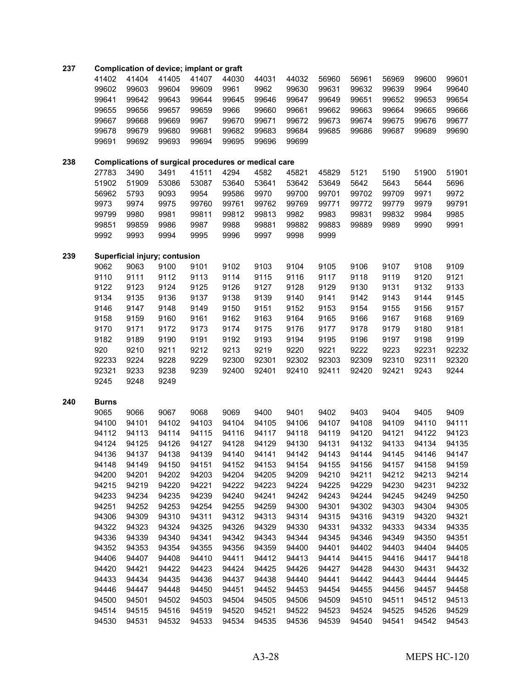## **Complication of device; implant or graft**

|     | 41402        | 41404 | 41405                                                | 41407 | 44030 | 44031 | 44032 | 56960 | 56961 | 56969 | 99600 | 99601 |
|-----|--------------|-------|------------------------------------------------------|-------|-------|-------|-------|-------|-------|-------|-------|-------|
|     | 99602        | 99603 | 99604                                                | 99609 | 9961  | 9962  | 99630 | 99631 | 99632 | 99639 | 9964  | 99640 |
|     | 99641        | 99642 | 99643                                                | 99644 | 99645 | 99646 | 99647 | 99649 | 99651 | 99652 | 99653 | 99654 |
|     | 99655        | 99656 | 99657                                                | 99659 | 9966  | 99660 | 99661 | 99662 | 99663 | 99664 | 99665 | 99666 |
|     | 99667        | 99668 | 99669                                                | 9967  | 99670 | 99671 | 99672 | 99673 | 99674 | 99675 | 99676 | 99677 |
|     | 99678        | 99679 | 99680                                                | 99681 | 99682 | 99683 | 99684 | 99685 | 99686 | 99687 | 99689 | 99690 |
|     | 99691        | 99692 | 99693                                                | 99694 | 99695 | 99696 | 99699 |       |       |       |       |       |
|     |              |       |                                                      |       |       |       |       |       |       |       |       |       |
| 238 |              |       | Complications of surgical procedures or medical care |       |       |       |       |       |       |       |       |       |
|     | 27783        | 3490  | 3491                                                 | 41511 | 4294  | 4582  | 45821 | 45829 | 5121  | 5190  | 51900 | 51901 |
|     | 51902        | 51909 | 53086                                                | 53087 | 53640 | 53641 | 53642 | 53649 | 5642  | 5643  | 5644  | 5696  |
|     | 56962        | 5793  | 9093                                                 | 9954  | 99586 | 9970  | 99700 | 99701 | 99702 | 99709 | 9971  | 9972  |
|     | 9973         | 9974  | 9975                                                 | 99760 | 99761 | 99762 | 99769 | 99771 | 99772 | 99779 | 9979  | 99791 |
|     | 99799        | 9980  | 9981                                                 | 99811 | 99812 | 99813 | 9982  | 9983  | 99831 | 99832 | 9984  | 9985  |
|     | 99851        | 99859 | 9986                                                 | 9987  | 9988  | 99881 | 99882 | 99883 | 99889 | 9989  | 9990  | 9991  |
|     | 9992         | 9993  | 9994                                                 | 9995  | 9996  | 9997  | 9998  | 9999  |       |       |       |       |
| 239 |              |       | Superficial injury; contusion                        |       |       |       |       |       |       |       |       |       |
|     | 9062         | 9063  | 9100                                                 | 9101  | 9102  | 9103  | 9104  | 9105  | 9106  | 9107  | 9108  | 9109  |
|     | 9110         | 9111  | 9112                                                 | 9113  | 9114  | 9115  | 9116  | 9117  | 9118  | 9119  | 9120  | 9121  |
|     | 9122         | 9123  | 9124                                                 | 9125  | 9126  | 9127  | 9128  | 9129  | 9130  | 9131  | 9132  | 9133  |
|     | 9134         | 9135  | 9136                                                 | 9137  | 9138  | 9139  | 9140  | 9141  | 9142  | 9143  | 9144  | 9145  |
|     |              |       |                                                      |       |       |       |       |       |       |       |       |       |
|     | 9146         | 9147  | 9148                                                 | 9149  | 9150  | 9151  | 9152  | 9153  | 9154  | 9155  | 9156  | 9157  |
|     | 9158         | 9159  | 9160                                                 | 9161  | 9162  | 9163  | 9164  | 9165  | 9166  | 9167  | 9168  | 9169  |
|     | 9170         | 9171  | 9172                                                 | 9173  | 9174  | 9175  | 9176  | 9177  | 9178  | 9179  | 9180  | 9181  |
|     | 9182         | 9189  | 9190                                                 | 9191  | 9192  | 9193  | 9194  | 9195  | 9196  | 9197  | 9198  | 9199  |
|     | 920          | 9210  | 9211                                                 | 9212  | 9213  | 9219  | 9220  | 9221  | 9222  | 9223  | 92231 | 92232 |
|     | 92233        | 9224  | 9228                                                 | 9229  | 92300 | 92301 | 92302 | 92303 | 92309 | 92310 | 92311 | 92320 |
|     | 92321        | 9233  | 9238                                                 | 9239  | 92400 | 92401 | 92410 | 92411 | 92420 | 92421 | 9243  | 9244  |
|     | 9245         | 9248  | 9249                                                 |       |       |       |       |       |       |       |       |       |
| 240 | <b>Burns</b> |       |                                                      |       |       |       |       |       |       |       |       |       |
|     | 9065         | 9066  | 9067                                                 | 9068  | 9069  | 9400  | 9401  | 9402  | 9403  | 9404  | 9405  | 9409  |
|     | 94100        | 94101 | 94102                                                | 94103 | 94104 | 94105 | 94106 | 94107 | 94108 | 94109 | 94110 | 94111 |
|     | 94112        | 94113 | 94114                                                | 94115 | 94116 | 94117 | 94118 | 94119 | 94120 | 94121 | 94122 | 94123 |
|     | 94124        | 94125 | 94126                                                | 94127 | 94128 | 94129 | 94130 | 94131 | 94132 | 94133 | 94134 | 94135 |
|     | 94136        | 94137 | 94138                                                | 94139 | 94140 | 94141 | 94142 | 94143 | 94144 | 94145 | 94146 | 94147 |
|     | 94148        | 94149 | 94150                                                | 94151 | 94152 | 94153 | 94154 | 94155 | 94156 | 94157 | 94158 | 94159 |
|     | 94200        | 94201 | 94202                                                | 94203 | 94204 | 94205 | 94209 | 94210 | 94211 | 94212 | 94213 | 94214 |
|     | 94215        | 94219 | 94220                                                | 94221 | 94222 | 94223 | 94224 | 94225 | 94229 | 94230 | 94231 | 94232 |
|     | 94233        | 94234 | 94235                                                | 94239 | 94240 | 94241 | 94242 | 94243 | 94244 | 94245 | 94249 | 94250 |
|     | 94251        | 94252 | 94253                                                | 94254 | 94255 | 94259 | 94300 | 94301 | 94302 | 94303 | 94304 | 94305 |
|     | 94306        | 94309 | 94310                                                | 94311 | 94312 | 94313 | 94314 | 94315 | 94316 | 94319 | 94320 | 94321 |
|     | 94322        | 94323 | 94324                                                | 94325 | 94326 | 94329 | 94330 | 94331 | 94332 | 94333 | 94334 | 94335 |
|     | 94336        | 94339 | 94340                                                | 94341 | 94342 | 94343 | 94344 | 94345 | 94346 | 94349 | 94350 | 94351 |
|     | 94352        | 94353 | 94354                                                | 94355 | 94356 | 94359 | 94400 | 94401 | 94402 | 94403 | 94404 | 94405 |
|     | 94406        | 94407 | 94408                                                | 94410 | 94411 | 94412 | 94413 | 94414 | 94415 | 94416 | 94417 | 94418 |
|     | 94420        | 94421 | 94422                                                | 94423 | 94424 | 94425 | 94426 | 94427 | 94428 | 94430 | 94431 | 94432 |
|     | 94433        | 94434 | 94435                                                | 94436 | 94437 | 94438 | 94440 | 94441 | 94442 | 94443 | 94444 | 94445 |
|     | 94446        | 94447 | 94448                                                | 94450 | 94451 | 94452 | 94453 | 94454 | 94455 | 94456 | 94457 | 94458 |
|     | 94500        | 94501 | 94502                                                | 94503 | 94504 | 94505 | 94506 | 94509 | 94510 | 94511 | 94512 | 94513 |
|     | 94514        | 94515 | 94516                                                | 94519 | 94520 | 94521 | 94522 | 94523 | 94524 | 94525 | 94526 | 94529 |
|     | 94530        | 94531 | 94532                                                | 94533 | 94534 | 94535 | 94536 | 94539 | 94540 | 94541 | 94542 | 94543 |
|     |              |       |                                                      |       |       |       |       |       |       |       |       |       |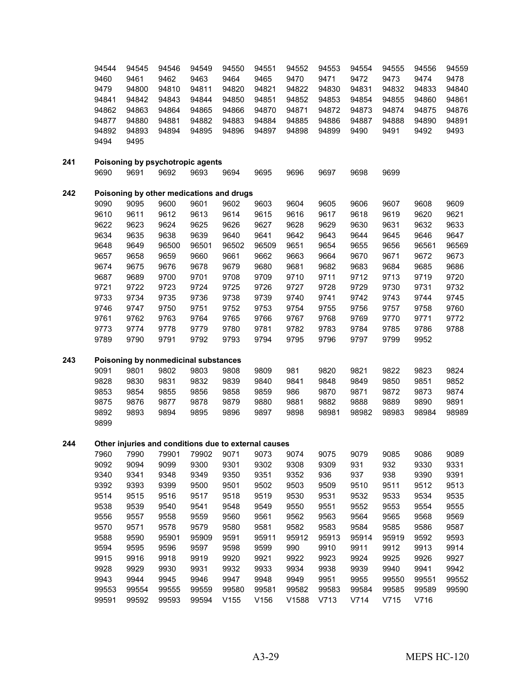|     | 94544<br>9460<br>9479<br>94841<br>94862<br>94877<br>94892<br>9494 | 94545<br>9461<br>94800<br>94842<br>94863<br>94880<br>94893<br>9495 | 94546<br>9462<br>94810<br>94843<br>94864<br>94881<br>94894 | 94549<br>9463<br>94811<br>94844<br>94865<br>94882<br>94895 | 94550<br>9464<br>94820<br>94850<br>94866<br>94883<br>94896 | 94551<br>9465<br>94821<br>94851<br>94870<br>94884<br>94897 | 94552<br>9470<br>94822<br>94852<br>94871<br>94885<br>94898 | 94553<br>9471<br>94830<br>94853<br>94872<br>94886<br>94899 | 94554<br>9472<br>94831<br>94854<br>94873<br>94887<br>9490 | 94555<br>9473<br>94832<br>94855<br>94874<br>94888<br>9491 | 94556<br>9474<br>94833<br>94860<br>94875<br>94890<br>9492 | 94559<br>9478<br>94840<br>94861<br>94876<br>94891<br>9493 |
|-----|-------------------------------------------------------------------|--------------------------------------------------------------------|------------------------------------------------------------|------------------------------------------------------------|------------------------------------------------------------|------------------------------------------------------------|------------------------------------------------------------|------------------------------------------------------------|-----------------------------------------------------------|-----------------------------------------------------------|-----------------------------------------------------------|-----------------------------------------------------------|
| 241 |                                                                   |                                                                    | Poisoning by psychotropic agents                           |                                                            |                                                            |                                                            |                                                            |                                                            |                                                           |                                                           |                                                           |                                                           |
|     | 9690                                                              | 9691                                                               | 9692                                                       | 9693                                                       | 9694                                                       | 9695                                                       | 9696                                                       | 9697                                                       | 9698                                                      | 9699                                                      |                                                           |                                                           |
| 242 |                                                                   |                                                                    | Poisoning by other medications and drugs                   |                                                            |                                                            |                                                            |                                                            |                                                            |                                                           |                                                           |                                                           |                                                           |
|     | 9090                                                              | 9095                                                               | 9600                                                       | 9601                                                       | 9602                                                       | 9603                                                       | 9604                                                       | 9605                                                       | 9606                                                      | 9607                                                      | 9608                                                      | 9609                                                      |
|     | 9610                                                              | 9611                                                               | 9612                                                       | 9613                                                       | 9614                                                       | 9615                                                       | 9616                                                       | 9617                                                       | 9618                                                      | 9619                                                      | 9620                                                      | 9621                                                      |
|     | 9622                                                              | 9623                                                               | 9624                                                       | 9625                                                       | 9626                                                       | 9627                                                       | 9628                                                       | 9629                                                       | 9630                                                      | 9631                                                      | 9632                                                      | 9633                                                      |
|     | 9634                                                              | 9635                                                               | 9638                                                       | 9639                                                       | 9640                                                       | 9641                                                       | 9642                                                       | 9643                                                       | 9644                                                      | 9645                                                      | 9646                                                      | 9647                                                      |
|     | 9648                                                              | 9649                                                               | 96500                                                      | 96501                                                      | 96502                                                      | 96509                                                      | 9651                                                       | 9654                                                       | 9655                                                      | 9656                                                      | 96561                                                     | 96569                                                     |
|     | 9657                                                              | 9658                                                               | 9659                                                       | 9660                                                       | 9661                                                       | 9662                                                       | 9663                                                       | 9664                                                       | 9670                                                      | 9671                                                      | 9672                                                      | 9673                                                      |
|     | 9674                                                              | 9675                                                               | 9676                                                       | 9678                                                       | 9679                                                       | 9680                                                       | 9681                                                       | 9682                                                       | 9683                                                      | 9684                                                      | 9685                                                      | 9686                                                      |
|     | 9687                                                              | 9689                                                               | 9700                                                       | 9701                                                       | 9708                                                       | 9709                                                       | 9710                                                       | 9711                                                       | 9712                                                      | 9713                                                      | 9719                                                      | 9720                                                      |
|     | 9721                                                              | 9722                                                               | 9723                                                       | 9724                                                       | 9725                                                       | 9726                                                       | 9727                                                       | 9728                                                       | 9729                                                      | 9730                                                      | 9731                                                      | 9732                                                      |
|     | 9733                                                              | 9734                                                               | 9735                                                       | 9736                                                       | 9738                                                       | 9739                                                       | 9740                                                       | 9741                                                       | 9742                                                      | 9743                                                      | 9744                                                      | 9745                                                      |
|     | 9746                                                              | 9747                                                               | 9750                                                       | 9751                                                       | 9752                                                       | 9753                                                       | 9754                                                       | 9755                                                       | 9756                                                      | 9757                                                      | 9758                                                      | 9760                                                      |
|     | 9761                                                              | 9762                                                               | 9763                                                       | 9764                                                       | 9765                                                       | 9766                                                       | 9767                                                       | 9768                                                       | 9769                                                      | 9770                                                      | 9771                                                      | 9772                                                      |
|     |                                                                   | 9774                                                               |                                                            |                                                            |                                                            |                                                            |                                                            |                                                            |                                                           |                                                           | 9786                                                      |                                                           |
|     | 9773                                                              |                                                                    | 9778                                                       | 9779                                                       | 9780                                                       | 9781                                                       | 9782                                                       | 9783                                                       | 9784                                                      | 9785                                                      |                                                           | 9788                                                      |
|     | 9789                                                              | 9790                                                               | 9791                                                       | 9792                                                       | 9793                                                       | 9794                                                       | 9795                                                       | 9796                                                       | 9797                                                      | 9799                                                      | 9952                                                      |                                                           |
| 243 |                                                                   |                                                                    | Poisoning by nonmedicinal substances                       |                                                            |                                                            |                                                            |                                                            |                                                            |                                                           |                                                           |                                                           |                                                           |
|     | 9091                                                              | 9801                                                               | 9802                                                       | 9803                                                       | 9808                                                       | 9809                                                       | 981                                                        | 9820                                                       | 9821                                                      | 9822                                                      | 9823                                                      | 9824                                                      |
|     | 9828                                                              | 9830                                                               | 9831                                                       | 9832                                                       | 9839                                                       | 9840                                                       | 9841                                                       | 9848                                                       | 9849                                                      | 9850                                                      | 9851                                                      | 9852                                                      |
|     | 9853                                                              | 9854                                                               | 9855                                                       | 9856                                                       | 9858                                                       | 9859                                                       | 986                                                        | 9870                                                       | 9871                                                      | 9872                                                      | 9873                                                      | 9874                                                      |
|     | 9875                                                              | 9876                                                               | 9877                                                       | 9878                                                       | 9879                                                       | 9880                                                       | 9881                                                       | 9882                                                       | 9888                                                      | 9889                                                      | 9890                                                      | 9891                                                      |
|     | 9892                                                              | 9893                                                               | 9894                                                       | 9895                                                       | 9896                                                       | 9897                                                       | 9898                                                       | 98981                                                      | 98982                                                     | 98983                                                     | 98984                                                     | 98989                                                     |
|     | 9899                                                              |                                                                    |                                                            |                                                            |                                                            |                                                            |                                                            |                                                            |                                                           |                                                           |                                                           |                                                           |
| 244 |                                                                   |                                                                    | Other injuries and conditions due to external causes       |                                                            |                                                            |                                                            |                                                            |                                                            |                                                           |                                                           |                                                           |                                                           |
|     | 7960                                                              |                                                                    | 7990 79901 79902 9071 9073                                 |                                                            |                                                            |                                                            | 9074                                                       | 9075                                                       | 9079                                                      | 9085                                                      | 9086                                                      | 9089                                                      |
|     | 9092                                                              | 9094                                                               | 9099                                                       | 9300                                                       | 9301                                                       | 9302                                                       | 9308                                                       | 9309                                                       | 931                                                       | 932                                                       | 9330                                                      | 9331                                                      |
|     | 9340                                                              | 9341                                                               | 9348                                                       | 9349                                                       | 9350                                                       | 9351                                                       | 9352                                                       | 936                                                        | 937                                                       | 938                                                       | 9390                                                      | 9391                                                      |
|     | 9392                                                              | 9393                                                               | 9399                                                       | 9500                                                       | 9501                                                       | 9502                                                       | 9503                                                       | 9509                                                       | 9510                                                      | 9511                                                      | 9512                                                      | 9513                                                      |
|     | 9514                                                              | 9515                                                               | 9516                                                       | 9517                                                       | 9518                                                       | 9519                                                       | 9530                                                       | 9531                                                       | 9532                                                      | 9533                                                      | 9534                                                      | 9535                                                      |
|     | 9538                                                              | 9539                                                               | 9540                                                       | 9541                                                       | 9548                                                       | 9549                                                       | 9550                                                       | 9551                                                       | 9552                                                      | 9553                                                      | 9554                                                      | 9555                                                      |
|     | 9556                                                              | 9557                                                               | 9558                                                       | 9559                                                       | 9560                                                       | 9561                                                       | 9562                                                       | 9563                                                       | 9564                                                      | 9565                                                      | 9568                                                      | 9569                                                      |
|     | 9570                                                              | 9571                                                               | 9578                                                       | 9579                                                       | 9580                                                       |                                                            | 9582                                                       | 9583                                                       | 9584                                                      | 9585                                                      | 9586                                                      | 9587                                                      |
|     |                                                                   |                                                                    |                                                            |                                                            |                                                            | 9581                                                       |                                                            |                                                            |                                                           |                                                           |                                                           |                                                           |
|     | 9588                                                              | 9590                                                               | 95901                                                      | 95909                                                      | 9591                                                       | 95911                                                      | 95912                                                      | 95913                                                      | 95914                                                     | 95919                                                     | 9592                                                      | 9593                                                      |
|     | 9594                                                              | 9595                                                               | 9596                                                       | 9597                                                       | 9598                                                       | 9599                                                       | 990                                                        | 9910                                                       | 9911                                                      | 9912                                                      | 9913                                                      | 9914                                                      |
|     | 9915                                                              | 9916                                                               | 9918                                                       | 9919                                                       | 9920                                                       | 9921                                                       | 9922                                                       | 9923                                                       | 9924                                                      | 9925                                                      | 9926                                                      | 9927                                                      |
|     | 9928                                                              | 9929                                                               | 9930                                                       | 9931                                                       | 9932                                                       | 9933                                                       | 9934                                                       | 9938                                                       | 9939                                                      | 9940                                                      | 9941                                                      | 9942                                                      |
|     | 9943                                                              | 9944                                                               | 9945                                                       | 9946                                                       | 9947                                                       | 9948                                                       | 9949                                                       | 9951                                                       | 9955                                                      | 99550                                                     | 99551                                                     | 99552                                                     |
|     | 99553                                                             | 99554                                                              | 99555                                                      | 99559                                                      | 99580                                                      | 99581                                                      | 99582                                                      | 99583                                                      | 99584                                                     | 99585                                                     | 99589                                                     | 99590                                                     |
|     | 99591                                                             | 99592                                                              | 99593                                                      | 99594                                                      | V155                                                       | V156                                                       | V1588                                                      | V713                                                       | V714                                                      | V715                                                      | V716                                                      |                                                           |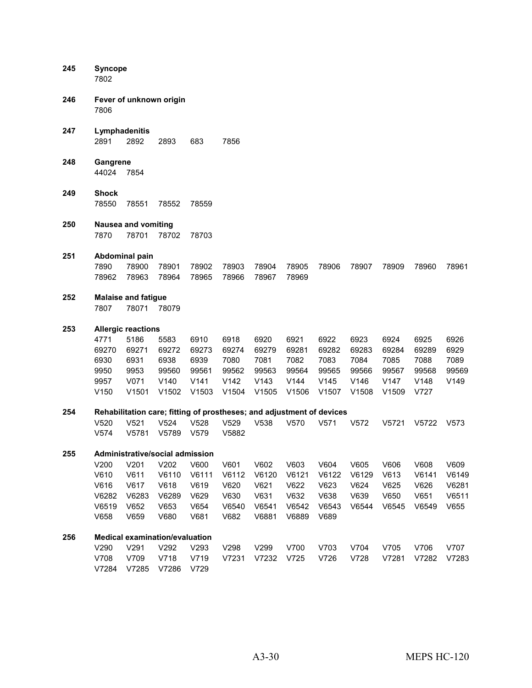| 245 | <b>Syncope</b><br>7802                                             |                                                                             |                                                                                            |                                                       |                                                                                           |                                                 |                                                 |                                                 |                                                 |                                                 |                                                |                                         |
|-----|--------------------------------------------------------------------|-----------------------------------------------------------------------------|--------------------------------------------------------------------------------------------|-------------------------------------------------------|-------------------------------------------------------------------------------------------|-------------------------------------------------|-------------------------------------------------|-------------------------------------------------|-------------------------------------------------|-------------------------------------------------|------------------------------------------------|-----------------------------------------|
| 246 | Fever of unknown origin<br>7806                                    |                                                                             |                                                                                            |                                                       |                                                                                           |                                                 |                                                 |                                                 |                                                 |                                                 |                                                |                                         |
| 247 | 2891                                                               | Lymphadenitis<br>2892                                                       | 2893                                                                                       | 683                                                   | 7856                                                                                      |                                                 |                                                 |                                                 |                                                 |                                                 |                                                |                                         |
| 248 | Gangrene<br>44024                                                  | 7854                                                                        |                                                                                            |                                                       |                                                                                           |                                                 |                                                 |                                                 |                                                 |                                                 |                                                |                                         |
| 249 | <b>Shock</b><br>78550                                              | 78551                                                                       | 78552                                                                                      | 78559                                                 |                                                                                           |                                                 |                                                 |                                                 |                                                 |                                                 |                                                |                                         |
| 250 | 7870                                                               | <b>Nausea and vomiting</b><br>78701                                         | 78702                                                                                      | 78703                                                 |                                                                                           |                                                 |                                                 |                                                 |                                                 |                                                 |                                                |                                         |
| 251 | 7890<br>78962                                                      | Abdominal pain<br>78900<br>78963                                            | 78901<br>78964                                                                             | 78902<br>78965                                        | 78903<br>78966                                                                            | 78904<br>78967                                  | 78905<br>78969                                  | 78906                                           | 78907                                           | 78909                                           | 78960                                          | 78961                                   |
| 252 | 7807                                                               | <b>Malaise and fatigue</b><br>78071                                         | 78079                                                                                      |                                                       |                                                                                           |                                                 |                                                 |                                                 |                                                 |                                                 |                                                |                                         |
| 253 | 4771<br>69270<br>6930<br>9950<br>9957<br>V150                      | <b>Allergic reactions</b><br>5186<br>69271<br>6931<br>9953<br>V071<br>V1501 | 5583<br>69272<br>6938<br>99560<br>V140<br>V1502                                            | 6910<br>69273<br>6939<br>99561<br>V141<br>V1503       | 6918<br>69274<br>7080<br>99562<br>V142<br>V1504                                           | 6920<br>69279<br>7081<br>99563<br>V143<br>V1505 | 6921<br>69281<br>7082<br>99564<br>V144<br>V1506 | 6922<br>69282<br>7083<br>99565<br>V145<br>V1507 | 6923<br>69283<br>7084<br>99566<br>V146<br>V1508 | 6924<br>69284<br>7085<br>99567<br>V147<br>V1509 | 6925<br>69289<br>7088<br>99568<br>V148<br>V727 | 6926<br>6929<br>7089<br>99569<br>V149   |
| 254 | V <sub>520</sub>                                                   | V <sub>521</sub>                                                            | V <sub>524</sub>                                                                           | V528                                                  | Rehabilitation care; fitting of prostheses; and adjustment of devices<br>V <sub>529</sub> | V538                                            | V570                                            | V571                                            | V572                                            | V5721                                           | V5722                                          | V573                                    |
| 255 | V <sub>574</sub><br>V200<br>V610<br>V616<br>V6282<br>V6519<br>V658 | V5781<br>V201<br>V611<br>V617<br>V6283<br>V652<br>V659                      | V5789<br>Administrative/social admission<br>V202<br>V6110<br>V618<br>V6289<br>V653<br>V680 | V579<br>V600<br>V6111<br>V619<br>V629<br>V654<br>V681 | V5882<br>V601<br>V6112<br>V620<br>V630<br>V6540<br>V682                                   | V602<br>V6120<br>V621<br>V631<br>V6541<br>V6881 | V603<br>V6121<br>V622<br>V632<br>V6542<br>V6889 | V604<br>V6122<br>V623<br>V638<br>V6543<br>V689  | V605<br>V6129<br>V624<br>V639<br>V6544          | V606<br>V613<br>V625<br>V650<br>V6545           | V608<br>V6141<br>V626<br>V651<br>V6549         | V609<br>V6149<br>V6281<br>V6511<br>V655 |
| 256 | V290<br>V708<br>V7284                                              | V291<br>V709<br>V7285                                                       | <b>Medical examination/evaluation</b><br>V292<br>V718<br>V7286                             | V293<br>V719<br>V729                                  | V298<br>V7231                                                                             | V299<br>V7232                                   | V700<br>V725                                    | V703<br>V726                                    | V704<br>V728                                    | V705<br>V7281                                   | V706<br>V7282                                  | V707<br>V7283                           |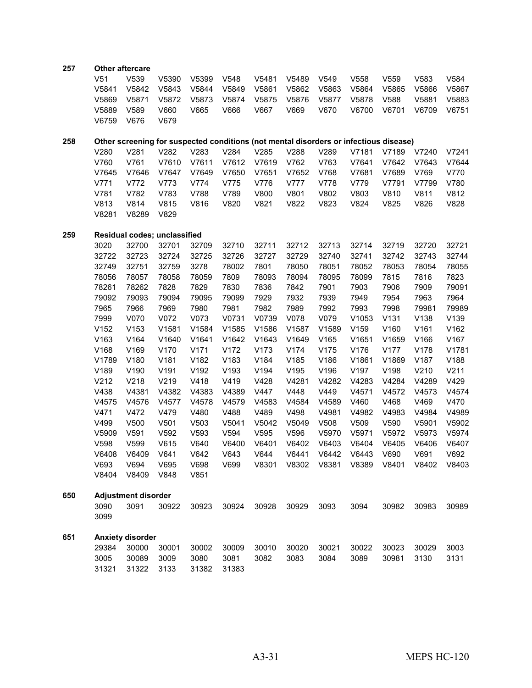| 257 | <b>Other aftercare</b> |                         |                                                                                       |       |       |       |       |                  |       |                  |       |       |
|-----|------------------------|-------------------------|---------------------------------------------------------------------------------------|-------|-------|-------|-------|------------------|-------|------------------|-------|-------|
|     | V51                    | V539                    | V5390                                                                                 | V5399 | V548  | V5481 | V5489 | V <sub>549</sub> | V558  | V <sub>559</sub> | V583  | V584  |
|     | V5841                  | V5842                   | V5843                                                                                 | V5844 | V5849 | V5861 | V5862 | V5863            | V5864 | V5865            | V5866 | V5867 |
|     | V5869                  | V5871                   | V5872                                                                                 | V5873 | V5874 | V5875 | V5876 | V5877            | V5878 | V588             | V5881 | V5883 |
|     | V5889                  | V589                    | V660                                                                                  | V665  | V666  | V667  | V669  | V670             | V6700 | V6701            | V6709 | V6751 |
|     | V6759                  | V676                    | V679                                                                                  |       |       |       |       |                  |       |                  |       |       |
|     |                        |                         |                                                                                       |       |       |       |       |                  |       |                  |       |       |
| 258 |                        |                         | Other screening for suspected conditions (not mental disorders or infectious disease) |       |       |       |       |                  |       |                  |       |       |
|     | V280                   | V281                    | V282                                                                                  | V283  | V284  | V285  | V288  | V289             | V7181 | V7189            | V7240 | V7241 |
|     | V760                   | V761                    | V7610                                                                                 | V7611 | V7612 | V7619 | V762  | V763             | V7641 | V7642            | V7643 | V7644 |
|     | V7645                  | V7646                   | V7647                                                                                 | V7649 | V7650 | V7651 | V7652 | V768             | V7681 | V7689            | V769  | V770  |
|     | V771                   | V772                    | V773                                                                                  | V774  | V775  | V776  | V777  | V778             | V779  | V7791            | V7799 | V780  |
|     | V781                   | V782                    | V783                                                                                  | V788  | V789  | V800  | V801  | V802             | V803  | V810             | V811  | V812  |
|     | V813                   | V814                    | V815                                                                                  | V816  | V820  | V821  | V822  | V823             | V824  | V825             | V826  | V828  |
|     | V8281                  | V8289                   | V829                                                                                  |       |       |       |       |                  |       |                  |       |       |
| 259 |                        |                         | Residual codes; unclassified                                                          |       |       |       |       |                  |       |                  |       |       |
|     | 3020                   | 32700                   | 32701                                                                                 | 32709 | 32710 | 32711 | 32712 | 32713            | 32714 | 32719            | 32720 | 32721 |
|     | 32722                  | 32723                   | 32724                                                                                 | 32725 | 32726 | 32727 | 32729 | 32740            | 32741 | 32742            | 32743 | 32744 |
|     | 32749                  | 32751                   | 32759                                                                                 | 3278  | 78002 | 7801  | 78050 | 78051            | 78052 | 78053            | 78054 | 78055 |
|     | 78056                  | 78057                   | 78058                                                                                 | 78059 | 7809  | 78093 | 78094 | 78095            | 78099 | 7815             | 7816  | 7823  |
|     | 78261                  | 78262                   | 7828                                                                                  | 7829  | 7830  | 7836  | 7842  | 7901             | 7903  | 7906             | 7909  | 79091 |
|     | 79092                  | 79093                   | 79094                                                                                 | 79095 | 79099 | 7929  | 7932  | 7939             | 7949  | 7954             | 7963  | 7964  |
|     | 7965                   | 7966                    | 7969                                                                                  | 7980  | 7981  | 7982  | 7989  | 7992             | 7993  | 7998             | 79981 | 79989 |
|     | 7999                   | V070                    | V072                                                                                  | V073  | V0731 | V0739 | V078  | V079             | V1053 | V131             | V138  | V139  |
|     | V152                   | V153                    | V1581                                                                                 | V1584 | V1585 | V1586 | V1587 | V1589            | V159  | V160             | V161  | V162  |
|     | V163                   | V164                    | V1640                                                                                 | V1641 | V1642 | V1643 | V1649 | V165             | V1651 | V1659            | V166  | V167  |
|     | V168                   | V169                    | V170                                                                                  | V171  | V172  | V173  | V174  | V175             | V176  | V177             | V178  | V1781 |
|     | V1789                  | V180                    | V181                                                                                  | V182  | V183  | V184  | V185  | V186             | V1861 | V1869            | V187  | V188  |
|     | V189                   | V190                    | V191                                                                                  | V192  | V193  | V194  | V195  | V196             | V197  | V198             | V210  | V211  |
|     | V212                   | V218                    | V219                                                                                  | V418  | V419  | V428  | V4281 | V4282            | V4283 | V4284            | V4289 | V429  |
|     | V438                   | V4381                   | V4382                                                                                 | V4383 | V4389 | V447  | V448  | V449             | V4571 | V4572            | V4573 | V4574 |
|     | V4575                  | V4576                   | V4577                                                                                 | V4578 | V4579 | V4583 | V4584 | V4589            | V460  | V468             | V469  | V470  |
|     | V471                   | V472                    | V479                                                                                  | V480  | V488  | V489  | V498  | V4981            | V4982 | V4983            | V4984 | V4989 |
|     | V499                   | V500                    | V501                                                                                  | V503  | V5041 | V5042 | V5049 | V508             | V509  | V590             | V5901 | V5902 |
|     | V5909                  | V591                    | V592                                                                                  | V593  | V594  | V595  | V596  | V5970            | V5971 | V5972            | V5973 | V5974 |
|     | V598                   | V599                    | V615                                                                                  | V640  | V6400 | V6401 | V6402 | V6403            | V6404 | V6405            | V6406 | V6407 |
|     | V6408                  | V6409                   | V641                                                                                  | V642  | V643  | V644  | V6441 | V6442            | V6443 | V690             | V691  | V692  |
|     | V693                   | V694                    | V695                                                                                  | V698  | V699  | V8301 | V8302 | V8381            | V8389 | V8401            | V8402 | V8403 |
|     | V8404                  | V8409                   | V848                                                                                  | V851  |       |       |       |                  |       |                  |       |       |
| 650 |                        | Adjustment disorder     |                                                                                       |       |       |       |       |                  |       |                  |       |       |
|     | 3090                   | 3091                    | 30922                                                                                 | 30923 | 30924 | 30928 | 30929 | 3093             | 3094  | 30982            | 30983 | 30989 |
|     | 3099                   |                         |                                                                                       |       |       |       |       |                  |       |                  |       |       |
| 651 |                        | <b>Anxiety disorder</b> |                                                                                       |       |       |       |       |                  |       |                  |       |       |
|     | 29384                  | 30000                   | 30001                                                                                 | 30002 | 30009 | 30010 | 30020 | 30021            | 30022 | 30023            | 30029 | 3003  |
|     | 3005                   | 30089                   | 3009                                                                                  | 3080  | 3081  | 3082  | 3083  | 3084             | 3089  | 30981            | 3130  | 3131  |
|     | 31321                  | 31322                   | 3133                                                                                  | 31382 | 31383 |       |       |                  |       |                  |       |       |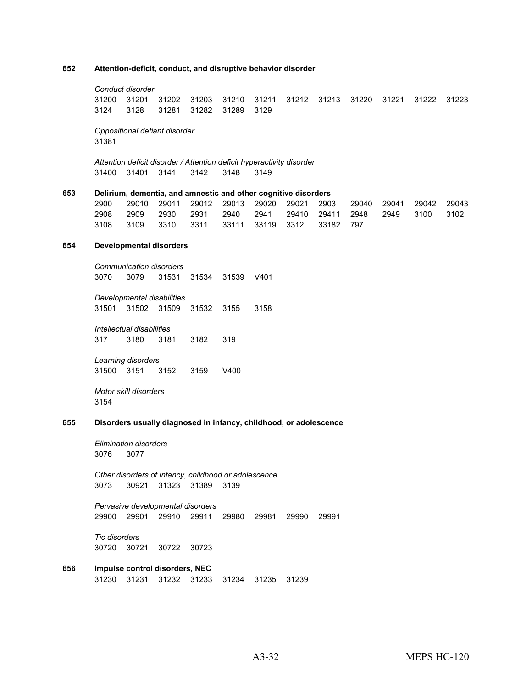#### **Attention-deficit, conduct, and disruptive behavior disorder**

*Conduct disorder* 31201 31202 31203 31210 31211 31212 31213 31220 31221 31222 31223 3128 31281 31282 31289 3129

*Oppositional defiant disorder* 

*Attention deficit disorder / Attention deficit hyperactivity disorder* 31401 3141 3142 3148 3149

#### **Delirium, dementia, and amnestic and other cognitive disorders**

| 2900 |  |                                           |  |  |  | 29010 29011 29012 29013 29020 29021 2903  29040 29041 29042 29043 |  |
|------|--|-------------------------------------------|--|--|--|-------------------------------------------------------------------|--|
| 2908 |  |                                           |  |  |  | 2909 2930 2931 2940 2941 29410 29411 2948 2949 3100 3102          |  |
| 3108 |  | 3109 3310 3311 33111 33119 3312 33182 797 |  |  |  |                                                                   |  |

#### **Developmental disorders**

*Communication disorders* 3079 31531 31534 31539 V401

*Developmental disabilities* 31502 31509 31532 3155 3158

*Intellectual disabilities* 3180 3181 3182 319

*Learning disorders* 3151 3152 3159 V400

*Motor skill disorders* 

#### **Disorders usually diagnosed in infancy, childhood, or adolescence**

*Elimination disorders* 3077

*Other disorders of infancy, childhood or adolescence* 30921 31323 31389 3139

*Pervasive developmental disorders* 29901 29910 29911 29980 29981 29990 29991

*Tic disorders* 30721 30722 30723

#### **Impulse control disorders, NEC** 31231 31232 31233 31234 31235 31239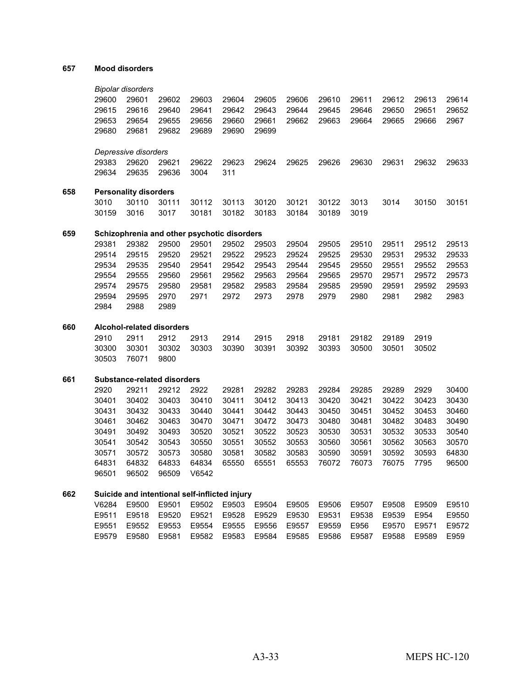#### **Mood disorders**

|     |       | <b>Bipolar disorders</b>     |                                               |       |       |       |       |       |       |       |       |       |
|-----|-------|------------------------------|-----------------------------------------------|-------|-------|-------|-------|-------|-------|-------|-------|-------|
|     | 29600 | 29601                        | 29602                                         | 29603 | 29604 | 29605 | 29606 | 29610 | 29611 | 29612 | 29613 | 29614 |
|     | 29615 | 29616                        | 29640                                         | 29641 | 29642 | 29643 | 29644 | 29645 | 29646 | 29650 | 29651 | 29652 |
|     | 29653 | 29654                        | 29655                                         | 29656 | 29660 | 29661 | 29662 | 29663 | 29664 | 29665 | 29666 | 2967  |
|     | 29680 | 29681                        | 29682                                         | 29689 | 29690 | 29699 |       |       |       |       |       |       |
|     |       |                              |                                               |       |       |       |       |       |       |       |       |       |
|     |       | Depressive disorders         |                                               |       |       |       |       |       |       |       |       |       |
|     | 29383 | 29620                        | 29621                                         | 29622 | 29623 | 29624 | 29625 | 29626 | 29630 | 29631 | 29632 | 29633 |
|     | 29634 | 29635                        | 29636                                         | 3004  | 311   |       |       |       |       |       |       |       |
|     |       | <b>Personality disorders</b> |                                               |       |       |       |       |       |       |       |       |       |
| 658 |       | 30110                        | 30111                                         | 30112 |       |       |       |       |       |       |       |       |
|     | 3010  |                              |                                               |       | 30113 | 30120 | 30121 | 30122 | 3013  | 3014  | 30150 | 30151 |
|     | 30159 | 3016                         | 3017                                          | 30181 | 30182 | 30183 | 30184 | 30189 | 3019  |       |       |       |
| 659 |       |                              | Schizophrenia and other psychotic disorders   |       |       |       |       |       |       |       |       |       |
|     | 29381 | 29382                        | 29500                                         | 29501 | 29502 | 29503 | 29504 | 29505 | 29510 | 29511 | 29512 | 29513 |
|     | 29514 | 29515                        | 29520                                         | 29521 | 29522 | 29523 | 29524 | 29525 | 29530 | 29531 | 29532 | 29533 |
|     | 29534 | 29535                        | 29540                                         | 29541 | 29542 | 29543 | 29544 | 29545 | 29550 | 29551 | 29552 | 29553 |
|     | 29554 | 29555                        | 29560                                         | 29561 | 29562 | 29563 | 29564 | 29565 | 29570 | 29571 | 29572 | 29573 |
|     | 29574 | 29575                        | 29580                                         | 29581 | 29582 | 29583 | 29584 | 29585 | 29590 | 29591 | 29592 | 29593 |
|     | 29594 | 29595                        | 2970                                          | 2971  | 2972  | 2973  | 2978  | 2979  | 2980  | 2981  | 2982  | 2983  |
|     | 2984  | 2988                         | 2989                                          |       |       |       |       |       |       |       |       |       |
| 660 |       |                              | Alcohol-related disorders                     |       |       |       |       |       |       |       |       |       |
|     | 2910  | 2911                         | 2912                                          | 2913  | 2914  | 2915  | 2918  | 29181 | 29182 | 29189 | 2919  |       |
|     | 30300 | 30301                        | 30302                                         | 30303 | 30390 | 30391 | 30392 | 30393 | 30500 | 30501 | 30502 |       |
|     | 30503 | 76071                        | 9800                                          |       |       |       |       |       |       |       |       |       |
|     |       |                              |                                               |       |       |       |       |       |       |       |       |       |
| 661 |       |                              | <b>Substance-related disorders</b>            |       |       |       |       |       |       |       |       |       |
|     | 2920  | 29211                        | 29212                                         | 2922  | 29281 | 29282 | 29283 | 29284 | 29285 | 29289 | 2929  | 30400 |
|     | 30401 | 30402                        | 30403                                         | 30410 | 30411 | 30412 | 30413 | 30420 | 30421 | 30422 | 30423 | 30430 |
|     | 30431 | 30432                        | 30433                                         | 30440 | 30441 | 30442 | 30443 | 30450 | 30451 | 30452 | 30453 | 30460 |
|     | 30461 | 30462                        | 30463                                         | 30470 | 30471 | 30472 | 30473 | 30480 | 30481 | 30482 | 30483 | 30490 |
|     | 30491 | 30492                        | 30493                                         | 30520 | 30521 | 30522 | 30523 | 30530 | 30531 | 30532 | 30533 | 30540 |
|     | 30541 | 30542                        | 30543                                         | 30550 | 30551 | 30552 | 30553 | 30560 | 30561 | 30562 | 30563 | 30570 |
|     | 30571 | 30572                        | 30573                                         | 30580 | 30581 | 30582 | 30583 | 30590 | 30591 | 30592 | 30593 | 64830 |
|     | 64831 | 64832                        | 64833                                         | 64834 | 65550 | 65551 | 65553 | 76072 | 76073 | 76075 | 7795  | 96500 |
|     | 96501 | 96502                        | 96509                                         | V6542 |       |       |       |       |       |       |       |       |
| 662 |       |                              | Suicide and intentional self-inflicted injury |       |       |       |       |       |       |       |       |       |
|     | V6284 | E9500                        | E9501                                         | E9502 | E9503 | E9504 | E9505 | E9506 | E9507 | E9508 | E9509 | E9510 |
|     | E9511 | E9518                        | E9520                                         | E9521 | E9528 | E9529 | E9530 | E9531 | E9538 | E9539 | E954  | E9550 |
|     | E9551 | E9552                        | E9553                                         | E9554 | E9555 | E9556 | E9557 | E9559 | E956  | E9570 | E9571 | E9572 |
|     | E9579 | E9580                        | E9581                                         | E9582 | E9583 | E9584 | E9585 | E9586 | E9587 | E9588 | E9589 | E959  |
|     |       |                              |                                               |       |       |       |       |       |       |       |       |       |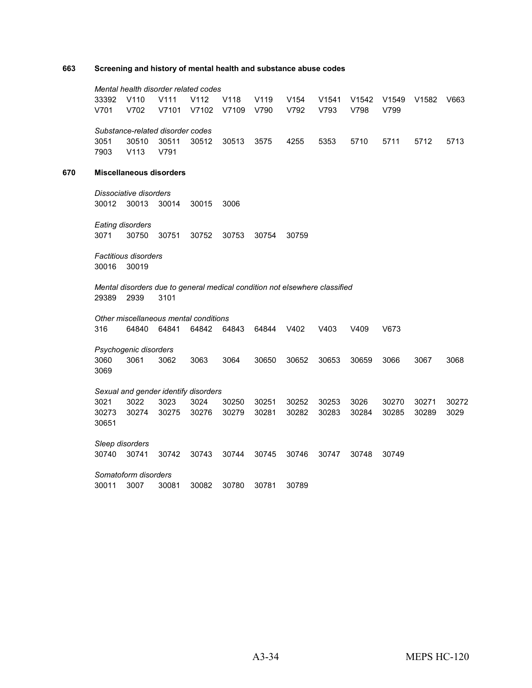#### **663 Screening and history of mental health and substance abuse codes**

*Mental health disorder related codes* 33392 V110 V111 V112 V118 V119 V154 V1541 V1542 V1549 V1582 V663 V701 V702 V7101 V7102 V7109 V790 V792 V793 V798 V799 *Substance-related disorder codes* 3051 30510 30511 30512 30513 3575 4255 5353 5710 5711 5712 5713 7903 V113 V791 **670 Miscellaneous disorders** *Dissociative disorders* 30012 30013 30014 30015 3006 *Eating disorders* 3071 30750 30751 30752 30753 30754 30759 *Factitious disorders* 30016 30019 *Mental disorders due to general medical condition not elsewhere classified* 29389 2939 3101 *Other miscellaneous mental conditions* 316 64840 64841 64842 64843 64844 V402 V403 V409 V673 *Psychogenic disorders* 3060 3061 3062 3063 3064 30650 30652 30653 30659 3066 3067 3068 3069 *Sexual and gender identify disorders* 3021 3022 3023 3024 30250 30251 30252 30253 3026 30270 30271 30272 30273 30274 30275 30276 30279 30281 30282 30283 30284 30285 30289 3029 30651 *Sleep disorders* 30740 30741 30742 30743 30744 30745 30746 30747 30748 30749 *Somatoform disorders* 30011 3007 30081 30082 30780 30781 30789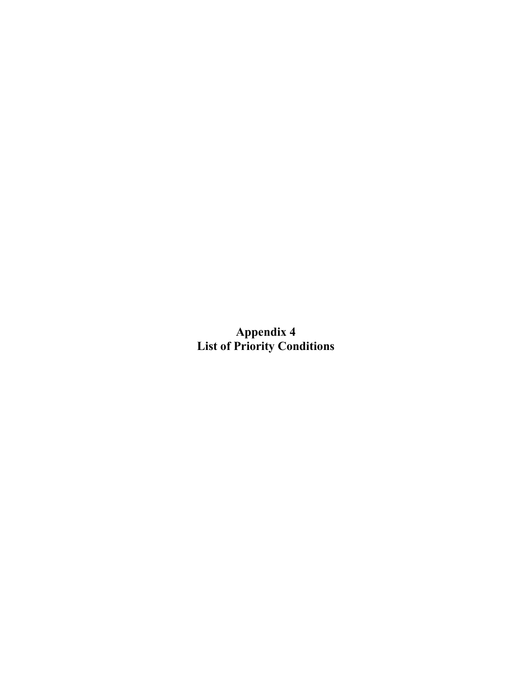**Appendix 4 List of Priority Conditions**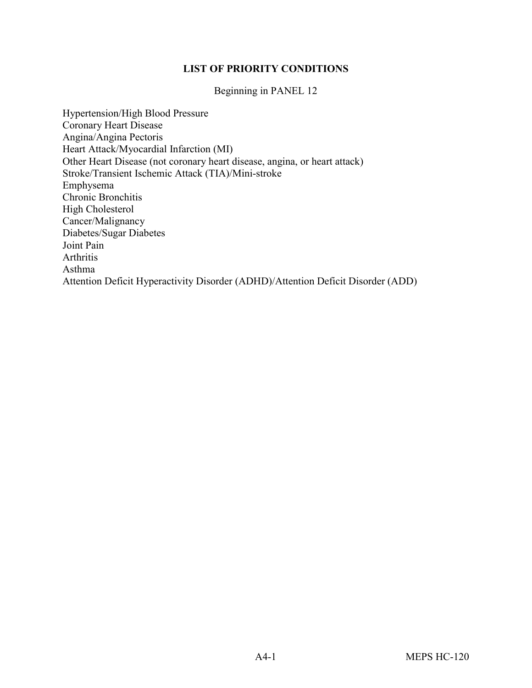## **LIST OF PRIORITY CONDITIONS**

Beginning in PANEL 12

Hypertension/High Blood Pressure Coronary Heart Disease Angina/Angina Pectoris Heart Attack/Myocardial Infarction (MI) Other Heart Disease (not coronary heart disease, angina, or heart attack) Stroke/Transient Ischemic Attack (TIA)/Mini-stroke Emphysema Chronic Bronchitis High Cholesterol Cancer/Malignancy Diabetes/Sugar Diabetes Joint Pain Arthritis Asthma Attention Deficit Hyperactivity Disorder (ADHD)/Attention Deficit Disorder (ADD)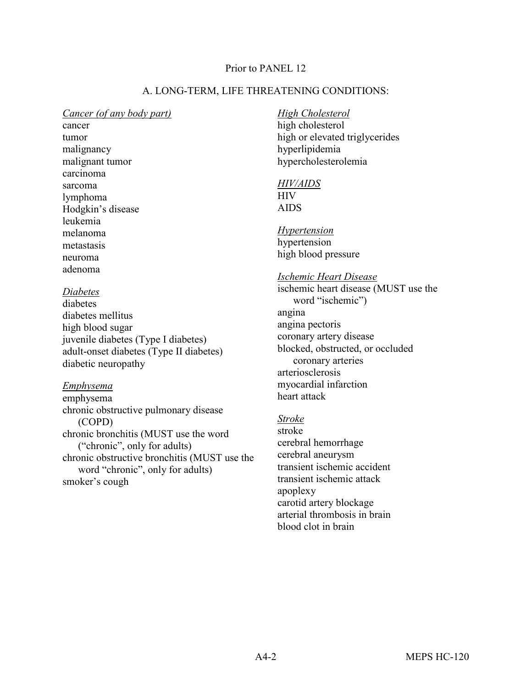## Prior to PANEL 12

## A. LONG-TERM, LIFE THREATENING CONDITIONS:

#### *Cancer (of any body part)*

cancer tumor malignancy malignant tumor carcinoma sarcoma lymphoma Hodgkin's disease leukemia melanoma metastasis neuroma adenoma

## *Diabetes*

diabetes diabetes mellitus high blood sugar juvenile diabetes (Type I diabetes) adult-onset diabetes (Type II diabetes) diabetic neuropathy

## *Emphysema*

emphysema chronic obstructive pulmonary disease (COPD) chronic bronchitis (MUST use the word ("chronic", only for adults) chronic obstructive bronchitis (MUST use the word "chronic", only for adults) smoker's cough

## *High Cholesterol*

high cholesterol high or elevated triglycerides hyperlipidemia hypercholesterolemia

## *HIV/AIDS* HIV AIDS

*Hypertension* hypertension high blood pressure

#### *Ischemic Heart Disease*

ischemic heart disease (MUST use the word "ischemic") angina angina pectoris coronary artery disease blocked, obstructed, or occluded coronary arteries arteriosclerosis myocardial infarction heart attack

## *Stroke*

stroke cerebral hemorrhage cerebral aneurysm transient ischemic accident transient ischemic attack apoplexy carotid artery blockage arterial thrombosis in brain blood clot in brain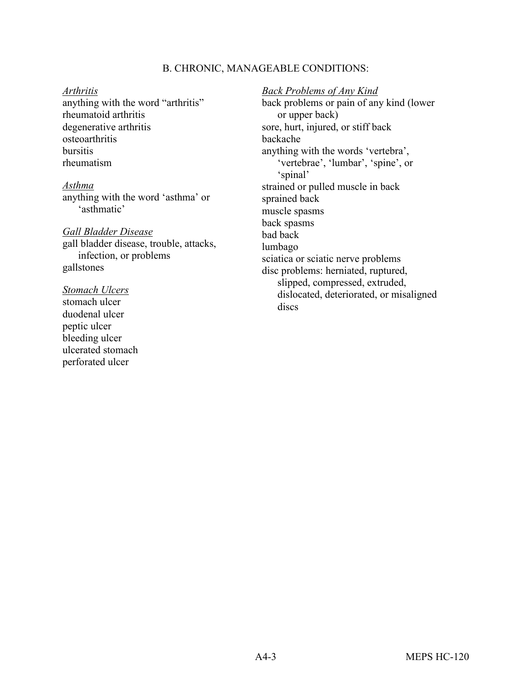### B. CHRONIC, MANAGEABLE CONDITIONS:

#### *Arthritis*

anything with the word "arthritis" rheumatoid arthritis degenerative arthritis osteoarthritis bursitis rheumatism

*Asthma* anything with the word 'asthma' or 'asthmatic'

#### *Gall Bladder Disease*

gall bladder disease, trouble, attacks, infection, or problems gallstones

#### *Stomach Ulcers*

stomach ulcer duodenal ulcer peptic ulcer bleeding ulcer ulcerated stomach perforated ulcer

*Back Problems of Any Kind* back problems or pain of any kind (lower or upper back) sore, hurt, injured, or stiff back backache anything with the words 'vertebra', 'vertebrae', 'lumbar', 'spine', or 'spinal' strained or pulled muscle in back sprained back muscle spasms back spasms bad back lumbago sciatica or sciatic nerve problems disc problems: herniated, ruptured, slipped, compressed, extruded,

dislocated, deteriorated, or misaligned discs